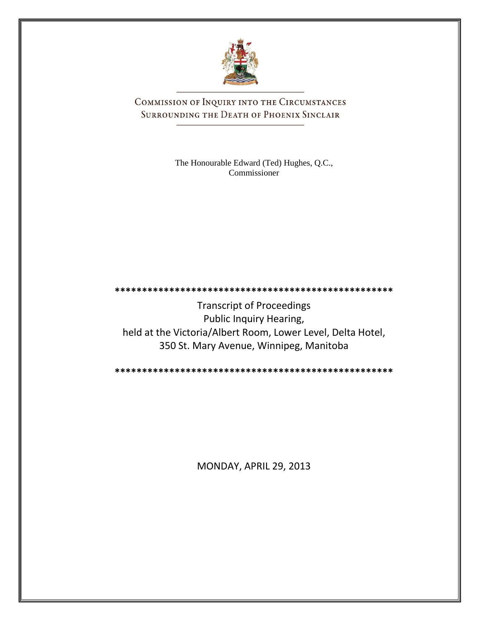

COMMISSION OF INQUIRY INTO THE CIRCUMSTANCES SURROUNDING THE DEATH OF PHOENIX SINCLAIR

> The Honourable Edward (Ted) Hughes, Q.C., Commissioner

**\*\*\*\*\*\*\*\*\*\*\*\*\*\*\*\*\*\*\*\*\*\*\*\*\*\*\*\*\*\*\*\*\*\*\*\*\*\*\*\*\*\*\*\*\*\*\*\*\*\*\*** Transcript of Proceedings Public Inquiry Hearing, held at the Victoria/Albert Room, Lower Level, Delta Hotel, 350 St. Mary Avenue, Winnipeg, Manitoba

**\*\*\*\*\*\*\*\*\*\*\*\*\*\*\*\*\*\*\*\*\*\*\*\*\*\*\*\*\*\*\*\*\*\*\*\*\*\*\*\*\*\*\*\*\*\*\*\*\*\*\***

MONDAY, APRIL 29, 2013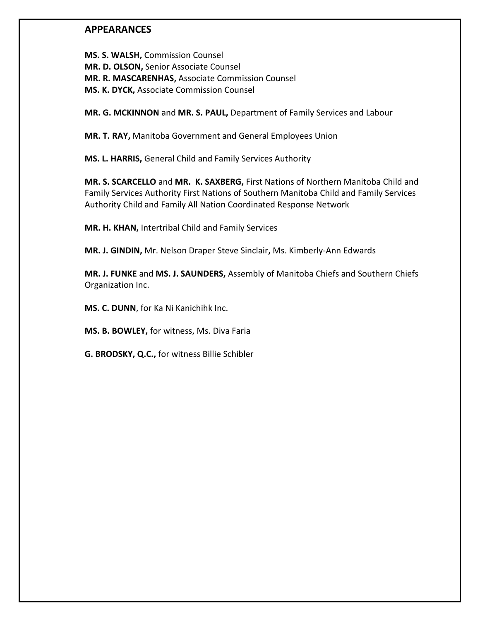## **APPEARANCES**

**MS. S. WALSH,** Commission Counsel **MR. D. OLSON,** Senior Associate Counsel **MR. R. MASCARENHAS,** Associate Commission Counsel **MS. K. DYCK,** Associate Commission Counsel

**MR. G. MCKINNON** and **MR. S. PAUL,** Department of Family Services and Labour

**MR. T. RAY,** Manitoba Government and General Employees Union

**MS. L. HARRIS,** General Child and Family Services Authority

**MR. S. SCARCELLO** and **MR. K. SAXBERG,** First Nations of Northern Manitoba Child and Family Services Authority First Nations of Southern Manitoba Child and Family Services Authority Child and Family All Nation Coordinated Response Network

**MR. H. KHAN,** Intertribal Child and Family Services

**MR. J. GINDIN,** Mr. Nelson Draper Steve Sinclair**,** Ms. Kimberly-Ann Edwards

**MR. J. FUNKE** and **MS. J. SAUNDERS,** Assembly of Manitoba Chiefs and Southern Chiefs Organization Inc.

**MS. C. DUNN**, for Ka Ni Kanichihk Inc.

**MS. B. BOWLEY,** for witness, Ms. Diva Faria

**G. BRODSKY, Q.C.,** for witness Billie Schibler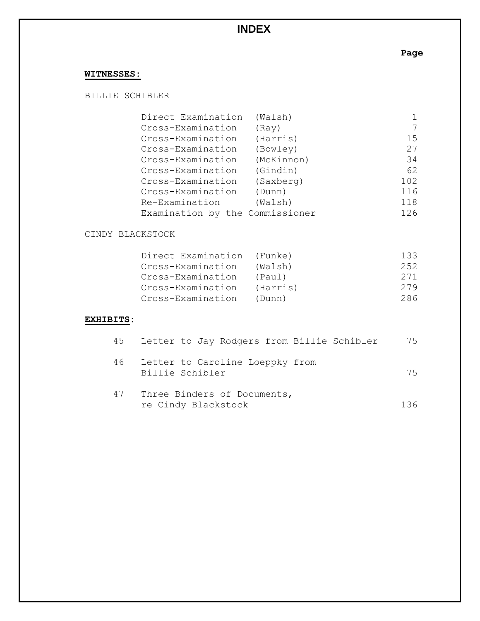# **INDEX**

**Page**

# **WITNESSES:**

BILLIE SCHIBLER

| Direct Examination              | (Walsh)    |     |
|---------------------------------|------------|-----|
| Cross-Examination               | (Ray)      |     |
| Cross-Examination               | (Harris)   | 15  |
| Cross-Examination               | (Bowley)   | 27  |
| Cross-Examination               | (McKinnon) | 34  |
| Cross-Examination               | (Gindin)   | 62  |
| Cross-Examination               | (Saxberg)  | 102 |
| Cross-Examination               | (Dunn)     | 116 |
| Re-Examination                  | (Walsh)    | 118 |
| Examination by the Commissioner |            | 126 |
|                                 |            |     |

#### CINDY BLACKSTOCK

| Direct Examination | (Funke)  | 133  |
|--------------------|----------|------|
| Cross-Examination  | (Walsh)  | 2.52 |
| Cross-Examination  | (Paul)   | 271  |
| Cross-Examination  | (Harris) | 279  |
| Cross-Examination  | (Dunn)   | 286  |

### **EXHIBITS:**

| 45 | Letter to Jay Rodgers from Billie Schibler         | 75  |
|----|----------------------------------------------------|-----|
| 46 | Letter to Caroline Loeppky from<br>Billie Schibler | 75  |
| 47 | Three Binders of Documents,<br>re Cindy Blackstock | 136 |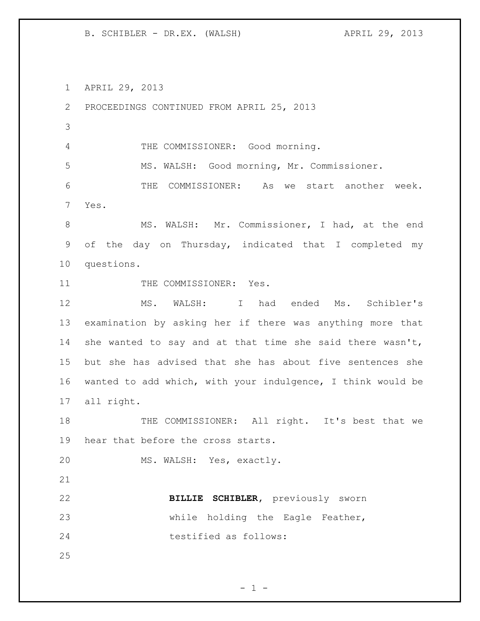B. SCHIBLER - DR.EX. (WALSH) APRIL 29, 2013

APRIL 29, 2013

 PROCEEDINGS CONTINUED FROM APRIL 25, 2013 THE COMMISSIONER: Good morning. MS. WALSH: Good morning, Mr. Commissioner. THE COMMISSIONER: As we start another week. Yes. 8 MS. WALSH: Mr. Commissioner, I had, at the end of the day on Thursday, indicated that I completed my questions. 11 THE COMMISSIONER: Yes. MS. WALSH: I had ended Ms. Schibler's examination by asking her if there was anything more that she wanted to say and at that time she said there wasn't, but she has advised that she has about five sentences she wanted to add which, with your indulgence, I think would be all right. 18 THE COMMISSIONER: All right. It's best that we hear that before the cross starts. MS. WALSH: Yes, exactly. **BILLIE SCHIBLER,** previously sworn while holding the Eagle Feather, testified as follows: 

 $- 1 -$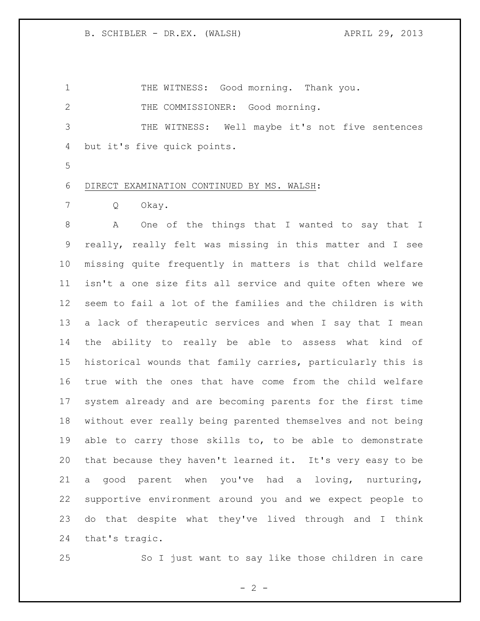THE WITNESS: Good morning. Thank you. 2 THE COMMISSIONER: Good morning. THE WITNESS: Well maybe it's not five sentences but it's five quick points. 

DIRECT EXAMINATION CONTINUED BY MS. WALSH:

Q Okay.

 A One of the things that I wanted to say that I really, really felt was missing in this matter and I see missing quite frequently in matters is that child welfare isn't a one size fits all service and quite often where we seem to fail a lot of the families and the children is with a lack of therapeutic services and when I say that I mean the ability to really be able to assess what kind of historical wounds that family carries, particularly this is true with the ones that have come from the child welfare system already and are becoming parents for the first time without ever really being parented themselves and not being able to carry those skills to, to be able to demonstrate that because they haven't learned it. It's very easy to be a good parent when you've had a loving, nurturing, supportive environment around you and we expect people to do that despite what they've lived through and I think that's tragic.

So I just want to say like those children in care

 $- 2 -$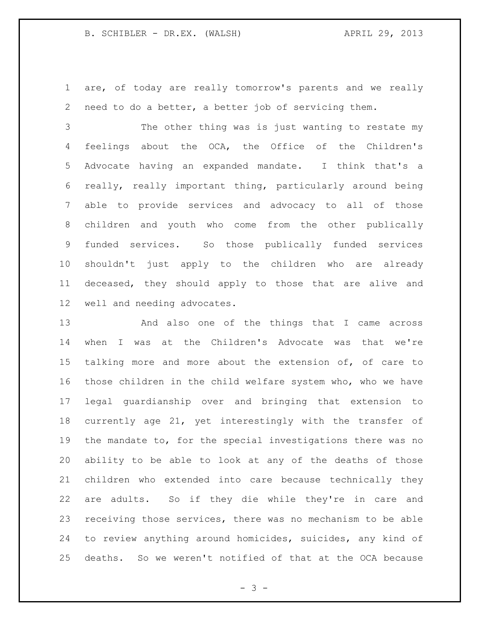are, of today are really tomorrow's parents and we really need to do a better, a better job of servicing them.

 The other thing was is just wanting to restate my feelings about the OCA, the Office of the Children's Advocate having an expanded mandate. I think that's a really, really important thing, particularly around being able to provide services and advocacy to all of those children and youth who come from the other publically funded services. So those publically funded services shouldn't just apply to the children who are already deceased, they should apply to those that are alive and well and needing advocates.

 And also one of the things that I came across when I was at the Children's Advocate was that we're talking more and more about the extension of, of care to those children in the child welfare system who, who we have legal guardianship over and bringing that extension to currently age 21, yet interestingly with the transfer of the mandate to, for the special investigations there was no ability to be able to look at any of the deaths of those children who extended into care because technically they are adults. So if they die while they're in care and receiving those services, there was no mechanism to be able to review anything around homicides, suicides, any kind of deaths. So we weren't notified of that at the OCA because

- 3 -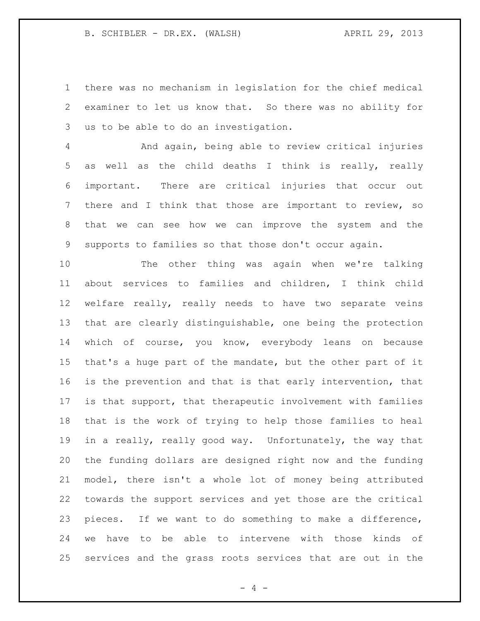there was no mechanism in legislation for the chief medical examiner to let us know that. So there was no ability for us to be able to do an investigation.

 And again, being able to review critical injuries as well as the child deaths I think is really, really important. There are critical injuries that occur out there and I think that those are important to review, so that we can see how we can improve the system and the supports to families so that those don't occur again.

 The other thing was again when we're talking about services to families and children, I think child welfare really, really needs to have two separate veins that are clearly distinguishable, one being the protection which of course, you know, everybody leans on because that's a huge part of the mandate, but the other part of it is the prevention and that is that early intervention, that is that support, that therapeutic involvement with families that is the work of trying to help those families to heal in a really, really good way. Unfortunately, the way that the funding dollars are designed right now and the funding model, there isn't a whole lot of money being attributed towards the support services and yet those are the critical pieces. If we want to do something to make a difference, we have to be able to intervene with those kinds of services and the grass roots services that are out in the

 $- 4 -$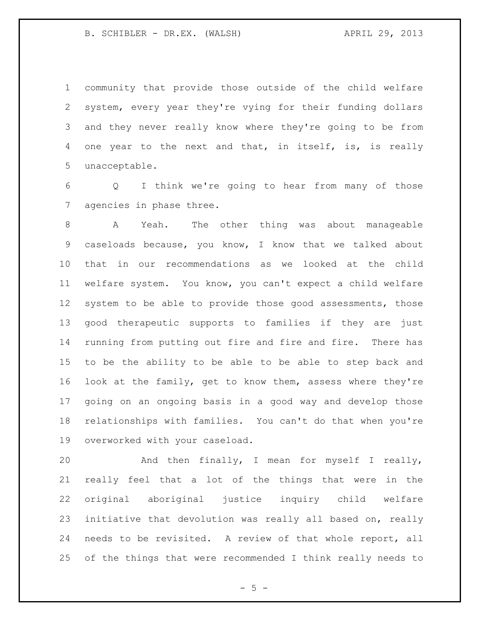community that provide those outside of the child welfare system, every year they're vying for their funding dollars and they never really know where they're going to be from 4 one year to the next and that, in itself, is, is really unacceptable.

 Q I think we're going to hear from many of those agencies in phase three.

 A Yeah. The other thing was about manageable caseloads because, you know, I know that we talked about that in our recommendations as we looked at the child welfare system. You know, you can't expect a child welfare 12 system to be able to provide those good assessments, those good therapeutic supports to families if they are just running from putting out fire and fire and fire. There has to be the ability to be able to be able to step back and look at the family, get to know them, assess where they're going on an ongoing basis in a good way and develop those relationships with families. You can't do that when you're overworked with your caseload.

 And then finally, I mean for myself I really, really feel that a lot of the things that were in the original aboriginal justice inquiry child welfare initiative that devolution was really all based on, really needs to be revisited. A review of that whole report, all of the things that were recommended I think really needs to

 $- 5 -$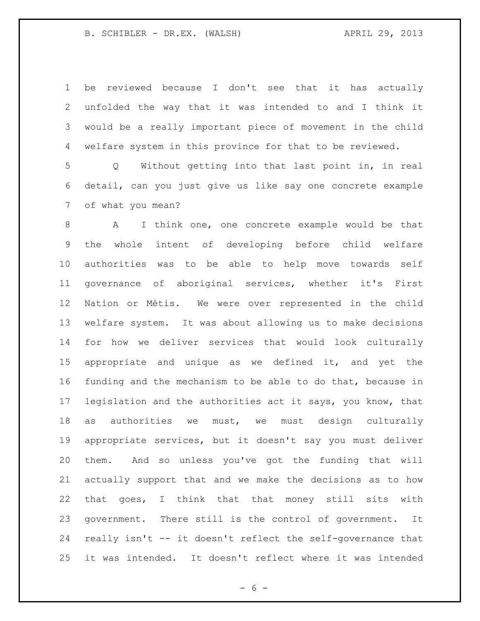B. SCHIBLER - DR.EX. (WALSH) APRIL 29, 2013

 be reviewed because I don't see that it has actually unfolded the way that it was intended to and I think it would be a really important piece of movement in the child welfare system in this province for that to be reviewed.

 Q Without getting into that last point in, in real detail, can you just give us like say one concrete example of what you mean?

 A I think one, one concrete example would be that the whole intent of developing before child welfare authorities was to be able to help move towards self governance of aboriginal services, whether it's First Nation or Métis. We were over represented in the child welfare system. It was about allowing us to make decisions for how we deliver services that would look culturally appropriate and unique as we defined it, and yet the funding and the mechanism to be able to do that, because in legislation and the authorities act it says, you know, that as authorities we must, we must design culturally appropriate services, but it doesn't say you must deliver them. And so unless you've got the funding that will actually support that and we make the decisions as to how that goes, I think that that money still sits with government. There still is the control of government. It really isn't -- it doesn't reflect the self-governance that it was intended. It doesn't reflect where it was intended

 $- 6 -$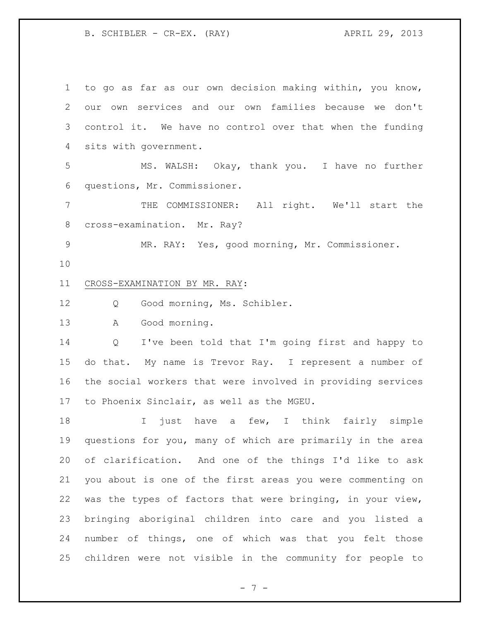B. SCHIBLER - CR-EX. (RAY) APRIL 29, 2013

 to go as far as our own decision making within, you know, our own services and our own families because we don't control it. We have no control over that when the funding sits with government. MS. WALSH: Okay, thank you. I have no further questions, Mr. Commissioner. THE COMMISSIONER: All right. We'll start the cross-examination. Mr. Ray? MR. RAY: Yes, good morning, Mr. Commissioner. CROSS-EXAMINATION BY MR. RAY: Q Good morning, Ms. Schibler. A Good morning. Q I've been told that I'm going first and happy to do that. My name is Trevor Ray. I represent a number of the social workers that were involved in providing services to Phoenix Sinclair, as well as the MGEU. I just have a few, I think fairly simple questions for you, many of which are primarily in the area of clarification. And one of the things I'd like to ask you about is one of the first areas you were commenting on was the types of factors that were bringing, in your view, bringing aboriginal children into care and you listed a number of things, one of which was that you felt those children were not visible in the community for people to

- 7 -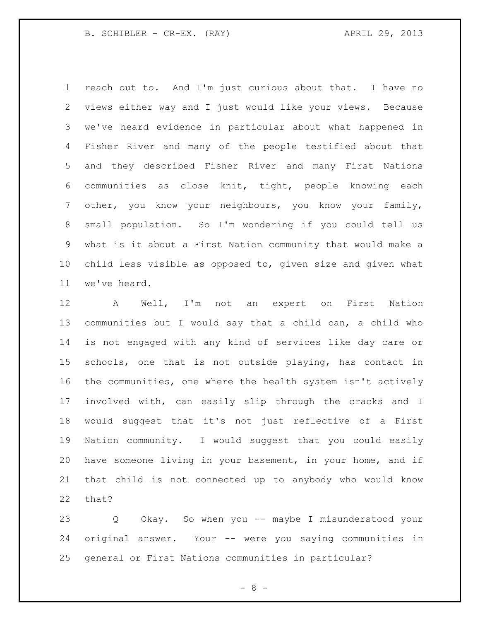B. SCHIBLER - CR-EX. (RAY) APRIL 29, 2013

 reach out to. And I'm just curious about that. I have no views either way and I just would like your views. Because we've heard evidence in particular about what happened in Fisher River and many of the people testified about that and they described Fisher River and many First Nations communities as close knit, tight, people knowing each other, you know your neighbours, you know your family, small population. So I'm wondering if you could tell us what is it about a First Nation community that would make a child less visible as opposed to, given size and given what we've heard.

 A Well, I'm not an expert on First Nation communities but I would say that a child can, a child who is not engaged with any kind of services like day care or schools, one that is not outside playing, has contact in the communities, one where the health system isn't actively involved with, can easily slip through the cracks and I would suggest that it's not just reflective of a First Nation community. I would suggest that you could easily have someone living in your basement, in your home, and if that child is not connected up to anybody who would know that?

 Q Okay. So when you -- maybe I misunderstood your original answer. Your -- were you saying communities in general or First Nations communities in particular?

- 8 -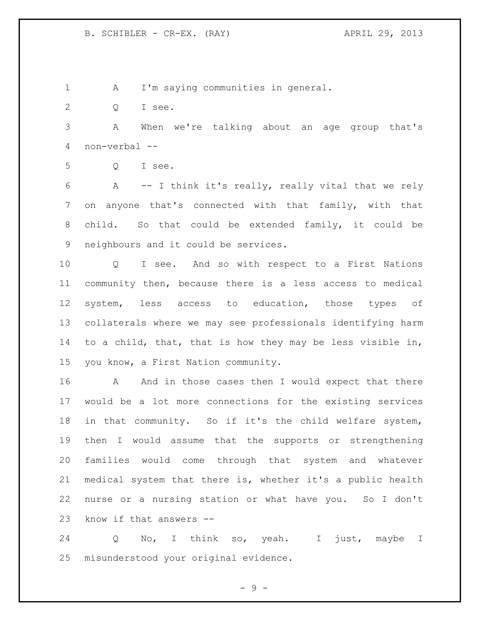A I'm saying communities in general.

Q I see.

 A When we're talking about an age group that's non-verbal --

Q I see.

 A -- I think it's really, really vital that we rely on anyone that's connected with that family, with that child. So that could be extended family, it could be neighbours and it could be services.

 Q I see. And so with respect to a First Nations community then, because there is a less access to medical system, less access to education, those types of collaterals where we may see professionals identifying harm to a child, that, that is how they may be less visible in, you know, a First Nation community.

16 A And in those cases then I would expect that there would be a lot more connections for the existing services in that community. So if it's the child welfare system, then I would assume that the supports or strengthening families would come through that system and whatever medical system that there is, whether it's a public health nurse or a nursing station or what have you. So I don't know if that answers --

 Q No, I think so, yeah. I just, maybe I misunderstood your original evidence.

 $-9 -$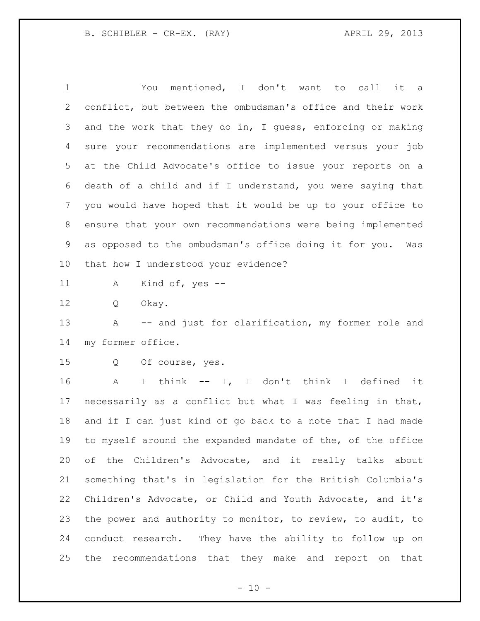You mentioned, I don't want to call it a conflict, but between the ombudsman's office and their work and the work that they do in, I guess, enforcing or making sure your recommendations are implemented versus your job at the Child Advocate's office to issue your reports on a death of a child and if I understand, you were saying that you would have hoped that it would be up to your office to ensure that your own recommendations were being implemented as opposed to the ombudsman's office doing it for you. Was that how I understood your evidence?

A Kind of, yes --

Q Okay.

 A -- and just for clarification, my former role and my former office.

Q Of course, yes.

 A I think -- I, I don't think I defined it necessarily as a conflict but what I was feeling in that, and if I can just kind of go back to a note that I had made to myself around the expanded mandate of the, of the office of the Children's Advocate, and it really talks about something that's in legislation for the British Columbia's Children's Advocate, or Child and Youth Advocate, and it's the power and authority to monitor, to review, to audit, to conduct research. They have the ability to follow up on the recommendations that they make and report on that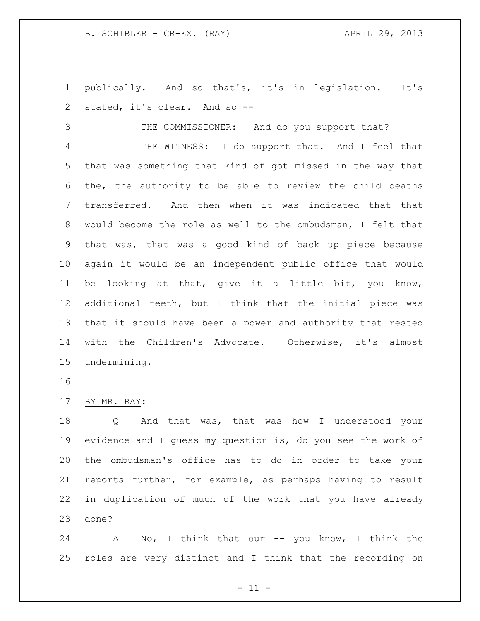B. SCHIBLER - CR-EX. (RAY) APRIL 29, 2013

 publically. And so that's, it's in legislation. It's stated, it's clear. And so --

THE COMMISSIONER: And do you support that?

 THE WITNESS: I do support that. And I feel that that was something that kind of got missed in the way that the, the authority to be able to review the child deaths transferred. And then when it was indicated that that would become the role as well to the ombudsman, I felt that that was, that was a good kind of back up piece because again it would be an independent public office that would be looking at that, give it a little bit, you know, additional teeth, but I think that the initial piece was that it should have been a power and authority that rested with the Children's Advocate. Otherwise, it's almost undermining.

BY MR. RAY:

 Q And that was, that was how I understood your evidence and I guess my question is, do you see the work of the ombudsman's office has to do in order to take your reports further, for example, as perhaps having to result in duplication of much of the work that you have already done?

24 A No, I think that our -- you know, I think the roles are very distinct and I think that the recording on

 $-11 -$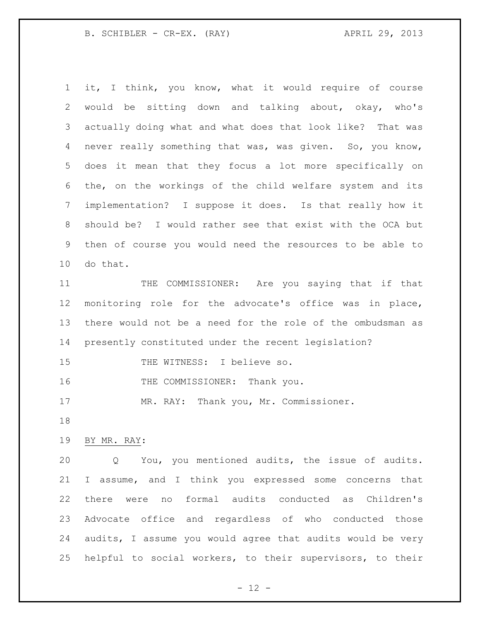B. SCHIBLER - CR-EX. (RAY) APRIL 29, 2013

 it, I think, you know, what it would require of course would be sitting down and talking about, okay, who's actually doing what and what does that look like? That was never really something that was, was given. So, you know, does it mean that they focus a lot more specifically on the, on the workings of the child welfare system and its implementation? I suppose it does. Is that really how it should be? I would rather see that exist with the OCA but then of course you would need the resources to be able to do that.

 THE COMMISSIONER: Are you saying that if that monitoring role for the advocate's office was in place, there would not be a need for the role of the ombudsman as presently constituted under the recent legislation?

15 THE WITNESS: I believe so.

16 THE COMMISSIONER: Thank you.

17 MR. RAY: Thank you, Mr. Commissioner.

BY MR. RAY:

 Q You, you mentioned audits, the issue of audits. I assume, and I think you expressed some concerns that there were no formal audits conducted as Children's Advocate office and regardless of who conducted those audits, I assume you would agree that audits would be very helpful to social workers, to their supervisors, to their

 $- 12 -$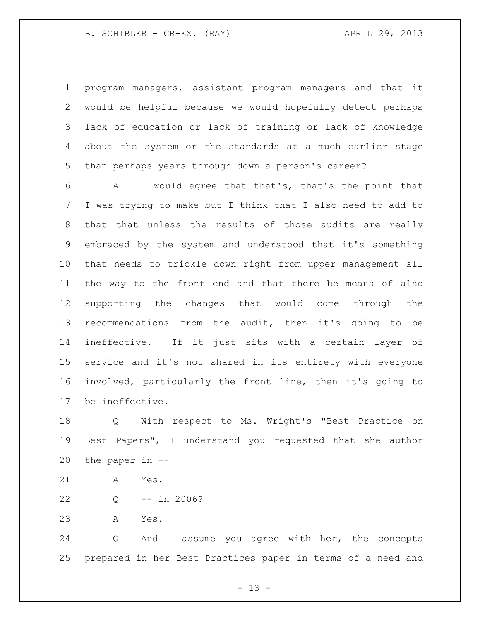program managers, assistant program managers and that it would be helpful because we would hopefully detect perhaps lack of education or lack of training or lack of knowledge about the system or the standards at a much earlier stage than perhaps years through down a person's career?

 A I would agree that that's, that's the point that I was trying to make but I think that I also need to add to that that unless the results of those audits are really embraced by the system and understood that it's something that needs to trickle down right from upper management all the way to the front end and that there be means of also supporting the changes that would come through the recommendations from the audit, then it's going to be ineffective. If it just sits with a certain layer of service and it's not shared in its entirety with everyone involved, particularly the front line, then it's going to be ineffective.

 Q With respect to Ms. Wright's "Best Practice on Best Papers", I understand you requested that she author the paper in --

- A Yes.
- Q -- in 2006?
- A Yes.

 Q And I assume you agree with her, the concepts prepared in her Best Practices paper in terms of a need and

 $- 13 -$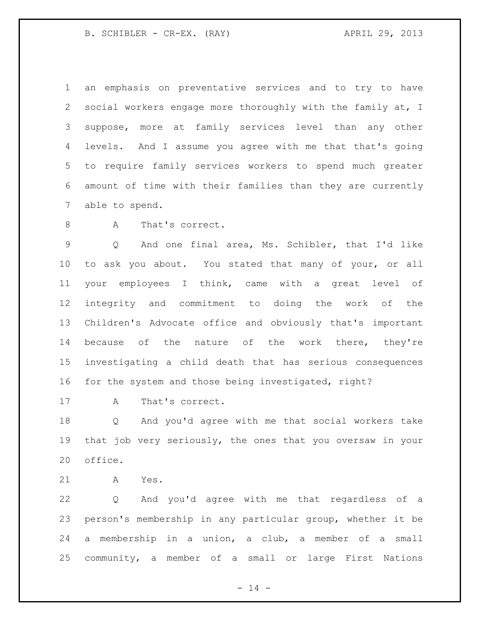B. SCHIBLER - CR-EX. (RAY) APRIL 29, 2013

 an emphasis on preventative services and to try to have social workers engage more thoroughly with the family at, I suppose, more at family services level than any other levels. And I assume you agree with me that that's going to require family services workers to spend much greater amount of time with their families than they are currently able to spend.

8 A That's correct.

 Q And one final area, Ms. Schibler, that I'd like to ask you about. You stated that many of your, or all your employees I think, came with a great level of integrity and commitment to doing the work of the Children's Advocate office and obviously that's important 14 because of the nature of the work there, they're investigating a child death that has serious consequences for the system and those being investigated, right?

A That's correct.

 Q And you'd agree with me that social workers take that job very seriously, the ones that you oversaw in your office.

A Yes.

 Q And you'd agree with me that regardless of a person's membership in any particular group, whether it be a membership in a union, a club, a member of a small community, a member of a small or large First Nations

 $- 14 -$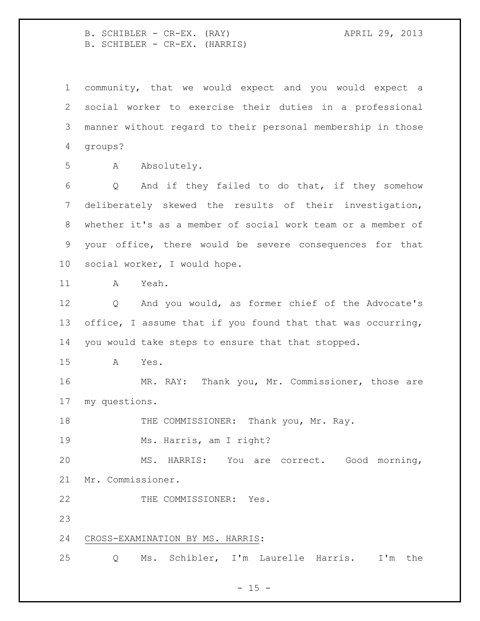B. SCHIBLER - CR-EX. (RAY) APRIL 29, 2013 B. SCHIBLER - CR-EX. (HARRIS)

 community, that we would expect and you would expect a social worker to exercise their duties in a professional manner without regard to their personal membership in those groups? A Absolutely. Q And if they failed to do that, if they somehow deliberately skewed the results of their investigation, whether it's as a member of social work team or a member of your office, there would be severe consequences for that social worker, I would hope. A Yeah. Q And you would, as former chief of the Advocate's office, I assume that if you found that that was occurring, you would take steps to ensure that that stopped. A Yes. MR. RAY: Thank you, Mr. Commissioner, those are my questions. 18 THE COMMISSIONER: Thank you, Mr. Ray. Ms. Harris, am I right? MS. HARRIS: You are correct. Good morning, Mr. Commissioner. 22 THE COMMISSIONER: Yes. CROSS-EXAMINATION BY MS. HARRIS: Q Ms. Schibler, I'm Laurelle Harris. I'm the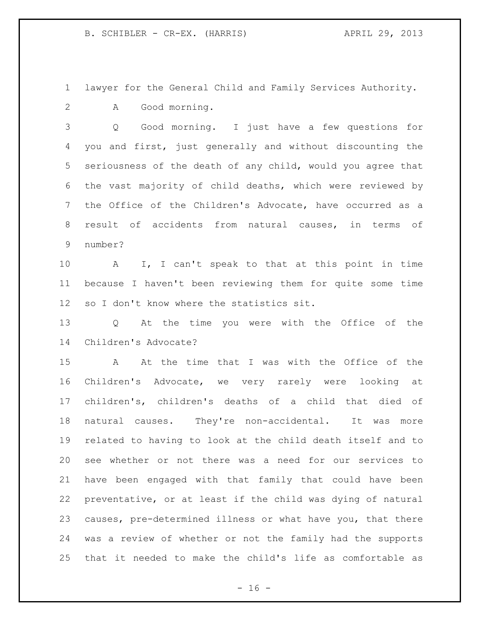lawyer for the General Child and Family Services Authority. A Good morning.

 Q Good morning. I just have a few questions for you and first, just generally and without discounting the seriousness of the death of any child, would you agree that the vast majority of child deaths, which were reviewed by the Office of the Children's Advocate, have occurred as a result of accidents from natural causes, in terms of number?

 A I, I can't speak to that at this point in time because I haven't been reviewing them for quite some time so I don't know where the statistics sit.

 Q At the time you were with the Office of the Children's Advocate?

 A At the time that I was with the Office of the Children's Advocate, we very rarely were looking at children's, children's deaths of a child that died of natural causes. They're non-accidental. It was more related to having to look at the child death itself and to see whether or not there was a need for our services to have been engaged with that family that could have been preventative, or at least if the child was dying of natural causes, pre-determined illness or what have you, that there was a review of whether or not the family had the supports that it needed to make the child's life as comfortable as

 $- 16 -$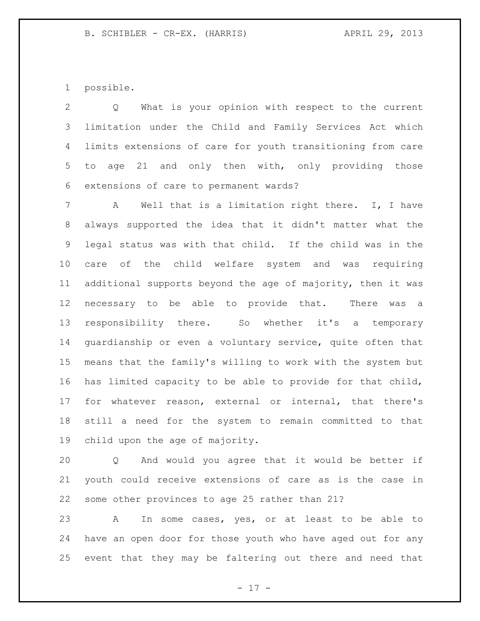possible.

 Q What is your opinion with respect to the current limitation under the Child and Family Services Act which limits extensions of care for youth transitioning from care to age 21 and only then with, only providing those extensions of care to permanent wards?

 A Well that is a limitation right there. I, I have always supported the idea that it didn't matter what the legal status was with that child. If the child was in the care of the child welfare system and was requiring additional supports beyond the age of majority, then it was necessary to be able to provide that. There was a responsibility there. So whether it's a temporary guardianship or even a voluntary service, quite often that means that the family's willing to work with the system but has limited capacity to be able to provide for that child, for whatever reason, external or internal, that there's still a need for the system to remain committed to that child upon the age of majority.

 Q And would you agree that it would be better if youth could receive extensions of care as is the case in some other provinces to age 25 rather than 21?

 A In some cases, yes, or at least to be able to have an open door for those youth who have aged out for any event that they may be faltering out there and need that

 $- 17 -$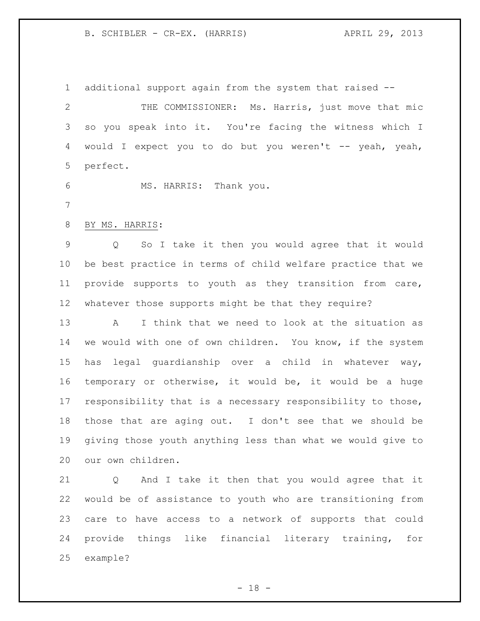#### B. SCHIBLER - CR-EX. (HARRIS) (APRIL 29, 2013)

additional support again from the system that raised --

 THE COMMISSIONER: Ms. Harris, just move that mic so you speak into it. You're facing the witness which I 4 would I expect you to do but you weren't -- yeah, yeah, perfect.

MS. HARRIS: Thank you.

BY MS. HARRIS:

 Q So I take it then you would agree that it would be best practice in terms of child welfare practice that we provide supports to youth as they transition from care, whatever those supports might be that they require?

 A I think that we need to look at the situation as we would with one of own children. You know, if the system has legal guardianship over a child in whatever way, temporary or otherwise, it would be, it would be a huge responsibility that is a necessary responsibility to those, those that are aging out. I don't see that we should be giving those youth anything less than what we would give to our own children.

 Q And I take it then that you would agree that it would be of assistance to youth who are transitioning from care to have access to a network of supports that could provide things like financial literary training, for example?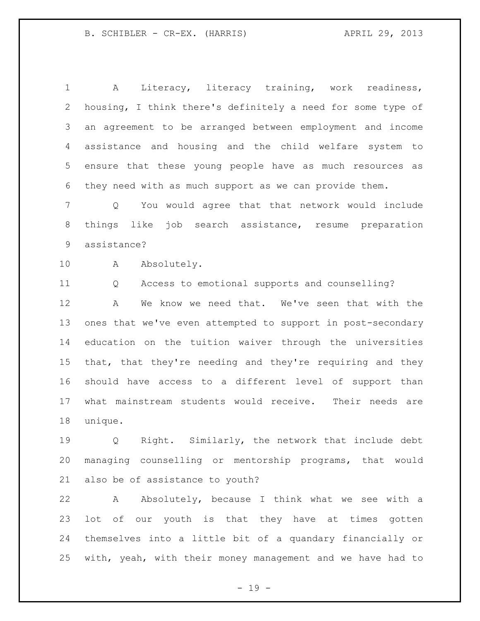A Literacy, literacy training, work readiness, housing, I think there's definitely a need for some type of an agreement to be arranged between employment and income assistance and housing and the child welfare system to ensure that these young people have as much resources as they need with as much support as we can provide them.

 Q You would agree that that network would include things like job search assistance, resume preparation assistance?

10 A Absolutely.

Q Access to emotional supports and counselling?

 A We know we need that. We've seen that with the ones that we've even attempted to support in post-secondary education on the tuition waiver through the universities that, that they're needing and they're requiring and they should have access to a different level of support than what mainstream students would receive. Their needs are unique.

 Q Right. Similarly, the network that include debt managing counselling or mentorship programs, that would also be of assistance to youth?

 A Absolutely, because I think what we see with a lot of our youth is that they have at times gotten themselves into a little bit of a quandary financially or with, yeah, with their money management and we have had to

 $- 19 -$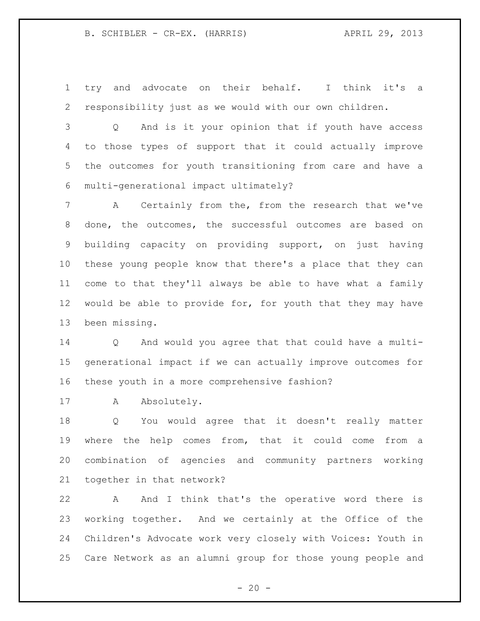try and advocate on their behalf. I think it's a responsibility just as we would with our own children.

 Q And is it your opinion that if youth have access to those types of support that it could actually improve the outcomes for youth transitioning from care and have a multi-generational impact ultimately?

 A Certainly from the, from the research that we've done, the outcomes, the successful outcomes are based on building capacity on providing support, on just having these young people know that there's a place that they can come to that they'll always be able to have what a family would be able to provide for, for youth that they may have been missing.

 Q And would you agree that that could have a multi- generational impact if we can actually improve outcomes for these youth in a more comprehensive fashion?

17 A Absolutely.

 Q You would agree that it doesn't really matter where the help comes from, that it could come from a combination of agencies and community partners working together in that network?

 A And I think that's the operative word there is working together. And we certainly at the Office of the Children's Advocate work very closely with Voices: Youth in Care Network as an alumni group for those young people and

 $- 20 -$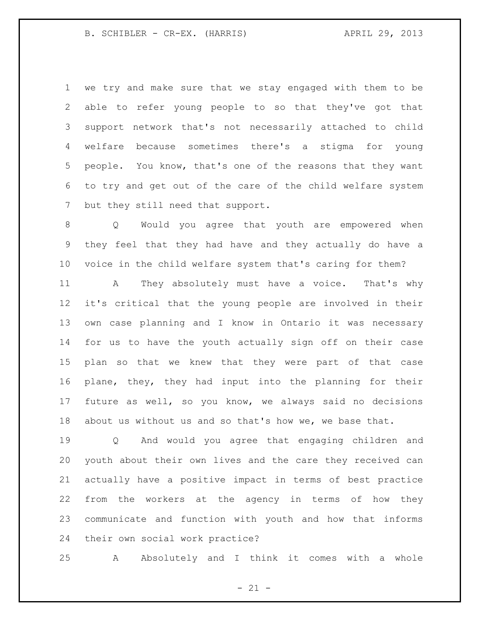B. SCHIBLER - CR-EX. (HARRIS) (APRIL 29, 2013)

 we try and make sure that we stay engaged with them to be able to refer young people to so that they've got that support network that's not necessarily attached to child welfare because sometimes there's a stigma for young people. You know, that's one of the reasons that they want to try and get out of the care of the child welfare system but they still need that support.

 Q Would you agree that youth are empowered when they feel that they had have and they actually do have a voice in the child welfare system that's caring for them?

 A They absolutely must have a voice. That's why it's critical that the young people are involved in their own case planning and I know in Ontario it was necessary for us to have the youth actually sign off on their case plan so that we knew that they were part of that case plane, they, they had input into the planning for their future as well, so you know, we always said no decisions about us without us and so that's how we, we base that.

 Q And would you agree that engaging children and youth about their own lives and the care they received can actually have a positive impact in terms of best practice from the workers at the agency in terms of how they communicate and function with youth and how that informs their own social work practice?

A Absolutely and I think it comes with a whole

 $- 21 -$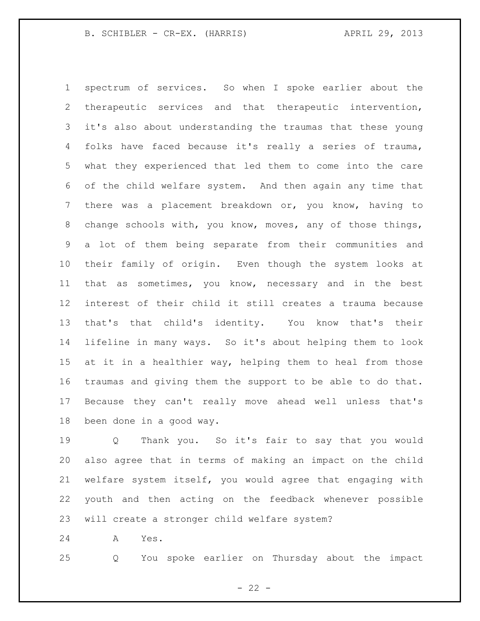spectrum of services. So when I spoke earlier about the therapeutic services and that therapeutic intervention, it's also about understanding the traumas that these young folks have faced because it's really a series of trauma, what they experienced that led them to come into the care of the child welfare system. And then again any time that there was a placement breakdown or, you know, having to change schools with, you know, moves, any of those things, a lot of them being separate from their communities and their family of origin. Even though the system looks at that as sometimes, you know, necessary and in the best interest of their child it still creates a trauma because that's that child's identity. You know that's their lifeline in many ways. So it's about helping them to look 15 at it in a healthier way, helping them to heal from those traumas and giving them the support to be able to do that. Because they can't really move ahead well unless that's been done in a good way.

 Q Thank you. So it's fair to say that you would also agree that in terms of making an impact on the child welfare system itself, you would agree that engaging with youth and then acting on the feedback whenever possible will create a stronger child welfare system?

A Yes.

Q You spoke earlier on Thursday about the impact

 $- 22 -$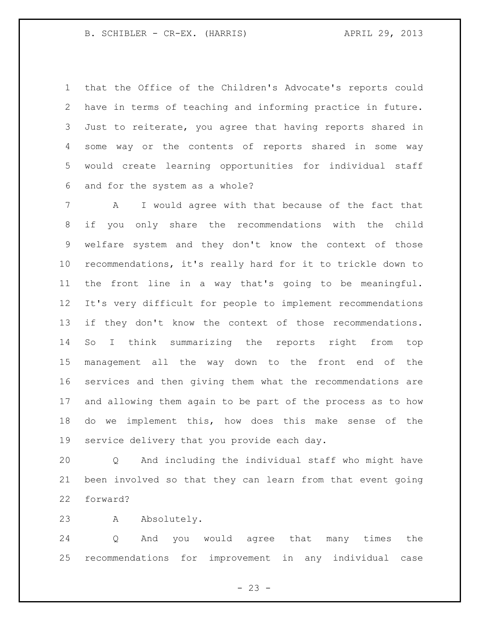B. SCHIBLER - CR-EX. (HARRIS) (APRIL 29, 2013)

 that the Office of the Children's Advocate's reports could have in terms of teaching and informing practice in future. Just to reiterate, you agree that having reports shared in some way or the contents of reports shared in some way would create learning opportunities for individual staff and for the system as a whole?

 A I would agree with that because of the fact that if you only share the recommendations with the child welfare system and they don't know the context of those recommendations, it's really hard for it to trickle down to the front line in a way that's going to be meaningful. It's very difficult for people to implement recommendations if they don't know the context of those recommendations. So I think summarizing the reports right from top management all the way down to the front end of the services and then giving them what the recommendations are and allowing them again to be part of the process as to how do we implement this, how does this make sense of the service delivery that you provide each day.

 Q And including the individual staff who might have been involved so that they can learn from that event going forward?

A Absolutely.

 Q And you would agree that many times the recommendations for improvement in any individual case

 $- 23 -$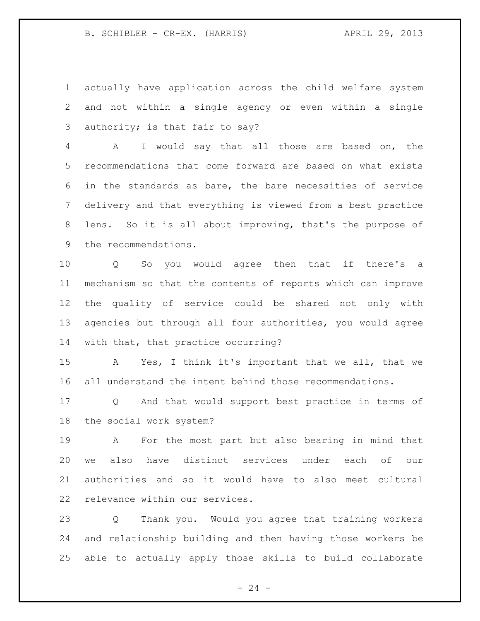actually have application across the child welfare system and not within a single agency or even within a single authority; is that fair to say?

 A I would say that all those are based on, the recommendations that come forward are based on what exists in the standards as bare, the bare necessities of service delivery and that everything is viewed from a best practice lens. So it is all about improving, that's the purpose of the recommendations.

 Q So you would agree then that if there's a mechanism so that the contents of reports which can improve the quality of service could be shared not only with agencies but through all four authorities, you would agree with that, that practice occurring?

 A Yes, I think it's important that we all, that we all understand the intent behind those recommendations.

 Q And that would support best practice in terms of the social work system?

 A For the most part but also bearing in mind that we also have distinct services under each of our authorities and so it would have to also meet cultural relevance within our services.

 Q Thank you. Would you agree that training workers and relationship building and then having those workers be able to actually apply those skills to build collaborate

 $- 24 -$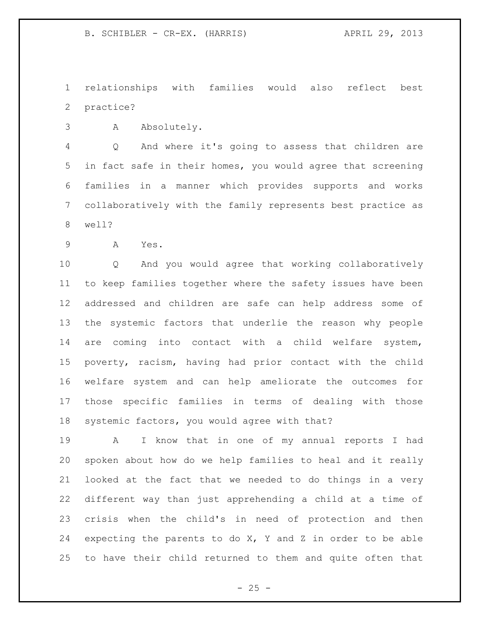relationships with families would also reflect best practice?

A Absolutely.

 Q And where it's going to assess that children are in fact safe in their homes, you would agree that screening families in a manner which provides supports and works collaboratively with the family represents best practice as well?

A Yes.

 Q And you would agree that working collaboratively to keep families together where the safety issues have been addressed and children are safe can help address some of the systemic factors that underlie the reason why people are coming into contact with a child welfare system, poverty, racism, having had prior contact with the child welfare system and can help ameliorate the outcomes for those specific families in terms of dealing with those systemic factors, you would agree with that?

 A I know that in one of my annual reports I had spoken about how do we help families to heal and it really looked at the fact that we needed to do things in a very different way than just apprehending a child at a time of crisis when the child's in need of protection and then expecting the parents to do X, Y and Z in order to be able to have their child returned to them and quite often that

 $- 25 -$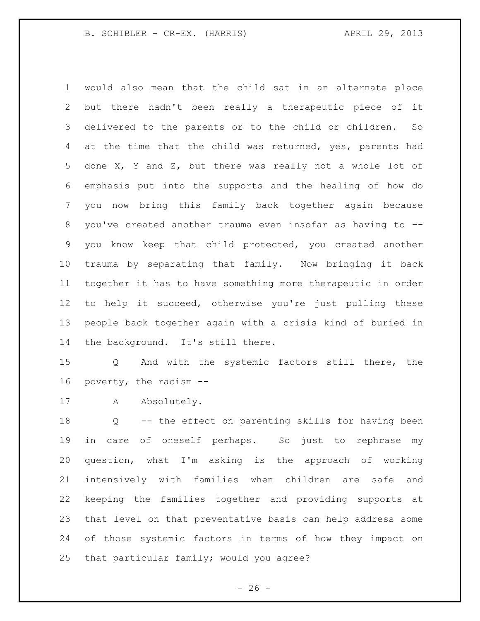would also mean that the child sat in an alternate place but there hadn't been really a therapeutic piece of it delivered to the parents or to the child or children. So 4 at the time that the child was returned, yes, parents had done X, Y and Z, but there was really not a whole lot of emphasis put into the supports and the healing of how do you now bring this family back together again because you've created another trauma even insofar as having to -- you know keep that child protected, you created another trauma by separating that family. Now bringing it back together it has to have something more therapeutic in order to help it succeed, otherwise you're just pulling these people back together again with a crisis kind of buried in the background. It's still there.

 Q And with the systemic factors still there, the poverty, the racism --

17 A Absolutely.

 Q -- the effect on parenting skills for having been in care of oneself perhaps. So just to rephrase my question, what I'm asking is the approach of working intensively with families when children are safe and keeping the families together and providing supports at that level on that preventative basis can help address some of those systemic factors in terms of how they impact on that particular family; would you agree?

 $- 26 -$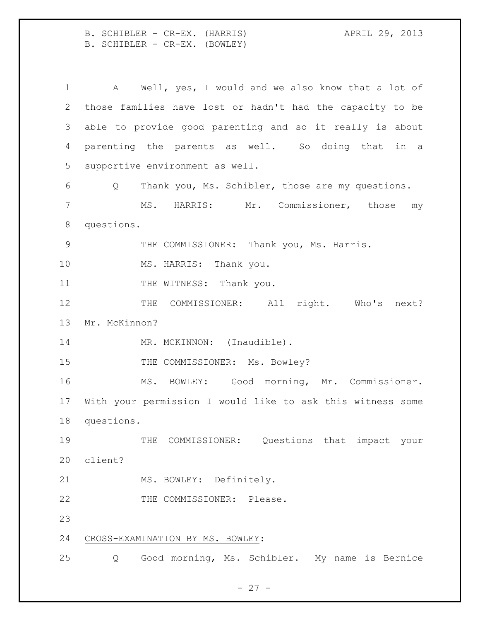B. SCHIBLER - CR-EX. (HARRIS) APRIL 29, 2013 B. SCHIBLER - CR-EX. (BOWLEY)

 A Well, yes, I would and we also know that a lot of those families have lost or hadn't had the capacity to be able to provide good parenting and so it really is about parenting the parents as well. So doing that in a supportive environment as well. Q Thank you, Ms. Schibler, those are my questions. MS. HARRIS: Mr. Commissioner, those my questions. THE COMMISSIONER: Thank you, Ms. Harris. 10 MS. HARRIS: Thank you. 11 THE WITNESS: Thank you. 12 THE COMMISSIONER: All right. Who's next? Mr. McKinnon? 14 MR. MCKINNON: (Inaudible). 15 THE COMMISSIONER: Ms. Bowley? MS. BOWLEY: Good morning, Mr. Commissioner. With your permission I would like to ask this witness some questions. 19 THE COMMISSIONER: Questions that impact your client? 21 MS. BOWLEY: Definitely. 22 THE COMMISSIONER: Please. CROSS-EXAMINATION BY MS. BOWLEY: Q Good morning, Ms. Schibler. My name is Bernice

 $- 27 -$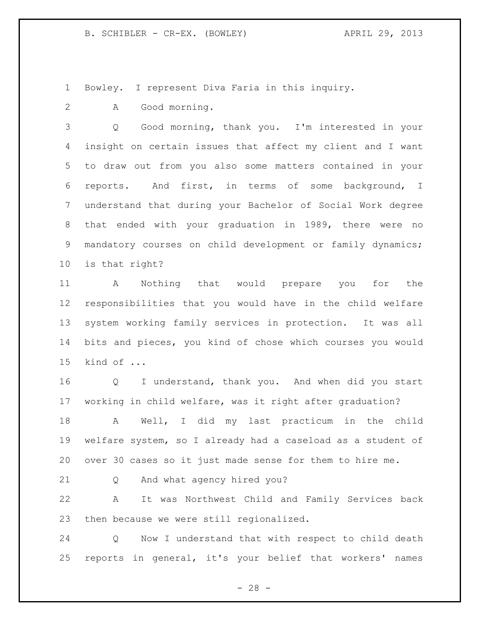Bowley. I represent Diva Faria in this inquiry.

A Good morning.

 Q Good morning, thank you. I'm interested in your insight on certain issues that affect my client and I want to draw out from you also some matters contained in your reports. And first, in terms of some background, I understand that during your Bachelor of Social Work degree that ended with your graduation in 1989, there were no mandatory courses on child development or family dynamics; is that right?

 A Nothing that would prepare you for the responsibilities that you would have in the child welfare system working family services in protection. It was all bits and pieces, you kind of chose which courses you would kind of ...

 Q I understand, thank you. And when did you start working in child welfare, was it right after graduation?

 A Well, I did my last practicum in the child welfare system, so I already had a caseload as a student of over 30 cases so it just made sense for them to hire me.

Q And what agency hired you?

 A It was Northwest Child and Family Services back then because we were still regionalized.

 Q Now I understand that with respect to child death reports in general, it's your belief that workers' names

 $- 28 -$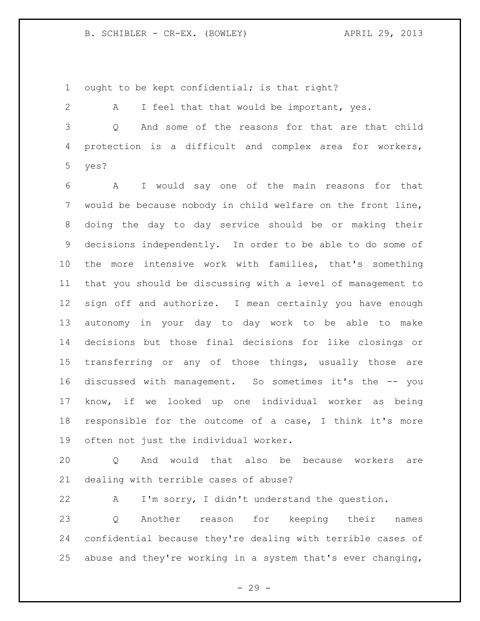B. SCHIBLER - CR-EX. (BOWLEY) APRIL 29, 2013

ought to be kept confidential; is that right?

 A I feel that that would be important, yes. Q And some of the reasons for that are that child protection is a difficult and complex area for workers,

yes?

 A I would say one of the main reasons for that would be because nobody in child welfare on the front line, doing the day to day service should be or making their decisions independently. In order to be able to do some of the more intensive work with families, that's something that you should be discussing with a level of management to sign off and authorize. I mean certainly you have enough autonomy in your day to day work to be able to make decisions but those final decisions for like closings or transferring or any of those things, usually those are discussed with management. So sometimes it's the -- you know, if we looked up one individual worker as being responsible for the outcome of a case, I think it's more often not just the individual worker.

 Q And would that also be because workers are dealing with terrible cases of abuse?

 A I'm sorry, I didn't understand the question. Q Another reason for keeping their names confidential because they're dealing with terrible cases of abuse and they're working in a system that's ever changing,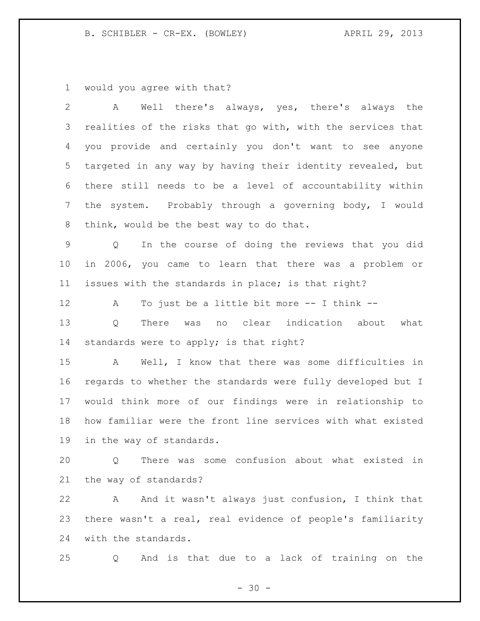B. SCHIBLER - CR-EX. (BOWLEY) APRIL 29, 2013

would you agree with that?

| $\overline{2}$ | Well there's always, yes, there's always the<br>A                    |
|----------------|----------------------------------------------------------------------|
| 3              | realities of the risks that go with, with the services that          |
| 4              | you provide and certainly you don't want to see anyone               |
| 5              | targeted in any way by having their identity revealed, but           |
| 6              | there still needs to be a level of accountability within             |
| $\overline{7}$ | the system. Probably through a governing body, I would               |
| 8              | think, would be the best way to do that.                             |
| $\mathsf 9$    | In the course of doing the reviews that you did<br>$Q \qquad \qquad$ |
| 10             | in 2006, you came to learn that there was a problem or               |
| 11             | issues with the standards in place; is that right?                   |
| 12             | To just be a little bit more $-$ - I think $-$ -<br>A                |
| 13             | no clear indication about<br>Q<br>There was<br>what                  |
| 14             | standards were to apply; is that right?                              |
| 15             | A Well, I know that there was some difficulties in                   |
| 16             | regards to whether the standards were fully developed but I          |
| 17             | would think more of our findings were in relationship to             |
| 18             | how familiar were the front line services with what existed          |
| 19             | in the way of standards.                                             |
| 20             | There was some confusion about what existed in<br>Q                  |
| 21             | the way of standards?                                                |
| 22             | And it wasn't always just confusion, I think that<br>A               |
| 23             | there wasn't a real, real evidence of people's familiarity           |
| 24             | with the standards.                                                  |
| 25             | And is that due to a lack of training on the<br>Q                    |

- 30 -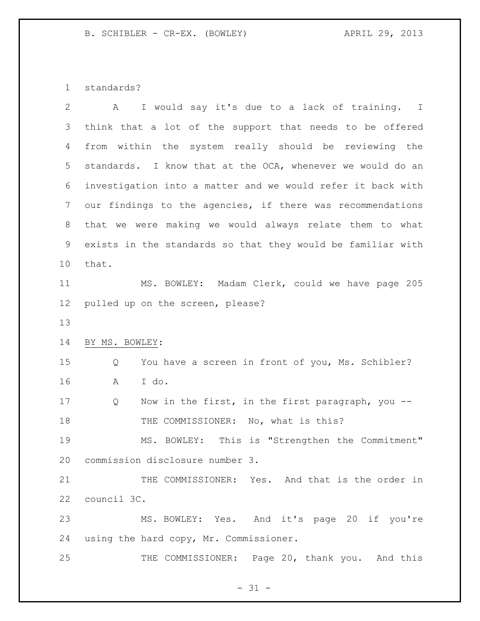standards?

| $\overline{2}$ | I would say it's due to a lack of training. I<br>A          |
|----------------|-------------------------------------------------------------|
| 3              | think that a lot of the support that needs to be offered    |
| 4              | from within the system really should be reviewing the       |
| 5              | standards. I know that at the OCA, whenever we would do an  |
| 6              | investigation into a matter and we would refer it back with |
| 7              | our findings to the agencies, if there was recommendations  |
| 8              | that we were making we would always relate them to what     |
| 9              | exists in the standards so that they would be familiar with |
| 10             | that.                                                       |
| 11             | MS. BOWLEY: Madam Clerk, could we have page 205             |
| 12             | pulled up on the screen, please?                            |
| 13             |                                                             |
| 14             | BY MS. BOWLEY:                                              |
| 15             | You have a screen in front of you, Ms. Schibler?<br>Q       |
| 16             | I do.<br>Α                                                  |
| 17             | Now in the first, in the first paragraph, you --<br>Q       |
| 18             | THE COMMISSIONER: No, what is this?                         |
| 19             | This is "Strengthen the Commitment"<br>MS. BOWLEY:          |
| 20             | commission disclosure number 3.                             |
| 21             | THE COMMISSIONER: Yes. And that is the order in             |
| 22             | council 3C.                                                 |
| 23             | MS. BOWLEY: Yes. And it's page 20 if you're                 |
| 24             | using the hard copy, Mr. Commissioner.                      |
| 25             |                                                             |

- 31 -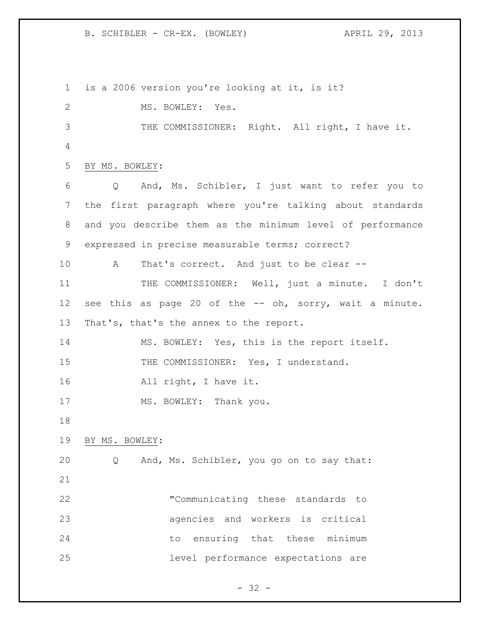B. SCHIBLER - CR-EX. (BOWLEY) APRIL 29, 2013

 is a 2006 version you're looking at it, is it? 2 MS. BOWLEY: Yes. THE COMMISSIONER: Right. All right, I have it. BY MS. BOWLEY: Q And, Ms. Schibler, I just want to refer you to the first paragraph where you're talking about standards and you describe them as the minimum level of performance expressed in precise measurable terms; correct? A That's correct. And just to be clear -- THE COMMISSIONER: Well, just a minute. I don't see this as page 20 of the -- oh, sorry, wait a minute. 13 That's, that's the annex to the report. MS. BOWLEY: Yes, this is the report itself. 15 THE COMMISSIONER: Yes, I understand. All right, I have it. 17 MS. BOWLEY: Thank you. BY MS. BOWLEY: Q And, Ms. Schibler, you go on to say that: "Communicating these standards to agencies and workers is critical 24 to ensuring that these minimum level performance expectations are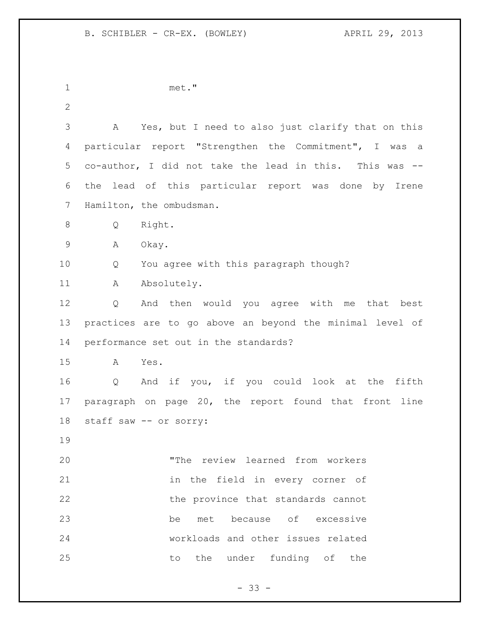met." A Yes, but I need to also just clarify that on this particular report "Strengthen the Commitment", I was a co-author, I did not take the lead in this. This was -- the lead of this particular report was done by Irene Hamilton, the ombudsman. Q Right. A Okay. Q You agree with this paragraph though? 11 A Absolutely. Q And then would you agree with me that best practices are to go above an beyond the minimal level of performance set out in the standards? A Yes. Q And if you, if you could look at the fifth paragraph on page 20, the report found that front line staff saw -- or sorry: "The review learned from workers in the field in every corner of the province that standards cannot be met because of excessive workloads and other issues related 25 to the under funding of the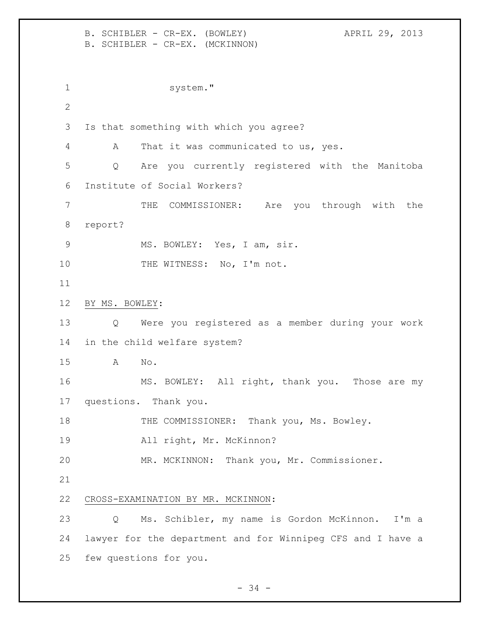B. SCHIBLER - CR-EX. (BOWLEY) APRIL 29, 2013 B. SCHIBLER - CR-EX. (MCKINNON) 1 system." Is that something with which you agree? A That it was communicated to us, yes. Q Are you currently registered with the Manitoba Institute of Social Workers? THE COMMISSIONER: Are you through with the report? MS. BOWLEY: Yes, I am, sir. 10 THE WITNESS: No, I'm not. BY MS. BOWLEY: Q Were you registered as a member during your work in the child welfare system? A No. MS. BOWLEY: All right, thank you. Those are my questions. Thank you. 18 THE COMMISSIONER: Thank you, Ms. Bowley. All right, Mr. McKinnon? MR. MCKINNON: Thank you, Mr. Commissioner. CROSS-EXAMINATION BY MR. MCKINNON: Q Ms. Schibler, my name is Gordon McKinnon. I'm a lawyer for the department and for Winnipeg CFS and I have a few questions for you.

 $-34 -$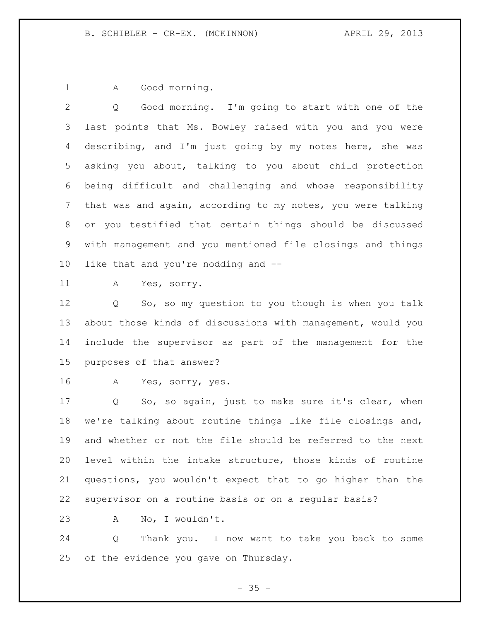1 A Good morning.

 Q Good morning. I'm going to start with one of the last points that Ms. Bowley raised with you and you were describing, and I'm just going by my notes here, she was asking you about, talking to you about child protection being difficult and challenging and whose responsibility that was and again, according to my notes, you were talking or you testified that certain things should be discussed with management and you mentioned file closings and things like that and you're nodding and --

A Yes, sorry.

 Q So, so my question to you though is when you talk about those kinds of discussions with management, would you include the supervisor as part of the management for the purposes of that answer?

A Yes, sorry, yes.

 Q So, so again, just to make sure it's clear, when we're talking about routine things like file closings and, and whether or not the file should be referred to the next level within the intake structure, those kinds of routine questions, you wouldn't expect that to go higher than the supervisor on a routine basis or on a regular basis?

A No, I wouldn't.

 Q Thank you. I now want to take you back to some of the evidence you gave on Thursday.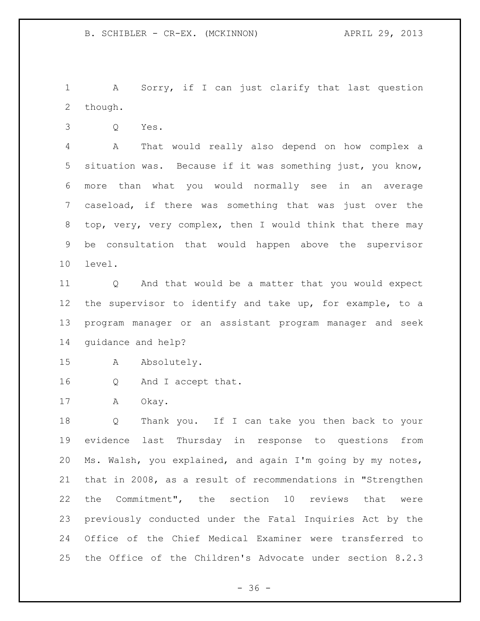A Sorry, if I can just clarify that last question though.

Q Yes.

 A That would really also depend on how complex a situation was. Because if it was something just, you know, more than what you would normally see in an average caseload, if there was something that was just over the top, very, very complex, then I would think that there may be consultation that would happen above the supervisor level.

 Q And that would be a matter that you would expect the supervisor to identify and take up, for example, to a program manager or an assistant program manager and seek guidance and help?

- A Absolutely.
- Q And I accept that.

A Okay.

 Q Thank you. If I can take you then back to your evidence last Thursday in response to questions from Ms. Walsh, you explained, and again I'm going by my notes, that in 2008, as a result of recommendations in "Strengthen the Commitment", the section 10 reviews that were previously conducted under the Fatal Inquiries Act by the Office of the Chief Medical Examiner were transferred to the Office of the Children's Advocate under section 8.2.3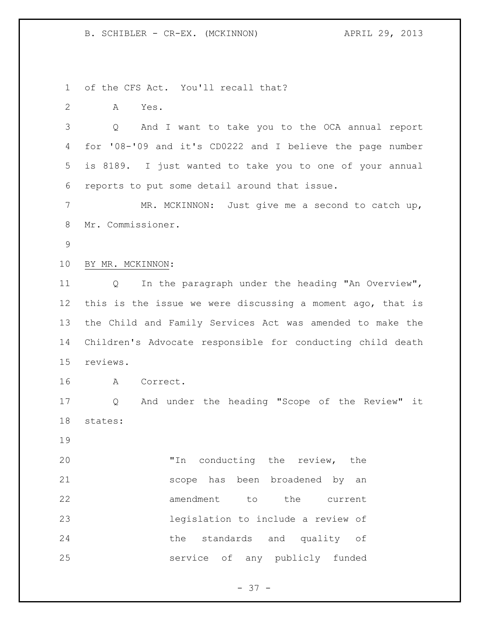B. SCHIBLER - CR-EX. (MCKINNON)  $APRIL$  29, 2013

of the CFS Act. You'll recall that?

A Yes.

 Q And I want to take you to the OCA annual report for '08-'09 and it's CD0222 and I believe the page number is 8189. I just wanted to take you to one of your annual reports to put some detail around that issue.

 MR. MCKINNON: Just give me a second to catch up, Mr. Commissioner.

- 
- BY MR. MCKINNON:

 Q In the paragraph under the heading "An Overview", this is the issue we were discussing a moment ago, that is the Child and Family Services Act was amended to make the Children's Advocate responsible for conducting child death reviews.

A Correct.

 Q And under the heading "Scope of the Review" it states:

 "In conducting the review, the scope has been broadened by an 22 amendment to the current legislation to include a review of the standards and quality of service of any publicly funded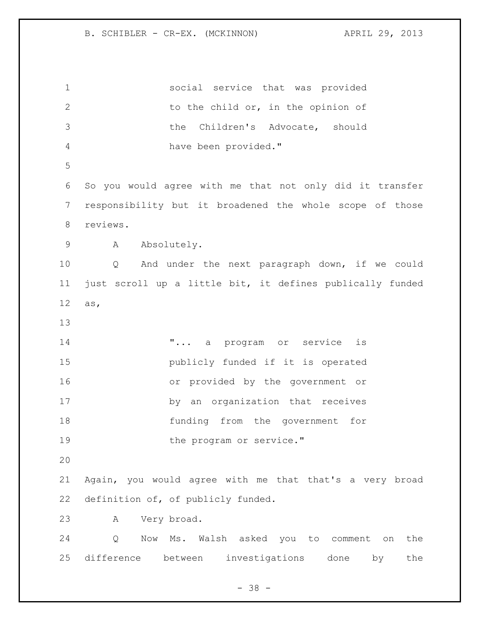social service that was provided 2 to the child or, in the opinion of the Children's Advocate, should have been provided." So you would agree with me that not only did it transfer responsibility but it broadened the whole scope of those reviews. A Absolutely. Q And under the next paragraph down, if we could just scroll up a little bit, it defines publically funded as, **"...** a program or service is publicly funded if it is operated or provided by the government or by an organization that receives funding from the government for 19 the program or service." Again, you would agree with me that that's a very broad definition of, of publicly funded. A Very broad. Q Now Ms. Walsh asked you to comment on the difference between investigations done by the

 $- 38 -$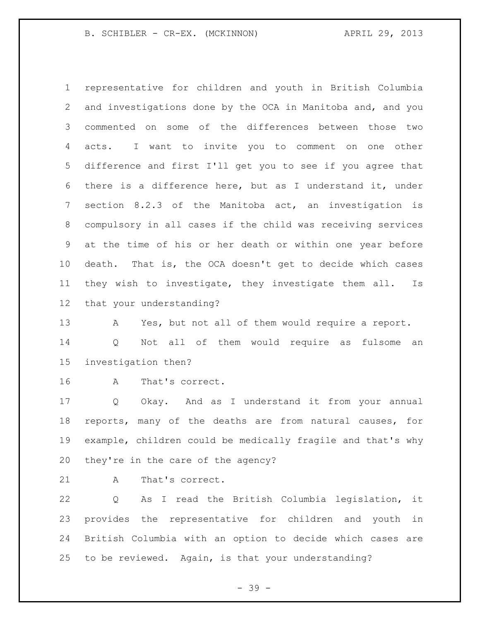B. SCHIBLER - CR-EX. (MCKINNON)  $APRIL$  29, 2013

 representative for children and youth in British Columbia and investigations done by the OCA in Manitoba and, and you commented on some of the differences between those two acts. I want to invite you to comment on one other difference and first I'll get you to see if you agree that there is a difference here, but as I understand it, under section 8.2.3 of the Manitoba act, an investigation is compulsory in all cases if the child was receiving services at the time of his or her death or within one year before death. That is, the OCA doesn't get to decide which cases they wish to investigate, they investigate them all. Is that your understanding?

 A Yes, but not all of them would require a report. Q Not all of them would require as fulsome an investigation then?

A That's correct.

 Q Okay. And as I understand it from your annual reports, many of the deaths are from natural causes, for example, children could be medically fragile and that's why they're in the care of the agency?

21 A That's correct.

 Q As I read the British Columbia legislation, it provides the representative for children and youth in British Columbia with an option to decide which cases are to be reviewed. Again, is that your understanding?

- 39 -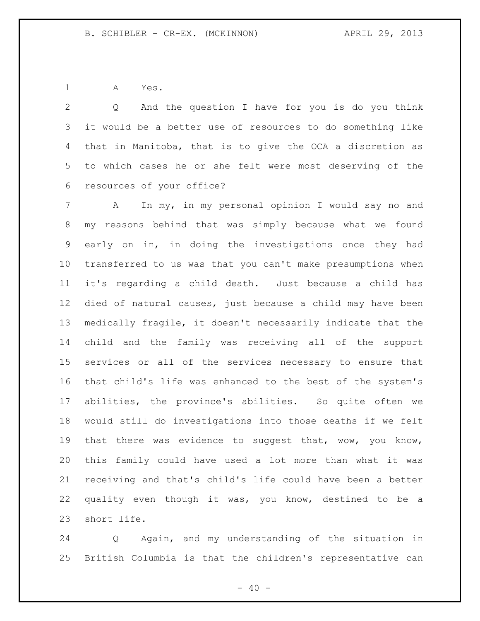A Yes.

 Q And the question I have for you is do you think it would be a better use of resources to do something like that in Manitoba, that is to give the OCA a discretion as to which cases he or she felt were most deserving of the resources of your office?

 A In my, in my personal opinion I would say no and my reasons behind that was simply because what we found early on in, in doing the investigations once they had transferred to us was that you can't make presumptions when it's regarding a child death. Just because a child has died of natural causes, just because a child may have been medically fragile, it doesn't necessarily indicate that the child and the family was receiving all of the support services or all of the services necessary to ensure that that child's life was enhanced to the best of the system's abilities, the province's abilities. So quite often we would still do investigations into those deaths if we felt that there was evidence to suggest that, wow, you know, this family could have used a lot more than what it was receiving and that's child's life could have been a better quality even though it was, you know, destined to be a short life.

 Q Again, and my understanding of the situation in British Columbia is that the children's representative can

 $- 40 -$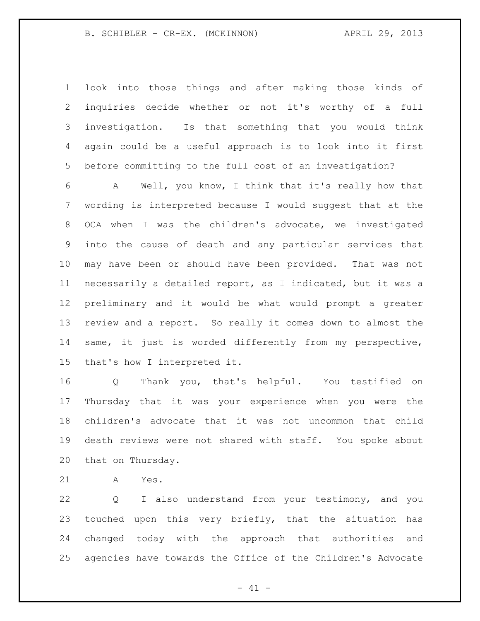look into those things and after making those kinds of inquiries decide whether or not it's worthy of a full investigation. Is that something that you would think again could be a useful approach is to look into it first before committing to the full cost of an investigation?

 A Well, you know, I think that it's really how that wording is interpreted because I would suggest that at the OCA when I was the children's advocate, we investigated into the cause of death and any particular services that may have been or should have been provided. That was not necessarily a detailed report, as I indicated, but it was a preliminary and it would be what would prompt a greater review and a report. So really it comes down to almost the same, it just is worded differently from my perspective, that's how I interpreted it.

 Q Thank you, that's helpful. You testified on Thursday that it was your experience when you were the children's advocate that it was not uncommon that child death reviews were not shared with staff. You spoke about that on Thursday.

A Yes.

 Q I also understand from your testimony, and you touched upon this very briefly, that the situation has changed today with the approach that authorities and agencies have towards the Office of the Children's Advocate

 $- 41 -$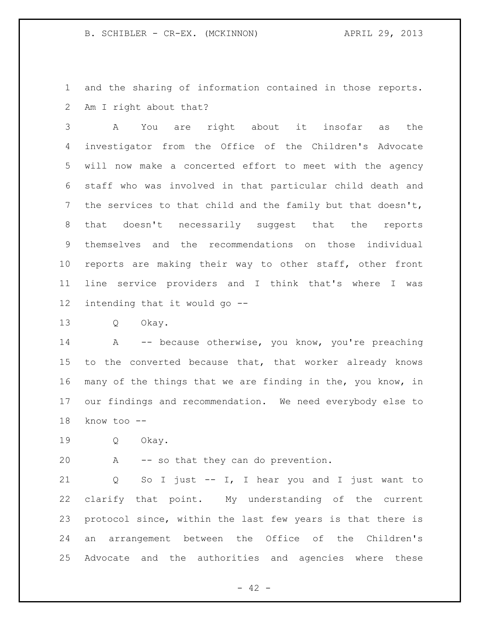B. SCHIBLER - CR-EX. (MCKINNON) (APRIL 29, 2013)

 and the sharing of information contained in those reports. Am I right about that?

 A You are right about it insofar as the investigator from the Office of the Children's Advocate will now make a concerted effort to meet with the agency staff who was involved in that particular child death and the services to that child and the family but that doesn't, that doesn't necessarily suggest that the reports themselves and the recommendations on those individual reports are making their way to other staff, other front line service providers and I think that's where I was intending that it would go --

Q Okay.

14 A -- because otherwise, you know, you're preaching 15 to the converted because that, that worker already knows many of the things that we are finding in the, you know, in our findings and recommendation. We need everybody else to know too --

Q Okay.

A -- so that they can do prevention.

 Q So I just -- I, I hear you and I just want to clarify that point. My understanding of the current protocol since, within the last few years is that there is an arrangement between the Office of the Children's Advocate and the authorities and agencies where these

 $- 42 -$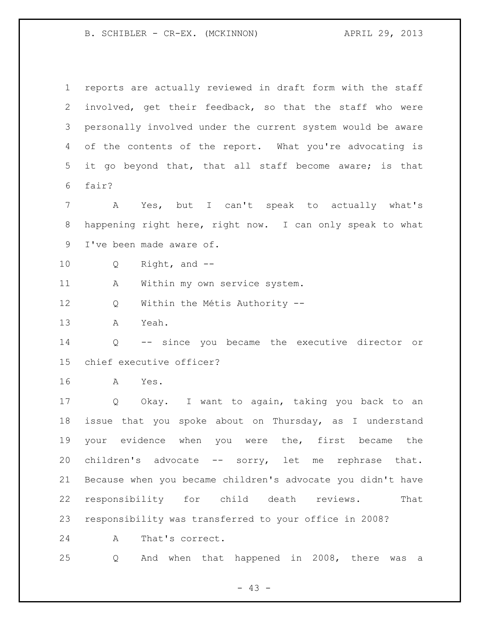B. SCHIBLER - CR-EX. (MCKINNON)  $APRIL$  29, 2013

 reports are actually reviewed in draft form with the staff involved, get their feedback, so that the staff who were personally involved under the current system would be aware of the contents of the report. What you're advocating is it go beyond that, that all staff become aware; is that fair? A Yes, but I can't speak to actually what's happening right here, right now. I can only speak to what I've been made aware of. Q Right, and -- A Within my own service system. Q Within the Métis Authority -- A Yeah. Q -- since you became the executive director or chief executive officer? A Yes. Q Okay. I want to again, taking you back to an issue that you spoke about on Thursday, as I understand your evidence when you were the, first became the children's advocate -- sorry, let me rephrase that. Because when you became children's advocate you didn't have responsibility for child death reviews. That responsibility was transferred to your office in 2008? A That's correct. Q And when that happened in 2008, there was a

 $- 43 -$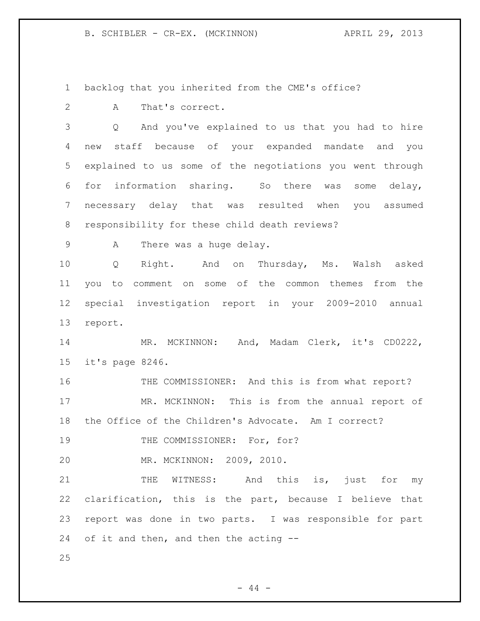B. SCHIBLER - CR-EX. (MCKINNON)  $APRIL$  29, 2013

backlog that you inherited from the CME's office?

A That's correct.

 Q And you've explained to us that you had to hire new staff because of your expanded mandate and you explained to us some of the negotiations you went through for information sharing. So there was some delay, necessary delay that was resulted when you assumed responsibility for these child death reviews?

9 A There was a huge delay.

 Q Right. And on Thursday, Ms. Walsh asked you to comment on some of the common themes from the special investigation report in your 2009-2010 annual report.

 MR. MCKINNON: And, Madam Clerk, it's CD0222, it's page 8246.

16 THE COMMISSIONER: And this is from what report? MR. MCKINNON: This is from the annual report of the Office of the Children's Advocate. Am I correct?

19 THE COMMISSIONER: For, for?

MR. MCKINNON: 2009, 2010.

21 THE WITNESS: And this is, just for my clarification, this is the part, because I believe that report was done in two parts. I was responsible for part of it and then, and then the acting --

 $-44 -$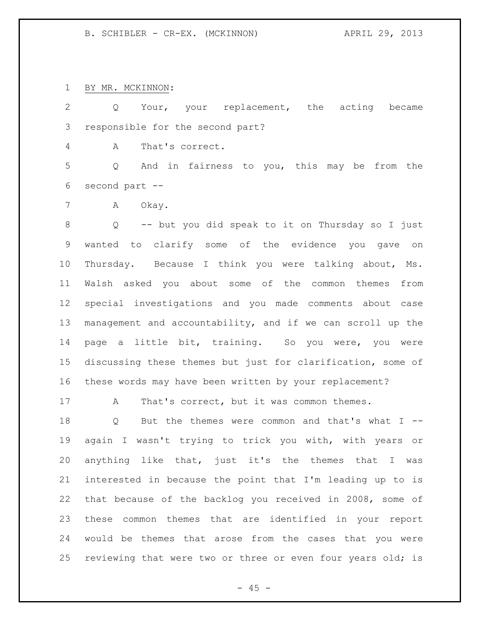BY MR. MCKINNON:

 Q Your, your replacement, the acting became responsible for the second part?

A That's correct.

 Q And in fairness to you, this may be from the second part --

7 A Okay.

 Q -- but you did speak to it on Thursday so I just wanted to clarify some of the evidence you gave on Thursday. Because I think you were talking about, Ms. Walsh asked you about some of the common themes from special investigations and you made comments about case management and accountability, and if we can scroll up the page a little bit, training. So you were, you were discussing these themes but just for clarification, some of these words may have been written by your replacement?

17 A That's correct, but it was common themes.

 Q But the themes were common and that's what I -- again I wasn't trying to trick you with, with years or anything like that, just it's the themes that I was interested in because the point that I'm leading up to is that because of the backlog you received in 2008, some of these common themes that are identified in your report would be themes that arose from the cases that you were 25 reviewing that were two or three or even four years old; is

 $- 45 -$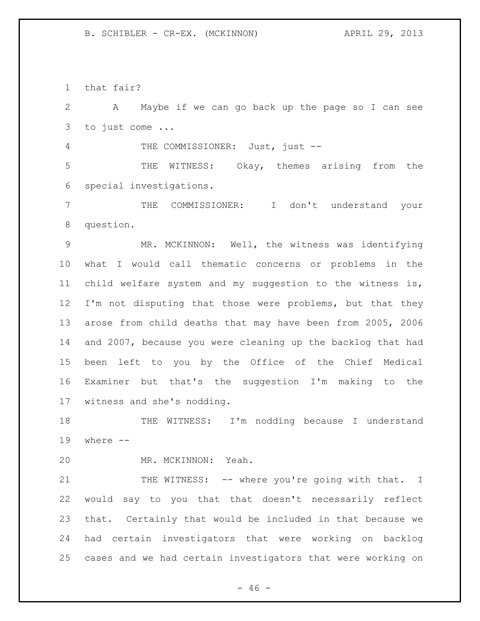that fair?

 A Maybe if we can go back up the page so I can see to just come ... THE COMMISSIONER: Just, just -- THE WITNESS: Okay, themes arising from the special investigations. THE COMMISSIONER: I don't understand your question. MR. MCKINNON: Well, the witness was identifying what I would call thematic concerns or problems in the child welfare system and my suggestion to the witness is, I'm not disputing that those were problems, but that they arose from child deaths that may have been from 2005, 2006 and 2007, because you were cleaning up the backlog that had been left to you by the Office of the Chief Medical Examiner but that's the suggestion I'm making to the witness and she's nodding. THE WITNESS: I'm nodding because I understand where -- MR. MCKINNON: Yeah. 21 THE WITNESS: -- where you're going with that. I would say to you that that doesn't necessarily reflect that. Certainly that would be included in that because we had certain investigators that were working on backlog cases and we had certain investigators that were working on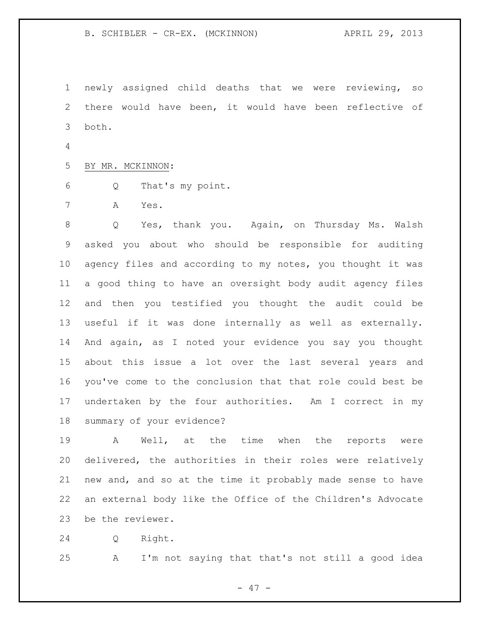B. SCHIBLER - CR-EX. (MCKINNON) (APRIL 29, 2013)

 newly assigned child deaths that we were reviewing, so there would have been, it would have been reflective of both.

BY MR. MCKINNON:

Q That's my point.

A Yes.

 Q Yes, thank you. Again, on Thursday Ms. Walsh asked you about who should be responsible for auditing agency files and according to my notes, you thought it was a good thing to have an oversight body audit agency files and then you testified you thought the audit could be useful if it was done internally as well as externally. And again, as I noted your evidence you say you thought about this issue a lot over the last several years and you've come to the conclusion that that role could best be undertaken by the four authorities. Am I correct in my summary of your evidence?

 A Well, at the time when the reports were delivered, the authorities in their roles were relatively new and, and so at the time it probably made sense to have an external body like the Office of the Children's Advocate be the reviewer.

Q Right.

A I'm not saying that that's not still a good idea

- 47 -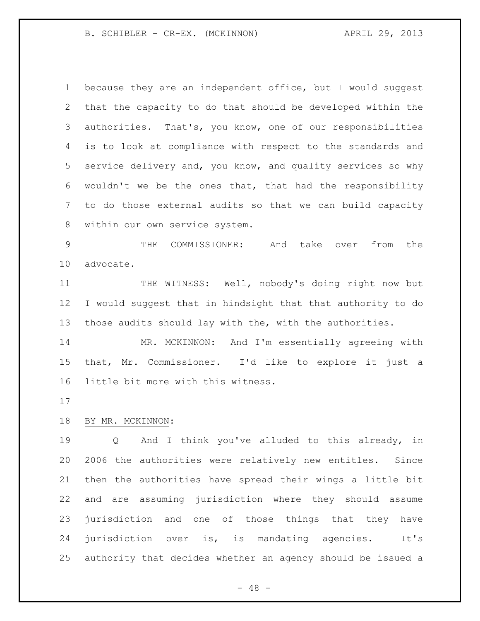B. SCHIBLER - CR-EX. (MCKINNON) (APRIL 29, 2013)

 because they are an independent office, but I would suggest that the capacity to do that should be developed within the authorities. That's, you know, one of our responsibilities is to look at compliance with respect to the standards and service delivery and, you know, and quality services so why wouldn't we be the ones that, that had the responsibility to do those external audits so that we can build capacity within our own service system.

 THE COMMISSIONER: And take over from the advocate.

 THE WITNESS: Well, nobody's doing right now but I would suggest that in hindsight that that authority to do those audits should lay with the, with the authorities.

 MR. MCKINNON: And I'm essentially agreeing with that, Mr. Commissioner. I'd like to explore it just a little bit more with this witness.

# BY MR. MCKINNON:

19 0 And I think you've alluded to this already, in 2006 the authorities were relatively new entitles. Since then the authorities have spread their wings a little bit and are assuming jurisdiction where they should assume jurisdiction and one of those things that they have jurisdiction over is, is mandating agencies. It's authority that decides whether an agency should be issued a

 $- 48 -$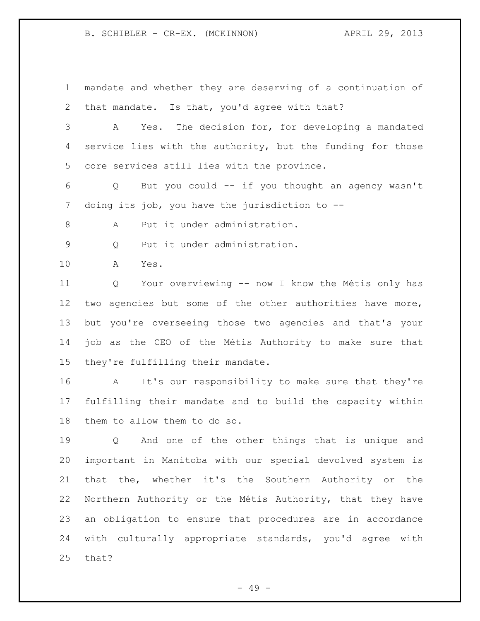B. SCHIBLER - CR-EX. (MCKINNON) APRIL 29, 2013

 mandate and whether they are deserving of a continuation of that mandate. Is that, you'd agree with that? A Yes. The decision for, for developing a mandated service lies with the authority, but the funding for those core services still lies with the province.

 Q But you could -- if you thought an agency wasn't doing its job, you have the jurisdiction to --

8 A Put it under administration.

Q Put it under administration.

A Yes.

 Q Your overviewing -- now I know the Métis only has two agencies but some of the other authorities have more, but you're overseeing those two agencies and that's your job as the CEO of the Métis Authority to make sure that they're fulfilling their mandate.

 A It's our responsibility to make sure that they're fulfilling their mandate and to build the capacity within them to allow them to do so.

 Q And one of the other things that is unique and important in Manitoba with our special devolved system is that the, whether it's the Southern Authority or the Northern Authority or the Métis Authority, that they have an obligation to ensure that procedures are in accordance with culturally appropriate standards, you'd agree with that?

- 49 -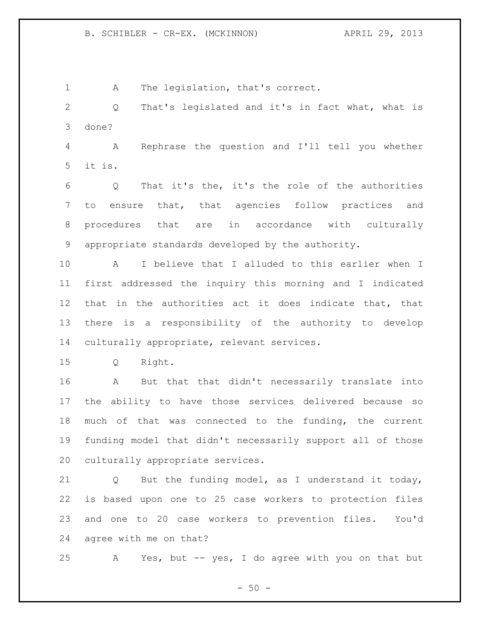A The legislation, that's correct.

 Q That's legislated and it's in fact what, what is done?

 A Rephrase the question and I'll tell you whether it is.

 Q That it's the, it's the role of the authorities to ensure that, that agencies follow practices and procedures that are in accordance with culturally appropriate standards developed by the authority.

 A I believe that I alluded to this earlier when I first addressed the inquiry this morning and I indicated that in the authorities act it does indicate that, that there is a responsibility of the authority to develop culturally appropriate, relevant services.

Q Right.

 A But that that didn't necessarily translate into the ability to have those services delivered because so much of that was connected to the funding, the current funding model that didn't necessarily support all of those culturally appropriate services.

 Q But the funding model, as I understand it today, is based upon one to 25 case workers to protection files and one to 20 case workers to prevention files. You'd agree with me on that?

A Yes, but -- yes, I do agree with you on that but

 $-50 -$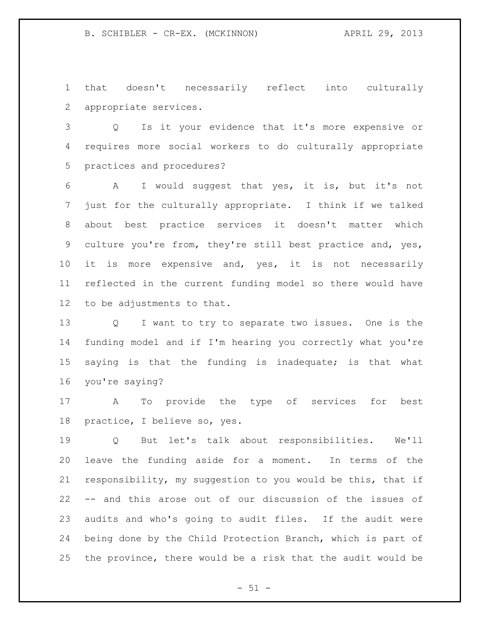that doesn't necessarily reflect into culturally appropriate services.

 Q Is it your evidence that it's more expensive or requires more social workers to do culturally appropriate practices and procedures?

 A I would suggest that yes, it is, but it's not just for the culturally appropriate. I think if we talked about best practice services it doesn't matter which culture you're from, they're still best practice and, yes, 10 it is more expensive and, yes, it is not necessarily reflected in the current funding model so there would have to be adjustments to that.

 Q I want to try to separate two issues. One is the funding model and if I'm hearing you correctly what you're saying is that the funding is inadequate; is that what you're saying?

 A To provide the type of services for best practice, I believe so, yes.

 Q But let's talk about responsibilities. We'll leave the funding aside for a moment. In terms of the responsibility, my suggestion to you would be this, that if -- and this arose out of our discussion of the issues of audits and who's going to audit files. If the audit were being done by the Child Protection Branch, which is part of the province, there would be a risk that the audit would be

 $- 51 -$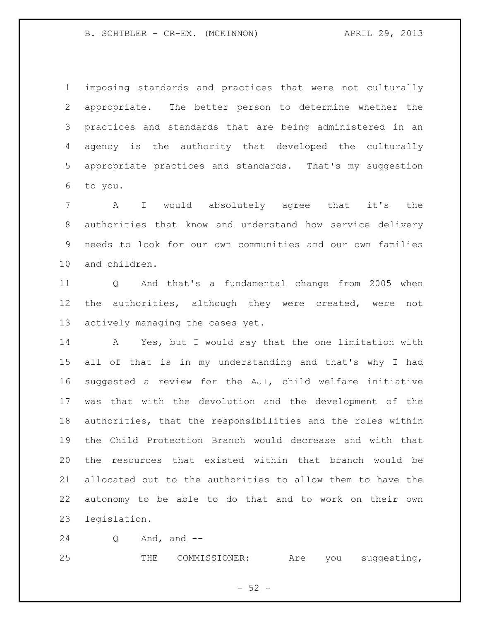B. SCHIBLER - CR-EX. (MCKINNON)  $APRIL$  29, 2013

 imposing standards and practices that were not culturally appropriate. The better person to determine whether the practices and standards that are being administered in an agency is the authority that developed the culturally appropriate practices and standards. That's my suggestion to you.

 A I would absolutely agree that it's the authorities that know and understand how service delivery needs to look for our own communities and our own families and children.

 Q And that's a fundamental change from 2005 when 12 the authorities, although they were created, were not actively managing the cases yet.

 A Yes, but I would say that the one limitation with all of that is in my understanding and that's why I had suggested a review for the AJI, child welfare initiative was that with the devolution and the development of the authorities, that the responsibilities and the roles within the Child Protection Branch would decrease and with that the resources that existed within that branch would be allocated out to the authorities to allow them to have the autonomy to be able to do that and to work on their own legislation.

Q And, and --

THE COMMISSIONER: Are you suggesting,

 $-52 -$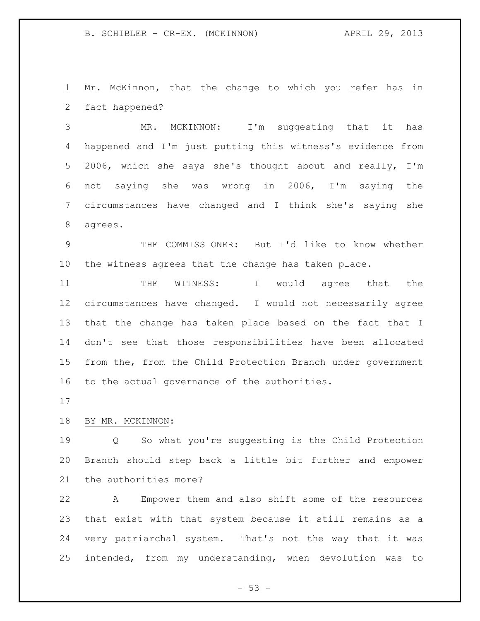Mr. McKinnon, that the change to which you refer has in fact happened?

 MR. MCKINNON: I'm suggesting that it has happened and I'm just putting this witness's evidence from 2006, which she says she's thought about and really, I'm not saying she was wrong in 2006, I'm saying the circumstances have changed and I think she's saying she agrees.

 THE COMMISSIONER: But I'd like to know whether the witness agrees that the change has taken place.

11 THE WITNESS: I would agree that the circumstances have changed. I would not necessarily agree that the change has taken place based on the fact that I don't see that those responsibilities have been allocated from the, from the Child Protection Branch under government to the actual governance of the authorities.

# BY MR. MCKINNON:

 Q So what you're suggesting is the Child Protection Branch should step back a little bit further and empower the authorities more?

 A Empower them and also shift some of the resources that exist with that system because it still remains as a very patriarchal system. That's not the way that it was intended, from my understanding, when devolution was to

 $-53 -$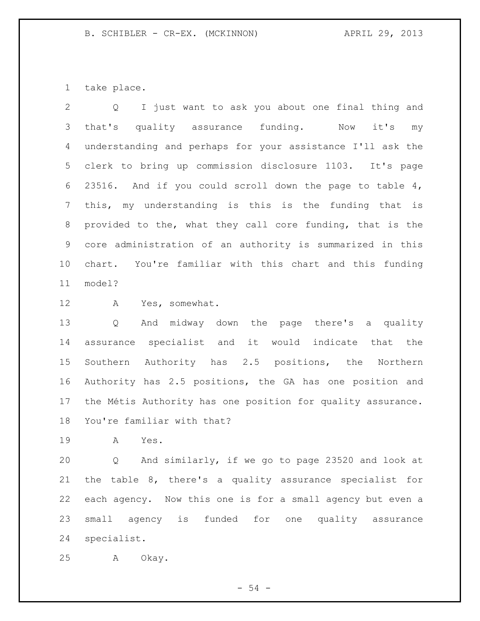take place.

 Q I just want to ask you about one final thing and that's quality assurance funding. Now it's my understanding and perhaps for your assistance I'll ask the clerk to bring up commission disclosure 1103. It's page 23516. And if you could scroll down the page to table 4, this, my understanding is this is the funding that is provided to the, what they call core funding, that is the core administration of an authority is summarized in this chart. You're familiar with this chart and this funding model?

A Yes, somewhat.

 Q And midway down the page there's a quality assurance specialist and it would indicate that the Southern Authority has 2.5 positions, the Northern Authority has 2.5 positions, the GA has one position and the Métis Authority has one position for quality assurance. You're familiar with that?

A Yes.

 Q And similarly, if we go to page 23520 and look at the table 8, there's a quality assurance specialist for each agency. Now this one is for a small agency but even a small agency is funded for one quality assurance specialist.

A Okay.

- 54 -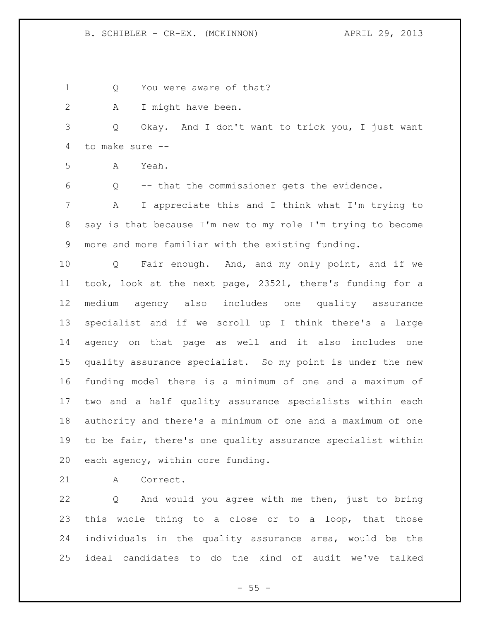1 Q You were aware of that? A I might have been. Q Okay. And I don't want to trick you, I just want to make sure -- A Yeah. Q -- that the commissioner gets the evidence. A I appreciate this and I think what I'm trying to say is that because I'm new to my role I'm trying to become more and more familiar with the existing funding. Q Fair enough. And, and my only point, and if we took, look at the next page, 23521, there's funding for a medium agency also includes one quality assurance specialist and if we scroll up I think there's a large agency on that page as well and it also includes one quality assurance specialist. So my point is under the new funding model there is a minimum of one and a maximum of two and a half quality assurance specialists within each authority and there's a minimum of one and a maximum of one to be fair, there's one quality assurance specialist within each agency, within core funding. A Correct.

 Q And would you agree with me then, just to bring this whole thing to a close or to a loop, that those individuals in the quality assurance area, would be the ideal candidates to do the kind of audit we've talked

 $- 55 -$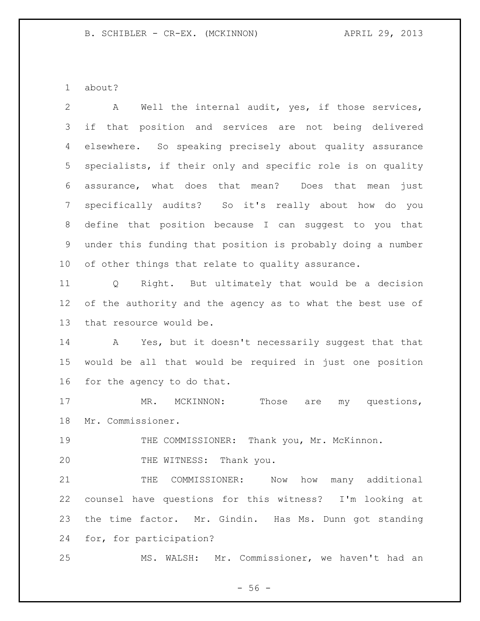about?

| 2     | Well the internal audit, yes, if those services,<br>A               |
|-------|---------------------------------------------------------------------|
| 3     | that position and services are not being delivered<br>if            |
| 4     | elsewhere. So speaking precisely about quality assurance            |
| 5     | specialists, if their only and specific role is on quality          |
| 6     | assurance, what does that mean? Does that mean<br>just              |
| 7     | specifically audits? So it's really about how do you                |
| $8\,$ | define that position because I can suggest to you that              |
| 9     | under this funding that position is probably doing a number         |
| 10    | of other things that relate to quality assurance.                   |
| 11    | Right. But ultimately that would be a decision<br>$Q \qquad \qquad$ |
| 12    | of the authority and the agency as to what the best use of          |
| 13    | that resource would be.                                             |
| 14    | A Yes, but it doesn't necessarily suggest that that                 |
| 15    | would be all that would be required in just one position            |
| 16    | for the agency to do that.                                          |
| 17    | Those are my questions,<br>MR. MCKINNON:                            |
| 18    | Mr. Commissioner.                                                   |
| 19    | THE COMMISSIONER: Thank you, Mr. McKinnon.                          |
| 20    | THE WITNESS: Thank you.                                             |
| 21    | THE COMMISSIONER:<br>Now<br>how many additional                     |
| 22    | counsel have questions for this witness? I'm looking at             |
| 23    | the time factor. Mr. Gindin. Has Ms. Dunn got standing              |
| 24    | for, for participation?                                             |
| 25    | MS. WALSH: Mr. Commissioner, we haven't had an                      |

- 56 -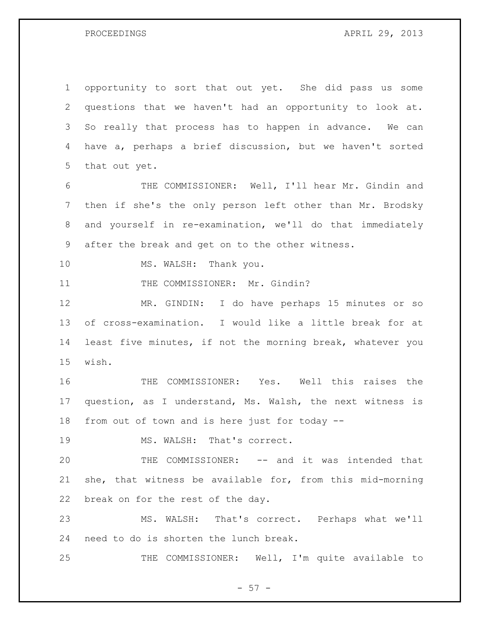PROCEEDINGS APRIL 29, 2013

 opportunity to sort that out yet. She did pass us some questions that we haven't had an opportunity to look at. So really that process has to happen in advance. We can have a, perhaps a brief discussion, but we haven't sorted that out yet.

 THE COMMISSIONER: Well, I'll hear Mr. Gindin and then if she's the only person left other than Mr. Brodsky and yourself in re-examination, we'll do that immediately after the break and get on to the other witness.

10 MS. WALSH: Thank you.

11 THE COMMISSIONER: Mr. Gindin?

 MR. GINDIN: I do have perhaps 15 minutes or so of cross-examination. I would like a little break for at least five minutes, if not the morning break, whatever you wish.

 THE COMMISSIONER: Yes. Well this raises the question, as I understand, Ms. Walsh, the next witness is from out of town and is here just for today --

19 MS. WALSH: That's correct.

 THE COMMISSIONER: -- and it was intended that she, that witness be available for, from this mid-morning break on for the rest of the day.

 MS. WALSH: That's correct. Perhaps what we'll need to do is shorten the lunch break.

THE COMMISSIONER: Well, I'm quite available to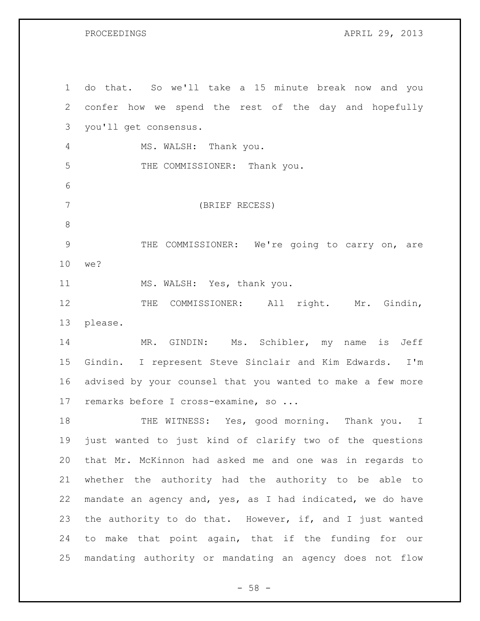PROCEEDINGS APRIL 29, 2013

| $\mathbf{1}$   | do that. So we'll take a 15 minute break now and you       |
|----------------|------------------------------------------------------------|
| $\overline{2}$ | confer how we spend the rest of the day and hopefully      |
| 3              | you'll get consensus.                                      |
| 4              | MS. WALSH: Thank you.                                      |
| 5              | THE COMMISSIONER: Thank you.                               |
| 6              |                                                            |
| $7\phantom{.}$ | (BRIEF RECESS)                                             |
| $\,8\,$        |                                                            |
| $\mathsf 9$    | THE COMMISSIONER: We're going to carry on, are             |
| 10             | we?                                                        |
| 11             | MS. WALSH: Yes, thank you.                                 |
| 12             | THE COMMISSIONER: All right. Mr. Gindin,                   |
| 13             | please.                                                    |
| 14             | MR. GINDIN: Ms. Schibler, my name is Jeff                  |
| 15             | Gindin. I represent Steve Sinclair and Kim Edwards. I'm    |
| 16             | advised by your counsel that you wanted to make a few more |
| 17             | remarks before I cross-examine, so                         |
| 18             | THE WITNESS: Yes, good morning. Thank you. I               |
| 19             | just wanted to just kind of clarify two of the questions   |
| 20             | that Mr. McKinnon had asked me and one was in regards to   |
| 21             | whether the authority had the authority to be able to      |
| 22             | mandate an agency and, yes, as I had indicated, we do have |
| 23             | the authority to do that. However, if, and I just wanted   |
| 24             | to make that point again, that if the funding for our      |
| 25             | mandating authority or mandating an agency does not flow   |

- 58 -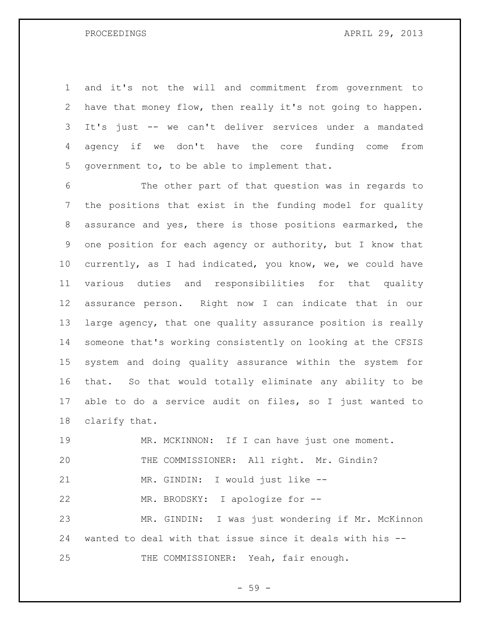and it's not the will and commitment from government to have that money flow, then really it's not going to happen. It's just -- we can't deliver services under a mandated agency if we don't have the core funding come from government to, to be able to implement that.

 The other part of that question was in regards to the positions that exist in the funding model for quality assurance and yes, there is those positions earmarked, the one position for each agency or authority, but I know that currently, as I had indicated, you know, we, we could have various duties and responsibilities for that quality assurance person. Right now I can indicate that in our large agency, that one quality assurance position is really someone that's working consistently on looking at the CFSIS system and doing quality assurance within the system for that. So that would totally eliminate any ability to be able to do a service audit on files, so I just wanted to clarify that.

 MR. MCKINNON: If I can have just one moment. THE COMMISSIONER: All right. Mr. Gindin? MR. GINDIN: I would just like -- MR. BRODSKY: I apologize for -- MR. GINDIN: I was just wondering if Mr. McKinnon wanted to deal with that issue since it deals with his -- 25 THE COMMISSIONER: Yeah, fair enough.

- 59 -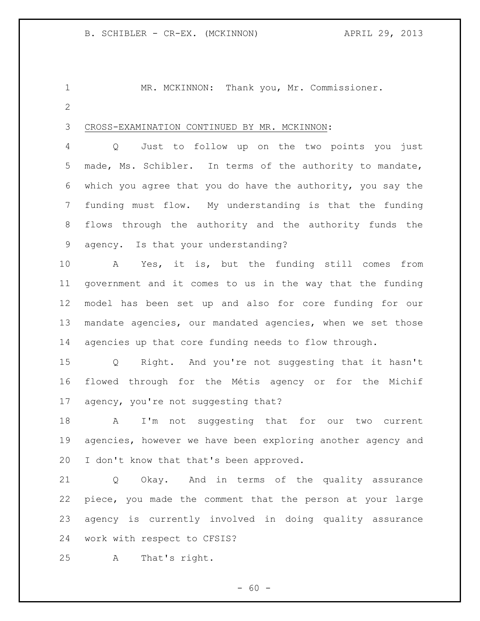MR. MCKINNON: Thank you, Mr. Commissioner. 

CROSS-EXAMINATION CONTINUED BY MR. MCKINNON:

 Q Just to follow up on the two points you just made, Ms. Schibler. In terms of the authority to mandate, which you agree that you do have the authority, you say the funding must flow. My understanding is that the funding flows through the authority and the authority funds the agency. Is that your understanding?

 A Yes, it is, but the funding still comes from government and it comes to us in the way that the funding model has been set up and also for core funding for our mandate agencies, our mandated agencies, when we set those agencies up that core funding needs to flow through.

 Q Right. And you're not suggesting that it hasn't flowed through for the Métis agency or for the Michif agency, you're not suggesting that?

 A I'm not suggesting that for our two current agencies, however we have been exploring another agency and I don't know that that's been approved.

 Q Okay. And in terms of the quality assurance piece, you made the comment that the person at your large agency is currently involved in doing quality assurance work with respect to CFSIS?

A That's right.

 $- 60 -$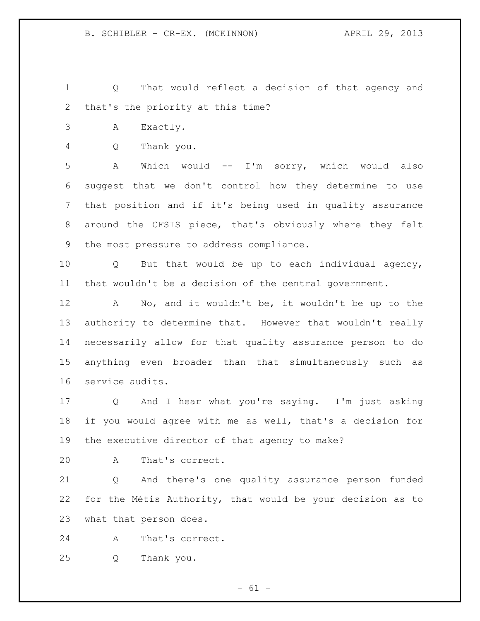Q That would reflect a decision of that agency and that's the priority at this time?

- A Exactly.
- Q Thank you.

 A Which would -- I'm sorry, which would also suggest that we don't control how they determine to use that position and if it's being used in quality assurance around the CFSIS piece, that's obviously where they felt the most pressure to address compliance.

 Q But that would be up to each individual agency, that wouldn't be a decision of the central government.

 A No, and it wouldn't be, it wouldn't be up to the authority to determine that. However that wouldn't really necessarily allow for that quality assurance person to do anything even broader than that simultaneously such as service audits.

 Q And I hear what you're saying. I'm just asking if you would agree with me as well, that's a decision for the executive director of that agency to make?

A That's correct.

 Q And there's one quality assurance person funded for the Métis Authority, that would be your decision as to what that person does.

A That's correct.

Q Thank you.

 $- 61 -$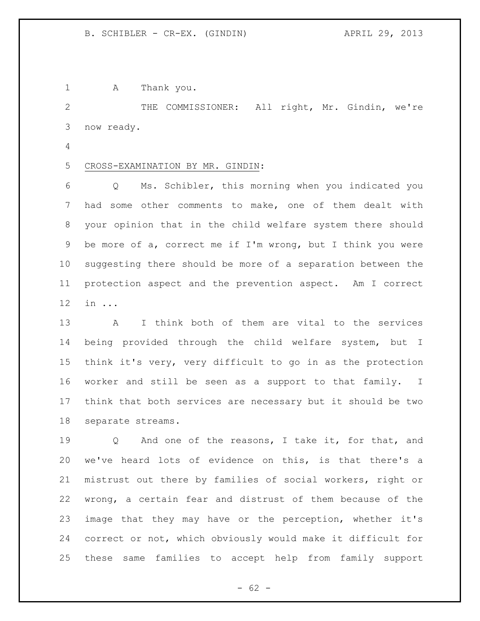1 A Thank you.

 THE COMMISSIONER: All right, Mr. Gindin, we're now ready.

- 
- CROSS-EXAMINATION BY MR. GINDIN:

 Q Ms. Schibler, this morning when you indicated you had some other comments to make, one of them dealt with your opinion that in the child welfare system there should be more of a, correct me if I'm wrong, but I think you were suggesting there should be more of a separation between the protection aspect and the prevention aspect. Am I correct in ...

 A I think both of them are vital to the services being provided through the child welfare system, but I think it's very, very difficult to go in as the protection worker and still be seen as a support to that family. I think that both services are necessary but it should be two separate streams.

 Q And one of the reasons, I take it, for that, and we've heard lots of evidence on this, is that there's a mistrust out there by families of social workers, right or wrong, a certain fear and distrust of them because of the image that they may have or the perception, whether it's correct or not, which obviously would make it difficult for these same families to accept help from family support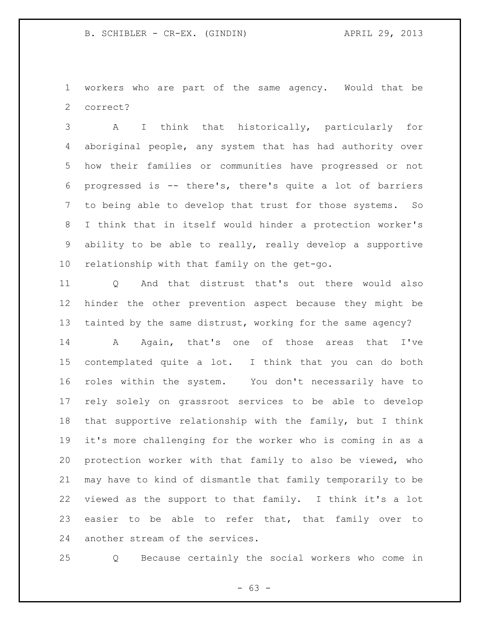workers who are part of the same agency. Would that be correct?

 A I think that historically, particularly for aboriginal people, any system that has had authority over how their families or communities have progressed or not progressed is -- there's, there's quite a lot of barriers to being able to develop that trust for those systems. So I think that in itself would hinder a protection worker's ability to be able to really, really develop a supportive relationship with that family on the get-go.

 Q And that distrust that's out there would also hinder the other prevention aspect because they might be tainted by the same distrust, working for the same agency?

 A Again, that's one of those areas that I've contemplated quite a lot. I think that you can do both roles within the system. You don't necessarily have to rely solely on grassroot services to be able to develop that supportive relationship with the family, but I think it's more challenging for the worker who is coming in as a protection worker with that family to also be viewed, who may have to kind of dismantle that family temporarily to be viewed as the support to that family. I think it's a lot 23 easier to be able to refer that, that family over to another stream of the services.

Q Because certainly the social workers who come in

- 63 -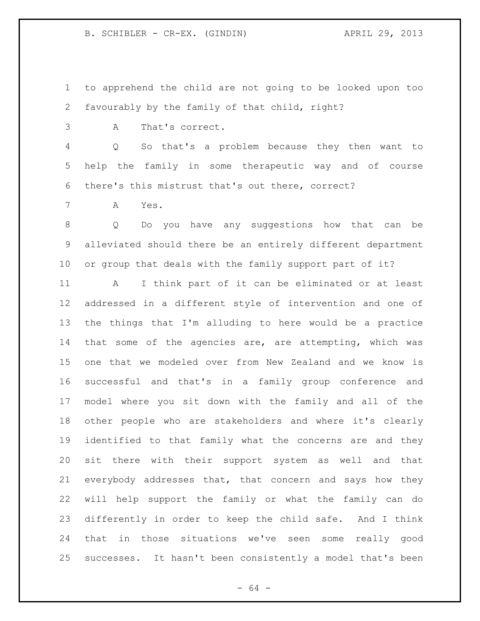to apprehend the child are not going to be looked upon too favourably by the family of that child, right?

A That's correct.

 Q So that's a problem because they then want to help the family in some therapeutic way and of course there's this mistrust that's out there, correct?

A Yes.

 Q Do you have any suggestions how that can be alleviated should there be an entirely different department or group that deals with the family support part of it?

 A I think part of it can be eliminated or at least addressed in a different style of intervention and one of the things that I'm alluding to here would be a practice that some of the agencies are, are attempting, which was one that we modeled over from New Zealand and we know is successful and that's in a family group conference and model where you sit down with the family and all of the other people who are stakeholders and where it's clearly identified to that family what the concerns are and they sit there with their support system as well and that everybody addresses that, that concern and says how they will help support the family or what the family can do differently in order to keep the child safe. And I think that in those situations we've seen some really good successes. It hasn't been consistently a model that's been

- 64 -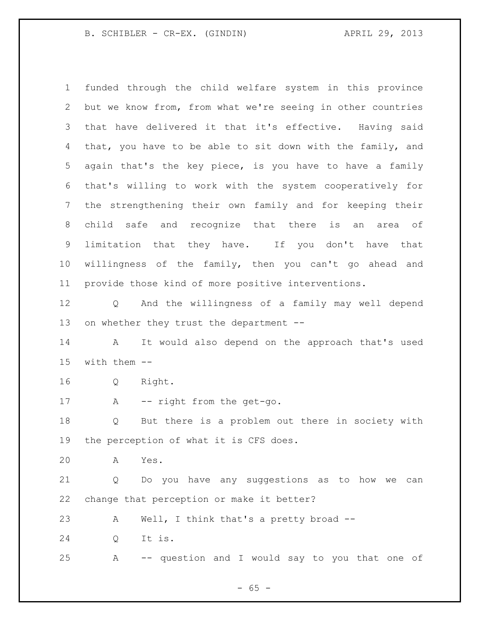B. SCHIBLER - CR-EX. (GINDIN) (29, 2013)

 funded through the child welfare system in this province but we know from, from what we're seeing in other countries that have delivered it that it's effective. Having said that, you have to be able to sit down with the family, and again that's the key piece, is you have to have a family that's willing to work with the system cooperatively for the strengthening their own family and for keeping their child safe and recognize that there is an area of limitation that they have. If you don't have that willingness of the family, then you can't go ahead and provide those kind of more positive interventions. Q And the willingness of a family may well depend

13 on whether they trust the department --

 A It would also depend on the approach that's used with them --

Q Right.

17 A -- right from the get-go.

 Q But there is a problem out there in society with the perception of what it is CFS does.

A Yes.

 Q Do you have any suggestions as to how we can change that perception or make it better?

A Well, I think that's a pretty broad --

Q It is.

A -- question and I would say to you that one of

 $- 65 -$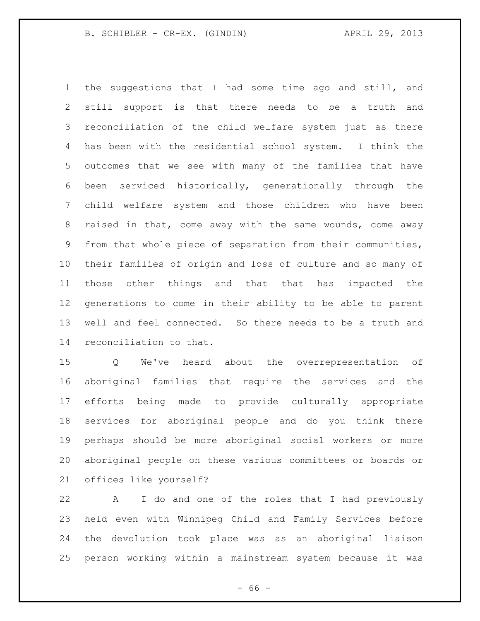B. SCHIBLER - CR-EX. (GINDIN) (29, 2013)

 the suggestions that I had some time ago and still, and still support is that there needs to be a truth and reconciliation of the child welfare system just as there has been with the residential school system. I think the outcomes that we see with many of the families that have been serviced historically, generationally through the child welfare system and those children who have been raised in that, come away with the same wounds, come away from that whole piece of separation from their communities, their families of origin and loss of culture and so many of those other things and that that has impacted the generations to come in their ability to be able to parent well and feel connected. So there needs to be a truth and reconciliation to that.

 Q We've heard about the overrepresentation of aboriginal families that require the services and the efforts being made to provide culturally appropriate services for aboriginal people and do you think there perhaps should be more aboriginal social workers or more aboriginal people on these various committees or boards or offices like yourself?

 A I do and one of the roles that I had previously held even with Winnipeg Child and Family Services before the devolution took place was as an aboriginal liaison person working within a mainstream system because it was

- 66 -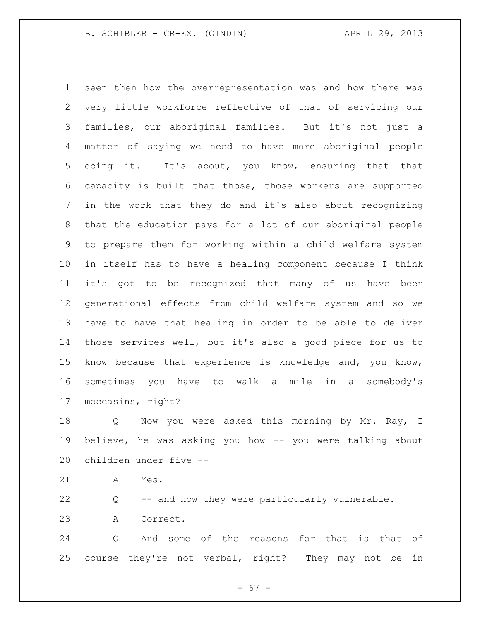seen then how the overrepresentation was and how there was very little workforce reflective of that of servicing our families, our aboriginal families. But it's not just a matter of saying we need to have more aboriginal people doing it. It's about, you know, ensuring that that capacity is built that those, those workers are supported in the work that they do and it's also about recognizing that the education pays for a lot of our aboriginal people to prepare them for working within a child welfare system in itself has to have a healing component because I think it's got to be recognized that many of us have been generational effects from child welfare system and so we have to have that healing in order to be able to deliver those services well, but it's also a good piece for us to know because that experience is knowledge and, you know, sometimes you have to walk a mile in a somebody's moccasins, right?

18 Q Now you were asked this morning by Mr. Ray, I believe, he was asking you how -- you were talking about children under five --

A Yes.

Q -- and how they were particularly vulnerable.

A Correct.

 Q And some of the reasons for that is that of course they're not verbal, right? They may not be in

- 67 -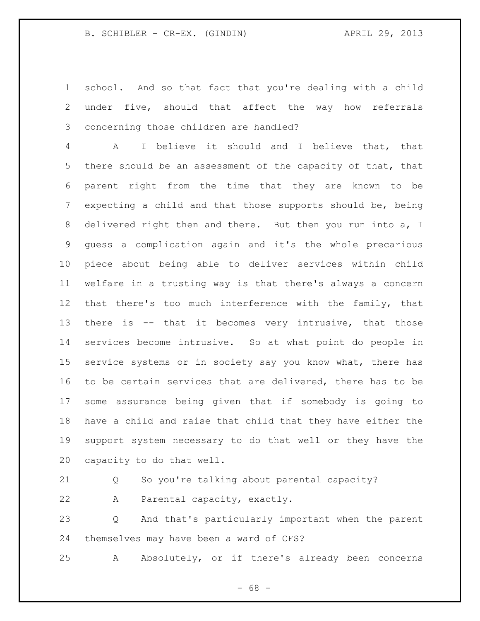school. And so that fact that you're dealing with a child under five, should that affect the way how referrals concerning those children are handled?

 A I believe it should and I believe that, that there should be an assessment of the capacity of that, that parent right from the time that they are known to be expecting a child and that those supports should be, being delivered right then and there. But then you run into a, I guess a complication again and it's the whole precarious piece about being able to deliver services within child welfare in a trusting way is that there's always a concern that there's too much interference with the family, that there is -- that it becomes very intrusive, that those services become intrusive. So at what point do people in service systems or in society say you know what, there has to be certain services that are delivered, there has to be some assurance being given that if somebody is going to have a child and raise that child that they have either the support system necessary to do that well or they have the capacity to do that well.

Q So you're talking about parental capacity?

A Parental capacity, exactly.

 Q And that's particularly important when the parent themselves may have been a ward of CFS?

A Absolutely, or if there's already been concerns

- 68 -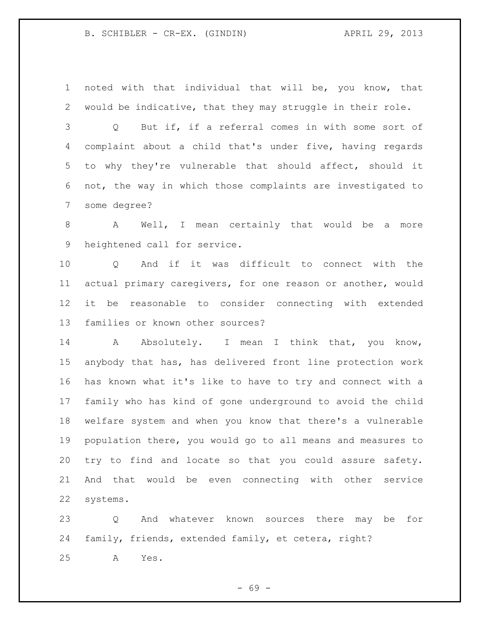## B. SCHIBLER - CR-EX. (GINDIN) APRIL 29, 2013

 noted with that individual that will be, you know, that would be indicative, that they may struggle in their role.

 Q But if, if a referral comes in with some sort of complaint about a child that's under five, having regards to why they're vulnerable that should affect, should it not, the way in which those complaints are investigated to some degree?

 A Well, I mean certainly that would be a more heightened call for service.

 Q And if it was difficult to connect with the actual primary caregivers, for one reason or another, would it be reasonable to consider connecting with extended families or known other sources?

14 Absolutely. I mean I think that, you know, anybody that has, has delivered front line protection work has known what it's like to have to try and connect with a family who has kind of gone underground to avoid the child welfare system and when you know that there's a vulnerable population there, you would go to all means and measures to try to find and locate so that you could assure safety. And that would be even connecting with other service systems.

 Q And whatever known sources there may be for family, friends, extended family, et cetera, right? A Yes.

- 69 -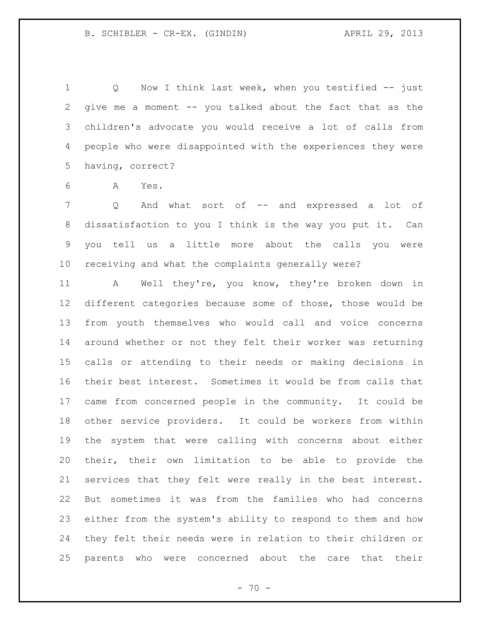1 Q Now I think last week, when you testified -- just give me a moment -- you talked about the fact that as the children's advocate you would receive a lot of calls from people who were disappointed with the experiences they were having, correct?

A Yes.

7 Q And what sort of -- and expressed a lot of dissatisfaction to you I think is the way you put it. Can you tell us a little more about the calls you were receiving and what the complaints generally were?

 A Well they're, you know, they're broken down in different categories because some of those, those would be from youth themselves who would call and voice concerns around whether or not they felt their worker was returning calls or attending to their needs or making decisions in their best interest. Sometimes it would be from calls that came from concerned people in the community. It could be other service providers. It could be workers from within the system that were calling with concerns about either their, their own limitation to be able to provide the services that they felt were really in the best interest. But sometimes it was from the families who had concerns either from the system's ability to respond to them and how they felt their needs were in relation to their children or parents who were concerned about the care that their

 $- 70 -$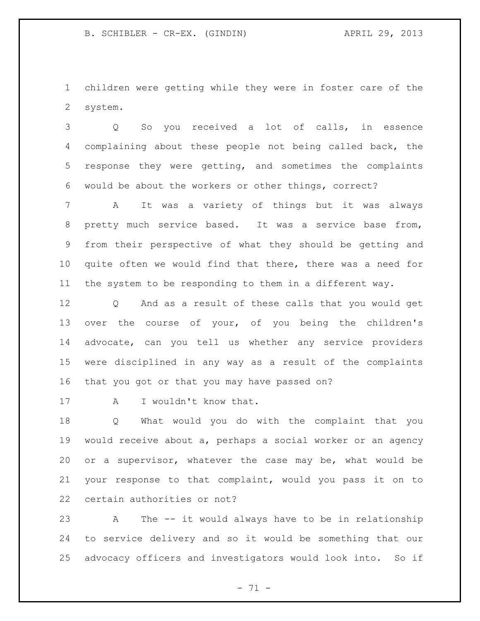children were getting while they were in foster care of the system.

 Q So you received a lot of calls, in essence complaining about these people not being called back, the response they were getting, and sometimes the complaints would be about the workers or other things, correct?

 A It was a variety of things but it was always pretty much service based. It was a service base from, from their perspective of what they should be getting and quite often we would find that there, there was a need for the system to be responding to them in a different way.

 Q And as a result of these calls that you would get over the course of your, of you being the children's advocate, can you tell us whether any service providers were disciplined in any way as a result of the complaints that you got or that you may have passed on?

17 A I wouldn't know that.

 Q What would you do with the complaint that you would receive about a, perhaps a social worker or an agency or a supervisor, whatever the case may be, what would be your response to that complaint, would you pass it on to certain authorities or not?

 A The -- it would always have to be in relationship to service delivery and so it would be something that our advocacy officers and investigators would look into. So if

 $- 71 -$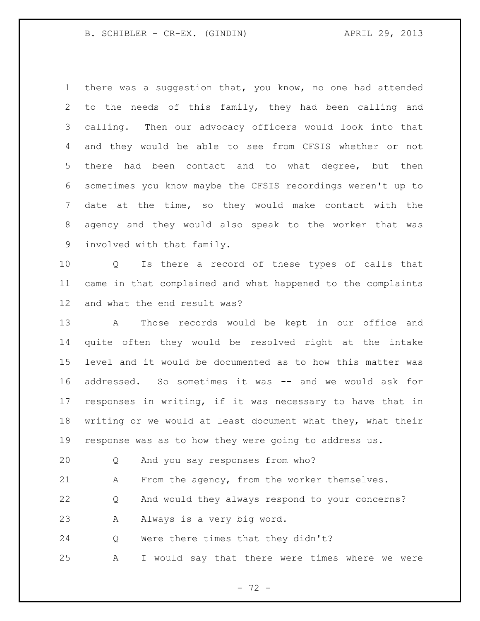## B. SCHIBLER - CR-EX. (GINDIN) (29, 2013)

 there was a suggestion that, you know, no one had attended to the needs of this family, they had been calling and calling. Then our advocacy officers would look into that and they would be able to see from CFSIS whether or not there had been contact and to what degree, but then sometimes you know maybe the CFSIS recordings weren't up to date at the time, so they would make contact with the agency and they would also speak to the worker that was involved with that family.

 Q Is there a record of these types of calls that came in that complained and what happened to the complaints and what the end result was?

 A Those records would be kept in our office and quite often they would be resolved right at the intake level and it would be documented as to how this matter was addressed. So sometimes it was -- and we would ask for responses in writing, if it was necessary to have that in writing or we would at least document what they, what their response was as to how they were going to address us.

Q And you say responses from who?

A From the agency, from the worker themselves.

Q And would they always respond to your concerns?

A Always is a very big word.

Q Were there times that they didn't?

A I would say that there were times where we were

- 72 -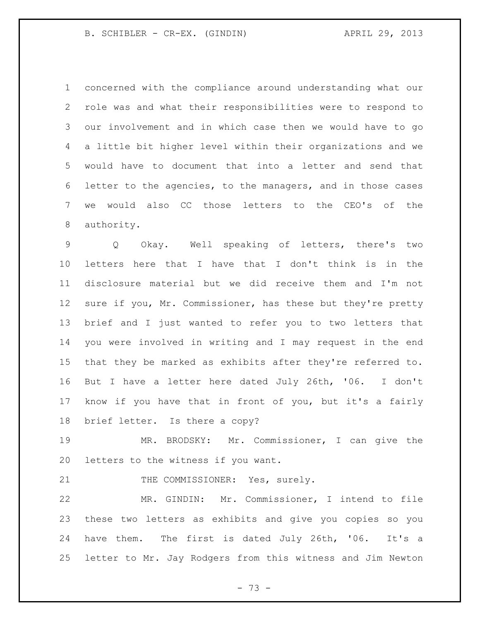## B. SCHIBLER - CR-EX. (GINDIN) (29, 2013)

 concerned with the compliance around understanding what our role was and what their responsibilities were to respond to our involvement and in which case then we would have to go a little bit higher level within their organizations and we would have to document that into a letter and send that letter to the agencies, to the managers, and in those cases we would also CC those letters to the CEO's of the authority.

 Q Okay. Well speaking of letters, there's two letters here that I have that I don't think is in the disclosure material but we did receive them and I'm not 12 sure if you, Mr. Commissioner, has these but they're pretty brief and I just wanted to refer you to two letters that you were involved in writing and I may request in the end that they be marked as exhibits after they're referred to. But I have a letter here dated July 26th, '06. I don't know if you have that in front of you, but it's a fairly brief letter. Is there a copy?

 MR. BRODSKY: Mr. Commissioner, I can give the letters to the witness if you want.

21 THE COMMISSIONER: Yes, surely.

 MR. GINDIN: Mr. Commissioner, I intend to file these two letters as exhibits and give you copies so you have them. The first is dated July 26th, '06. It's a letter to Mr. Jay Rodgers from this witness and Jim Newton

- 73 -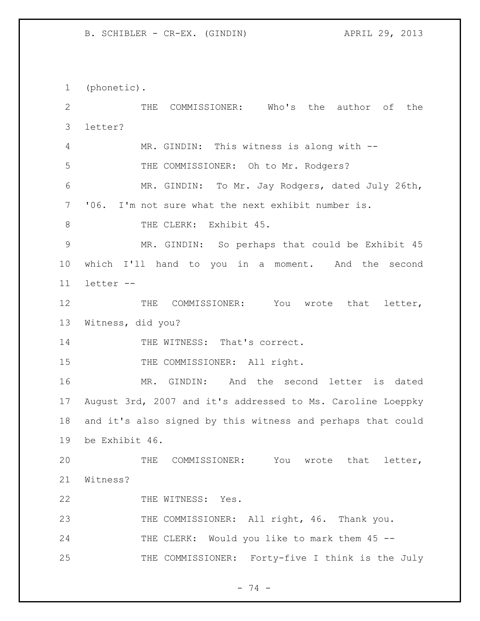1 (phonetic). 2 THE COMMISSIONER: Who's the author of the 3 letter? 4 MR. GINDIN: This witness is along with -- 5 THE COMMISSIONER: Oh to Mr. Rodgers? 6 MR. GINDIN: To Mr. Jay Rodgers, dated July 26th, 7 '06. I'm not sure what the next exhibit number is. 8 THE CLERK: Exhibit 45. 9 MR. GINDIN: So perhaps that could be Exhibit 45 10 which I'll hand to you in a moment. And the second 11 letter -- 12 THE COMMISSIONER: You wrote that letter, 13 Witness, did you? 14 THE WITNESS: That's correct. 15 THE COMMISSIONER: All right. 16 MR. GINDIN: And the second letter is dated 17 August 3rd, 2007 and it's addressed to Ms. Caroline Loeppky 18 and it's also signed by this witness and perhaps that could 19 be Exhibit 46. 20 THE COMMISSIONER: You wrote that letter, 21 Witness? 22 THE WITNESS: Yes. 23 THE COMMISSIONER: All right, 46. Thank you. 24 THE CLERK: Would you like to mark them 45 --25 THE COMMISSIONER: Forty-five I think is the July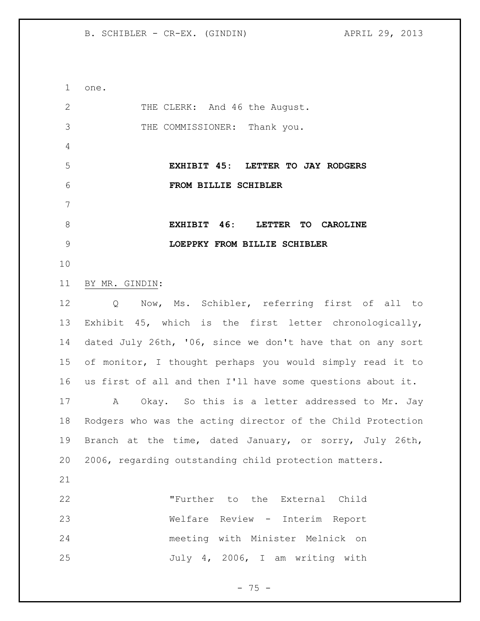one. 2 THE CLERK: And 46 the August. THE COMMISSIONER: Thank you. **EXHIBIT 45: LETTER TO JAY RODGERS FROM BILLIE SCHIBLER EXHIBIT 46: LETTER TO CAROLINE LOEPPKY FROM BILLIE SCHIBLER** BY MR. GINDIN: Q Now, Ms. Schibler, referring first of all to Exhibit 45, which is the first letter chronologically, dated July 26th, '06, since we don't have that on any sort of monitor, I thought perhaps you would simply read it to us first of all and then I'll have some questions about it. A Okay. So this is a letter addressed to Mr. Jay Rodgers who was the acting director of the Child Protection Branch at the time, dated January, or sorry, July 26th, 2006, regarding outstanding child protection matters. "Further to the External Child Welfare Review - Interim Report meeting with Minister Melnick on July 4, 2006, I am writing with

 $- 75 -$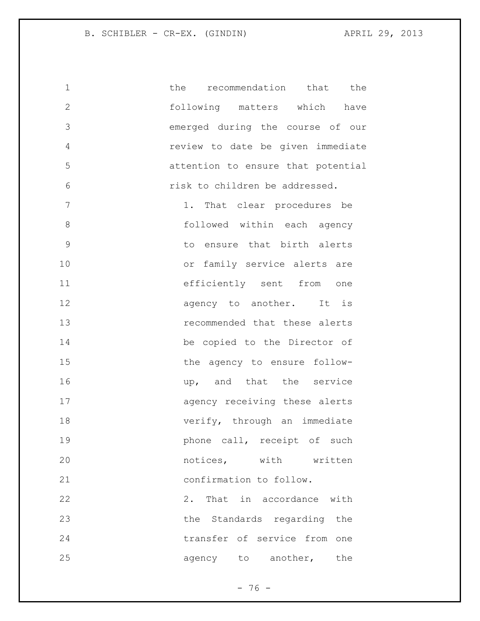| 1            | the<br>recommendation that the     |
|--------------|------------------------------------|
| $\mathbf{2}$ | following matters which have       |
| 3            | emerged during the course of our   |
| 4            | review to date be given immediate  |
| 5            | attention to ensure that potential |
| 6            | risk to children be addressed.     |
| 7            | 1. That clear procedures be        |
| 8            | followed within each agency        |
| $\mathsf 9$  | to ensure that birth alerts        |
| 10           | or family service alerts are       |
| 11           | efficiently sent from one          |
| 12           | agency to another. It is           |
| 13           | recommended that these alerts      |
| 14           | be copied to the Director of       |
| 15           | the agency to ensure follow-       |
| 16           | up, and that the service           |
| 17           | agency receiving these alerts      |
| 18           | verify, through an immediate       |
| 19           | phone call, receipt of such        |
| 20           | notices, with written              |
| 21           | confirmation to follow.            |
| 22           | 2. That in accordance with         |
| 23           | the Standards regarding the        |
| 24           | transfer of service from one       |
| 25           | agency to another, the             |
|              |                                    |

- 76 -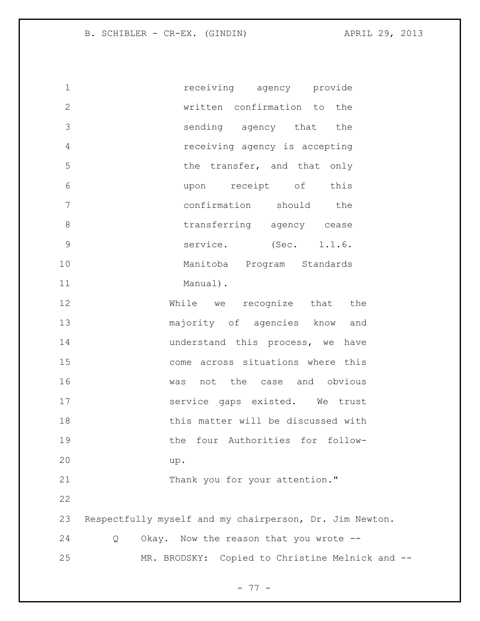1 receiving agency provide written confirmation to the sending agency that the receiving agency is accepting 5 the transfer, and that only upon receipt of this confirmation should the 8 transferring agency cease 9 service. (Sec. 1.1.6. Manitoba Program Standards 11 Manual). While we recognize that the majority of agencies know and **understand this process, we have**  come across situations where this was not the case and obvious service gaps existed. We trust this matter will be discussed with the four Authorities for follow- up. 21 Thank you for your attention." Respectfully myself and my chairperson, Dr. Jim Newton. Q Okay. Now the reason that you wrote -- MR. BRODSKY: Copied to Christine Melnick and --

- 77 -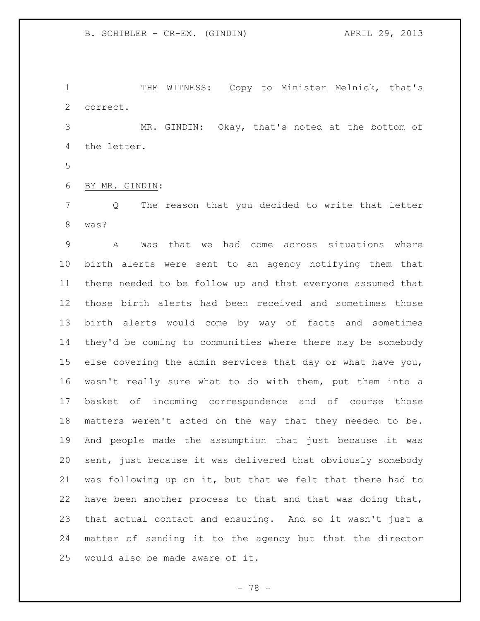THE WITNESS: Copy to Minister Melnick, that's correct.

 MR. GINDIN: Okay, that's noted at the bottom of the letter.

BY MR. GINDIN:

 Q The reason that you decided to write that letter was?

 A Was that we had come across situations where birth alerts were sent to an agency notifying them that there needed to be follow up and that everyone assumed that those birth alerts had been received and sometimes those birth alerts would come by way of facts and sometimes they'd be coming to communities where there may be somebody else covering the admin services that day or what have you, wasn't really sure what to do with them, put them into a basket of incoming correspondence and of course those matters weren't acted on the way that they needed to be. And people made the assumption that just because it was sent, just because it was delivered that obviously somebody was following up on it, but that we felt that there had to have been another process to that and that was doing that, that actual contact and ensuring. And so it wasn't just a matter of sending it to the agency but that the director would also be made aware of it.

- 78 -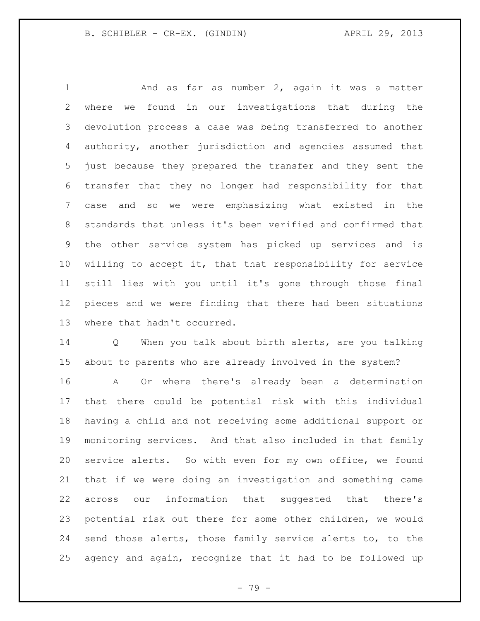And as far as number 2, again it was a matter where we found in our investigations that during the devolution process a case was being transferred to another authority, another jurisdiction and agencies assumed that just because they prepared the transfer and they sent the transfer that they no longer had responsibility for that case and so we were emphasizing what existed in the standards that unless it's been verified and confirmed that the other service system has picked up services and is willing to accept it, that that responsibility for service still lies with you until it's gone through those final pieces and we were finding that there had been situations where that hadn't occurred.

 Q When you talk about birth alerts, are you talking about to parents who are already involved in the system?

 A Or where there's already been a determination that there could be potential risk with this individual having a child and not receiving some additional support or monitoring services. And that also included in that family service alerts. So with even for my own office, we found that if we were doing an investigation and something came across our information that suggested that there's potential risk out there for some other children, we would send those alerts, those family service alerts to, to the agency and again, recognize that it had to be followed up

- 79 -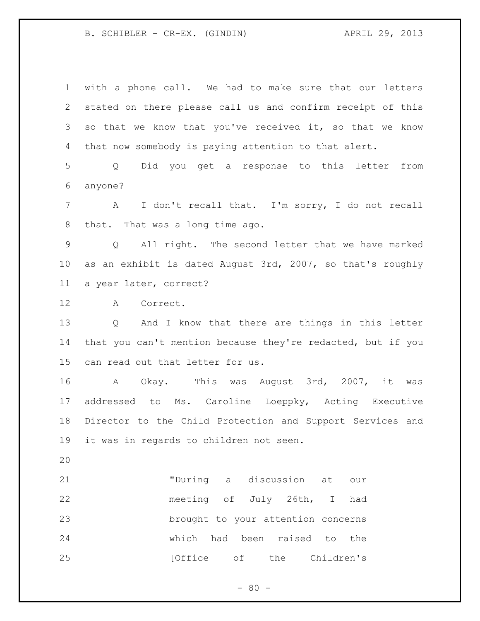with a phone call. We had to make sure that our letters stated on there please call us and confirm receipt of this so that we know that you've received it, so that we know that now somebody is paying attention to that alert. Q Did you get a response to this letter from anyone? A I don't recall that. I'm sorry, I do not recall that. That was a long time ago. Q All right. The second letter that we have marked as an exhibit is dated August 3rd, 2007, so that's roughly a year later, correct? A Correct. Q And I know that there are things in this letter that you can't mention because they're redacted, but if you can read out that letter for us. A Okay. This was August 3rd, 2007, it was addressed to Ms. Caroline Loeppky, Acting Executive Director to the Child Protection and Support Services and it was in regards to children not seen. "During a discussion at our meeting of July 26th, I had brought to your attention concerns

**120 I** [Office of the Children's

which had been raised to the

 $- 80 -$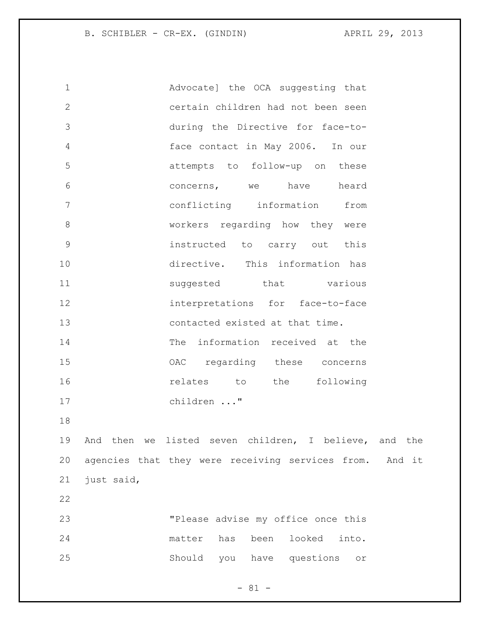Advocate] the OCA suggesting that certain children had not been seen during the Directive for face-to- face contact in May 2006. In our attempts to follow-up on these concerns, we have heard conflicting information from 8 workers regarding how they were instructed to carry out this directive. This information has 11 suggested that various interpretations for face-to-face contacted existed at that time. The information received at the OAC regarding these concerns **relates** to the following children ..." And then we listed seven children, I believe, and the agencies that they were receiving services from. And it just said, "Please advise my office once this matter has been looked into. Should you have questions or

 $- 81 -$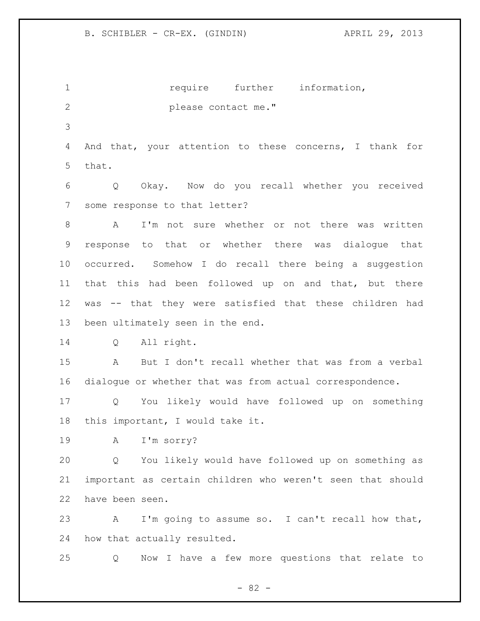1 1 require further information, please contact me." And that, your attention to these concerns, I thank for that. Q Okay. Now do you recall whether you received some response to that letter? A I'm not sure whether or not there was written response to that or whether there was dialogue that occurred. Somehow I do recall there being a suggestion that this had been followed up on and that, but there was -- that they were satisfied that these children had been ultimately seen in the end. Q All right. A But I don't recall whether that was from a verbal dialogue or whether that was from actual correspondence. Q You likely would have followed up on something this important, I would take it. A I'm sorry? Q You likely would have followed up on something as important as certain children who weren't seen that should have been seen. A I'm going to assume so. I can't recall how that, how that actually resulted. Q Now I have a few more questions that relate to

 $- 82 -$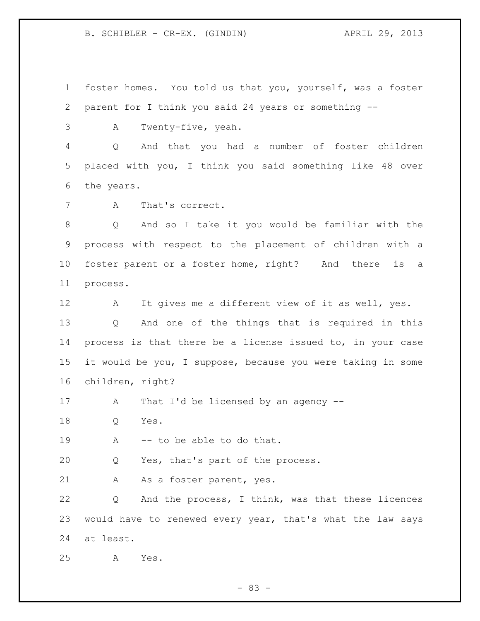foster homes. You told us that you, yourself, was a foster parent for I think you said 24 years or something --

A Twenty-five, yeah.

 Q And that you had a number of foster children placed with you, I think you said something like 48 over the years.

A That's correct.

 Q And so I take it you would be familiar with the process with respect to the placement of children with a foster parent or a foster home, right? And there is a process.

 A It gives me a different view of it as well, yes. Q And one of the things that is required in this process is that there be a license issued to, in your case it would be you, I suppose, because you were taking in some children, right?

17 A That I'd be licensed by an agency --

Q Yes.

19 A -- to be able to do that.

Q Yes, that's part of the process.

21 A As a foster parent, yes.

 Q And the process, I think, was that these licences would have to renewed every year, that's what the law says at least.

A Yes.

- 83 -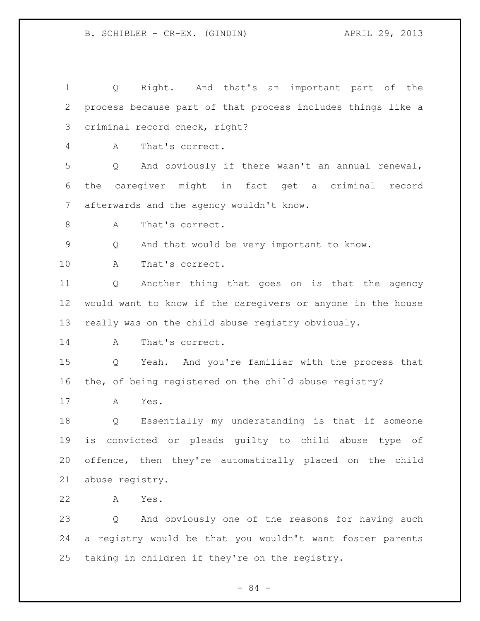Q Right. And that's an important part of the process because part of that process includes things like a criminal record check, right? A That's correct. Q And obviously if there wasn't an annual renewal, the caregiver might in fact get a criminal record afterwards and the agency wouldn't know. 8 A That's correct. Q And that would be very important to know. A That's correct. Q Another thing that goes on is that the agency would want to know if the caregivers or anyone in the house really was on the child abuse registry obviously. 14 A That's correct. Q Yeah. And you're familiar with the process that the, of being registered on the child abuse registry? A Yes. Q Essentially my understanding is that if someone is convicted or pleads guilty to child abuse type of offence, then they're automatically placed on the child abuse registry. A Yes. Q And obviously one of the reasons for having such a registry would be that you wouldn't want foster parents taking in children if they're on the registry.

- 84 -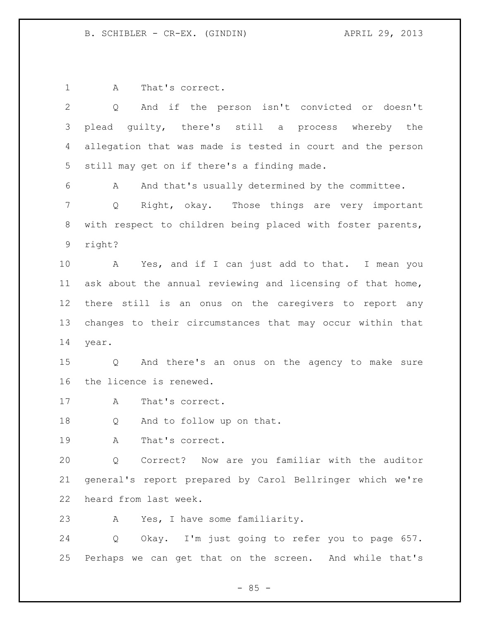1 A That's correct.

| $\overline{2}$ | And if the person isn't convicted or doesn't<br>Q                   |
|----------------|---------------------------------------------------------------------|
| 3              | plead guilty, there's still a process whereby the                   |
| $\overline{4}$ | allegation that was made is tested in court and the person          |
| 5              | still may get on if there's a finding made.                         |
| 6              | And that's usually determined by the committee.<br>A                |
| $7\phantom{.}$ | Right, okay. Those things are very important<br>Q                   |
| 8              | with respect to children being placed with foster parents,          |
| 9              | right?                                                              |
| 10             | A<br>Yes, and if I can just add to that. I mean you                 |
| 11             | ask about the annual reviewing and licensing of that home,          |
| 12             | there still is an onus on the caregivers to report any              |
| 13             | changes to their circumstances that may occur within that           |
| 14             | year.                                                               |
| 15             | And there's an onus on the agency to make sure<br>$Q \qquad \qquad$ |
| 16             | the licence is renewed.                                             |
| 17             | That's correct.<br>A                                                |
| 18             | And to follow up on that.<br>Q                                      |
| 19             | That's correct.<br>Α                                                |
| 20             | Q Correct? Now are you familiar with the auditor                    |
| 21             | general's report prepared by Carol Bellringer which we're           |
| 22             | heard from last week.                                               |
| 23             | Yes, I have some familiarity.<br>A                                  |
| 24             | Okay. I'm just going to refer you to page 657.<br>Q                 |
| 25             | Perhaps we can get that on the screen. And while that's             |

- 85 -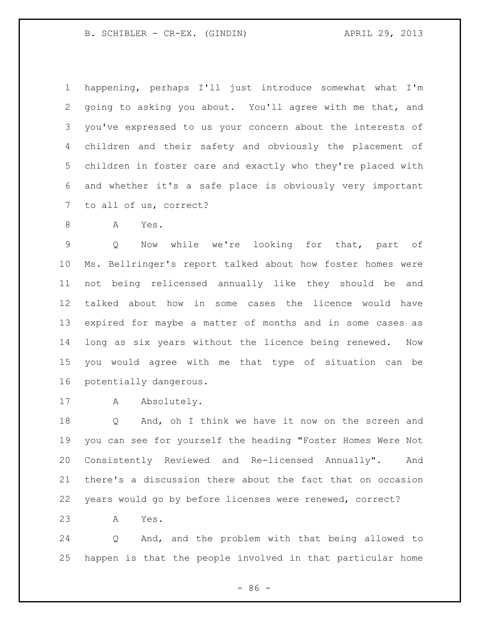B. SCHIBLER - CR-EX. (GINDIN) (29, 2013)

 happening, perhaps I'll just introduce somewhat what I'm going to asking you about. You'll agree with me that, and you've expressed to us your concern about the interests of children and their safety and obviously the placement of children in foster care and exactly who they're placed with and whether it's a safe place is obviously very important to all of us, correct?

A Yes.

 Q Now while we're looking for that, part of Ms. Bellringer's report talked about how foster homes were not being relicensed annually like they should be and talked about how in some cases the licence would have expired for maybe a matter of months and in some cases as long as six years without the licence being renewed. Now you would agree with me that type of situation can be potentially dangerous.

17 A Absolutely.

 Q And, oh I think we have it now on the screen and you can see for yourself the heading "Foster Homes Were Not Consistently Reviewed and Re-licensed Annually". And there's a discussion there about the fact that on occasion years would go by before licenses were renewed, correct?

A Yes.

 Q And, and the problem with that being allowed to happen is that the people involved in that particular home

 $-86 -$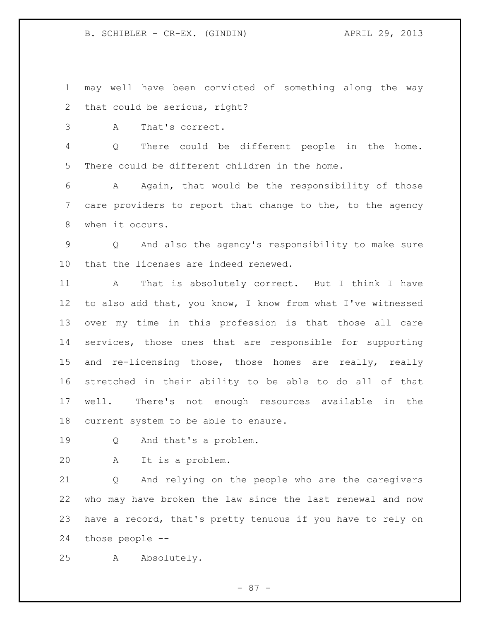B. SCHIBLER - CR-EX. (GINDIN) (29, 2013)

 may well have been convicted of something along the way that could be serious, right?

A That's correct.

 Q There could be different people in the home. There could be different children in the home.

 A Again, that would be the responsibility of those care providers to report that change to the, to the agency when it occurs.

 Q And also the agency's responsibility to make sure that the licenses are indeed renewed.

 A That is absolutely correct. But I think I have to also add that, you know, I know from what I've witnessed over my time in this profession is that those all care services, those ones that are responsible for supporting 15 and re-licensing those, those homes are really, really stretched in their ability to be able to do all of that well. There's not enough resources available in the current system to be able to ensure.

Q And that's a problem.

A It is a problem.

 Q And relying on the people who are the caregivers who may have broken the law since the last renewal and now have a record, that's pretty tenuous if you have to rely on those people --

A Absolutely.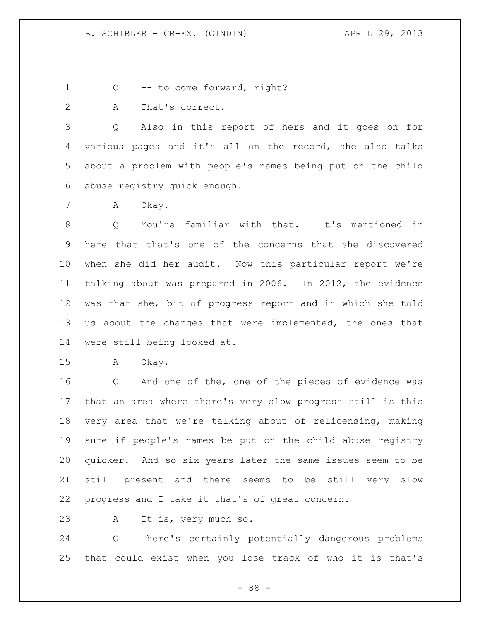Q -- to come forward, right?

A That's correct.

 Q Also in this report of hers and it goes on for various pages and it's all on the record, she also talks about a problem with people's names being put on the child abuse registry quick enough.

A Okay.

 Q You're familiar with that. It's mentioned in here that that's one of the concerns that she discovered when she did her audit. Now this particular report we're talking about was prepared in 2006. In 2012, the evidence was that she, bit of progress report and in which she told us about the changes that were implemented, the ones that were still being looked at.

A Okay.

 Q And one of the, one of the pieces of evidence was that an area where there's very slow progress still is this very area that we're talking about of relicensing, making sure if people's names be put on the child abuse registry quicker. And so six years later the same issues seem to be still present and there seems to be still very slow progress and I take it that's of great concern.

A It is, very much so.

 Q There's certainly potentially dangerous problems that could exist when you lose track of who it is that's

- 88 -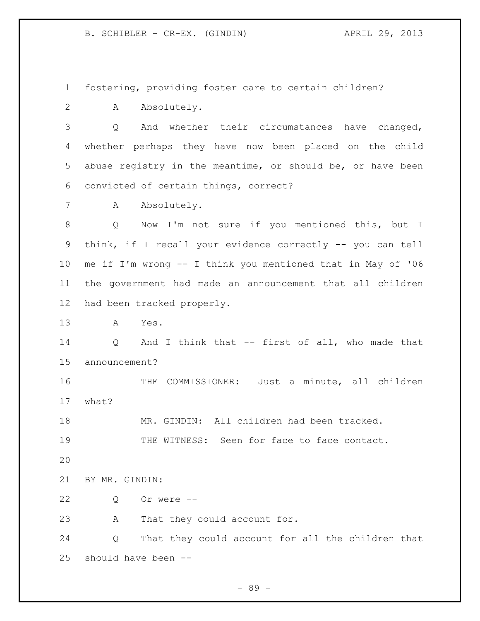fostering, providing foster care to certain children?

A Absolutely.

 Q And whether their circumstances have changed, whether perhaps they have now been placed on the child abuse registry in the meantime, or should be, or have been convicted of certain things, correct?

7 A Absolutely.

 Q Now I'm not sure if you mentioned this, but I think, if I recall your evidence correctly -- you can tell me if I'm wrong -- I think you mentioned that in May of '06 the government had made an announcement that all children had been tracked properly.

A Yes.

 Q And I think that -- first of all, who made that announcement?

16 THE COMMISSIONER: Just a minute, all children what?

MR. GINDIN: All children had been tracked.

19 THE WITNESS: Seen for face to face contact.

- 
- BY MR. GINDIN:
- Q Or were --

A That they could account for.

 Q That they could account for all the children that should have been --

- 89 -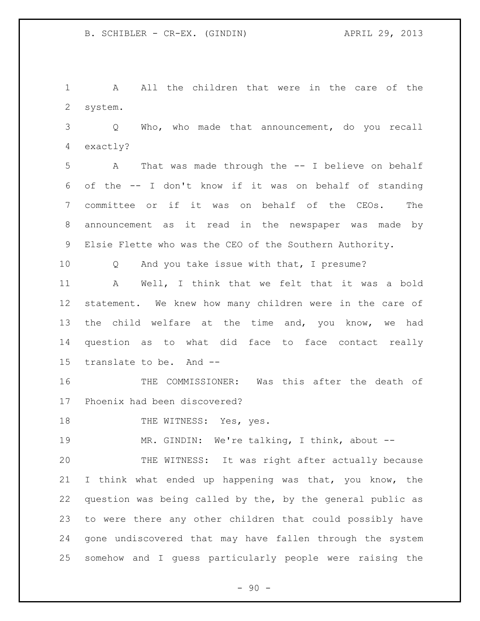A All the children that were in the care of the system.

 Q Who, who made that announcement, do you recall exactly?

 A That was made through the -- I believe on behalf of the -- I don't know if it was on behalf of standing committee or if it was on behalf of the CEOs. The announcement as it read in the newspaper was made by Elsie Flette who was the CEO of the Southern Authority.

Q And you take issue with that, I presume?

 A Well, I think that we felt that it was a bold statement. We knew how many children were in the care of the child welfare at the time and, you know, we had question as to what did face to face contact really translate to be. And --

 THE COMMISSIONER: Was this after the death of Phoenix had been discovered?

18 THE WITNESS: Yes, yes.

MR. GINDIN: We're talking, I think, about --

 THE WITNESS: It was right after actually because I think what ended up happening was that, you know, the question was being called by the, by the general public as to were there any other children that could possibly have gone undiscovered that may have fallen through the system somehow and I guess particularly people were raising the

 $-90 -$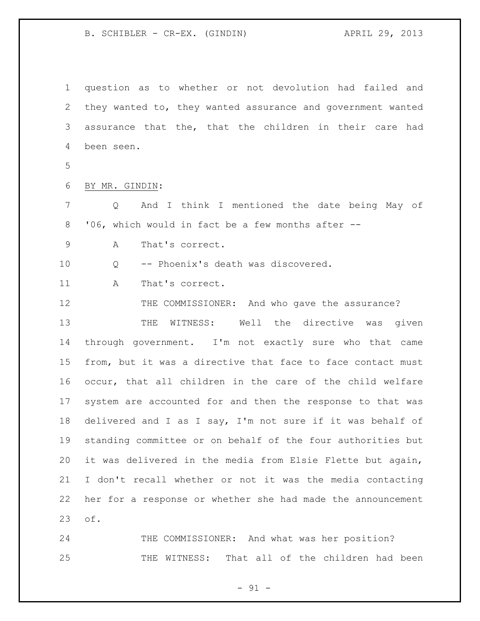question as to whether or not devolution had failed and they wanted to, they wanted assurance and government wanted assurance that the, that the children in their care had been seen. BY MR. GINDIN: Q And I think I mentioned the date being May of '06, which would in fact be a few months after -- A That's correct. Q -- Phoenix's death was discovered. 11 A That's correct. THE COMMISSIONER: And who gave the assurance? THE WITNESS: Well the directive was given through government. I'm not exactly sure who that came from, but it was a directive that face to face contact must occur, that all children in the care of the child welfare system are accounted for and then the response to that was delivered and I as I say, I'm not sure if it was behalf of standing committee or on behalf of the four authorities but it was delivered in the media from Elsie Flette but again, I don't recall whether or not it was the media contacting her for a response or whether she had made the announcement of.

 THE COMMISSIONER: And what was her position? THE WITNESS: That all of the children had been

 $-91 -$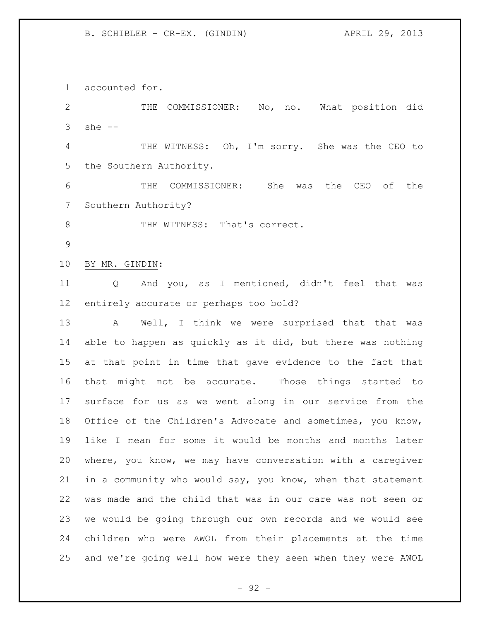accounted for.

 THE COMMISSIONER: No, no. What position did she -- THE WITNESS: Oh, I'm sorry. She was the CEO to the Southern Authority. THE COMMISSIONER: She was the CEO of the Southern Authority? 8 THE WITNESS: That's correct. BY MR. GINDIN: Q And you, as I mentioned, didn't feel that was entirely accurate or perhaps too bold? 13 A Well, I think we were surprised that that was able to happen as quickly as it did, but there was nothing at that point in time that gave evidence to the fact that that might not be accurate. Those things started to surface for us as we went along in our service from the Office of the Children's Advocate and sometimes, you know, like I mean for some it would be months and months later where, you know, we may have conversation with a caregiver in a community who would say, you know, when that statement was made and the child that was in our care was not seen or we would be going through our own records and we would see children who were AWOL from their placements at the time and we're going well how were they seen when they were AWOL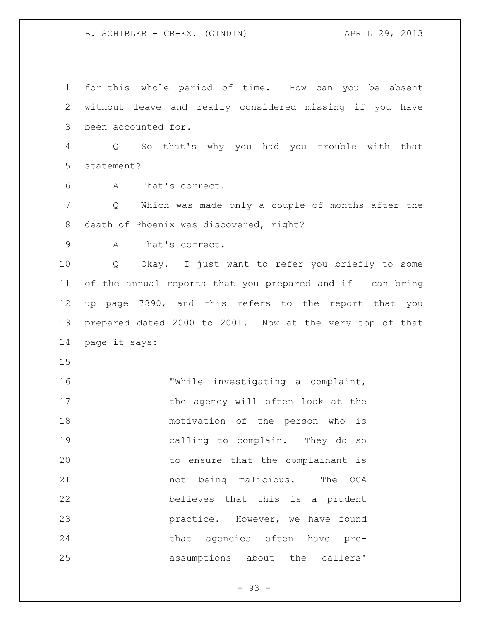for this whole period of time. How can you be absent without leave and really considered missing if you have been accounted for. Q So that's why you had you trouble with that statement? A That's correct. Q Which was made only a couple of months after the death of Phoenix was discovered, right? A That's correct. Q Okay. I just want to refer you briefly to some of the annual reports that you prepared and if I can bring up page 7890, and this refers to the report that you prepared dated 2000 to 2001. Now at the very top of that page it says: 16 "While investigating a complaint, 17 the agency will often look at the motivation of the person who is calling to complain. They do so to ensure that the complainant is 21 hot being malicious. The OCA believes that this is a prudent **practice.** However, we have found that agencies often have pre-assumptions about the callers'

 $-93 -$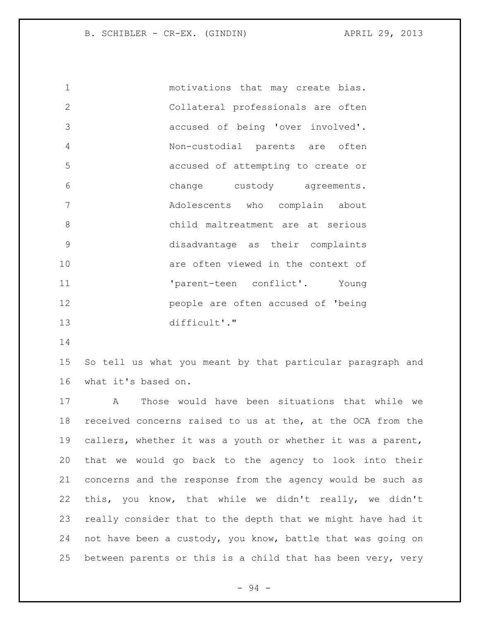motivations that may create bias. Collateral professionals are often accused of being 'over involved'. Non-custodial parents are often accused of attempting to create or change custody agreements. Adolescents who complain about child maltreatment are at serious disadvantage as their complaints are often viewed in the context of  $\qquad \qquad \texttt{'parent-teen} \qquad \texttt{conflict'.} \qquad \texttt{Young}$  people are often accused of 'being difficult'."

 So tell us what you meant by that particular paragraph and what it's based on.

 A Those would have been situations that while we received concerns raised to us at the, at the OCA from the callers, whether it was a youth or whether it was a parent, that we would go back to the agency to look into their concerns and the response from the agency would be such as this, you know, that while we didn't really, we didn't really consider that to the depth that we might have had it not have been a custody, you know, battle that was going on between parents or this is a child that has been very, very

- 94 -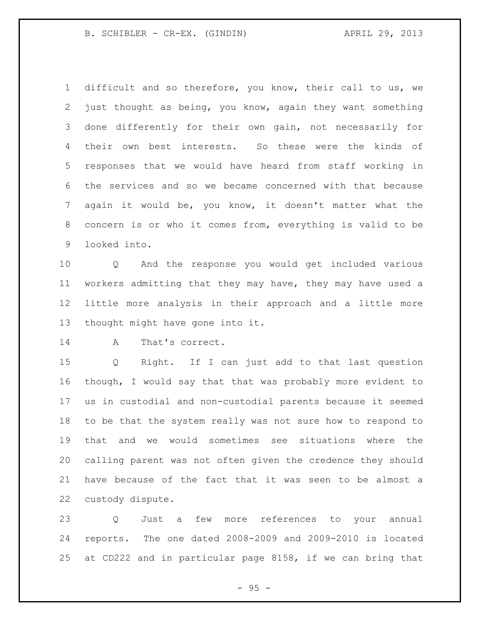B. SCHIBLER - CR-EX. (GINDIN) (29, 2013)

 difficult and so therefore, you know, their call to us, we just thought as being, you know, again they want something done differently for their own gain, not necessarily for their own best interests. So these were the kinds of responses that we would have heard from staff working in the services and so we became concerned with that because again it would be, you know, it doesn't matter what the concern is or who it comes from, everything is valid to be looked into.

 Q And the response you would get included various workers admitting that they may have, they may have used a little more analysis in their approach and a little more thought might have gone into it.

14 A That's correct.

 Q Right. If I can just add to that last question though, I would say that that was probably more evident to us in custodial and non-custodial parents because it seemed to be that the system really was not sure how to respond to that and we would sometimes see situations where the calling parent was not often given the credence they should have because of the fact that it was seen to be almost a custody dispute.

 Q Just a few more references to your annual reports. The one dated 2008-2009 and 2009-2010 is located at CD222 and in particular page 8158, if we can bring that

 $- 95 -$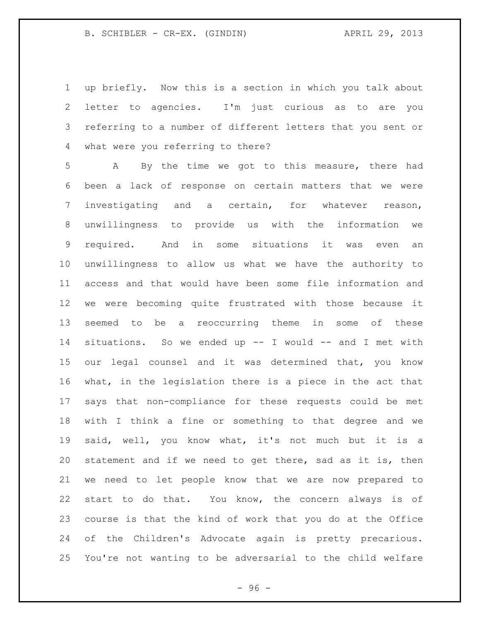up briefly. Now this is a section in which you talk about letter to agencies. I'm just curious as to are you referring to a number of different letters that you sent or what were you referring to there?

 A By the time we got to this measure, there had been a lack of response on certain matters that we were investigating and a certain, for whatever reason, unwillingness to provide us with the information we required. And in some situations it was even an unwillingness to allow us what we have the authority to access and that would have been some file information and we were becoming quite frustrated with those because it seemed to be a reoccurring theme in some of these situations. So we ended up -- I would -- and I met with our legal counsel and it was determined that, you know what, in the legislation there is a piece in the act that says that non-compliance for these requests could be met with I think a fine or something to that degree and we said, well, you know what, it's not much but it is a statement and if we need to get there, sad as it is, then we need to let people know that we are now prepared to start to do that. You know, the concern always is of course is that the kind of work that you do at the Office of the Children's Advocate again is pretty precarious. You're not wanting to be adversarial to the child welfare

 $-96 -$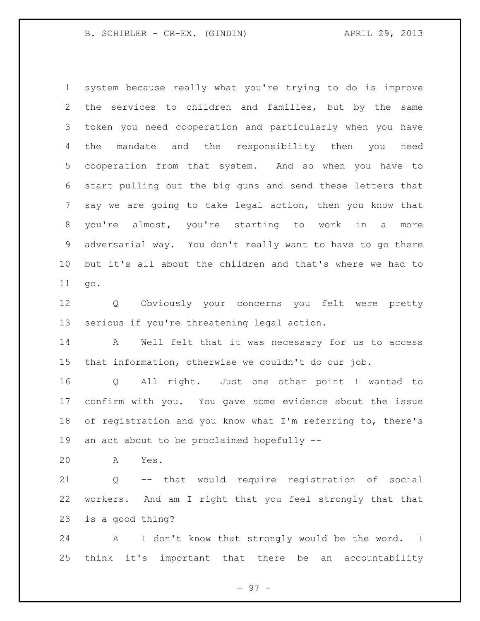system because really what you're trying to do is improve the services to children and families, but by the same token you need cooperation and particularly when you have the mandate and the responsibility then you need cooperation from that system. And so when you have to start pulling out the big guns and send these letters that say we are going to take legal action, then you know that you're almost, you're starting to work in a more adversarial way. You don't really want to have to go there but it's all about the children and that's where we had to go.

 Q Obviously your concerns you felt were pretty serious if you're threatening legal action.

 A Well felt that it was necessary for us to access that information, otherwise we couldn't do our job.

 Q All right. Just one other point I wanted to confirm with you. You gave some evidence about the issue of registration and you know what I'm referring to, there's an act about to be proclaimed hopefully --

A Yes.

 Q -- that would require registration of social workers. And am I right that you feel strongly that that is a good thing?

 A I don't know that strongly would be the word. I think it's important that there be an accountability

- 97 -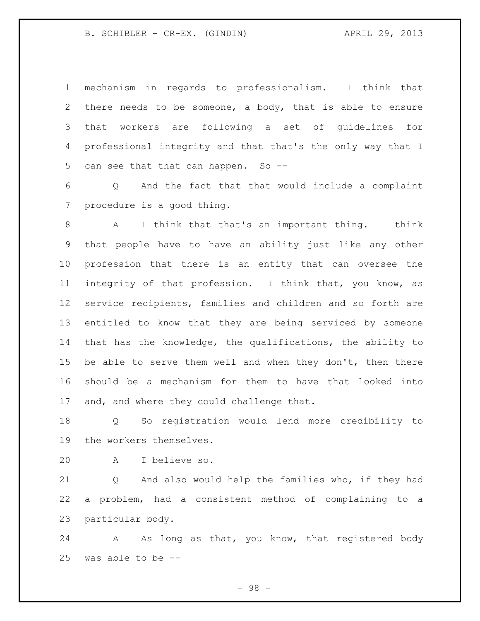mechanism in regards to professionalism. I think that there needs to be someone, a body, that is able to ensure that workers are following a set of guidelines for professional integrity and that that's the only way that I can see that that can happen. So --

 Q And the fact that that would include a complaint procedure is a good thing.

 A I think that that's an important thing. I think that people have to have an ability just like any other profession that there is an entity that can oversee the integrity of that profession. I think that, you know, as service recipients, families and children and so forth are entitled to know that they are being serviced by someone that has the knowledge, the qualifications, the ability to 15 be able to serve them well and when they don't, then there should be a mechanism for them to have that looked into 17 and, and where they could challenge that.

 Q So registration would lend more credibility to the workers themselves.

A I believe so.

 Q And also would help the families who, if they had a problem, had a consistent method of complaining to a particular body.

24 A As long as that, you know, that registered body was able to be --

- 98 -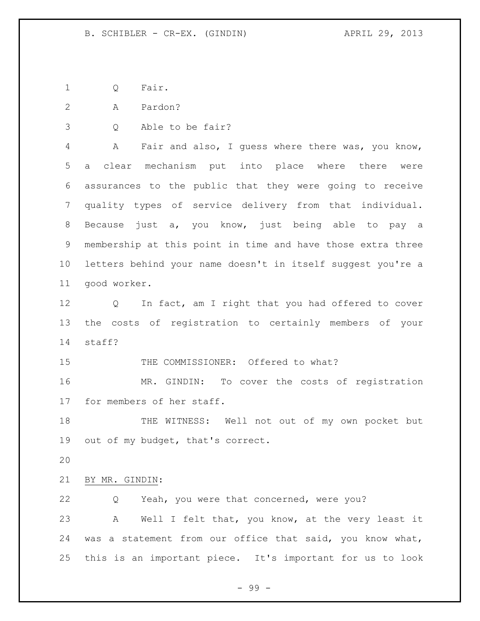Q Fair.

A Pardon?

Q Able to be fair?

 A Fair and also, I guess where there was, you know, a clear mechanism put into place where there were assurances to the public that they were going to receive quality types of service delivery from that individual. Because just a, you know, just being able to pay a membership at this point in time and have those extra three letters behind your name doesn't in itself suggest you're a good worker.

 Q In fact, am I right that you had offered to cover the costs of registration to certainly members of your staff?

15 THE COMMISSIONER: Offered to what?

 MR. GINDIN: To cover the costs of registration for members of her staff.

 THE WITNESS: Well not out of my own pocket but out of my budget, that's correct.

BY MR. GINDIN:

 Q Yeah, you were that concerned, were you? A Well I felt that, you know, at the very least it was a statement from our office that said, you know what, this is an important piece. It's important for us to look

- 99 -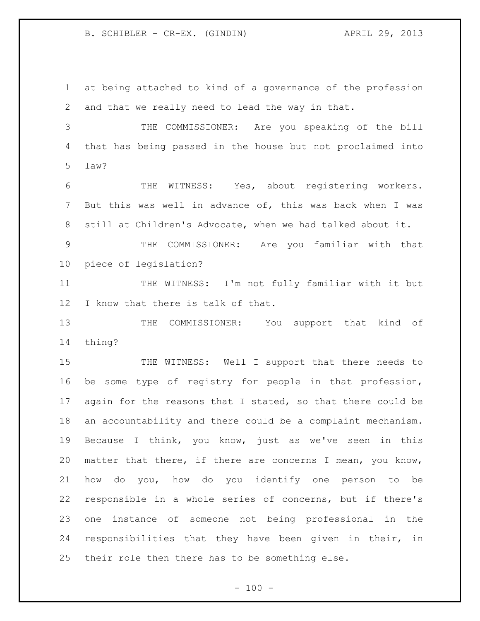at being attached to kind of a governance of the profession and that we really need to lead the way in that.

 THE COMMISSIONER: Are you speaking of the bill that has being passed in the house but not proclaimed into law?

 THE WITNESS: Yes, about registering workers. But this was well in advance of, this was back when I was still at Children's Advocate, when we had talked about it.

 THE COMMISSIONER: Are you familiar with that piece of legislation?

 THE WITNESS: I'm not fully familiar with it but I know that there is talk of that.

13 THE COMMISSIONER: You support that kind of thing?

 THE WITNESS: Well I support that there needs to be some type of registry for people in that profession, 17 again for the reasons that I stated, so that there could be an accountability and there could be a complaint mechanism. Because I think, you know, just as we've seen in this matter that there, if there are concerns I mean, you know, how do you, how do you identify one person to be responsible in a whole series of concerns, but if there's one instance of someone not being professional in the responsibilities that they have been given in their, in their role then there has to be something else.

 $- 100 -$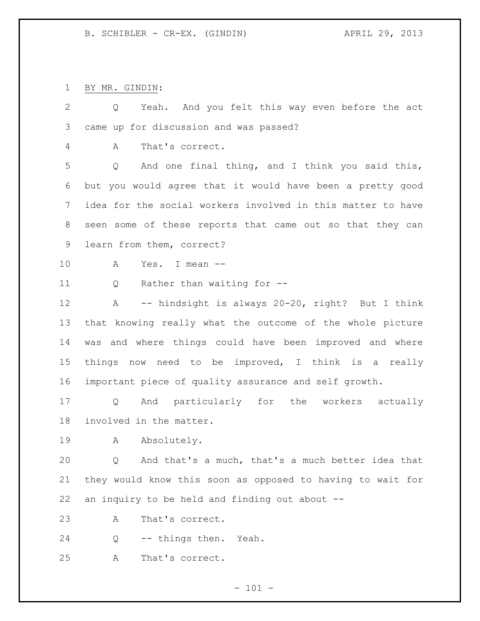BY MR. GINDIN:

| $\mathbf{2}$ | Yeah. And you felt this way even before the act<br>Q        |
|--------------|-------------------------------------------------------------|
| 3            | came up for discussion and was passed?                      |
| 4            | That's correct.<br>A                                        |
| 5            | And one final thing, and I think you said this,<br>Q        |
| 6            | but you would agree that it would have been a pretty good   |
| 7            | idea for the social workers involved in this matter to have |
| 8            | seen some of these reports that came out so that they can   |
| 9            | learn from them, correct?                                   |
| 10           | Yes. I mean --<br>A                                         |
| 11           | Rather than waiting for --<br>Q                             |
| 12           | -- hindsight is always 20-20, right? But I think<br>A       |
| 13           | that knowing really what the outcome of the whole picture   |
| 14           | and where things could have been improved and where<br>was  |
| 15           | things now need to be improved, I think is a really         |
| 16           | important piece of quality assurance and self growth.       |
| 17           | And particularly for the workers actually<br>Q              |
| 18           | involved in the matter.                                     |
| 19           | Absolutely.<br>$\mathbf{A}$                                 |
| 20           | And that's a much, that's a much better idea that<br>Q      |
| 21           | they would know this soon as opposed to having to wait for  |
| 22           | an inquiry to be held and finding out about --              |
| 23           | That's correct.<br>Α                                        |
| 24           | -- things then. Yeah.<br>Q                                  |
| 25           | That's correct.<br>Α                                        |
|              |                                                             |

- 101 -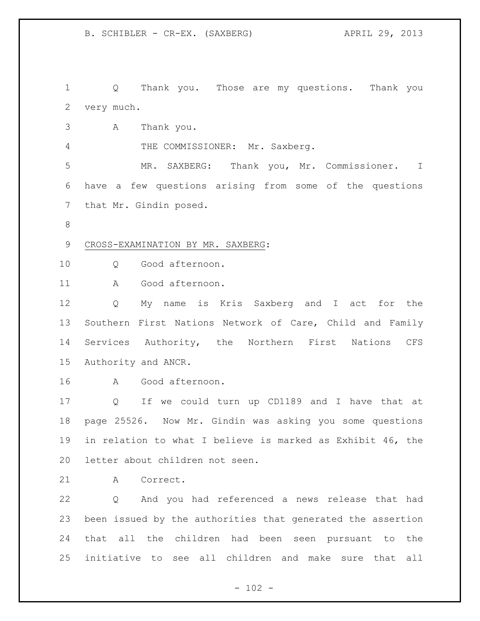Q Thank you. Those are my questions. Thank you very much.

A Thank you.

4 THE COMMISSIONER: Mr. Saxberg.

 MR. SAXBERG: Thank you, Mr. Commissioner. I have a few questions arising from some of the questions that Mr. Gindin posed.

# CROSS-EXAMINATION BY MR. SAXBERG:

10 0 Good afternoon.

A Good afternoon.

 Q My name is Kris Saxberg and I act for the Southern First Nations Network of Care, Child and Family Services Authority, the Northern First Nations CFS Authority and ANCR.

A Good afternoon.

 Q If we could turn up CD1189 and I have that at page 25526. Now Mr. Gindin was asking you some questions in relation to what I believe is marked as Exhibit 46, the letter about children not seen.

A Correct.

 Q And you had referenced a news release that had been issued by the authorities that generated the assertion that all the children had been seen pursuant to the initiative to see all children and make sure that all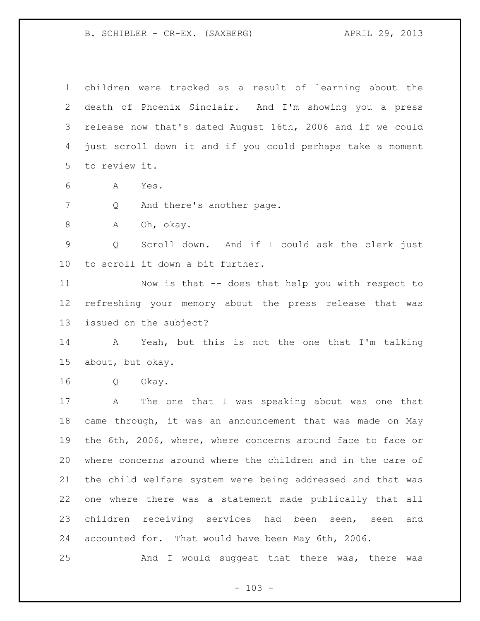B. SCHIBLER - CR-EX. (SAXBERG) APRIL 29, 2013

 children were tracked as a result of learning about the death of Phoenix Sinclair. And I'm showing you a press release now that's dated August 16th, 2006 and if we could just scroll down it and if you could perhaps take a moment to review it.

A Yes.

7 Q And there's another page.

A Oh, okay.

 Q Scroll down. And if I could ask the clerk just to scroll it down a bit further.

 Now is that -- does that help you with respect to refreshing your memory about the press release that was issued on the subject?

 A Yeah, but this is not the one that I'm talking about, but okay.

Q Okay.

 A The one that I was speaking about was one that came through, it was an announcement that was made on May the 6th, 2006, where, where concerns around face to face or where concerns around where the children and in the care of the child welfare system were being addressed and that was one where there was a statement made publically that all children receiving services had been seen, seen and accounted for. That would have been May 6th, 2006.

And I would suggest that there was, there was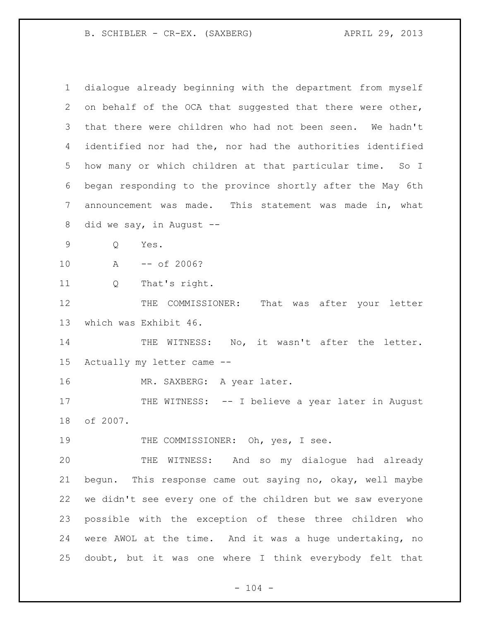B. SCHIBLER - CR-EX. (SAXBERG) APRIL 29, 2013

| $\mathbf{1}$ | dialoque already beginning with the department from myself  |
|--------------|-------------------------------------------------------------|
| 2            | on behalf of the OCA that suggested that there were other,  |
| 3            | that there were children who had not been seen. We hadn't   |
| 4            | identified nor had the, nor had the authorities identified  |
| 5            | how many or which children at that particular time. So I    |
| 6            | began responding to the province shortly after the May 6th  |
| 7            | announcement was made. This statement was made in, what     |
| 8            | did we say, in August --                                    |
| 9            | Yes.<br>Q                                                   |
| 10           | $--$ of 2006?<br>$\mathbb A$                                |
| 11           | That's right.<br>Q                                          |
| 12           | THE COMMISSIONER: That was after your letter                |
| 13           | which was Exhibit 46.                                       |
| 14           | WITNESS: No, it wasn't after the letter.<br>THE             |
| 15           | Actually my letter came --                                  |
| 16           | MR. SAXBERG: A year later.                                  |
| 17           | THE WITNESS: -- I believe a year later in August            |
| 18           | of 2007.                                                    |
| 19           | THE COMMISSIONER: Oh, yes, I see.                           |
| 20           | THE WITNESS: And so my dialogue had already                 |
| 21           | bequn. This response came out saying no, okay, well maybe   |
| 22           | we didn't see every one of the children but we saw everyone |
| 23           | possible with the exception of these three children who     |
| 24           | were AWOL at the time. And it was a huge undertaking, no    |
| 25           | doubt, but it was one where I think everybody felt that     |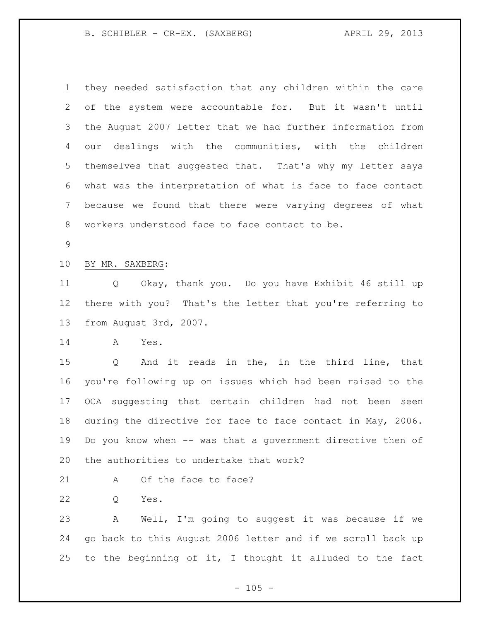B. SCHIBLER - CR-EX. (SAXBERG) APRIL 29, 2013

 they needed satisfaction that any children within the care of the system were accountable for. But it wasn't until the August 2007 letter that we had further information from our dealings with the communities, with the children themselves that suggested that. That's why my letter says what was the interpretation of what is face to face contact because we found that there were varying degrees of what workers understood face to face contact to be.

#### BY MR. SAXBERG:

 Q Okay, thank you. Do you have Exhibit 46 still up there with you? That's the letter that you're referring to from August 3rd, 2007.

A Yes.

 Q And it reads in the, in the third line, that you're following up on issues which had been raised to the OCA suggesting that certain children had not been seen during the directive for face to face contact in May, 2006. Do you know when -- was that a government directive then of the authorities to undertake that work?

21 A Of the face to face?

Q Yes.

 A Well, I'm going to suggest it was because if we go back to this August 2006 letter and if we scroll back up to the beginning of it, I thought it alluded to the fact

 $- 105 -$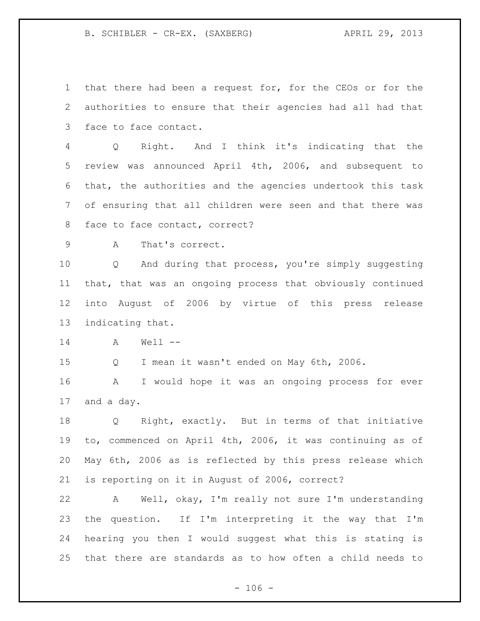B. SCHIBLER - CR-EX. (SAXBERG) APRIL 29, 2013

 that there had been a request for, for the CEOs or for the authorities to ensure that their agencies had all had that face to face contact.

 Q Right. And I think it's indicating that the review was announced April 4th, 2006, and subsequent to that, the authorities and the agencies undertook this task of ensuring that all children were seen and that there was face to face contact, correct?

A That's correct.

 Q And during that process, you're simply suggesting that, that was an ongoing process that obviously continued into August of 2006 by virtue of this press release indicating that.

A Well --

Q I mean it wasn't ended on May 6th, 2006.

 A I would hope it was an ongoing process for ever and a day.

 Q Right, exactly. But in terms of that initiative to, commenced on April 4th, 2006, it was continuing as of May 6th, 2006 as is reflected by this press release which is reporting on it in August of 2006, correct?

 A Well, okay, I'm really not sure I'm understanding the question. If I'm interpreting it the way that I'm hearing you then I would suggest what this is stating is that there are standards as to how often a child needs to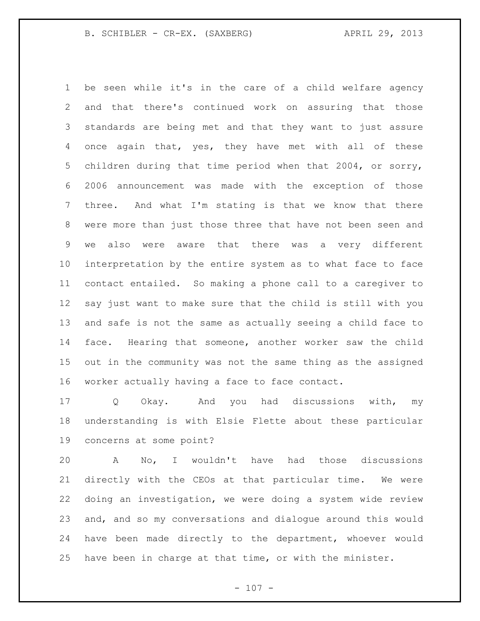B. SCHIBLER - CR-EX. (SAXBERG) APRIL 29, 2013

 be seen while it's in the care of a child welfare agency and that there's continued work on assuring that those standards are being met and that they want to just assure once again that, yes, they have met with all of these children during that time period when that 2004, or sorry, 2006 announcement was made with the exception of those three. And what I'm stating is that we know that there were more than just those three that have not been seen and we also were aware that there was a very different interpretation by the entire system as to what face to face contact entailed. So making a phone call to a caregiver to say just want to make sure that the child is still with you and safe is not the same as actually seeing a child face to face. Hearing that someone, another worker saw the child out in the community was not the same thing as the assigned worker actually having a face to face contact.

 Q Okay. And you had discussions with, my understanding is with Elsie Flette about these particular concerns at some point?

 A No, I wouldn't have had those discussions directly with the CEOs at that particular time. We were doing an investigation, we were doing a system wide review and, and so my conversations and dialogue around this would have been made directly to the department, whoever would have been in charge at that time, or with the minister.

 $- 107 -$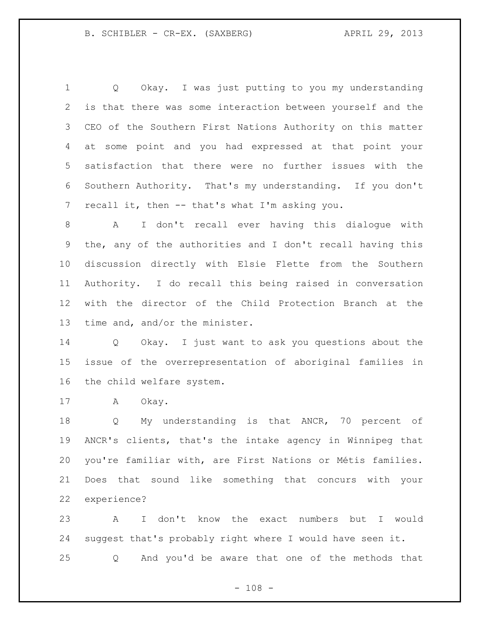Q Okay. I was just putting to you my understanding is that there was some interaction between yourself and the CEO of the Southern First Nations Authority on this matter at some point and you had expressed at that point your satisfaction that there were no further issues with the Southern Authority. That's my understanding. If you don't 7 recall it, then -- that's what I'm asking you.

 A I don't recall ever having this dialogue with the, any of the authorities and I don't recall having this discussion directly with Elsie Flette from the Southern Authority. I do recall this being raised in conversation with the director of the Child Protection Branch at the time and, and/or the minister.

 Q Okay. I just want to ask you questions about the issue of the overrepresentation of aboriginal families in the child welfare system.

A Okay.

18 Q My understanding is that ANCR, 70 percent of ANCR's clients, that's the intake agency in Winnipeg that you're familiar with, are First Nations or Métis families. Does that sound like something that concurs with your experience?

 A I don't know the exact numbers but I would suggest that's probably right where I would have seen it. Q And you'd be aware that one of the methods that

 $- 108 -$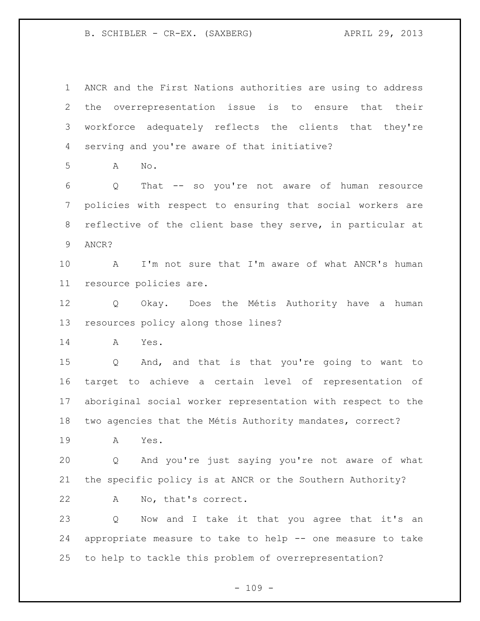B. SCHIBLER - CR-EX. (SAXBERG) APRIL 29, 2013

 ANCR and the First Nations authorities are using to address the overrepresentation issue is to ensure that their workforce adequately reflects the clients that they're serving and you're aware of that initiative?

A No.

 Q That -- so you're not aware of human resource policies with respect to ensuring that social workers are reflective of the client base they serve, in particular at ANCR?

 A I'm not sure that I'm aware of what ANCR's human resource policies are.

 Q Okay. Does the Métis Authority have a human resources policy along those lines?

A Yes.

 Q And, and that is that you're going to want to target to achieve a certain level of representation of aboriginal social worker representation with respect to the two agencies that the Métis Authority mandates, correct?

A Yes.

 Q And you're just saying you're not aware of what the specific policy is at ANCR or the Southern Authority?

A No, that's correct.

 Q Now and I take it that you agree that it's an appropriate measure to take to help -- one measure to take to help to tackle this problem of overrepresentation?

 $- 109 -$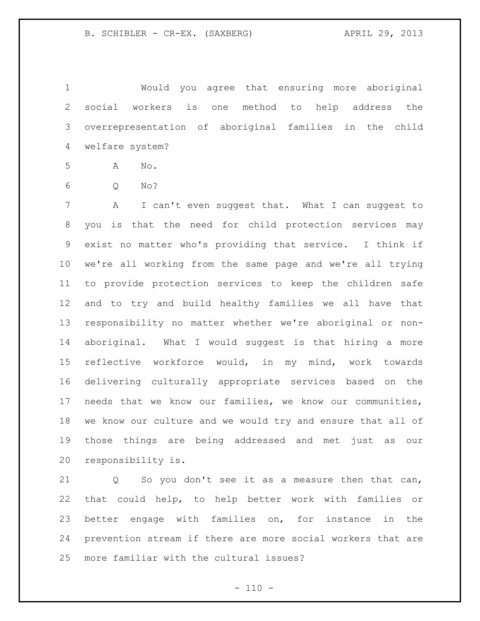Would you agree that ensuring more aboriginal social workers is one method to help address the overrepresentation of aboriginal families in the child welfare system?

A No.

Q No?

 A I can't even suggest that. What I can suggest to you is that the need for child protection services may exist no matter who's providing that service. I think if we're all working from the same page and we're all trying to provide protection services to keep the children safe and to try and build healthy families we all have that responsibility no matter whether we're aboriginal or non- aboriginal. What I would suggest is that hiring a more reflective workforce would, in my mind, work towards delivering culturally appropriate services based on the needs that we know our families, we know our communities, we know our culture and we would try and ensure that all of those things are being addressed and met just as our responsibility is.

 Q So you don't see it as a measure then that can, that could help, to help better work with families or better engage with families on, for instance in the prevention stream if there are more social workers that are more familiar with the cultural issues?

 $- 110 -$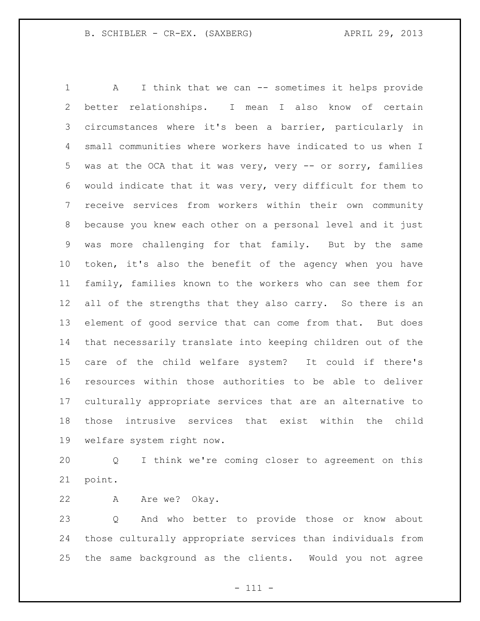1 A I think that we can -- sometimes it helps provide better relationships. I mean I also know of certain circumstances where it's been a barrier, particularly in small communities where workers have indicated to us when I was at the OCA that it was very, very -- or sorry, families would indicate that it was very, very difficult for them to receive services from workers within their own community because you knew each other on a personal level and it just was more challenging for that family. But by the same token, it's also the benefit of the agency when you have family, families known to the workers who can see them for 12 all of the strengths that they also carry. So there is an element of good service that can come from that. But does that necessarily translate into keeping children out of the care of the child welfare system? It could if there's resources within those authorities to be able to deliver culturally appropriate services that are an alternative to those intrusive services that exist within the child welfare system right now.

 Q I think we're coming closer to agreement on this point.

22 A Are we? Okay.

 Q And who better to provide those or know about those culturally appropriate services than individuals from the same background as the clients. Would you not agree

- 111 -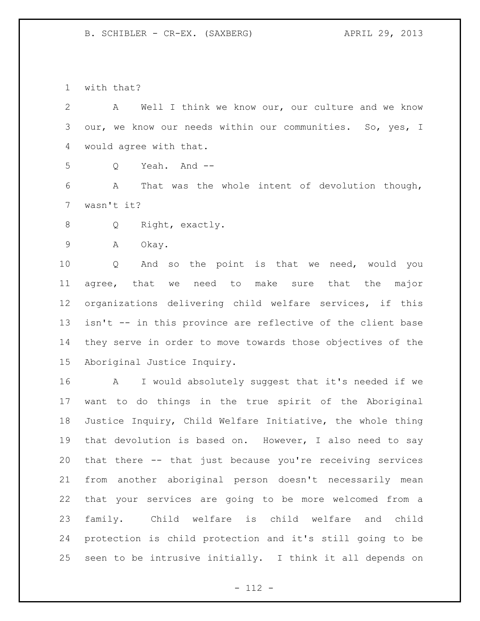B. SCHIBLER - CR-EX. (SAXBERG) APRIL 29, 2013

with that?

 A Well I think we know our, our culture and we know our, we know our needs within our communities. So, yes, I would agree with that.

Q Yeah. And --

 A That was the whole intent of devolution though, wasn't it?

Q Right, exactly.

A Okay.

 Q And so the point is that we need, would you agree, that we need to make sure that the major organizations delivering child welfare services, if this isn't -- in this province are reflective of the client base they serve in order to move towards those objectives of the Aboriginal Justice Inquiry.

 A I would absolutely suggest that it's needed if we want to do things in the true spirit of the Aboriginal Justice Inquiry, Child Welfare Initiative, the whole thing that devolution is based on. However, I also need to say that there -- that just because you're receiving services from another aboriginal person doesn't necessarily mean that your services are going to be more welcomed from a family. Child welfare is child welfare and child protection is child protection and it's still going to be seen to be intrusive initially. I think it all depends on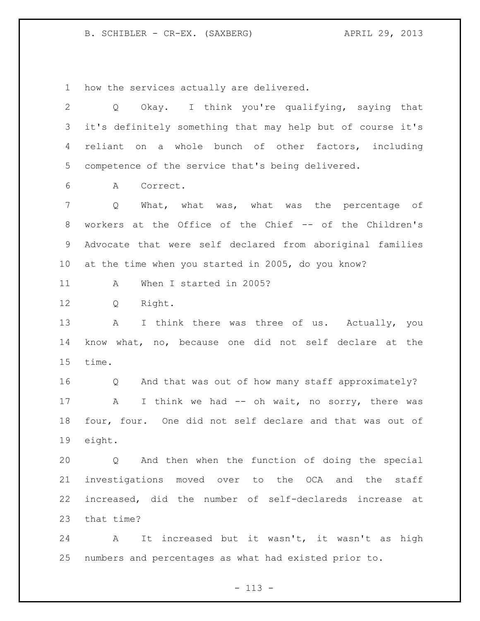B. SCHIBLER - CR-EX. (SAXBERG) APRIL 29, 2013

how the services actually are delivered.

 Q Okay. I think you're qualifying, saying that it's definitely something that may help but of course it's reliant on a whole bunch of other factors, including competence of the service that's being delivered. A Correct. Q What, what was, what was the percentage of workers at the Office of the Chief -- of the Children's Advocate that were self declared from aboriginal families at the time when you started in 2005, do you know? 11 A When I started in 2005? Q Right. 13 A I think there was three of us. Actually, you know what, no, because one did not self declare at the time.

 Q And that was out of how many staff approximately? 17 A I think we had -- oh wait, no sorry, there was four, four. One did not self declare and that was out of eight.

 Q And then when the function of doing the special investigations moved over to the OCA and the staff increased, did the number of self-declareds increase at that time?

 A It increased but it wasn't, it wasn't as high numbers and percentages as what had existed prior to.

- 113 -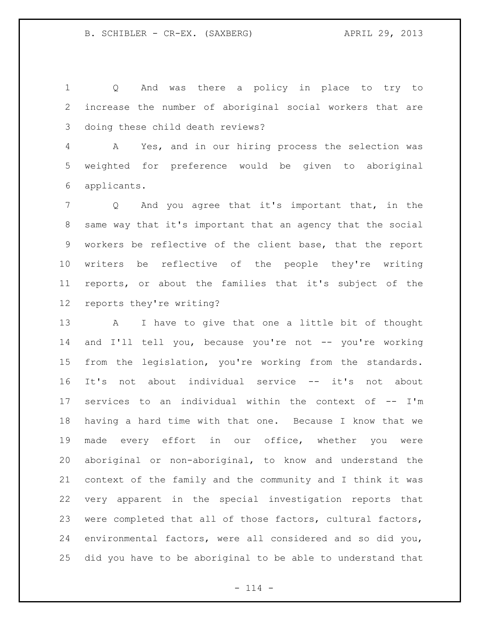Q And was there a policy in place to try to increase the number of aboriginal social workers that are doing these child death reviews?

 A Yes, and in our hiring process the selection was weighted for preference would be given to aboriginal applicants.

 Q And you agree that it's important that, in the same way that it's important that an agency that the social workers be reflective of the client base, that the report writers be reflective of the people they're writing reports, or about the families that it's subject of the reports they're writing?

 A I have to give that one a little bit of thought and I'll tell you, because you're not -- you're working from the legislation, you're working from the standards. It's not about individual service -- it's not about services to an individual within the context of -- I'm having a hard time with that one. Because I know that we made every effort in our office, whether you were aboriginal or non-aboriginal, to know and understand the context of the family and the community and I think it was very apparent in the special investigation reports that were completed that all of those factors, cultural factors, environmental factors, were all considered and so did you, did you have to be aboriginal to be able to understand that

 $- 114 -$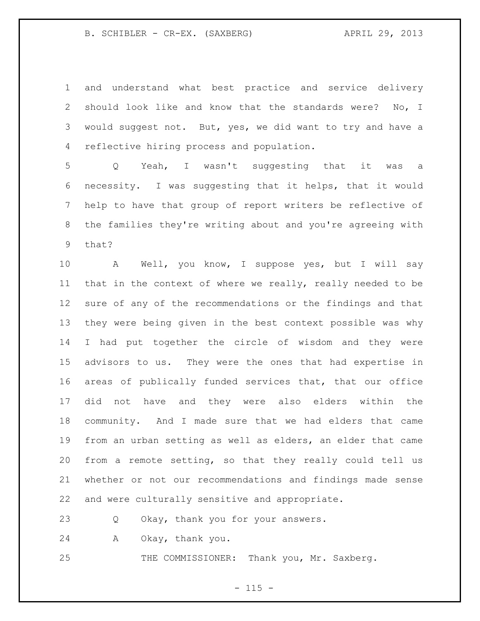## B. SCHIBLER - CR-EX. (SAXBERG) APRIL 29, 2013

 and understand what best practice and service delivery should look like and know that the standards were? No, I would suggest not. But, yes, we did want to try and have a reflective hiring process and population.

 Q Yeah, I wasn't suggesting that it was a necessity. I was suggesting that it helps, that it would help to have that group of report writers be reflective of the families they're writing about and you're agreeing with that?

 A Well, you know, I suppose yes, but I will say that in the context of where we really, really needed to be sure of any of the recommendations or the findings and that they were being given in the best context possible was why I had put together the circle of wisdom and they were advisors to us. They were the ones that had expertise in areas of publically funded services that, that our office did not have and they were also elders within the community. And I made sure that we had elders that came from an urban setting as well as elders, an elder that came from a remote setting, so that they really could tell us whether or not our recommendations and findings made sense and were culturally sensitive and appropriate.

Q Okay, thank you for your answers.

A Okay, thank you.

THE COMMISSIONER: Thank you, Mr. Saxberg.

 $- 115 -$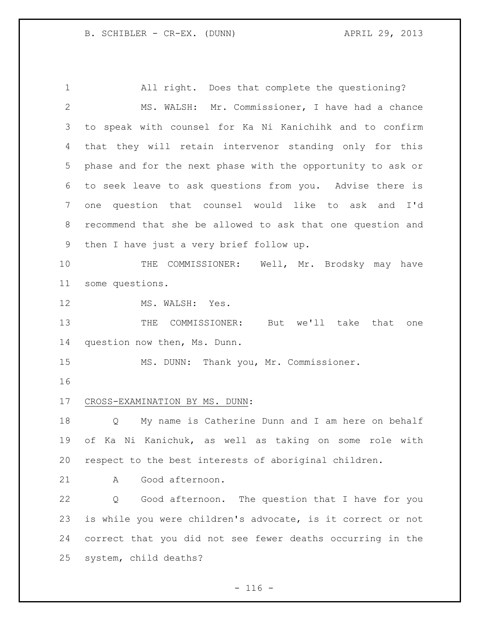All right. Does that complete the questioning? MS. WALSH: Mr. Commissioner, I have had a chance to speak with counsel for Ka Ni Kanichihk and to confirm that they will retain intervenor standing only for this phase and for the next phase with the opportunity to ask or to seek leave to ask questions from you. Advise there is one question that counsel would like to ask and I'd recommend that she be allowed to ask that one question and then I have just a very brief follow up. THE COMMISSIONER: Well, Mr. Brodsky may have some questions. 12 MS. WALSH: Yes. 13 THE COMMISSIONER: But we'll take that one question now then, Ms. Dunn. MS. DUNN: Thank you, Mr. Commissioner. CROSS-EXAMINATION BY MS. DUNN: Q My name is Catherine Dunn and I am here on behalf of Ka Ni Kanichuk, as well as taking on some role with respect to the best interests of aboriginal children. A Good afternoon. Q Good afternoon. The question that I have for you is while you were children's advocate, is it correct or not correct that you did not see fewer deaths occurring in the system, child deaths?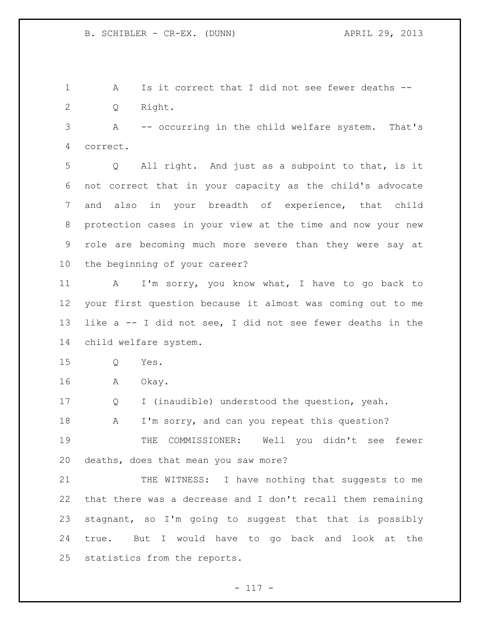A Is it correct that I did not see fewer deaths -- Q Right.

 A -- occurring in the child welfare system. That's correct.

 Q All right. And just as a subpoint to that, is it not correct that in your capacity as the child's advocate and also in your breadth of experience, that child protection cases in your view at the time and now your new role are becoming much more severe than they were say at the beginning of your career?

11 A I'm sorry, you know what, I have to go back to your first question because it almost was coming out to me like a -- I did not see, I did not see fewer deaths in the child welfare system.

Q Yes.

A Okay.

Q I (inaudible) understood the question, yeah.

18 A I'm sorry, and can you repeat this question?

 THE COMMISSIONER: Well you didn't see fewer deaths, does that mean you saw more?

21 THE WITNESS: I have nothing that suggests to me that there was a decrease and I don't recall them remaining stagnant, so I'm going to suggest that that is possibly true. But I would have to go back and look at the statistics from the reports.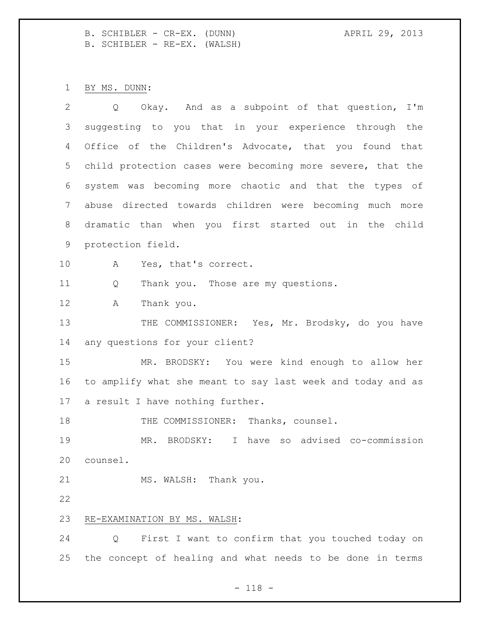B. SCHIBLER - CR-EX. (DUNN) APRIL 29, 2013 B. SCHIBLER - RE-EX. (WALSH)

BY MS. DUNN:

| 2  | Okay. And as a subpoint of that question, I'm<br>$Q \qquad \qquad$ |
|----|--------------------------------------------------------------------|
| 3  | suggesting to you that in your experience through the              |
| 4  | Office of the Children's Advocate, that you found that             |
| 5  | child protection cases were becoming more severe, that the         |
| 6  | system was becoming more chaotic and that the types of             |
| 7  | abuse directed towards children were becoming much more            |
| 8  | dramatic than when you first started out in the child              |
| 9  | protection field.                                                  |
| 10 | Yes, that's correct.<br>A                                          |
| 11 | Thank you. Those are my questions.<br>Q                            |
| 12 | A<br>Thank you.                                                    |
| 13 | THE COMMISSIONER: Yes, Mr. Brodsky, do you have                    |
| 14 | any questions for your client?                                     |
| 15 | MR. BRODSKY: You were kind enough to allow her                     |
| 16 | to amplify what she meant to say last week and today and as        |
| 17 | a result I have nothing further.                                   |
| 18 | THE COMMISSIONER: Thanks, counsel.                                 |
| 19 | I have so advised co-commission<br>MR.<br>BRODSKY:                 |
| 20 | counsel.                                                           |
| 21 | MS. WALSH: Thank you.                                              |
| 22 |                                                                    |
| 23 | RE-EXAMINATION BY MS. WALSH:                                       |
| 24 | First I want to confirm that you touched today on<br>Q             |
| 25 | the concept of healing and what needs to be done in terms          |

- 118 -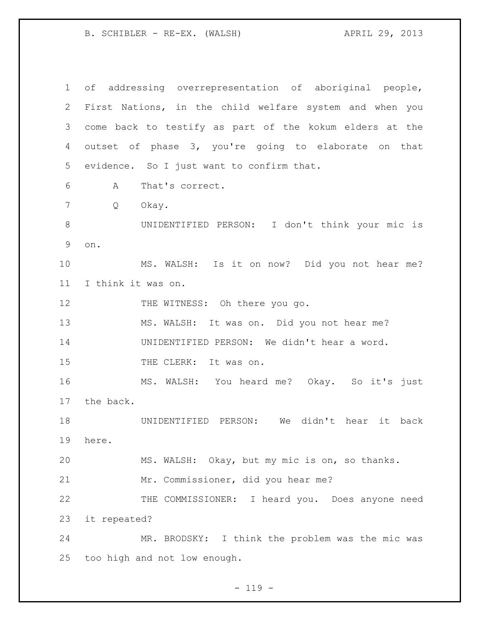B. SCHIBLER - RE-EX. (WALSH) (APRIL 29, 2013)

 of addressing overrepresentation of aboriginal people, First Nations, in the child welfare system and when you come back to testify as part of the kokum elders at the outset of phase 3, you're going to elaborate on that evidence. So I just want to confirm that. A That's correct. Q Okay. UNIDENTIFIED PERSON: I don't think your mic is on. MS. WALSH: Is it on now? Did you not hear me? I think it was on. 12 THE WITNESS: Oh there you go. MS. WALSH: It was on. Did you not hear me? UNIDENTIFIED PERSON: We didn't hear a word. 15 THE CLERK: It was on. MS. WALSH: You heard me? Okay. So it's just the back. UNIDENTIFIED PERSON: We didn't hear it back here. MS. WALSH: Okay, but my mic is on, so thanks. Mr. Commissioner, did you hear me? 22 THE COMMISSIONER: I heard you. Does anyone need it repeated? MR. BRODSKY: I think the problem was the mic was too high and not low enough.

 $- 119 -$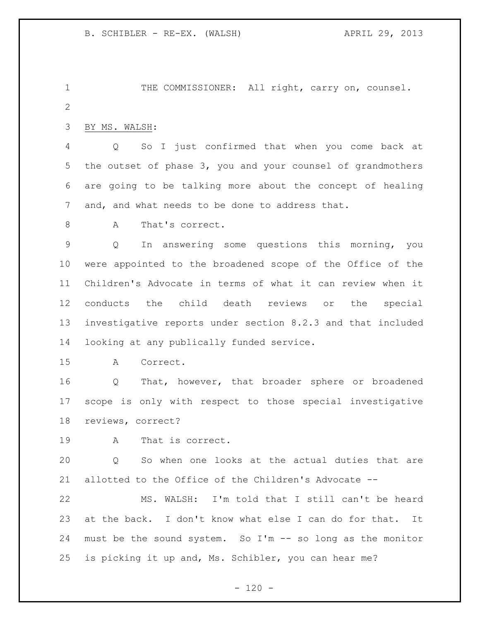1 THE COMMISSIONER: All right, carry on, counsel. 

BY MS. WALSH:

 Q So I just confirmed that when you come back at the outset of phase 3, you and your counsel of grandmothers are going to be talking more about the concept of healing and, and what needs to be done to address that.

8 A That's correct.

 Q In answering some questions this morning, you were appointed to the broadened scope of the Office of the Children's Advocate in terms of what it can review when it conducts the child death reviews or the special investigative reports under section 8.2.3 and that included looking at any publically funded service.

A Correct.

 Q That, however, that broader sphere or broadened scope is only with respect to those special investigative reviews, correct?

A That is correct.

 Q So when one looks at the actual duties that are allotted to the Office of the Children's Advocate --

 MS. WALSH: I'm told that I still can't be heard at the back. I don't know what else I can do for that. It must be the sound system. So I'm -- so long as the monitor is picking it up and, Ms. Schibler, you can hear me?

 $- 120 -$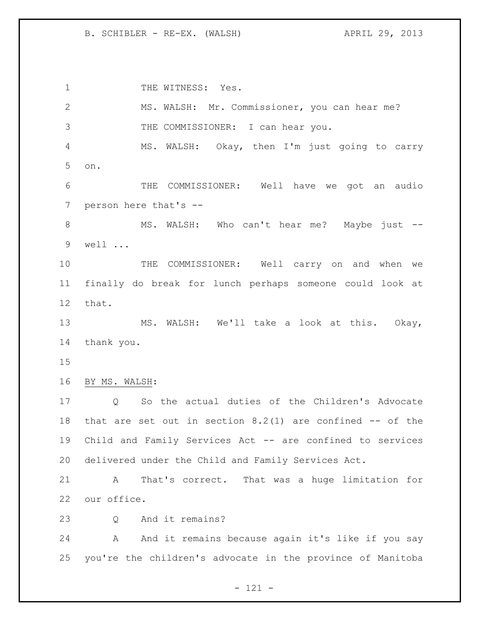B. SCHIBLER - RE-EX. (WALSH) (APRIL 29, 2013)

1 THE WITNESS: Yes. MS. WALSH: Mr. Commissioner, you can hear me? THE COMMISSIONER: I can hear you. MS. WALSH: Okay, then I'm just going to carry on. THE COMMISSIONER: Well have we got an audio person here that's -- MS. WALSH: Who can't hear me? Maybe just -- well ... THE COMMISSIONER: Well carry on and when we finally do break for lunch perhaps someone could look at that. MS. WALSH: We'll take a look at this. Okay, thank you. BY MS. WALSH: Q So the actual duties of the Children's Advocate that are set out in section 8.2(1) are confined -- of the Child and Family Services Act -- are confined to services delivered under the Child and Family Services Act. A That's correct. That was a huge limitation for our office. 23 O And it remains? 24 A And it remains because again it's like if you say you're the children's advocate in the province of Manitoba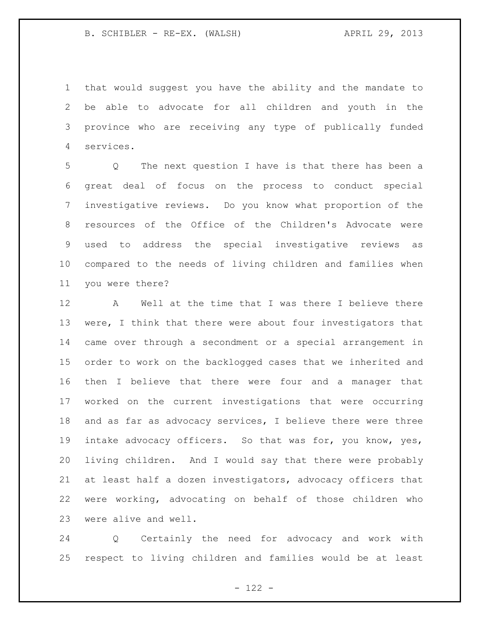that would suggest you have the ability and the mandate to be able to advocate for all children and youth in the province who are receiving any type of publically funded services.

 Q The next question I have is that there has been a great deal of focus on the process to conduct special investigative reviews. Do you know what proportion of the resources of the Office of the Children's Advocate were used to address the special investigative reviews as compared to the needs of living children and families when you were there?

 A Well at the time that I was there I believe there 13 were, I think that there were about four investigators that came over through a secondment or a special arrangement in order to work on the backlogged cases that we inherited and then I believe that there were four and a manager that worked on the current investigations that were occurring 18 and as far as advocacy services, I believe there were three intake advocacy officers. So that was for, you know, yes, living children. And I would say that there were probably at least half a dozen investigators, advocacy officers that were working, advocating on behalf of those children who were alive and well.

 Q Certainly the need for advocacy and work with respect to living children and families would be at least

 $- 122 -$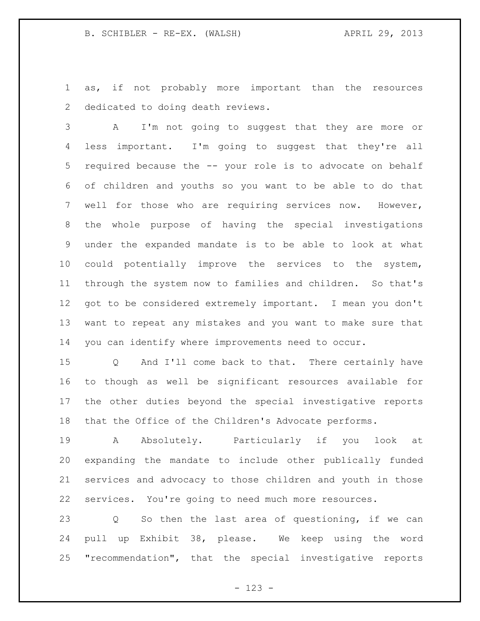as, if not probably more important than the resources dedicated to doing death reviews.

 A I'm not going to suggest that they are more or less important. I'm going to suggest that they're all required because the -- your role is to advocate on behalf of children and youths so you want to be able to do that well for those who are requiring services now. However, the whole purpose of having the special investigations under the expanded mandate is to be able to look at what could potentially improve the services to the system, through the system now to families and children. So that's got to be considered extremely important. I mean you don't want to repeat any mistakes and you want to make sure that you can identify where improvements need to occur.

 Q And I'll come back to that. There certainly have to though as well be significant resources available for the other duties beyond the special investigative reports that the Office of the Children's Advocate performs.

 A Absolutely. Particularly if you look at expanding the mandate to include other publically funded services and advocacy to those children and youth in those services. You're going to need much more resources.

 Q So then the last area of questioning, if we can pull up Exhibit 38, please. We keep using the word "recommendation", that the special investigative reports

- 123 -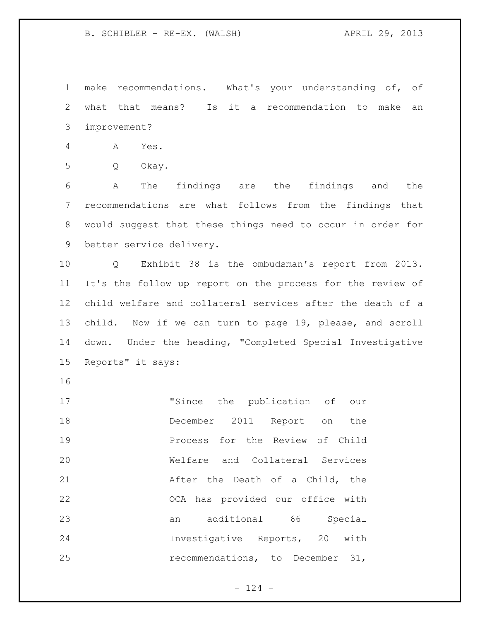B. SCHIBLER - RE-EX. (WALSH) (APRIL 29, 2013)

 make recommendations. What's your understanding of, of what that means? Is it a recommendation to make an improvement?

A Yes.

Q Okay.

 A The findings are the findings and the recommendations are what follows from the findings that would suggest that these things need to occur in order for better service delivery.

 Q Exhibit 38 is the ombudsman's report from 2013. It's the follow up report on the process for the review of child welfare and collateral services after the death of a child. Now if we can turn to page 19, please, and scroll down. Under the heading, "Completed Special Investigative Reports" it says:

 "Since the publication of our December 2011 Report on the **Process for the Review of Child**  Welfare and Collateral Services **After the Death of a Child, the**  OCA has provided our office with an additional 66 Special Investigative Reports, 20 with recommendations, to December 31,

 $- 124 -$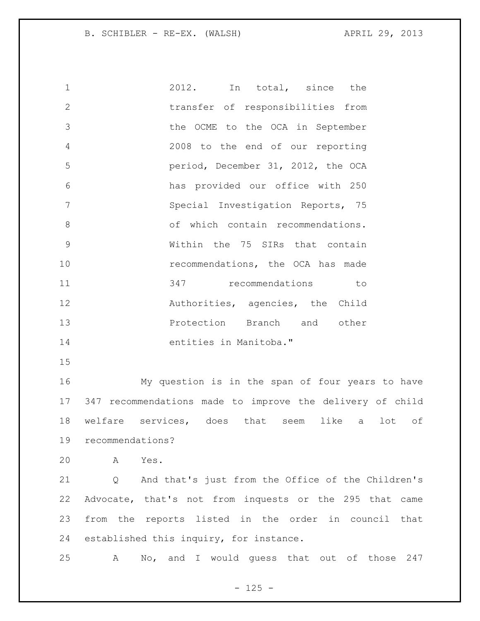B. SCHIBLER - RE-EX. (WALSH) (APRIL 29, 2013)

 2012. In total, since the transfer of responsibilities from the OCME to the OCA in September 2008 to the end of our reporting period, December 31, 2012, the OCA has provided our office with 250 Special Investigation Reports, 75 8 of which contain recommendations. Within the 75 SIRs that contain **10** recommendations, the OCA has made 347 recommendations to **Authorities, agencies, the Child**  Protection Branch and other entities in Manitoba."

 My question is in the span of four years to have 347 recommendations made to improve the delivery of child welfare services, does that seem like a lot of recommendations?

A Yes.

 Q And that's just from the Office of the Children's Advocate, that's not from inquests or the 295 that came from the reports listed in the order in council that established this inquiry, for instance.

A No, and I would guess that out of those 247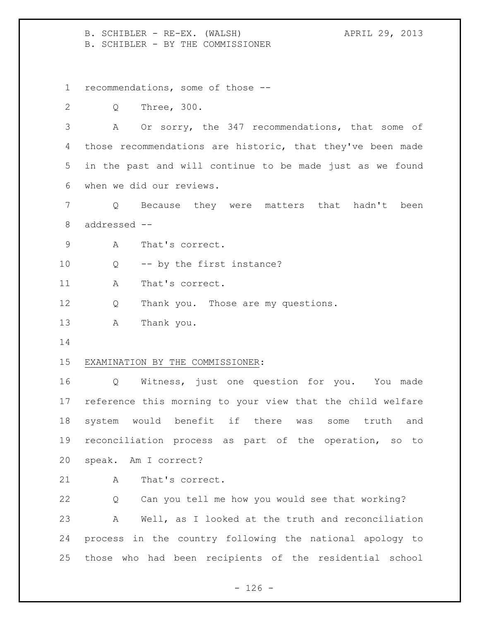B. SCHIBLER - RE-EX. (WALSH) (APRIL 29, 2013) B. SCHIBLER - BY THE COMMISSIONER

recommendations, some of those --

Q Three, 300.

 A Or sorry, the 347 recommendations, that some of those recommendations are historic, that they've been made in the past and will continue to be made just as we found when we did our reviews.

 Q Because they were matters that hadn't been addressed --

- A That's correct.
- Q -- by the first instance?

11 A That's correct.

- Q Thank you. Those are my questions.
- A Thank you.
- 

### EXAMINATION BY THE COMMISSIONER:

 Q Witness, just one question for you. You made reference this morning to your view that the child welfare system would benefit if there was some truth and reconciliation process as part of the operation, so to speak. Am I correct?

21 A That's correct.

 Q Can you tell me how you would see that working? A Well, as I looked at the truth and reconciliation process in the country following the national apology to those who had been recipients of the residential school

 $- 126 -$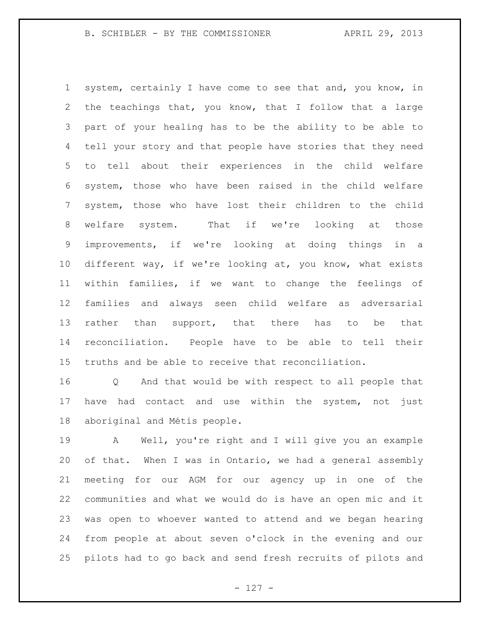B. SCHIBLER - BY THE COMMISSIONER APRIL 29, 2013

 system, certainly I have come to see that and, you know, in the teachings that, you know, that I follow that a large part of your healing has to be the ability to be able to tell your story and that people have stories that they need to tell about their experiences in the child welfare system, those who have been raised in the child welfare system, those who have lost their children to the child welfare system. That if we're looking at those improvements, if we're looking at doing things in a different way, if we're looking at, you know, what exists within families, if we want to change the feelings of families and always seen child welfare as adversarial 13 rather than support, that there has to be that reconciliation. People have to be able to tell their truths and be able to receive that reconciliation.

 Q And that would be with respect to all people that have had contact and use within the system, not just aboriginal and Métis people.

 A Well, you're right and I will give you an example of that. When I was in Ontario, we had a general assembly meeting for our AGM for our agency up in one of the communities and what we would do is have an open mic and it was open to whoever wanted to attend and we began hearing from people at about seven o'clock in the evening and our pilots had to go back and send fresh recruits of pilots and

- 127 -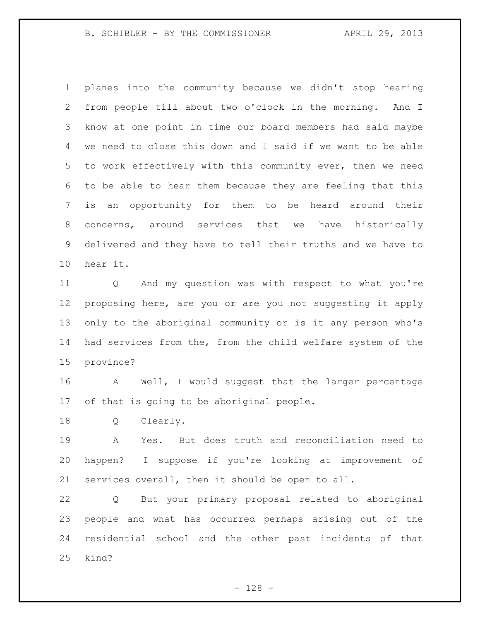B. SCHIBLER - BY THE COMMISSIONER APRIL 29, 2013

 planes into the community because we didn't stop hearing from people till about two o'clock in the morning. And I know at one point in time our board members had said maybe we need to close this down and I said if we want to be able to work effectively with this community ever, then we need to be able to hear them because they are feeling that this is an opportunity for them to be heard around their concerns, around services that we have historically delivered and they have to tell their truths and we have to hear it.

 Q And my question was with respect to what you're proposing here, are you or are you not suggesting it apply only to the aboriginal community or is it any person who's had services from the, from the child welfare system of the province?

 A Well, I would suggest that the larger percentage of that is going to be aboriginal people.

Q Clearly.

 A Yes. But does truth and reconciliation need to happen? I suppose if you're looking at improvement of services overall, then it should be open to all.

 Q But your primary proposal related to aboriginal people and what has occurred perhaps arising out of the residential school and the other past incidents of that kind?

- 128 -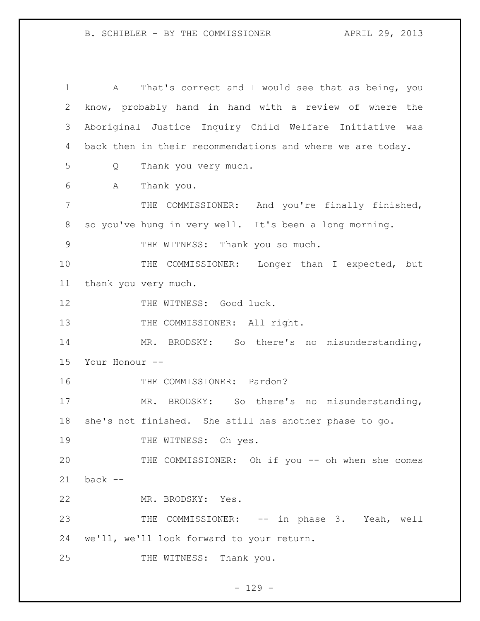A That's correct and I would see that as being, you know, probably hand in hand with a review of where the Aboriginal Justice Inquiry Child Welfare Initiative was back then in their recommendations and where we are today. Q Thank you very much. A Thank you. THE COMMISSIONER: And you're finally finished, so you've hung in very well. It's been a long morning. 9 THE WITNESS: Thank you so much. 10 THE COMMISSIONER: Longer than I expected, but thank you very much. 12 THE WITNESS: Good luck. 13 THE COMMISSIONER: All right. MR. BRODSKY: So there's no misunderstanding, Your Honour -- 16 THE COMMISSIONER: Pardon? MR. BRODSKY: So there's no misunderstanding, she's not finished. She still has another phase to go. 19 THE WITNESS: Oh yes. THE COMMISSIONER: Oh if you -- oh when she comes back -- MR. BRODSKY: Yes. 23 THE COMMISSIONER: -- in phase 3. Yeah, well we'll, we'll look forward to your return. 25 THE WITNESS: Thank you.

- 129 -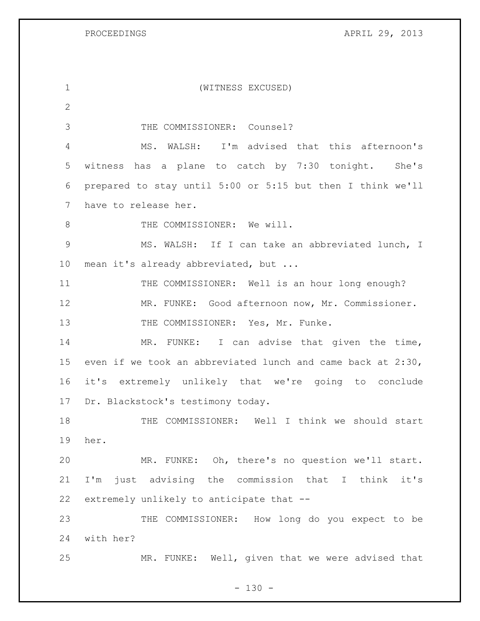PROCEEDINGS APRIL 29, 2013

| $\mathbf 1$     | (WITNESS EXCUSED)                                           |
|-----------------|-------------------------------------------------------------|
| 2               |                                                             |
| 3               | THE COMMISSIONER: Counsel?                                  |
| 4               | WALSH: I'm advised that this afternoon's<br>MS.             |
| 5               | witness has a plane to catch by 7:30 tonight. She's         |
| 6               | prepared to stay until 5:00 or 5:15 but then I think we'll  |
| $7\phantom{.0}$ | have to release her.                                        |
| 8               | THE COMMISSIONER: We will.                                  |
| 9               | MS. WALSH: If I can take an abbreviated lunch, I            |
| 10              | mean it's already abbreviated, but                          |
| 11              | THE COMMISSIONER: Well is an hour long enough?              |
| 12              | MR. FUNKE: Good afternoon now, Mr. Commissioner.            |
| 13              | THE COMMISSIONER: Yes, Mr. Funke.                           |
| 14              | MR. FUNKE: I can advise that given the time,                |
| 15              | even if we took an abbreviated lunch and came back at 2:30, |
| 16              | it's extremely unlikely that we're going to conclude        |
| 17              | Dr. Blackstock's testimony today.                           |
| 18              | THE COMMISSIONER: Well I think we should start              |
| 19              | her.                                                        |
| 20              | MR. FUNKE: Oh, there's no question we'll start.             |
| 21              | I'm just advising the commission that I<br>think it's       |
| 22              | extremely unlikely to anticipate that --                    |
| 23              | THE COMMISSIONER: How long do you expect to be              |
| 24              | with her?                                                   |
| 25              | MR. FUNKE: Well, given that we were advised that            |

- 130 -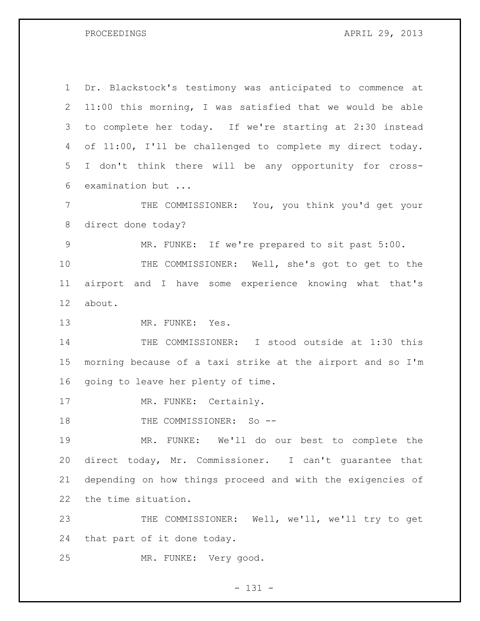PROCEEDINGS APRIL 29, 2013

 Dr. Blackstock's testimony was anticipated to commence at 11:00 this morning, I was satisfied that we would be able to complete her today. If we're starting at 2:30 instead of 11:00, I'll be challenged to complete my direct today. I don't think there will be any opportunity for cross- examination but ... THE COMMISSIONER: You, you think you'd get your direct done today?

MR. FUNKE: If we're prepared to sit past 5:00.

 THE COMMISSIONER: Well, she's got to get to the airport and I have some experience knowing what that's about.

MR. FUNKE: Yes.

 THE COMMISSIONER: I stood outside at 1:30 this morning because of a taxi strike at the airport and so I'm going to leave her plenty of time.

17 MR. FUNKE: Certainly.

18 THE COMMISSIONER: So --

 MR. FUNKE: We'll do our best to complete the direct today, Mr. Commissioner. I can't guarantee that depending on how things proceed and with the exigencies of the time situation.

 THE COMMISSIONER: Well, we'll, we'll try to get that part of it done today.

MR. FUNKE: Very good.

- 131 -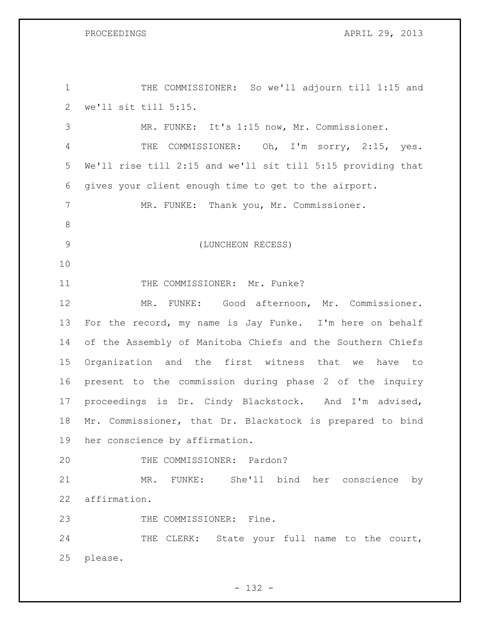GS APRIL 29, 2013

| $\mathbf 1$   | THE COMMISSIONER: So we'll adjourn till 1:15 and            |
|---------------|-------------------------------------------------------------|
| $\mathbf{2}$  | we'll sit till 5:15.                                        |
| 3             | MR. FUNKE: It's 1:15 now, Mr. Commissioner.                 |
| 4             | COMMISSIONER: Oh, I'm sorry, 2:15, yes.<br>THE              |
| 5             | We'll rise till 2:15 and we'll sit till 5:15 providing that |
| 6             | gives your client enough time to get to the airport.        |
| 7             | MR. FUNKE: Thank you, Mr. Commissioner.                     |
| 8             |                                                             |
| $\mathcal{G}$ | (LUNCHEON RECESS)                                           |
| 10            |                                                             |
| 11            | THE COMMISSIONER: Mr. Funke?                                |
| 12            | FUNKE: Good afternoon, Mr. Commissioner.<br>MR.             |
| 13            | For the record, my name is Jay Funke. I'm here on behalf    |
| 14            | of the Assembly of Manitoba Chiefs and the Southern Chiefs  |
| 15            | Organization and the first witness that we have to          |
| 16            | present to the commission during phase 2 of the inquiry     |
| 17            | proceedings is Dr. Cindy Blackstock. And I'm advised,       |
| 18            | Mr. Commissioner, that Dr. Blackstock is prepared to bind   |
| 19            | her conscience by affirmation.                              |
| 20            | THE COMMISSIONER: Pardon?                                   |
| 21            | MR. FUNKE: She'll bind her conscience by                    |
| 22            | affirmation.                                                |
| 23            | THE COMMISSIONER: Fine.                                     |
| 24            | THE CLERK: State your full name to the court,               |
| 25            | please.                                                     |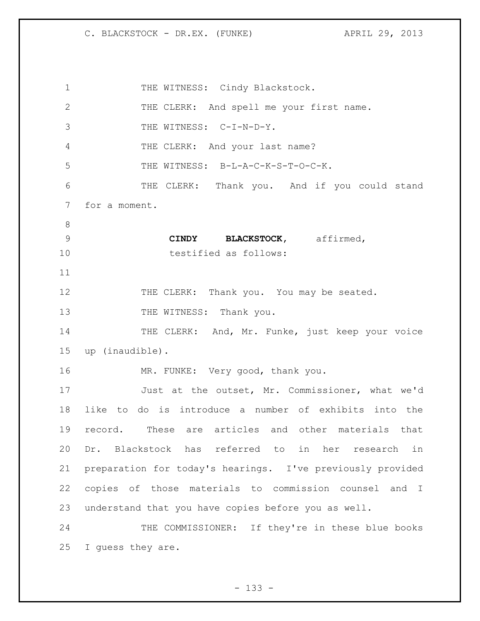1 THE WITNESS: Cindy Blackstock. THE CLERK: And spell me your first name. 3 THE WITNESS: C-I-N-D-Y. THE CLERK: And your last name? 5 THE WITNESS: B-L-A-C-K-S-T-O-C-K. THE CLERK: Thank you. And if you could stand for a moment. **CINDY BLACKSTOCK,** affirmed, testified as follows: 12 THE CLERK: Thank you. You may be seated. 13 THE WITNESS: Thank you. 14 THE CLERK: And, Mr. Funke, just keep your voice up (inaudible). 16 MR. FUNKE: Very good, thank you. Just at the outset, Mr. Commissioner, what we'd like to do is introduce a number of exhibits into the record. These are articles and other materials that Dr. Blackstock has referred to in her research in preparation for today's hearings. I've previously provided copies of those materials to commission counsel and I understand that you have copies before you as well. THE COMMISSIONER: If they're in these blue books I guess they are.

- 133 -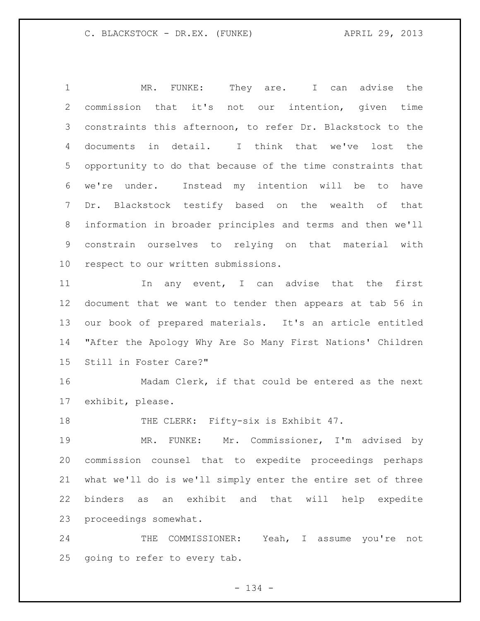MR. FUNKE: They are. I can advise the commission that it's not our intention, given time constraints this afternoon, to refer Dr. Blackstock to the documents in detail. I think that we've lost the opportunity to do that because of the time constraints that we're under. Instead my intention will be to have Dr. Blackstock testify based on the wealth of that information in broader principles and terms and then we'll constrain ourselves to relying on that material with respect to our written submissions.

11 11 In any event, I can advise that the first document that we want to tender then appears at tab 56 in our book of prepared materials. It's an article entitled "After the Apology Why Are So Many First Nations' Children Still in Foster Care?"

 Madam Clerk, if that could be entered as the next exhibit, please.

18 THE CLERK: Fifty-six is Exhibit 47.

 MR. FUNKE: Mr. Commissioner, I'm advised by commission counsel that to expedite proceedings perhaps what we'll do is we'll simply enter the entire set of three binders as an exhibit and that will help expedite proceedings somewhat.

24 THE COMMISSIONER: Yeah, I assume you're not going to refer to every tab.

- 134 -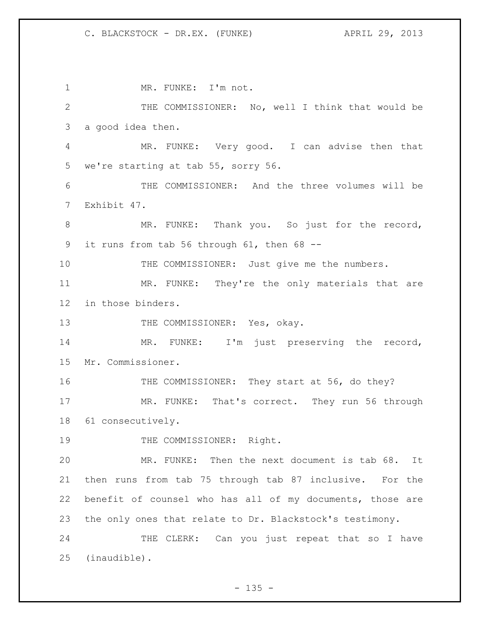1 MR. FUNKE: I'm not. THE COMMISSIONER: No, well I think that would be a good idea then. MR. FUNKE: Very good. I can advise then that we're starting at tab 55, sorry 56. THE COMMISSIONER: And the three volumes will be Exhibit 47. MR. FUNKE: Thank you. So just for the record, it runs from tab 56 through 61, then 68 -- 10 THE COMMISSIONER: Just give me the numbers. MR. FUNKE: They're the only materials that are in those binders. 13 THE COMMISSIONER: Yes, okay. MR. FUNKE: I'm just preserving the record, Mr. Commissioner. 16 THE COMMISSIONER: They start at 56, do they? MR. FUNKE: That's correct. They run 56 through 61 consecutively. 19 THE COMMISSIONER: Right. MR. FUNKE: Then the next document is tab 68. It then runs from tab 75 through tab 87 inclusive. For the benefit of counsel who has all of my documents, those are the only ones that relate to Dr. Blackstock's testimony. 24 THE CLERK: Can you just repeat that so I have (inaudible).

 $- 135 -$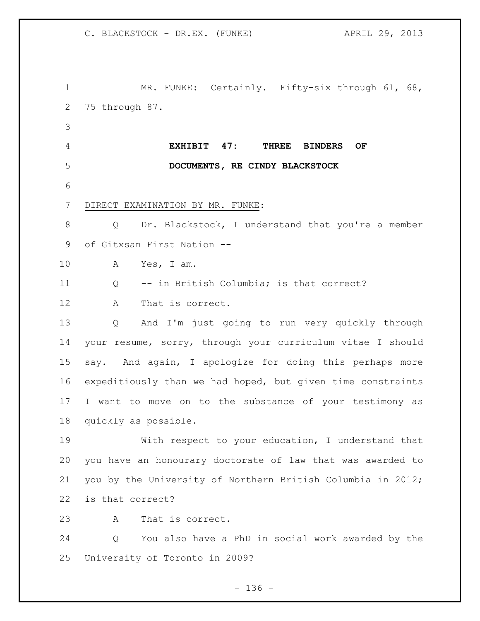MR. FUNKE: Certainly. Fifty-six through 61, 68, 75 through 87. **EXHIBIT 47: THREE BINDERS OF DOCUMENTS, RE CINDY BLACKSTOCK** DIRECT EXAMINATION BY MR. FUNKE: Q Dr. Blackstock, I understand that you're a member of Gitxsan First Nation -- A Yes, I am. Q -- in British Columbia; is that correct? A That is correct. Q And I'm just going to run very quickly through your resume, sorry, through your curriculum vitae I should say. And again, I apologize for doing this perhaps more expeditiously than we had hoped, but given time constraints I want to move on to the substance of your testimony as quickly as possible. With respect to your education, I understand that you have an honourary doctorate of law that was awarded to you by the University of Northern British Columbia in 2012; is that correct? A That is correct. Q You also have a PhD in social work awarded by the University of Toronto in 2009?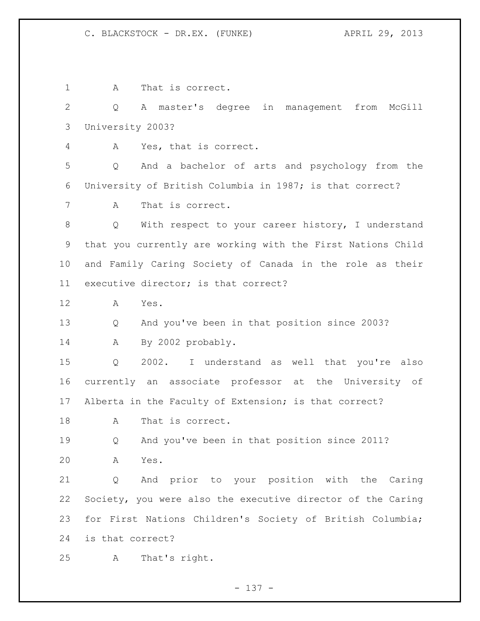1 A That is correct. Q A master's degree in management from McGill University 2003? A Yes, that is correct. Q And a bachelor of arts and psychology from the University of British Columbia in 1987; is that correct? A That is correct. Q With respect to your career history, I understand that you currently are working with the First Nations Child and Family Caring Society of Canada in the role as their executive director; is that correct? A Yes. Q And you've been in that position since 2003? A By 2002 probably. Q 2002. I understand as well that you're also currently an associate professor at the University of Alberta in the Faculty of Extension; is that correct? A That is correct. Q And you've been in that position since 2011? A Yes. Q And prior to your position with the Caring Society, you were also the executive director of the Caring for First Nations Children's Society of British Columbia; is that correct? A That's right.

- 137 -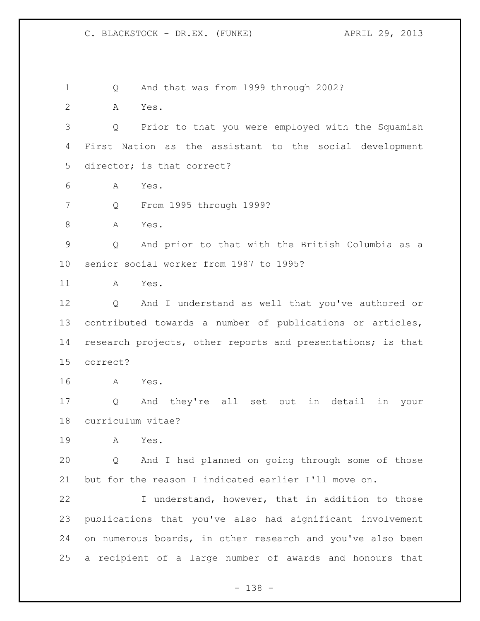Q And that was from 1999 through 2002?

A Yes.

 Q Prior to that you were employed with the Squamish First Nation as the assistant to the social development director; is that correct?

A Yes.

Q From 1995 through 1999?

A Yes.

 Q And prior to that with the British Columbia as a senior social worker from 1987 to 1995?

A Yes.

 Q And I understand as well that you've authored or contributed towards a number of publications or articles, research projects, other reports and presentations; is that correct?

A Yes.

 Q And they're all set out in detail in your curriculum vitae?

A Yes.

 Q And I had planned on going through some of those but for the reason I indicated earlier I'll move on.

 I understand, however, that in addition to those publications that you've also had significant involvement 24 on numerous boards, in other research and you've also been a recipient of a large number of awards and honours that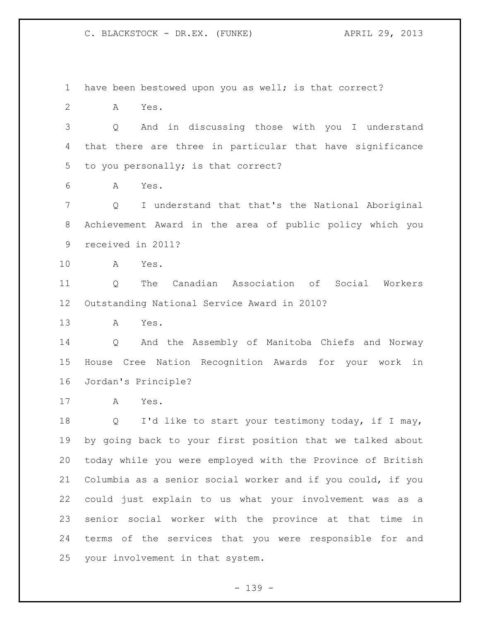have been bestowed upon you as well; is that correct? A Yes. Q And in discussing those with you I understand that there are three in particular that have significance to you personally; is that correct? A Yes. Q I understand that that's the National Aboriginal Achievement Award in the area of public policy which you received in 2011? A Yes. Q The Canadian Association of Social Workers Outstanding National Service Award in 2010? A Yes. Q And the Assembly of Manitoba Chiefs and Norway House Cree Nation Recognition Awards for your work in Jordan's Principle? A Yes. 18 Q I'd like to start your testimony today, if I may, by going back to your first position that we talked about today while you were employed with the Province of British Columbia as a senior social worker and if you could, if you could just explain to us what your involvement was as a senior social worker with the province at that time in terms of the services that you were responsible for and your involvement in that system.

- 139 -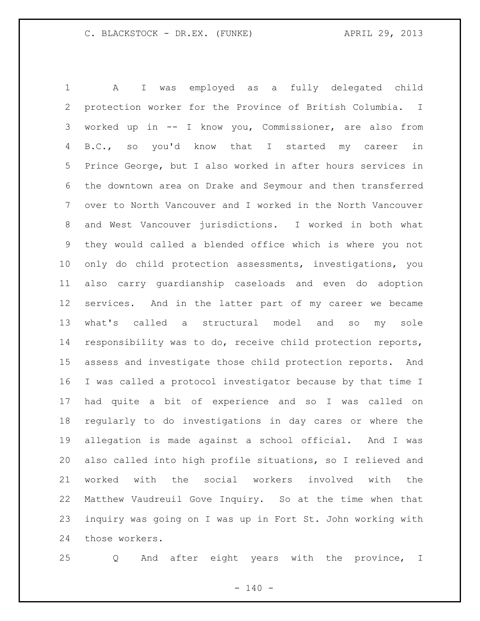A I was employed as a fully delegated child protection worker for the Province of British Columbia. I worked up in -- I know you, Commissioner, are also from B.C., so you'd know that I started my career in Prince George, but I also worked in after hours services in the downtown area on Drake and Seymour and then transferred over to North Vancouver and I worked in the North Vancouver and West Vancouver jurisdictions. I worked in both what they would called a blended office which is where you not only do child protection assessments, investigations, you also carry guardianship caseloads and even do adoption services. And in the latter part of my career we became what's called a structural model and so my sole responsibility was to do, receive child protection reports, assess and investigate those child protection reports. And I was called a protocol investigator because by that time I had quite a bit of experience and so I was called on regularly to do investigations in day cares or where the allegation is made against a school official. And I was also called into high profile situations, so I relieved and worked with the social workers involved with the Matthew Vaudreuil Gove Inquiry. So at the time when that inquiry was going on I was up in Fort St. John working with those workers.

Q And after eight years with the province, I

 $- 140 -$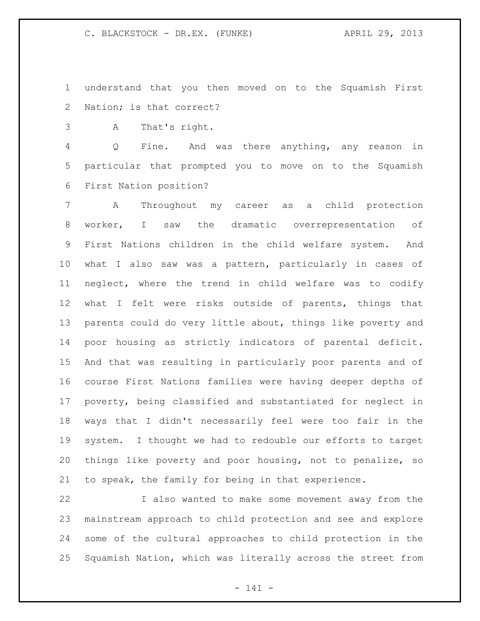understand that you then moved on to the Squamish First Nation; is that correct?

A That's right.

 Q Fine. And was there anything, any reason in particular that prompted you to move on to the Squamish First Nation position?

 A Throughout my career as a child protection worker, I saw the dramatic overrepresentation of First Nations children in the child welfare system. And what I also saw was a pattern, particularly in cases of neglect, where the trend in child welfare was to codify what I felt were risks outside of parents, things that parents could do very little about, things like poverty and poor housing as strictly indicators of parental deficit. And that was resulting in particularly poor parents and of course First Nations families were having deeper depths of poverty, being classified and substantiated for neglect in ways that I didn't necessarily feel were too fair in the system. I thought we had to redouble our efforts to target things like poverty and poor housing, not to penalize, so to speak, the family for being in that experience.

 I also wanted to make some movement away from the mainstream approach to child protection and see and explore some of the cultural approaches to child protection in the Squamish Nation, which was literally across the street from

- 141 -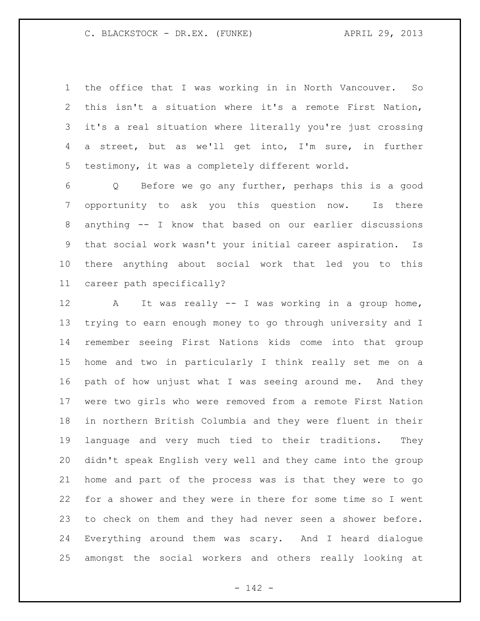the office that I was working in in North Vancouver. So this isn't a situation where it's a remote First Nation, it's a real situation where literally you're just crossing a street, but as we'll get into, I'm sure, in further testimony, it was a completely different world.

 Q Before we go any further, perhaps this is a good opportunity to ask you this question now. Is there anything -- I know that based on our earlier discussions that social work wasn't your initial career aspiration. Is there anything about social work that led you to this career path specifically?

 A It was really -- I was working in a group home, trying to earn enough money to go through university and I remember seeing First Nations kids come into that group home and two in particularly I think really set me on a path of how unjust what I was seeing around me. And they were two girls who were removed from a remote First Nation in northern British Columbia and they were fluent in their language and very much tied to their traditions. They didn't speak English very well and they came into the group home and part of the process was is that they were to go for a shower and they were in there for some time so I went to check on them and they had never seen a shower before. Everything around them was scary. And I heard dialogue amongst the social workers and others really looking at

- 142 -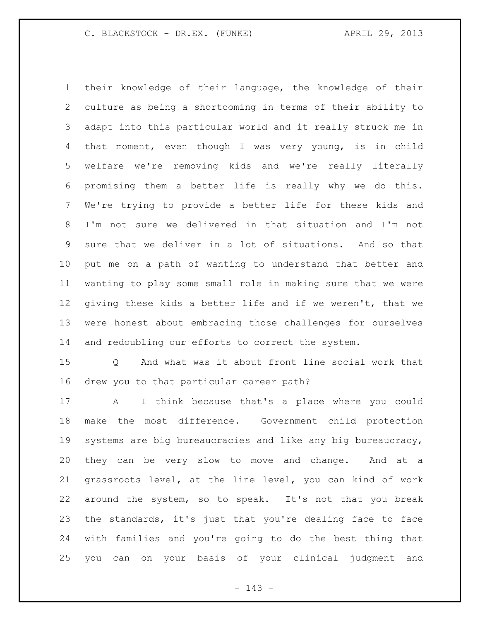their knowledge of their language, the knowledge of their culture as being a shortcoming in terms of their ability to adapt into this particular world and it really struck me in that moment, even though I was very young, is in child welfare we're removing kids and we're really literally promising them a better life is really why we do this. We're trying to provide a better life for these kids and I'm not sure we delivered in that situation and I'm not sure that we deliver in a lot of situations. And so that put me on a path of wanting to understand that better and wanting to play some small role in making sure that we were giving these kids a better life and if we weren't, that we were honest about embracing those challenges for ourselves and redoubling our efforts to correct the system.

 Q And what was it about front line social work that drew you to that particular career path?

 A I think because that's a place where you could make the most difference. Government child protection systems are big bureaucracies and like any big bureaucracy, they can be very slow to move and change. And at a grassroots level, at the line level, you can kind of work around the system, so to speak. It's not that you break the standards, it's just that you're dealing face to face with families and you're going to do the best thing that you can on your basis of your clinical judgment and

- 143 -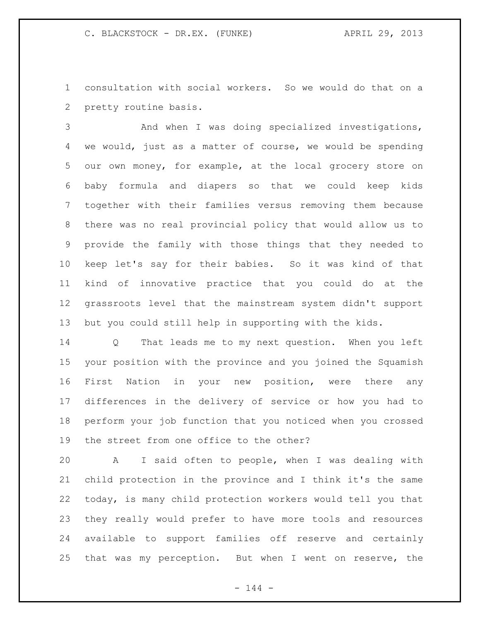consultation with social workers. So we would do that on a pretty routine basis.

 And when I was doing specialized investigations, we would, just as a matter of course, we would be spending our own money, for example, at the local grocery store on baby formula and diapers so that we could keep kids together with their families versus removing them because there was no real provincial policy that would allow us to provide the family with those things that they needed to keep let's say for their babies. So it was kind of that kind of innovative practice that you could do at the grassroots level that the mainstream system didn't support but you could still help in supporting with the kids.

 Q That leads me to my next question. When you left your position with the province and you joined the Squamish First Nation in your new position, were there any differences in the delivery of service or how you had to perform your job function that you noticed when you crossed the street from one office to the other?

 A I said often to people, when I was dealing with child protection in the province and I think it's the same today, is many child protection workers would tell you that they really would prefer to have more tools and resources available to support families off reserve and certainly that was my perception. But when I went on reserve, the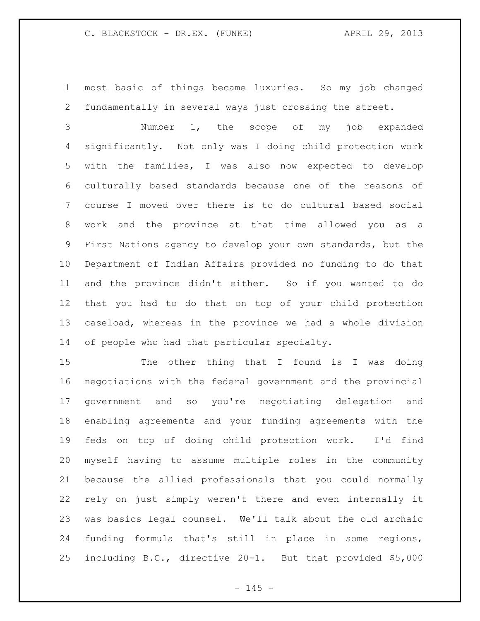most basic of things became luxuries. So my job changed fundamentally in several ways just crossing the street.

 Number 1, the scope of my job expanded significantly. Not only was I doing child protection work with the families, I was also now expected to develop culturally based standards because one of the reasons of course I moved over there is to do cultural based social work and the province at that time allowed you as a First Nations agency to develop your own standards, but the Department of Indian Affairs provided no funding to do that and the province didn't either. So if you wanted to do that you had to do that on top of your child protection caseload, whereas in the province we had a whole division of people who had that particular specialty.

15 The other thing that I found is I was doing negotiations with the federal government and the provincial government and so you're negotiating delegation and enabling agreements and your funding agreements with the feds on top of doing child protection work. I'd find myself having to assume multiple roles in the community because the allied professionals that you could normally rely on just simply weren't there and even internally it was basics legal counsel. We'll talk about the old archaic funding formula that's still in place in some regions, including B.C., directive 20-1. But that provided \$5,000

 $- 145 -$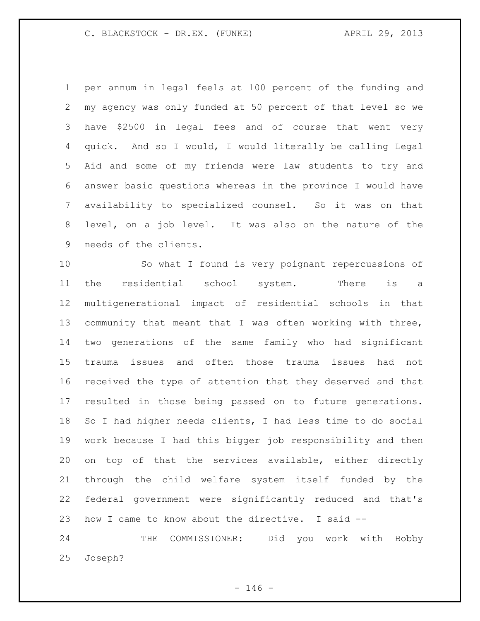per annum in legal feels at 100 percent of the funding and my agency was only funded at 50 percent of that level so we have \$2500 in legal fees and of course that went very quick. And so I would, I would literally be calling Legal Aid and some of my friends were law students to try and answer basic questions whereas in the province I would have availability to specialized counsel. So it was on that level, on a job level. It was also on the nature of the needs of the clients.

 So what I found is very poignant repercussions of the residential school system. There is a multigenerational impact of residential schools in that community that meant that I was often working with three, two generations of the same family who had significant trauma issues and often those trauma issues had not received the type of attention that they deserved and that resulted in those being passed on to future generations. So I had higher needs clients, I had less time to do social work because I had this bigger job responsibility and then on top of that the services available, either directly through the child welfare system itself funded by the federal government were significantly reduced and that's how I came to know about the directive. I said --

 THE COMMISSIONER: Did you work with Bobby Joseph?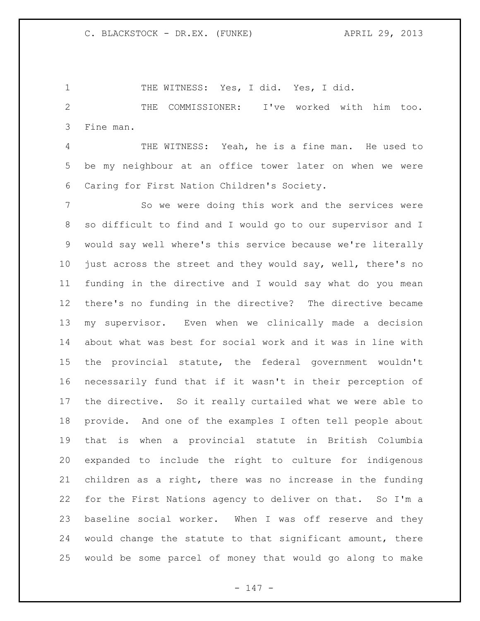1 THE WITNESS: Yes, I did. Yes, I did. THE COMMISSIONER: I've worked with him too. Fine man.

 THE WITNESS: Yeah, he is a fine man. He used to be my neighbour at an office tower later on when we were Caring for First Nation Children's Society.

 So we were doing this work and the services were so difficult to find and I would go to our supervisor and I would say well where's this service because we're literally just across the street and they would say, well, there's no funding in the directive and I would say what do you mean there's no funding in the directive? The directive became my supervisor. Even when we clinically made a decision about what was best for social work and it was in line with the provincial statute, the federal government wouldn't necessarily fund that if it wasn't in their perception of the directive. So it really curtailed what we were able to provide. And one of the examples I often tell people about that is when a provincial statute in British Columbia expanded to include the right to culture for indigenous children as a right, there was no increase in the funding for the First Nations agency to deliver on that. So I'm a baseline social worker. When I was off reserve and they would change the statute to that significant amount, there would be some parcel of money that would go along to make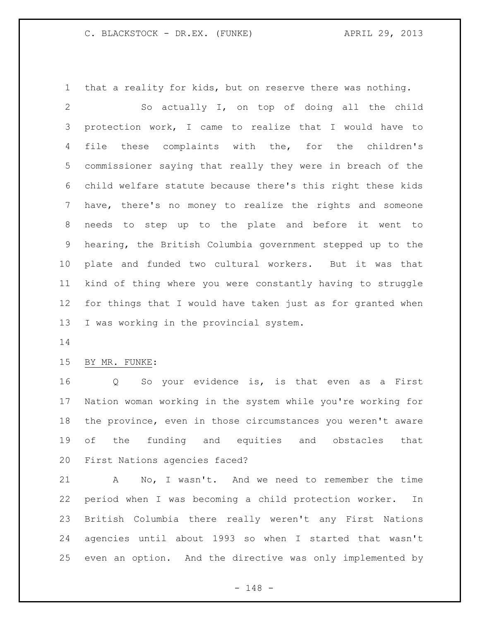that a reality for kids, but on reserve there was nothing.

 So actually I, on top of doing all the child protection work, I came to realize that I would have to file these complaints with the, for the children's commissioner saying that really they were in breach of the child welfare statute because there's this right these kids have, there's no money to realize the rights and someone needs to step up to the plate and before it went to hearing, the British Columbia government stepped up to the plate and funded two cultural workers. But it was that kind of thing where you were constantly having to struggle for things that I would have taken just as for granted when I was working in the provincial system.

### BY MR. FUNKE:

 Q So your evidence is, is that even as a First Nation woman working in the system while you're working for the province, even in those circumstances you weren't aware of the funding and equities and obstacles that First Nations agencies faced?

 A No, I wasn't. And we need to remember the time period when I was becoming a child protection worker. In British Columbia there really weren't any First Nations agencies until about 1993 so when I started that wasn't even an option. And the directive was only implemented by

- 148 -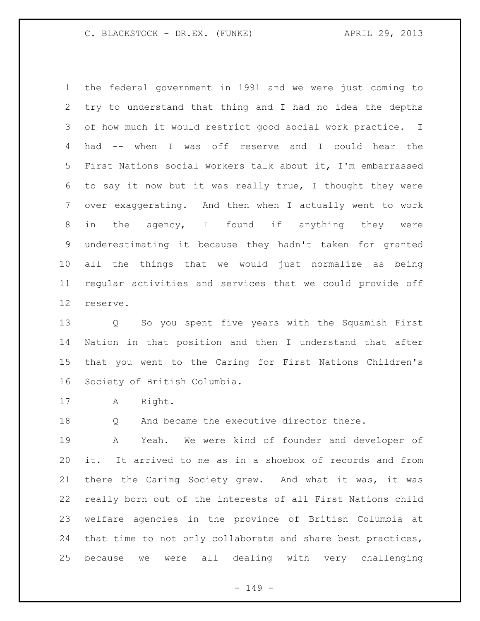the federal government in 1991 and we were just coming to try to understand that thing and I had no idea the depths of how much it would restrict good social work practice. I had -- when I was off reserve and I could hear the First Nations social workers talk about it, I'm embarrassed to say it now but it was really true, I thought they were over exaggerating. And then when I actually went to work in the agency, I found if anything they were underestimating it because they hadn't taken for granted all the things that we would just normalize as being regular activities and services that we could provide off reserve.

 Q So you spent five years with the Squamish First Nation in that position and then I understand that after that you went to the Caring for First Nations Children's Society of British Columbia.

A Right.

18 Q And became the executive director there.

 A Yeah. We were kind of founder and developer of it. It arrived to me as in a shoebox of records and from there the Caring Society grew. And what it was, it was really born out of the interests of all First Nations child welfare agencies in the province of British Columbia at that time to not only collaborate and share best practices, because we were all dealing with very challenging

- 149 -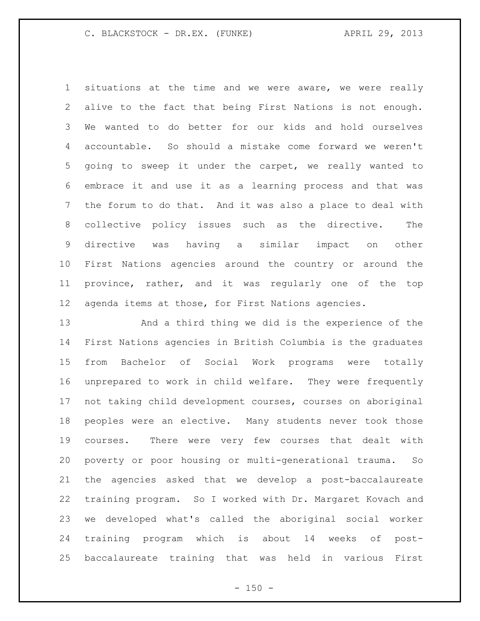situations at the time and we were aware, we were really alive to the fact that being First Nations is not enough. We wanted to do better for our kids and hold ourselves accountable. So should a mistake come forward we weren't going to sweep it under the carpet, we really wanted to embrace it and use it as a learning process and that was the forum to do that. And it was also a place to deal with collective policy issues such as the directive. The directive was having a similar impact on other First Nations agencies around the country or around the province, rather, and it was regularly one of the top agenda items at those, for First Nations agencies.

 And a third thing we did is the experience of the First Nations agencies in British Columbia is the graduates from Bachelor of Social Work programs were totally unprepared to work in child welfare. They were frequently not taking child development courses, courses on aboriginal peoples were an elective. Many students never took those courses. There were very few courses that dealt with poverty or poor housing or multi-generational trauma. So the agencies asked that we develop a post-baccalaureate training program. So I worked with Dr. Margaret Kovach and we developed what's called the aboriginal social worker training program which is about 14 weeks of post-baccalaureate training that was held in various First

 $- 150 -$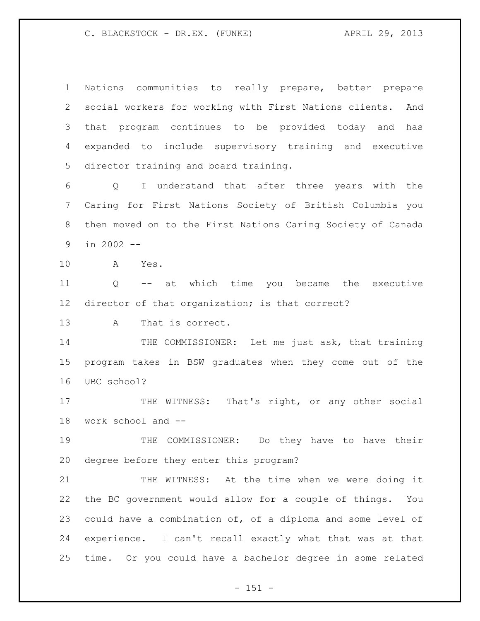Nations communities to really prepare, better prepare social workers for working with First Nations clients. And that program continues to be provided today and has expanded to include supervisory training and executive director training and board training. Q I understand that after three years with the Caring for First Nations Society of British Columbia you then moved on to the First Nations Caring Society of Canada in 2002 -- A Yes. Q -- at which time you became the executive director of that organization; is that correct? A That is correct. 14 THE COMMISSIONER: Let me just ask, that training program takes in BSW graduates when they come out of the UBC school? 17 THE WITNESS: That's right, or any other social work school and -- THE COMMISSIONER: Do they have to have their degree before they enter this program? 21 THE WITNESS: At the time when we were doing it the BC government would allow for a couple of things. You could have a combination of, of a diploma and some level of experience. I can't recall exactly what that was at that time. Or you could have a bachelor degree in some related

- 151 -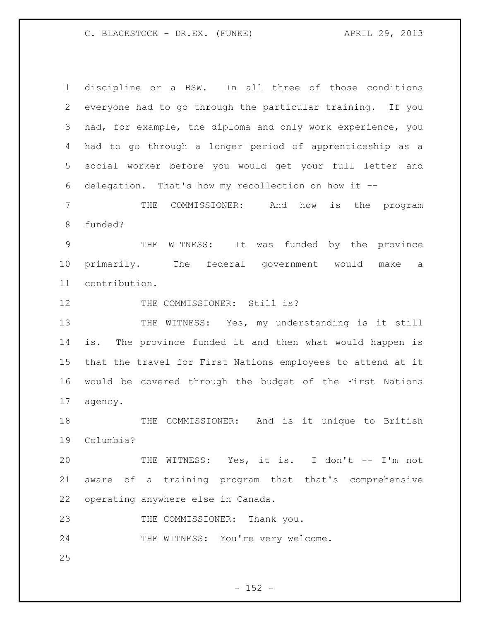| $\mathbf 1$  | discipline or a BSW. In all three of those conditions       |
|--------------|-------------------------------------------------------------|
| $\mathbf{2}$ | everyone had to go through the particular training. If you  |
| 3            | had, for example, the diploma and only work experience, you |
| 4            | had to go through a longer period of apprenticeship as a    |
| 5            | social worker before you would get your full letter and     |
| 6            | delegation. That's how my recollection on how it --         |
| 7            | THE<br>COMMISSIONER: And how<br>is the program              |
| 8            | funded?                                                     |
| $\mathsf 9$  | funded by the province<br>WITNESS:<br>It<br>THE<br>was      |
| 10           | primarily. The federal government would make<br>a           |
| 11           | contribution.                                               |
| 12           | THE COMMISSIONER: Still is?                                 |
| 13           | THE WITNESS: Yes, my understanding is it still              |
| 14           | The province funded it and then what would happen is<br>is. |
| 15           | that the travel for First Nations employees to attend at it |
| 16           | would be covered through the budget of the First Nations    |
| 17           | agency.                                                     |
| 18           | And is it unique to British<br>THE COMMISSIONER:            |
| 19           | Columbia?                                                   |
| 20           | THE WITNESS: Yes, it is. I don't -- I'm not                 |
| 21           | aware of a training program that that's comprehensive       |
| 22           | operating anywhere else in Canada.                          |
| 23           | THE COMMISSIONER: Thank you.                                |
| 24           | THE WITNESS: You're very welcome.                           |
| 25           |                                                             |

- 152 -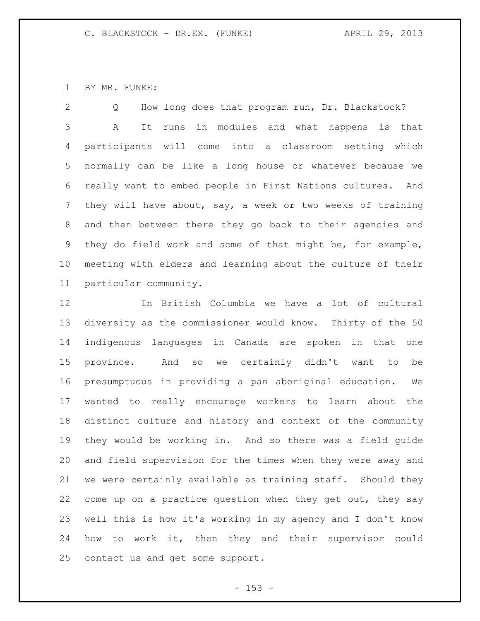# BY MR. FUNKE:

 Q How long does that program run, Dr. Blackstock? A It runs in modules and what happens is that participants will come into a classroom setting which normally can be like a long house or whatever because we really want to embed people in First Nations cultures. And they will have about, say, a week or two weeks of training and then between there they go back to their agencies and they do field work and some of that might be, for example, meeting with elders and learning about the culture of their particular community.

 In British Columbia we have a lot of cultural diversity as the commissioner would know. Thirty of the 50 indigenous languages in Canada are spoken in that one province. And so we certainly didn't want to be presumptuous in providing a pan aboriginal education. We wanted to really encourage workers to learn about the distinct culture and history and context of the community they would be working in. And so there was a field guide and field supervision for the times when they were away and we were certainly available as training staff. Should they come up on a practice question when they get out, they say well this is how it's working in my agency and I don't know how to work it, then they and their supervisor could contact us and get some support.

 $- 153 -$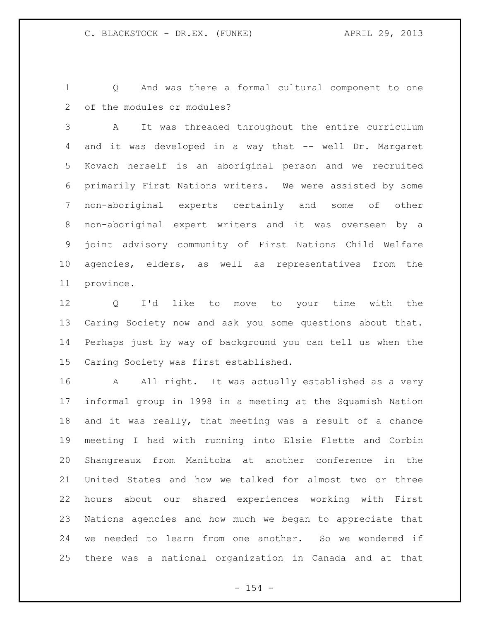Q And was there a formal cultural component to one of the modules or modules?

 A It was threaded throughout the entire curriculum and it was developed in a way that -- well Dr. Margaret Kovach herself is an aboriginal person and we recruited primarily First Nations writers. We were assisted by some non-aboriginal experts certainly and some of other non-aboriginal expert writers and it was overseen by a joint advisory community of First Nations Child Welfare agencies, elders, as well as representatives from the province.

 Q I'd like to move to your time with the Caring Society now and ask you some questions about that. Perhaps just by way of background you can tell us when the Caring Society was first established.

 A All right. It was actually established as a very informal group in 1998 in a meeting at the Squamish Nation and it was really, that meeting was a result of a chance meeting I had with running into Elsie Flette and Corbin Shangreaux from Manitoba at another conference in the United States and how we talked for almost two or three hours about our shared experiences working with First Nations agencies and how much we began to appreciate that we needed to learn from one another. So we wondered if there was a national organization in Canada and at that

 $- 154 -$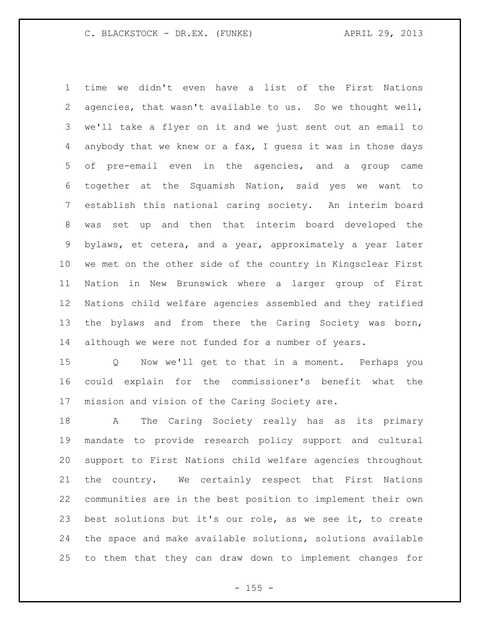time we didn't even have a list of the First Nations agencies, that wasn't available to us. So we thought well, we'll take a flyer on it and we just sent out an email to anybody that we knew or a fax, I guess it was in those days of pre-email even in the agencies, and a group came together at the Squamish Nation, said yes we want to establish this national caring society. An interim board was set up and then that interim board developed the bylaws, et cetera, and a year, approximately a year later we met on the other side of the country in Kingsclear First Nation in New Brunswick where a larger group of First Nations child welfare agencies assembled and they ratified the bylaws and from there the Caring Society was born, although we were not funded for a number of years.

 Q Now we'll get to that in a moment. Perhaps you could explain for the commissioner's benefit what the mission and vision of the Caring Society are.

 A The Caring Society really has as its primary mandate to provide research policy support and cultural support to First Nations child welfare agencies throughout the country. We certainly respect that First Nations communities are in the best position to implement their own best solutions but it's our role, as we see it, to create the space and make available solutions, solutions available to them that they can draw down to implement changes for

 $- 155 -$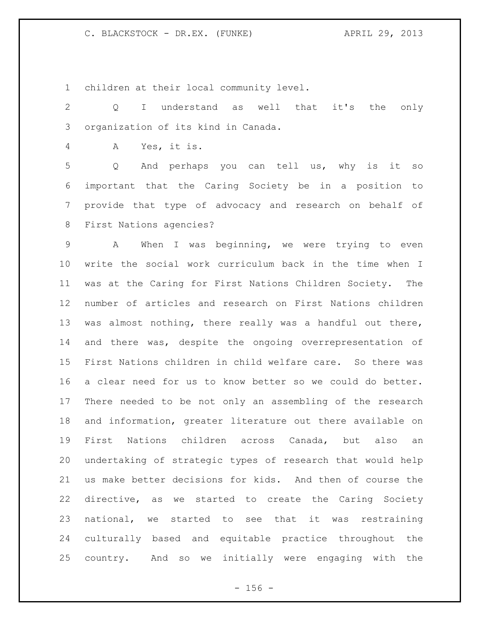children at their local community level.

 Q I understand as well that it's the only organization of its kind in Canada.

A Yes, it is.

 Q And perhaps you can tell us, why is it so important that the Caring Society be in a position to provide that type of advocacy and research on behalf of First Nations agencies?

 A When I was beginning, we were trying to even write the social work curriculum back in the time when I was at the Caring for First Nations Children Society. The number of articles and research on First Nations children was almost nothing, there really was a handful out there, and there was, despite the ongoing overrepresentation of First Nations children in child welfare care. So there was a clear need for us to know better so we could do better. There needed to be not only an assembling of the research and information, greater literature out there available on First Nations children across Canada, but also an undertaking of strategic types of research that would help us make better decisions for kids. And then of course the directive, as we started to create the Caring Society national, we started to see that it was restraining culturally based and equitable practice throughout the country. And so we initially were engaging with the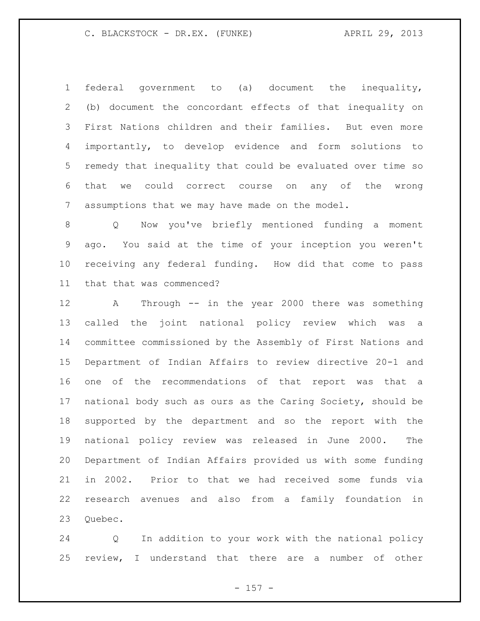federal government to (a) document the inequality, (b) document the concordant effects of that inequality on First Nations children and their families. But even more importantly, to develop evidence and form solutions to remedy that inequality that could be evaluated over time so that we could correct course on any of the wrong assumptions that we may have made on the model.

 Q Now you've briefly mentioned funding a moment ago. You said at the time of your inception you weren't receiving any federal funding. How did that come to pass that that was commenced?

 A Through -- in the year 2000 there was something called the joint national policy review which was a committee commissioned by the Assembly of First Nations and Department of Indian Affairs to review directive 20-1 and one of the recommendations of that report was that a national body such as ours as the Caring Society, should be supported by the department and so the report with the national policy review was released in June 2000. The Department of Indian Affairs provided us with some funding in 2002. Prior to that we had received some funds via research avenues and also from a family foundation in 23 Ouebec.

 Q In addition to your work with the national policy review, I understand that there are a number of other

 $- 157 -$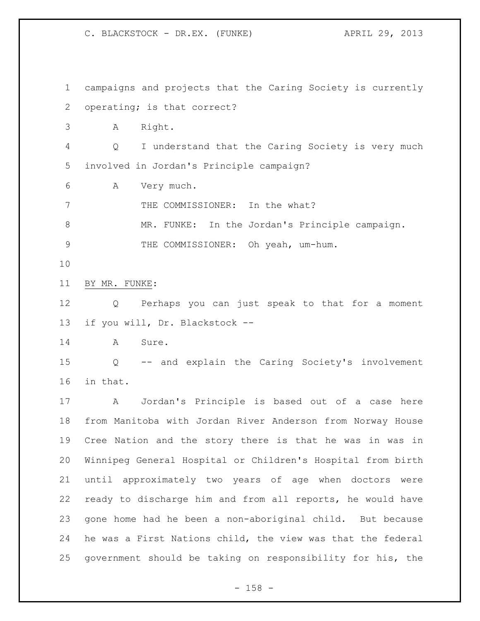campaigns and projects that the Caring Society is currently operating; is that correct? A Right. Q I understand that the Caring Society is very much involved in Jordan's Principle campaign? A Very much. 7 THE COMMISSIONER: In the what? MR. FUNKE: In the Jordan's Principle campaign. 9 THE COMMISSIONER: Oh yeah, um-hum. BY MR. FUNKE: Q Perhaps you can just speak to that for a moment if you will, Dr. Blackstock -- A Sure. Q -- and explain the Caring Society's involvement in that. A Jordan's Principle is based out of a case here from Manitoba with Jordan River Anderson from Norway House Cree Nation and the story there is that he was in was in Winnipeg General Hospital or Children's Hospital from birth until approximately two years of age when doctors were ready to discharge him and from all reports, he would have gone home had he been a non-aboriginal child. But because he was a First Nations child, the view was that the federal government should be taking on responsibility for his, the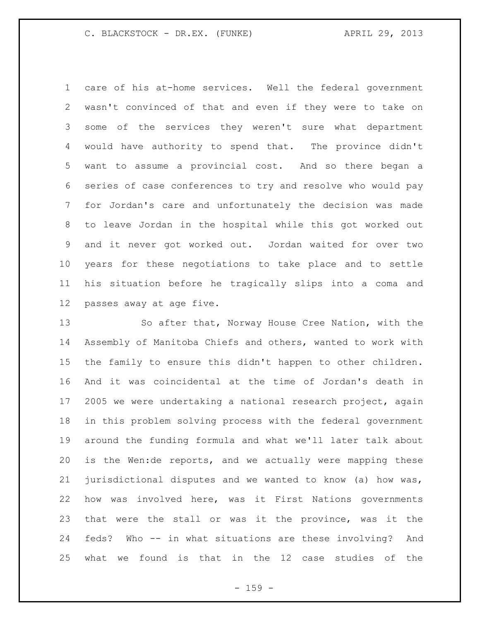care of his at-home services. Well the federal government wasn't convinced of that and even if they were to take on some of the services they weren't sure what department would have authority to spend that. The province didn't want to assume a provincial cost. And so there began a series of case conferences to try and resolve who would pay for Jordan's care and unfortunately the decision was made to leave Jordan in the hospital while this got worked out and it never got worked out. Jordan waited for over two years for these negotiations to take place and to settle his situation before he tragically slips into a coma and passes away at age five.

 So after that, Norway House Cree Nation, with the Assembly of Manitoba Chiefs and others, wanted to work with the family to ensure this didn't happen to other children. And it was coincidental at the time of Jordan's death in 17 2005 we were undertaking a national research project, again in this problem solving process with the federal government around the funding formula and what we'll later talk about is the Wen:de reports, and we actually were mapping these jurisdictional disputes and we wanted to know (a) how was, how was involved here, was it First Nations governments that were the stall or was it the province, was it the feds? Who -- in what situations are these involving? And what we found is that in the 12 case studies of the

- 159 -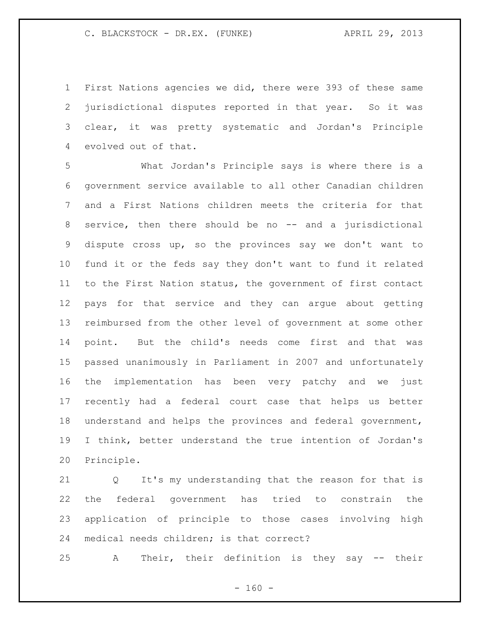First Nations agencies we did, there were 393 of these same jurisdictional disputes reported in that year. So it was clear, it was pretty systematic and Jordan's Principle evolved out of that.

 What Jordan's Principle says is where there is a government service available to all other Canadian children and a First Nations children meets the criteria for that service, then there should be no -- and a jurisdictional dispute cross up, so the provinces say we don't want to fund it or the feds say they don't want to fund it related to the First Nation status, the government of first contact pays for that service and they can argue about getting reimbursed from the other level of government at some other point. But the child's needs come first and that was passed unanimously in Parliament in 2007 and unfortunately the implementation has been very patchy and we just recently had a federal court case that helps us better understand and helps the provinces and federal government, I think, better understand the true intention of Jordan's Principle.

 Q It's my understanding that the reason for that is the federal government has tried to constrain the application of principle to those cases involving high medical needs children; is that correct?

A Their, their definition is they say -- their

 $- 160 -$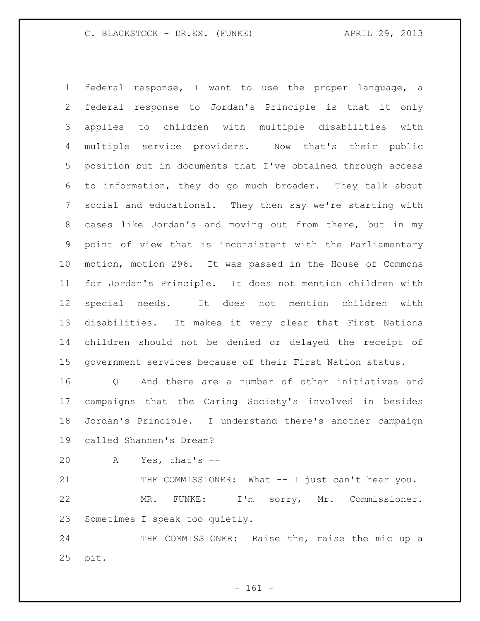federal response, I want to use the proper language, a federal response to Jordan's Principle is that it only applies to children with multiple disabilities with multiple service providers. Now that's their public position but in documents that I've obtained through access to information, they do go much broader. They talk about social and educational. They then say we're starting with cases like Jordan's and moving out from there, but in my point of view that is inconsistent with the Parliamentary motion, motion 296. It was passed in the House of Commons for Jordan's Principle. It does not mention children with special needs. It does not mention children with disabilities. It makes it very clear that First Nations children should not be denied or delayed the receipt of government services because of their First Nation status.

 Q And there are a number of other initiatives and campaigns that the Caring Society's involved in besides Jordan's Principle. I understand there's another campaign called Shannen's Dream?

A Yes, that's --

21 THE COMMISSIONER: What -- I just can't hear you. MR. FUNKE: I'm sorry, Mr. Commissioner. Sometimes I speak too quietly.

24 THE COMMISSIONER: Raise the, raise the mic up a bit.

- 161 -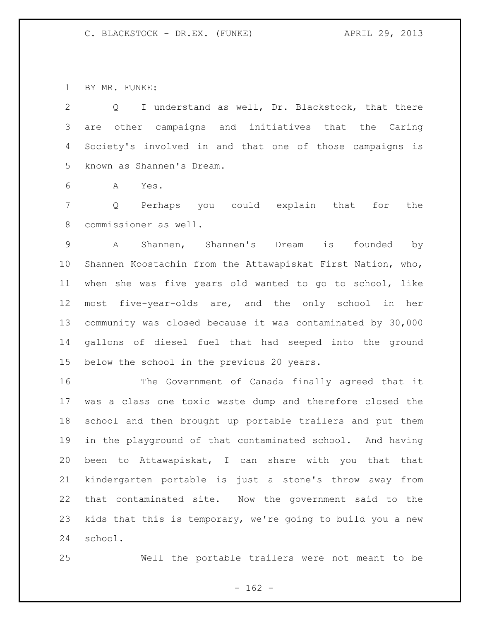BY MR. FUNKE:

 Q I understand as well, Dr. Blackstock, that there are other campaigns and initiatives that the Caring Society's involved in and that one of those campaigns is known as Shannen's Dream.

A Yes.

 Q Perhaps you could explain that for the commissioner as well.

 A Shannen, Shannen's Dream is founded by Shannen Koostachin from the Attawapiskat First Nation, who, when she was five years old wanted to go to school, like most five-year-olds are, and the only school in her community was closed because it was contaminated by 30,000 gallons of diesel fuel that had seeped into the ground below the school in the previous 20 years.

 The Government of Canada finally agreed that it was a class one toxic waste dump and therefore closed the school and then brought up portable trailers and put them in the playground of that contaminated school. And having been to Attawapiskat, I can share with you that that kindergarten portable is just a stone's throw away from that contaminated site. Now the government said to the kids that this is temporary, we're going to build you a new school.

Well the portable trailers were not meant to be

 $- 162 -$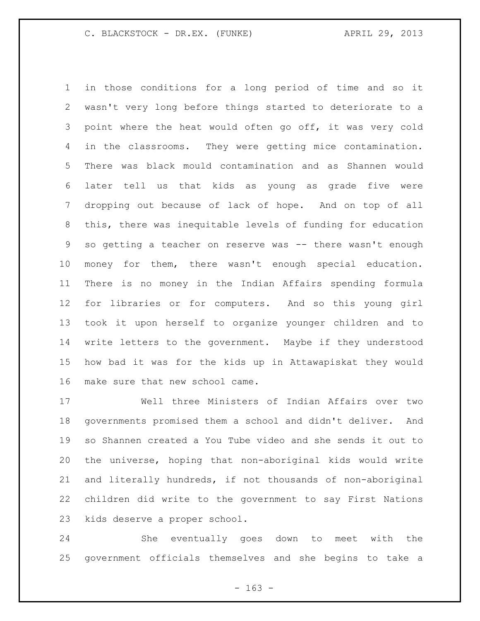in those conditions for a long period of time and so it wasn't very long before things started to deteriorate to a point where the heat would often go off, it was very cold in the classrooms. They were getting mice contamination. There was black mould contamination and as Shannen would later tell us that kids as young as grade five were dropping out because of lack of hope. And on top of all this, there was inequitable levels of funding for education so getting a teacher on reserve was -- there wasn't enough money for them, there wasn't enough special education. There is no money in the Indian Affairs spending formula for libraries or for computers. And so this young girl took it upon herself to organize younger children and to write letters to the government. Maybe if they understood how bad it was for the kids up in Attawapiskat they would make sure that new school came.

 Well three Ministers of Indian Affairs over two governments promised them a school and didn't deliver. And so Shannen created a You Tube video and she sends it out to the universe, hoping that non-aboriginal kids would write and literally hundreds, if not thousands of non-aboriginal children did write to the government to say First Nations kids deserve a proper school.

 She eventually goes down to meet with the government officials themselves and she begins to take a

- 163 -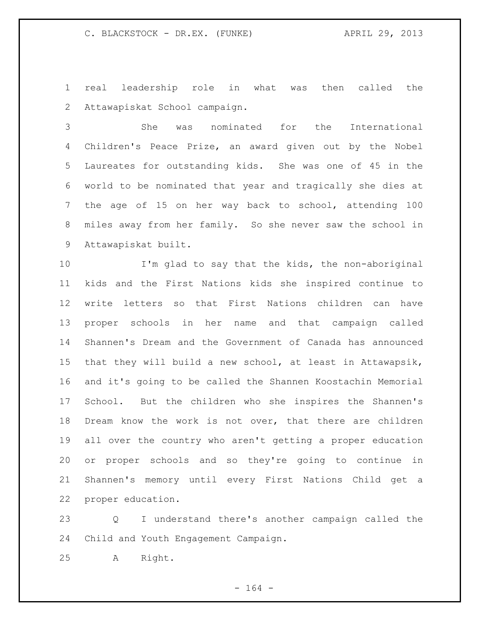real leadership role in what was then called the Attawapiskat School campaign.

 She was nominated for the International Children's Peace Prize, an award given out by the Nobel Laureates for outstanding kids. She was one of 45 in the world to be nominated that year and tragically she dies at the age of 15 on her way back to school, attending 100 miles away from her family. So she never saw the school in Attawapiskat built.

 I'm glad to say that the kids, the non-aboriginal kids and the First Nations kids she inspired continue to write letters so that First Nations children can have proper schools in her name and that campaign called Shannen's Dream and the Government of Canada has announced that they will build a new school, at least in Attawapsik, and it's going to be called the Shannen Koostachin Memorial School. But the children who she inspires the Shannen's Dream know the work is not over, that there are children all over the country who aren't getting a proper education or proper schools and so they're going to continue in Shannen's memory until every First Nations Child get a proper education.

 Q I understand there's another campaign called the Child and Youth Engagement Campaign.

A Right.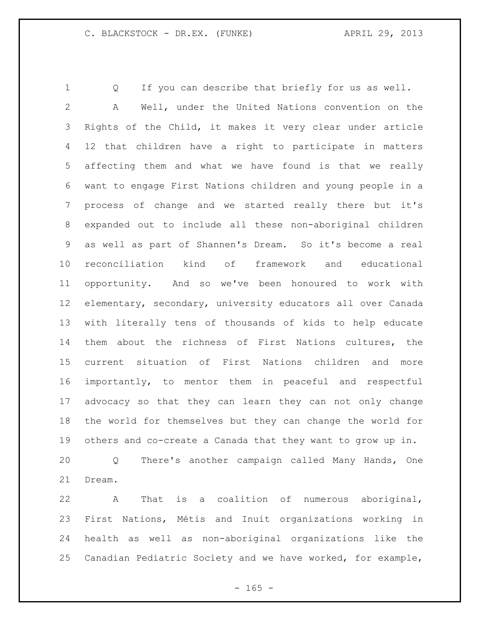Q If you can describe that briefly for us as well. A Well, under the United Nations convention on the Rights of the Child, it makes it very clear under article 12 that children have a right to participate in matters affecting them and what we have found is that we really want to engage First Nations children and young people in a process of change and we started really there but it's expanded out to include all these non-aboriginal children as well as part of Shannen's Dream. So it's become a real reconciliation kind of framework and educational opportunity. And so we've been honoured to work with elementary, secondary, university educators all over Canada with literally tens of thousands of kids to help educate them about the richness of First Nations cultures, the current situation of First Nations children and more importantly, to mentor them in peaceful and respectful advocacy so that they can learn they can not only change the world for themselves but they can change the world for others and co-create a Canada that they want to grow up in. Q There's another campaign called Many Hands, One

Dream.

 A That is a coalition of numerous aboriginal, First Nations, Métis and Inuit organizations working in health as well as non-aboriginal organizations like the Canadian Pediatric Society and we have worked, for example,

 $- 165 -$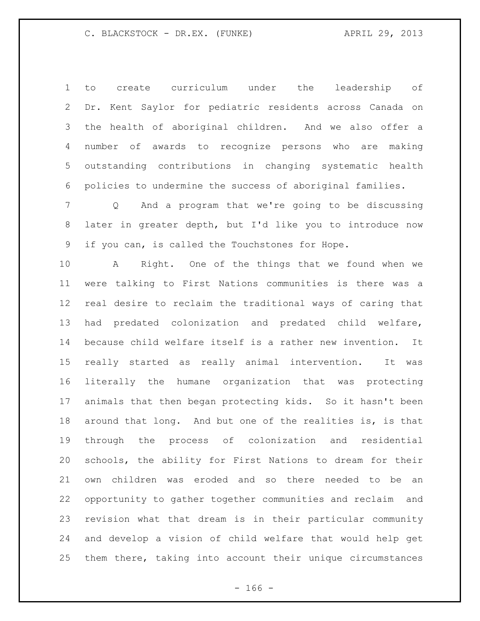to create curriculum under the leadership of Dr. Kent Saylor for pediatric residents across Canada on the health of aboriginal children. And we also offer a number of awards to recognize persons who are making outstanding contributions in changing systematic health policies to undermine the success of aboriginal families.

 Q And a program that we're going to be discussing later in greater depth, but I'd like you to introduce now if you can, is called the Touchstones for Hope.

 A Right. One of the things that we found when we were talking to First Nations communities is there was a real desire to reclaim the traditional ways of caring that had predated colonization and predated child welfare, because child welfare itself is a rather new invention. It really started as really animal intervention. It was literally the humane organization that was protecting animals that then began protecting kids. So it hasn't been around that long. And but one of the realities is, is that through the process of colonization and residential schools, the ability for First Nations to dream for their own children was eroded and so there needed to be an opportunity to gather together communities and reclaim and revision what that dream is in their particular community and develop a vision of child welfare that would help get them there, taking into account their unique circumstances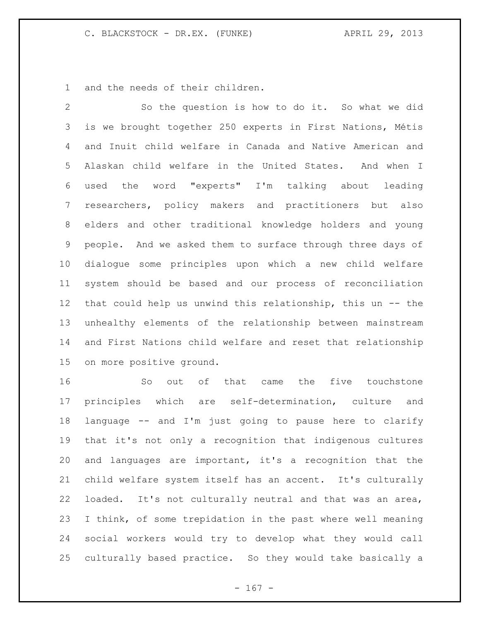and the needs of their children.

 So the question is how to do it. So what we did is we brought together 250 experts in First Nations, Métis and Inuit child welfare in Canada and Native American and Alaskan child welfare in the United States. And when I used the word "experts" I'm talking about leading researchers, policy makers and practitioners but also elders and other traditional knowledge holders and young people. And we asked them to surface through three days of dialogue some principles upon which a new child welfare system should be based and our process of reconciliation that could help us unwind this relationship, this un -- the unhealthy elements of the relationship between mainstream and First Nations child welfare and reset that relationship on more positive ground.

 So out of that came the five touchstone principles which are self-determination, culture and language -- and I'm just going to pause here to clarify that it's not only a recognition that indigenous cultures and languages are important, it's a recognition that the child welfare system itself has an accent. It's culturally loaded. It's not culturally neutral and that was an area, I think, of some trepidation in the past where well meaning social workers would try to develop what they would call culturally based practice. So they would take basically a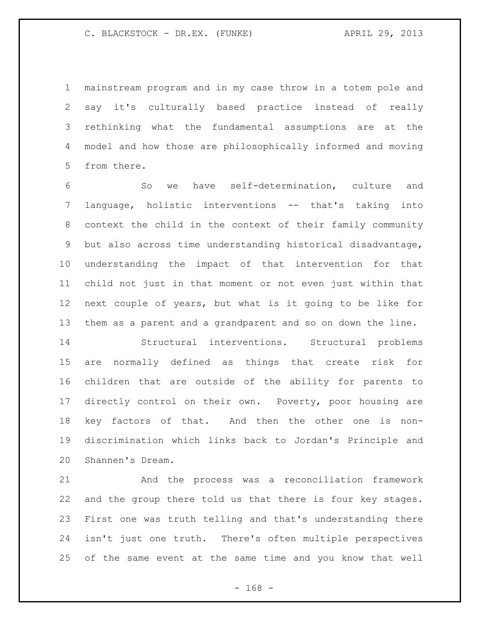mainstream program and in my case throw in a totem pole and say it's culturally based practice instead of really rethinking what the fundamental assumptions are at the model and how those are philosophically informed and moving from there.

 So we have self-determination, culture and language, holistic interventions -- that's taking into context the child in the context of their family community but also across time understanding historical disadvantage, understanding the impact of that intervention for that child not just in that moment or not even just within that next couple of years, but what is it going to be like for them as a parent and a grandparent and so on down the line.

 Structural interventions. Structural problems are normally defined as things that create risk for children that are outside of the ability for parents to 17 directly control on their own. Poverty, poor housing are key factors of that. And then the other one is non- discrimination which links back to Jordan's Principle and Shannen's Dream.

 And the process was a reconciliation framework and the group there told us that there is four key stages. First one was truth telling and that's understanding there isn't just one truth. There's often multiple perspectives of the same event at the same time and you know that well

- 168 -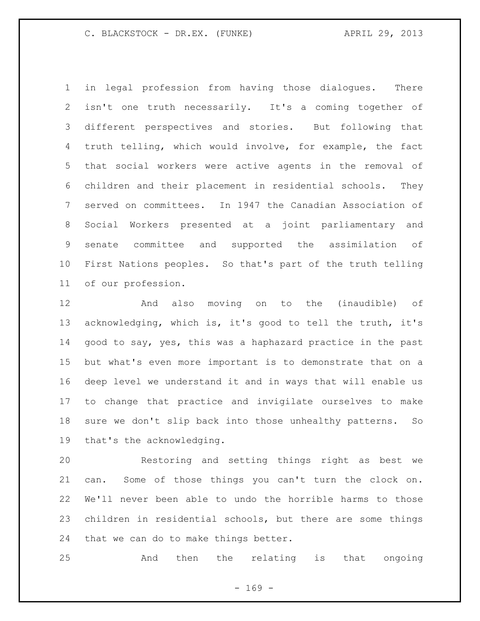in legal profession from having those dialogues. There isn't one truth necessarily. It's a coming together of different perspectives and stories. But following that truth telling, which would involve, for example, the fact that social workers were active agents in the removal of children and their placement in residential schools. They served on committees. In 1947 the Canadian Association of Social Workers presented at a joint parliamentary and senate committee and supported the assimilation of First Nations peoples. So that's part of the truth telling of our profession.

 And also moving on to the (inaudible) of acknowledging, which is, it's good to tell the truth, it's good to say, yes, this was a haphazard practice in the past but what's even more important is to demonstrate that on a deep level we understand it and in ways that will enable us to change that practice and invigilate ourselves to make sure we don't slip back into those unhealthy patterns. So that's the acknowledging.

 Restoring and setting things right as best we can. Some of those things you can't turn the clock on. We'll never been able to undo the horrible harms to those children in residential schools, but there are some things that we can do to make things better.

And then the relating is that ongoing

 $- 169 -$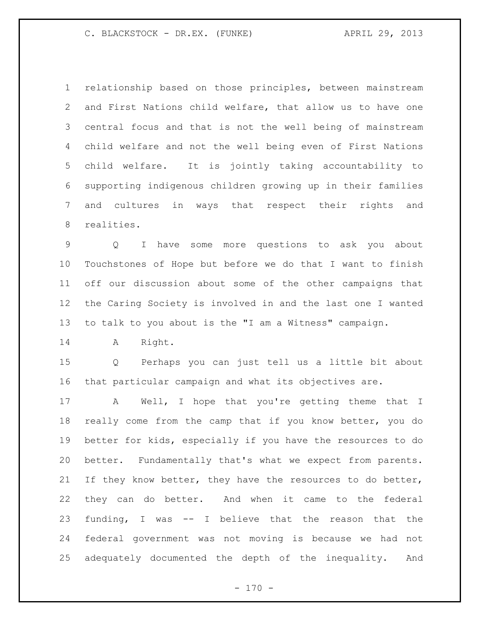relationship based on those principles, between mainstream and First Nations child welfare, that allow us to have one central focus and that is not the well being of mainstream child welfare and not the well being even of First Nations child welfare. It is jointly taking accountability to supporting indigenous children growing up in their families and cultures in ways that respect their rights and realities.

 Q I have some more questions to ask you about Touchstones of Hope but before we do that I want to finish off our discussion about some of the other campaigns that the Caring Society is involved in and the last one I wanted to talk to you about is the "I am a Witness" campaign.

A Right.

 Q Perhaps you can just tell us a little bit about that particular campaign and what its objectives are.

 A Well, I hope that you're getting theme that I really come from the camp that if you know better, you do better for kids, especially if you have the resources to do better. Fundamentally that's what we expect from parents. 21 If they know better, they have the resources to do better, they can do better. And when it came to the federal funding, I was -- I believe that the reason that the federal government was not moving is because we had not adequately documented the depth of the inequality. And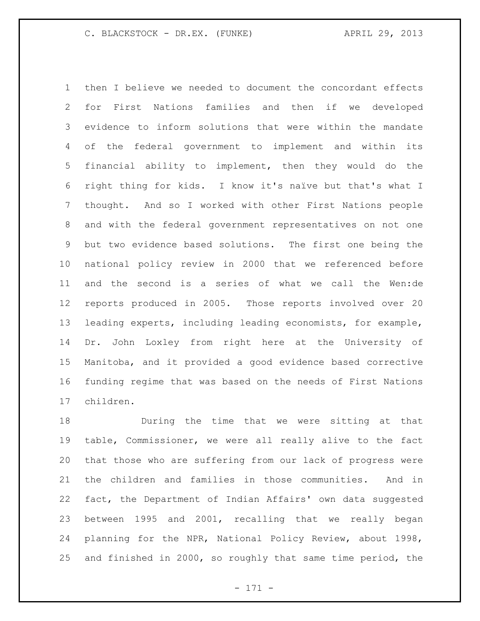then I believe we needed to document the concordant effects for First Nations families and then if we developed evidence to inform solutions that were within the mandate of the federal government to implement and within its financial ability to implement, then they would do the right thing for kids. I know it's naïve but that's what I thought. And so I worked with other First Nations people and with the federal government representatives on not one but two evidence based solutions. The first one being the national policy review in 2000 that we referenced before and the second is a series of what we call the Wen:de reports produced in 2005. Those reports involved over 20 leading experts, including leading economists, for example, Dr. John Loxley from right here at the University of Manitoba, and it provided a good evidence based corrective funding regime that was based on the needs of First Nations children.

 During the time that we were sitting at that table, Commissioner, we were all really alive to the fact that those who are suffering from our lack of progress were the children and families in those communities. And in fact, the Department of Indian Affairs' own data suggested between 1995 and 2001, recalling that we really began planning for the NPR, National Policy Review, about 1998, and finished in 2000, so roughly that same time period, the

- 171 -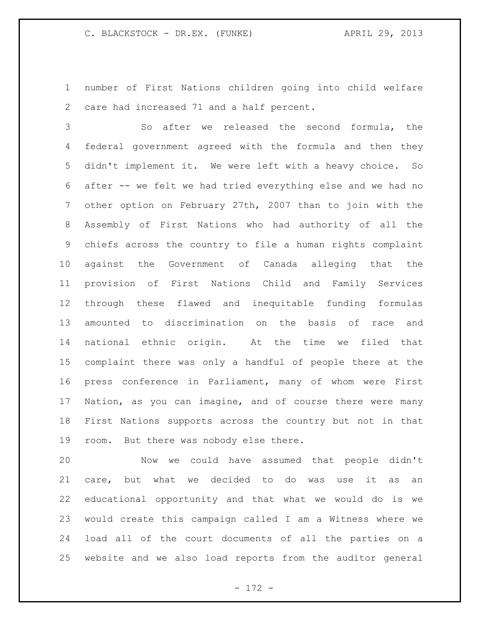number of First Nations children going into child welfare care had increased 71 and a half percent.

 So after we released the second formula, the federal government agreed with the formula and then they didn't implement it. We were left with a heavy choice. So after -- we felt we had tried everything else and we had no other option on February 27th, 2007 than to join with the Assembly of First Nations who had authority of all the chiefs across the country to file a human rights complaint against the Government of Canada alleging that the provision of First Nations Child and Family Services through these flawed and inequitable funding formulas amounted to discrimination on the basis of race and national ethnic origin. At the time we filed that complaint there was only a handful of people there at the press conference in Parliament, many of whom were First Nation, as you can imagine, and of course there were many First Nations supports across the country but not in that room. But there was nobody else there.

 Now we could have assumed that people didn't care, but what we decided to do was use it as an educational opportunity and that what we would do is we would create this campaign called I am a Witness where we load all of the court documents of all the parties on a website and we also load reports from the auditor general

- 172 -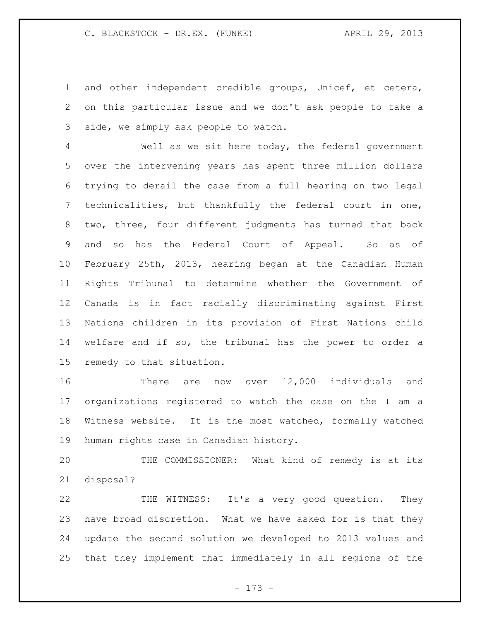and other independent credible groups, Unicef, et cetera, on this particular issue and we don't ask people to take a side, we simply ask people to watch.

 Well as we sit here today, the federal government over the intervening years has spent three million dollars trying to derail the case from a full hearing on two legal technicalities, but thankfully the federal court in one, two, three, four different judgments has turned that back and so has the Federal Court of Appeal. So as of February 25th, 2013, hearing began at the Canadian Human Rights Tribunal to determine whether the Government of Canada is in fact racially discriminating against First Nations children in its provision of First Nations child welfare and if so, the tribunal has the power to order a remedy to that situation.

 There are now over 12,000 individuals and organizations registered to watch the case on the I am a Witness website. It is the most watched, formally watched human rights case in Canadian history.

 THE COMMISSIONER: What kind of remedy is at its disposal?

 THE WITNESS: It's a very good question. They have broad discretion. What we have asked for is that they update the second solution we developed to 2013 values and that they implement that immediately in all regions of the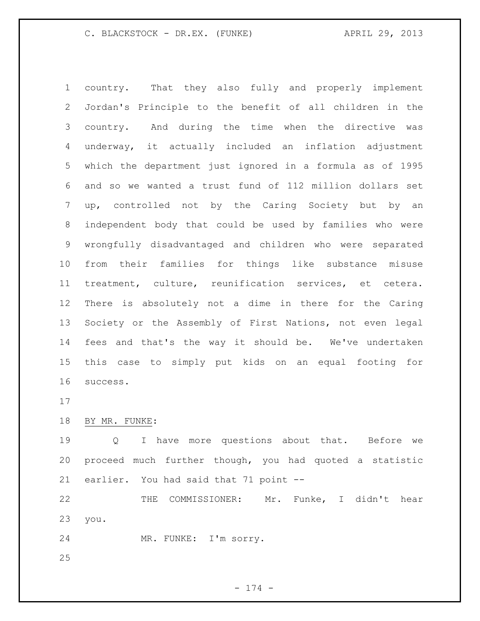country. That they also fully and properly implement Jordan's Principle to the benefit of all children in the country. And during the time when the directive was underway, it actually included an inflation adjustment which the department just ignored in a formula as of 1995 and so we wanted a trust fund of 112 million dollars set up, controlled not by the Caring Society but by an independent body that could be used by families who were wrongfully disadvantaged and children who were separated from their families for things like substance misuse treatment, culture, reunification services, et cetera. There is absolutely not a dime in there for the Caring Society or the Assembly of First Nations, not even legal fees and that's the way it should be. We've undertaken this case to simply put kids on an equal footing for success.

## BY MR. FUNKE:

 Q I have more questions about that. Before we proceed much further though, you had quoted a statistic earlier. You had said that 71 point --

 THE COMMISSIONER: Mr. Funke, I didn't hear you.

MR. FUNKE: I'm sorry.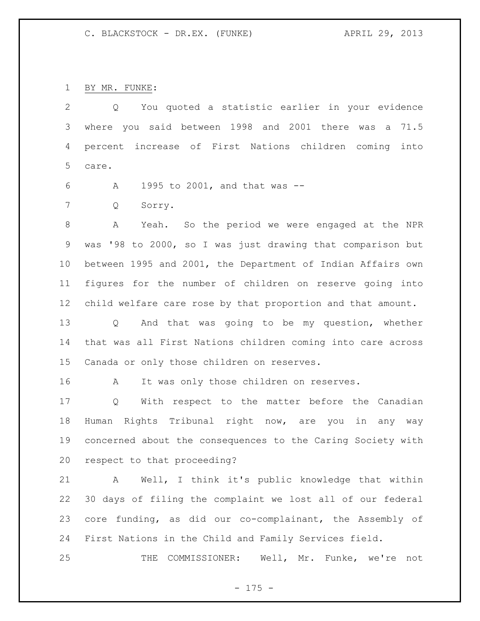BY MR. FUNKE:

 Q You quoted a statistic earlier in your evidence where you said between 1998 and 2001 there was a 71.5 percent increase of First Nations children coming into care.

A 1995 to 2001, and that was --

Q Sorry.

 A Yeah. So the period we were engaged at the NPR was '98 to 2000, so I was just drawing that comparison but between 1995 and 2001, the Department of Indian Affairs own figures for the number of children on reserve going into child welfare care rose by that proportion and that amount.

 Q And that was going to be my question, whether that was all First Nations children coming into care across Canada or only those children on reserves.

16 A It was only those children on reserves.

 Q With respect to the matter before the Canadian Human Rights Tribunal right now, are you in any way concerned about the consequences to the Caring Society with respect to that proceeding?

 A Well, I think it's public knowledge that within 30 days of filing the complaint we lost all of our federal core funding, as did our co-complainant, the Assembly of First Nations in the Child and Family Services field.

THE COMMISSIONER: Well, Mr. Funke, we're not

- 175 -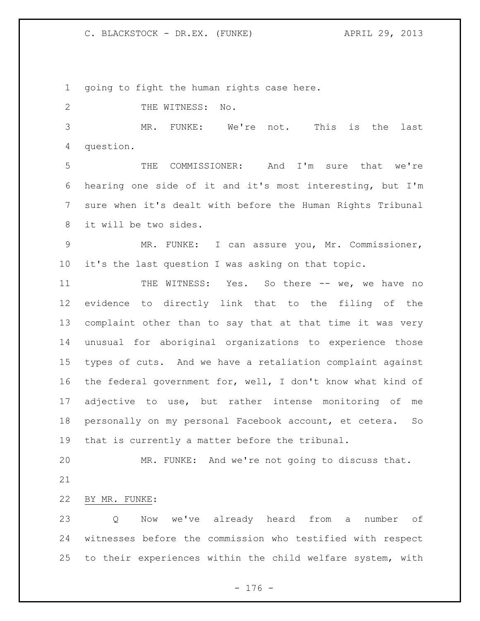going to fight the human rights case here.

2 THE WITNESS: No.

 MR. FUNKE: We're not. This is the last question.

 THE COMMISSIONER: And I'm sure that we're hearing one side of it and it's most interesting, but I'm sure when it's dealt with before the Human Rights Tribunal it will be two sides.

 MR. FUNKE: I can assure you, Mr. Commissioner, it's the last question I was asking on that topic.

11 THE WITNESS: Yes. So there -- we, we have no evidence to directly link that to the filing of the complaint other than to say that at that time it was very unusual for aboriginal organizations to experience those types of cuts. And we have a retaliation complaint against the federal government for, well, I don't know what kind of adjective to use, but rather intense monitoring of me personally on my personal Facebook account, et cetera. So that is currently a matter before the tribunal.

 MR. FUNKE: And we're not going to discuss that. 

BY MR. FUNKE:

 Q Now we've already heard from a number of witnesses before the commission who testified with respect to their experiences within the child welfare system, with

- 176 -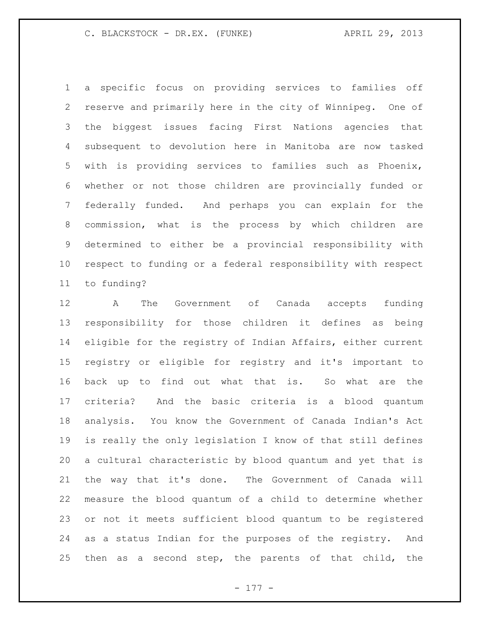a specific focus on providing services to families off reserve and primarily here in the city of Winnipeg. One of the biggest issues facing First Nations agencies that subsequent to devolution here in Manitoba are now tasked with is providing services to families such as Phoenix, whether or not those children are provincially funded or federally funded. And perhaps you can explain for the commission, what is the process by which children are determined to either be a provincial responsibility with respect to funding or a federal responsibility with respect to funding?

 A The Government of Canada accepts funding responsibility for those children it defines as being eligible for the registry of Indian Affairs, either current registry or eligible for registry and it's important to back up to find out what that is. So what are the criteria? And the basic criteria is a blood quantum analysis. You know the Government of Canada Indian's Act is really the only legislation I know of that still defines a cultural characteristic by blood quantum and yet that is the way that it's done. The Government of Canada will measure the blood quantum of a child to determine whether or not it meets sufficient blood quantum to be registered as a status Indian for the purposes of the registry. And then as a second step, the parents of that child, the

- 177 -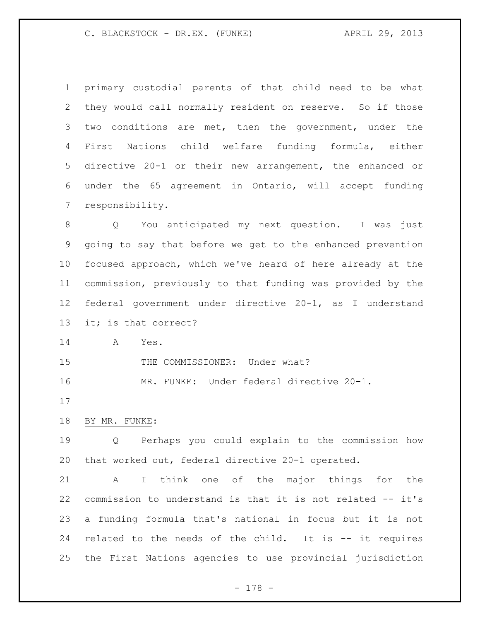primary custodial parents of that child need to be what they would call normally resident on reserve. So if those two conditions are met, then the government, under the First Nations child welfare funding formula, either directive 20-1 or their new arrangement, the enhanced or under the 65 agreement in Ontario, will accept funding responsibility.

 Q You anticipated my next question. I was just going to say that before we get to the enhanced prevention focused approach, which we've heard of here already at the commission, previously to that funding was provided by the federal government under directive 20-1, as I understand it; is that correct?

A Yes.

15 THE COMMISSIONER: Under what?

MR. FUNKE: Under federal directive 20-1.

### BY MR. FUNKE:

 Q Perhaps you could explain to the commission how that worked out, federal directive 20-1 operated.

 A I think one of the major things for the commission to understand is that it is not related -- it's a funding formula that's national in focus but it is not related to the needs of the child. It is -- it requires the First Nations agencies to use provincial jurisdiction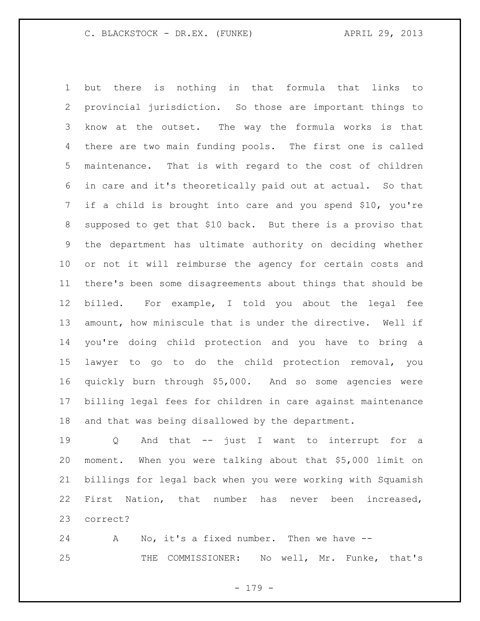but there is nothing in that formula that links to provincial jurisdiction. So those are important things to know at the outset. The way the formula works is that there are two main funding pools. The first one is called maintenance. That is with regard to the cost of children in care and it's theoretically paid out at actual. So that if a child is brought into care and you spend \$10, you're supposed to get that \$10 back. But there is a proviso that the department has ultimate authority on deciding whether or not it will reimburse the agency for certain costs and there's been some disagreements about things that should be billed. For example, I told you about the legal fee amount, how miniscule that is under the directive. Well if you're doing child protection and you have to bring a lawyer to go to do the child protection removal, you quickly burn through \$5,000. And so some agencies were billing legal fees for children in care against maintenance and that was being disallowed by the department.

 Q And that -- just I want to interrupt for a moment. When you were talking about that \$5,000 limit on billings for legal back when you were working with Squamish First Nation, that number has never been increased, correct?

 A No, it's a fixed number. Then we have -- THE COMMISSIONER: No well, Mr. Funke, that's

- 179 -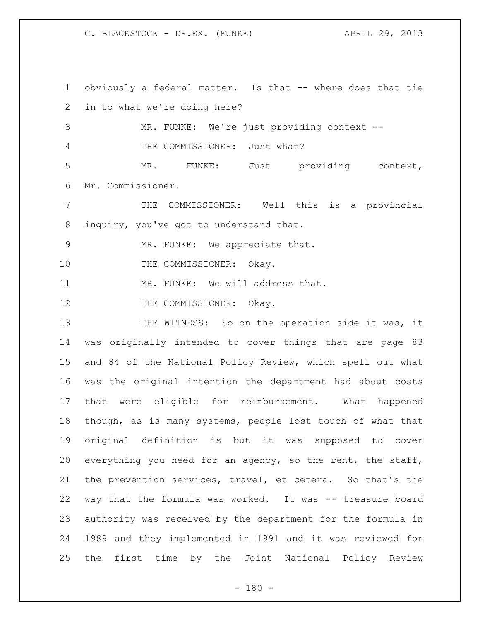obviously a federal matter. Is that -- where does that tie in to what we're doing here? MR. FUNKE: We're just providing context -- THE COMMISSIONER: Just what? MR. FUNKE: Just providing context, Mr. Commissioner. THE COMMISSIONER: Well this is a provincial inquiry, you've got to understand that. 9 MR. FUNKE: We appreciate that. 10 THE COMMISSIONER: Okay. 11 MR. FUNKE: We will address that. 12 THE COMMISSIONER: Okay. 13 THE WITNESS: So on the operation side it was, it was originally intended to cover things that are page 83 and 84 of the National Policy Review, which spell out what was the original intention the department had about costs that were eligible for reimbursement. What happened though, as is many systems, people lost touch of what that original definition is but it was supposed to cover everything you need for an agency, so the rent, the staff, the prevention services, travel, et cetera. So that's the way that the formula was worked. It was -- treasure board authority was received by the department for the formula in 1989 and they implemented in 1991 and it was reviewed for the first time by the Joint National Policy Review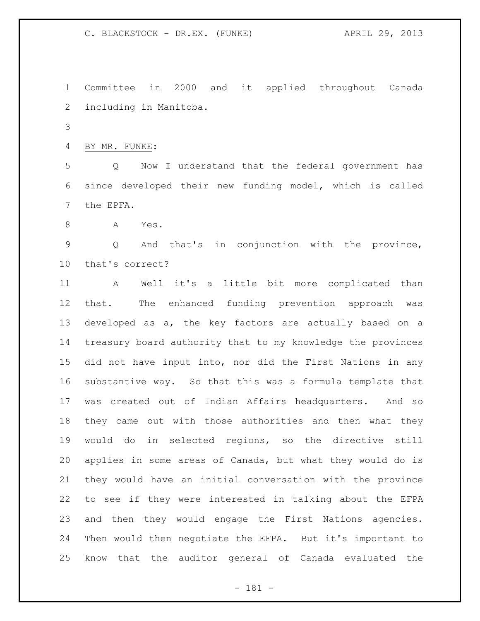Committee in 2000 and it applied throughout Canada including in Manitoba.

BY MR. FUNKE:

 Q Now I understand that the federal government has since developed their new funding model, which is called the EPFA.

A Yes.

 Q And that's in conjunction with the province, that's correct?

 A Well it's a little bit more complicated than that. The enhanced funding prevention approach was developed as a, the key factors are actually based on a treasury board authority that to my knowledge the provinces did not have input into, nor did the First Nations in any substantive way. So that this was a formula template that was created out of Indian Affairs headquarters. And so they came out with those authorities and then what they would do in selected regions, so the directive still applies in some areas of Canada, but what they would do is they would have an initial conversation with the province to see if they were interested in talking about the EFPA and then they would engage the First Nations agencies. Then would then negotiate the EFPA. But it's important to know that the auditor general of Canada evaluated the

- 181 -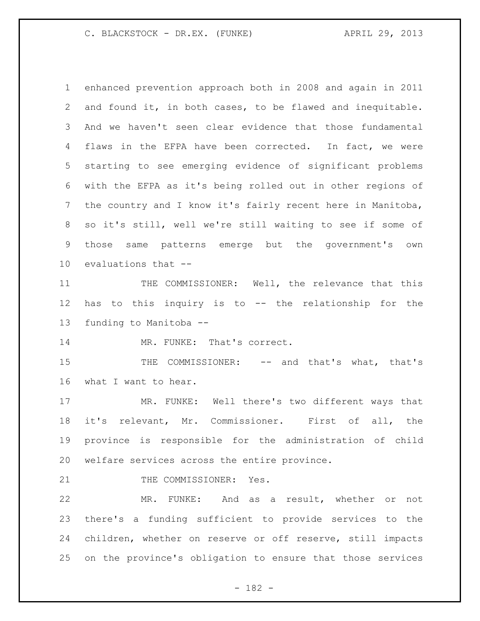enhanced prevention approach both in 2008 and again in 2011 and found it, in both cases, to be flawed and inequitable. And we haven't seen clear evidence that those fundamental flaws in the EFPA have been corrected. In fact, we were starting to see emerging evidence of significant problems with the EFPA as it's being rolled out in other regions of the country and I know it's fairly recent here in Manitoba, so it's still, well we're still waiting to see if some of those same patterns emerge but the government's own evaluations that --

11 THE COMMISSIONER: Well, the relevance that this has to this inquiry is to -- the relationship for the funding to Manitoba --

MR. FUNKE: That's correct.

 THE COMMISSIONER: -- and that's what, that's what I want to hear.

 MR. FUNKE: Well there's two different ways that it's relevant, Mr. Commissioner. First of all, the province is responsible for the administration of child welfare services across the entire province.

21 THE COMMISSIONER: Yes.

 MR. FUNKE: And as a result, whether or not there's a funding sufficient to provide services to the children, whether on reserve or off reserve, still impacts on the province's obligation to ensure that those services

- 182 -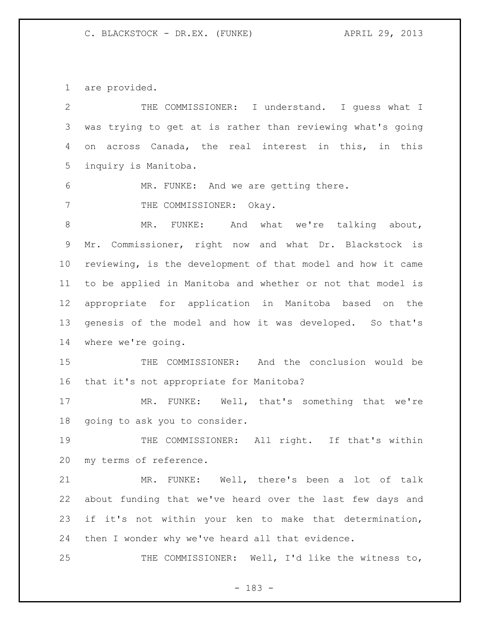are provided.

| $\mathbf{2}$ | THE COMMISSIONER: I understand. I guess what I              |
|--------------|-------------------------------------------------------------|
| 3            | was trying to get at is rather than reviewing what's going  |
| 4            | across Canada, the real interest in this, in this<br>on     |
| 5            | inquiry is Manitoba.                                        |
| 6            | MR. FUNKE: And we are getting there.                        |
| 7            | THE COMMISSIONER: Okay.                                     |
| $\,8\,$      | MR. FUNKE: And what we're talking about,                    |
| 9            | Mr. Commissioner, right now and what Dr. Blackstock is      |
| 10           | reviewing, is the development of that model and how it came |
| 11           | to be applied in Manitoba and whether or not that model is  |
| 12           | appropriate for application in Manitoba based on the        |
| 13           | genesis of the model and how it was developed. So that's    |
| 14           | where we're going.                                          |
| 15           | THE COMMISSIONER: And the conclusion would be               |
| 16           | that it's not appropriate for Manitoba?                     |
| 17           | MR. FUNKE: Well, that's something that we're                |
| 18           | going to ask you to consider.                               |
| 19           | THE COMMISSIONER: All right. If that's within               |
| 20           | my terms of reference.                                      |
| 21           | FUNKE: Well, there's been a lot of talk<br>MR.              |
| 22           | about funding that we've heard over the last few days and   |
| 23           | if it's not within your ken to make that determination,     |
| 24           | then I wonder why we've heard all that evidence.            |
| 25           | THE COMMISSIONER: Well, I'd like the witness to,            |
|              |                                                             |

- 183 -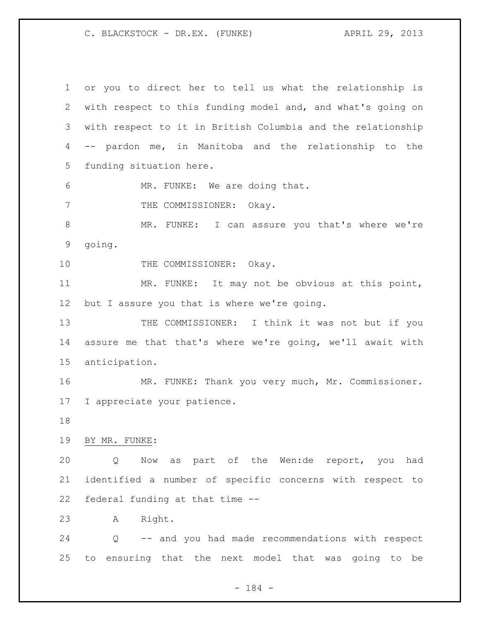or you to direct her to tell us what the relationship is with respect to this funding model and, and what's going on with respect to it in British Columbia and the relationship -- pardon me, in Manitoba and the relationship to the funding situation here. MR. FUNKE: We are doing that. 7 THE COMMISSIONER: Okay. 8 MR. FUNKE: I can assure you that's where we're going. 10 THE COMMISSIONER: Okay. MR. FUNKE: It may not be obvious at this point, but I assure you that is where we're going. 13 THE COMMISSIONER: I think it was not but if you assure me that that's where we're going, we'll await with anticipation. MR. FUNKE: Thank you very much, Mr. Commissioner. I appreciate your patience. BY MR. FUNKE: Q Now as part of the Wen:de report, you had identified a number of specific concerns with respect to federal funding at that time -- A Right. Q -- and you had made recommendations with respect to ensuring that the next model that was going to be

- 184 -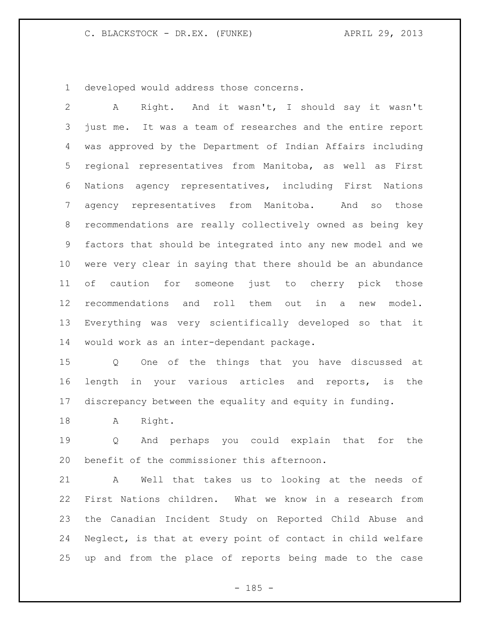developed would address those concerns.

 A Right. And it wasn't, I should say it wasn't just me. It was a team of researches and the entire report was approved by the Department of Indian Affairs including regional representatives from Manitoba, as well as First Nations agency representatives, including First Nations agency representatives from Manitoba. And so those recommendations are really collectively owned as being key factors that should be integrated into any new model and we were very clear in saying that there should be an abundance of caution for someone just to cherry pick those recommendations and roll them out in a new model. Everything was very scientifically developed so that it would work as an inter-dependant package.

 Q One of the things that you have discussed at length in your various articles and reports, is the discrepancy between the equality and equity in funding.

18 A Right.

 Q And perhaps you could explain that for the benefit of the commissioner this afternoon.

 A Well that takes us to looking at the needs of First Nations children. What we know in a research from the Canadian Incident Study on Reported Child Abuse and Neglect, is that at every point of contact in child welfare up and from the place of reports being made to the case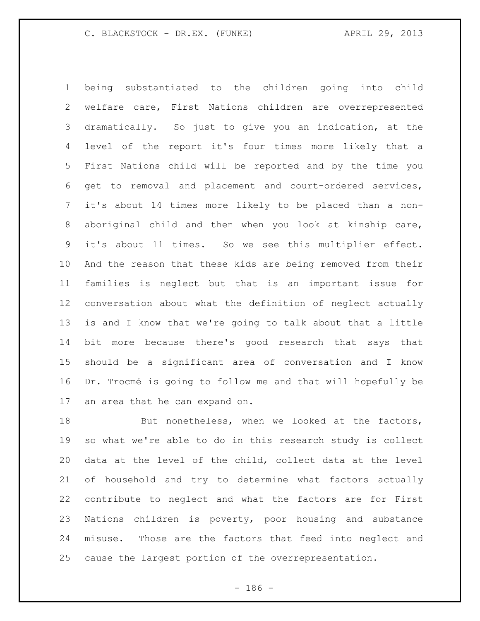being substantiated to the children going into child welfare care, First Nations children are overrepresented dramatically. So just to give you an indication, at the level of the report it's four times more likely that a First Nations child will be reported and by the time you get to removal and placement and court-ordered services, it's about 14 times more likely to be placed than a non- aboriginal child and then when you look at kinship care, it's about 11 times. So we see this multiplier effect. And the reason that these kids are being removed from their families is neglect but that is an important issue for conversation about what the definition of neglect actually is and I know that we're going to talk about that a little bit more because there's good research that says that should be a significant area of conversation and I know Dr. Trocmé is going to follow me and that will hopefully be an area that he can expand on.

18 But nonetheless, when we looked at the factors, so what we're able to do in this research study is collect data at the level of the child, collect data at the level of household and try to determine what factors actually contribute to neglect and what the factors are for First Nations children is poverty, poor housing and substance misuse. Those are the factors that feed into neglect and cause the largest portion of the overrepresentation.

- 186 -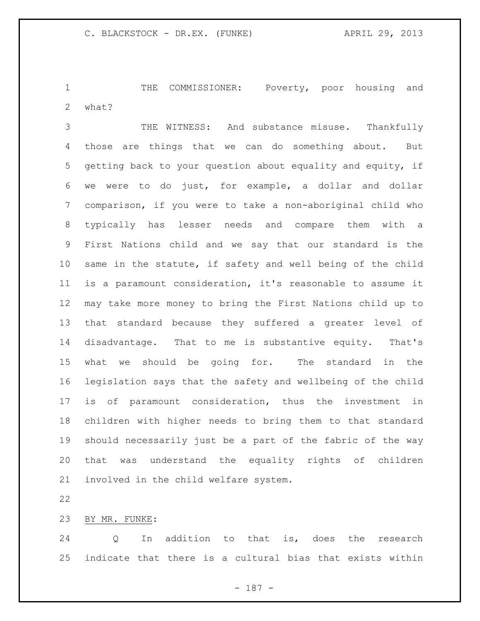THE COMMISSIONER: Poverty, poor housing and what?

 THE WITNESS: And substance misuse. Thankfully those are things that we can do something about. But getting back to your question about equality and equity, if we were to do just, for example, a dollar and dollar comparison, if you were to take a non-aboriginal child who typically has lesser needs and compare them with a First Nations child and we say that our standard is the same in the statute, if safety and well being of the child is a paramount consideration, it's reasonable to assume it may take more money to bring the First Nations child up to that standard because they suffered a greater level of disadvantage. That to me is substantive equity. That's what we should be going for. The standard in the legislation says that the safety and wellbeing of the child is of paramount consideration, thus the investment in children with higher needs to bring them to that standard should necessarily just be a part of the fabric of the way that was understand the equality rights of children involved in the child welfare system.

### BY MR. FUNKE:

 Q In addition to that is, does the research indicate that there is a cultural bias that exists within

- 187 -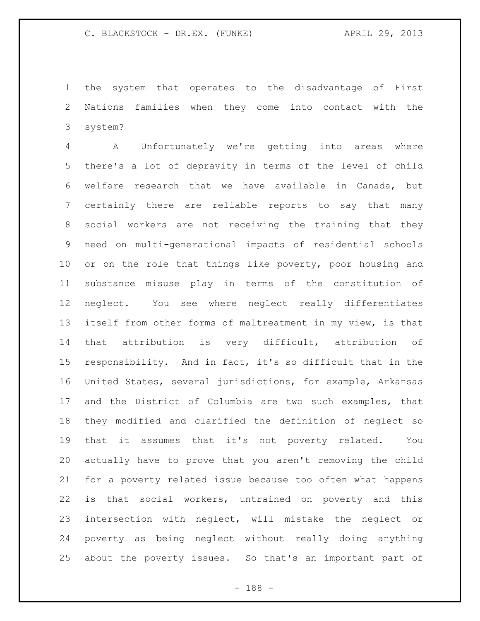the system that operates to the disadvantage of First Nations families when they come into contact with the system?

 A Unfortunately we're getting into areas where there's a lot of depravity in terms of the level of child welfare research that we have available in Canada, but certainly there are reliable reports to say that many social workers are not receiving the training that they need on multi-generational impacts of residential schools 10 or on the role that things like poverty, poor housing and substance misuse play in terms of the constitution of neglect. You see where neglect really differentiates itself from other forms of maltreatment in my view, is that that attribution is very difficult, attribution of responsibility. And in fact, it's so difficult that in the United States, several jurisdictions, for example, Arkansas and the District of Columbia are two such examples, that they modified and clarified the definition of neglect so that it assumes that it's not poverty related. You actually have to prove that you aren't removing the child for a poverty related issue because too often what happens is that social workers, untrained on poverty and this intersection with neglect, will mistake the neglect or poverty as being neglect without really doing anything about the poverty issues. So that's an important part of

- 188 -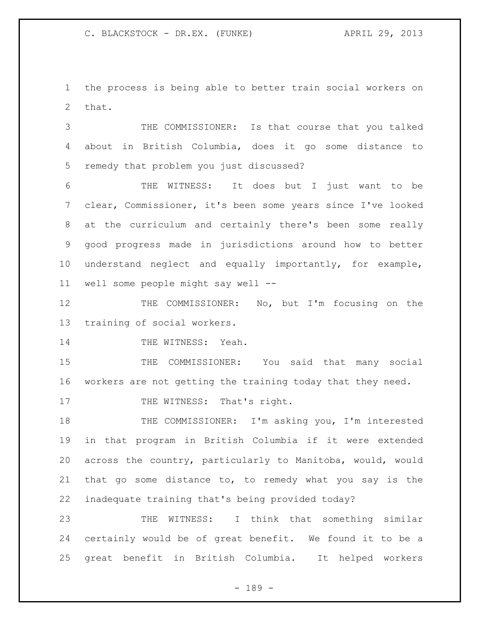the process is being able to better train social workers on that.

 THE COMMISSIONER: Is that course that you talked about in British Columbia, does it go some distance to remedy that problem you just discussed?

 THE WITNESS: It does but I just want to be clear, Commissioner, it's been some years since I've looked at the curriculum and certainly there's been some really good progress made in jurisdictions around how to better understand neglect and equally importantly, for example, well some people might say well --

 THE COMMISSIONER: No, but I'm focusing on the training of social workers.

14 THE WITNESS: Yeah.

15 THE COMMISSIONER: You said that many social workers are not getting the training today that they need.

17 THE WITNESS: That's right.

18 THE COMMISSIONER: I'm asking you, I'm interested in that program in British Columbia if it were extended across the country, particularly to Manitoba, would, would that go some distance to, to remedy what you say is the inadequate training that's being provided today?

 THE WITNESS: I think that something similar certainly would be of great benefit. We found it to be a great benefit in British Columbia. It helped workers

- 189 -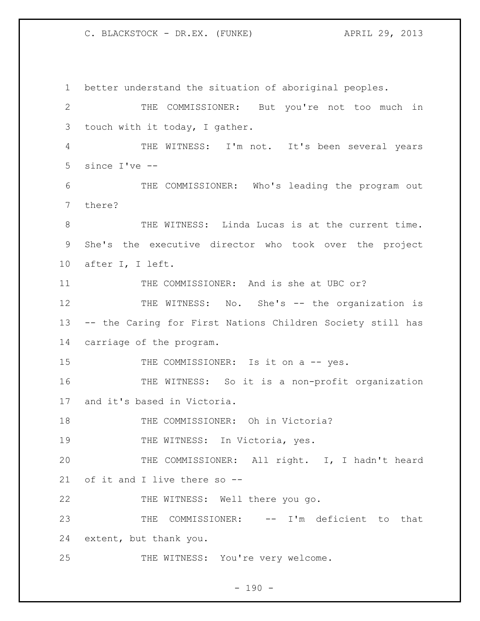better understand the situation of aboriginal peoples. THE COMMISSIONER: But you're not too much in touch with it today, I gather. THE WITNESS: I'm not. It's been several years since I've -- THE COMMISSIONER: Who's leading the program out there? THE WITNESS: Linda Lucas is at the current time. She's the executive director who took over the project after I, I left. 11 THE COMMISSIONER: And is she at UBC or? 12 THE WITNESS: No. She's -- the organization is -- the Caring for First Nations Children Society still has carriage of the program. 15 THE COMMISSIONER: Is it on a -- yes. THE WITNESS: So it is a non-profit organization and it's based in Victoria. 18 THE COMMISSIONER: Oh in Victoria? 19 THE WITNESS: In Victoria, yes. THE COMMISSIONER: All right. I, I hadn't heard of it and I live there so -- THE WITNESS: Well there you go. THE COMMISSIONER: -- I'm deficient to that extent, but thank you. 25 THE WITNESS: You're very welcome.

 $- 190 -$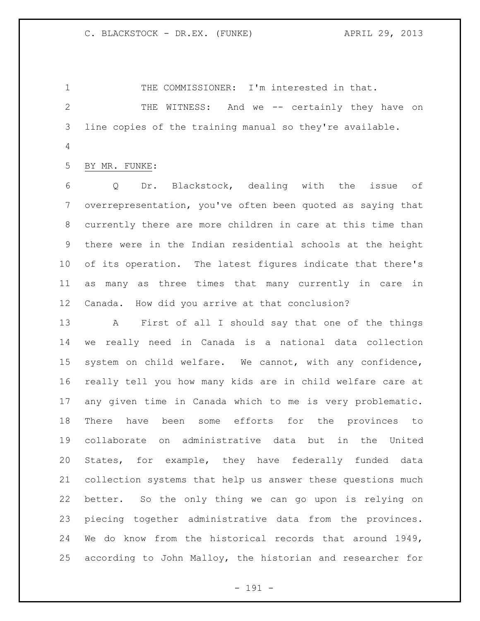1 THE COMMISSIONER: I'm interested in that.

 THE WITNESS: And we -- certainly they have on line copies of the training manual so they're available.

BY MR. FUNKE:

 Q Dr. Blackstock, dealing with the issue of overrepresentation, you've often been quoted as saying that currently there are more children in care at this time than there were in the Indian residential schools at the height of its operation. The latest figures indicate that there's as many as three times that many currently in care in Canada. How did you arrive at that conclusion?

 A First of all I should say that one of the things we really need in Canada is a national data collection system on child welfare. We cannot, with any confidence, really tell you how many kids are in child welfare care at any given time in Canada which to me is very problematic. There have been some efforts for the provinces to collaborate on administrative data but in the United States, for example, they have federally funded data collection systems that help us answer these questions much better. So the only thing we can go upon is relying on piecing together administrative data from the provinces. We do know from the historical records that around 1949, according to John Malloy, the historian and researcher for

- 191 -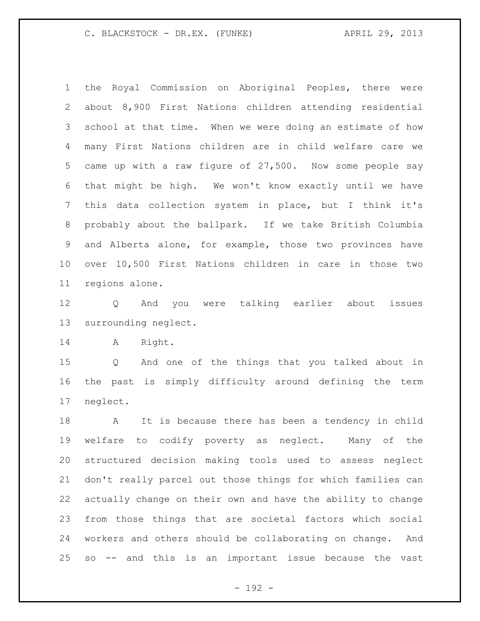the Royal Commission on Aboriginal Peoples, there were about 8,900 First Nations children attending residential school at that time. When we were doing an estimate of how many First Nations children are in child welfare care we came up with a raw figure of 27,500. Now some people say that might be high. We won't know exactly until we have this data collection system in place, but I think it's probably about the ballpark. If we take British Columbia and Alberta alone, for example, those two provinces have over 10,500 First Nations children in care in those two regions alone.

 Q And you were talking earlier about issues surrounding neglect.

A Right.

 Q And one of the things that you talked about in the past is simply difficulty around defining the term neglect.

 A It is because there has been a tendency in child welfare to codify poverty as neglect. Many of the structured decision making tools used to assess neglect don't really parcel out those things for which families can actually change on their own and have the ability to change from those things that are societal factors which social workers and others should be collaborating on change. And so -- and this is an important issue because the vast

- 192 -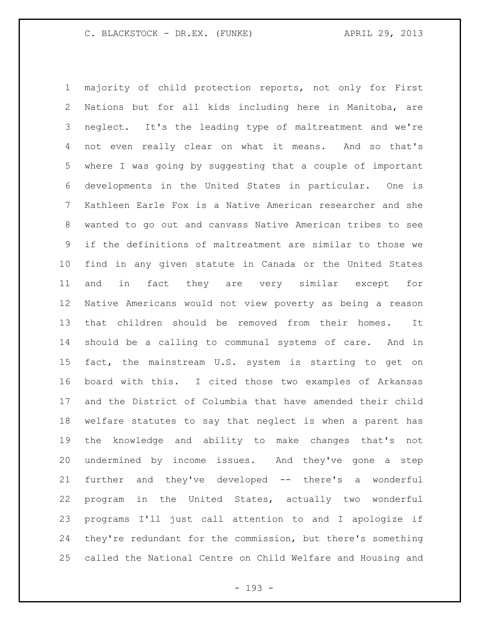majority of child protection reports, not only for First Nations but for all kids including here in Manitoba, are neglect. It's the leading type of maltreatment and we're not even really clear on what it means. And so that's where I was going by suggesting that a couple of important developments in the United States in particular. One is Kathleen Earle Fox is a Native American researcher and she wanted to go out and canvass Native American tribes to see if the definitions of maltreatment are similar to those we find in any given statute in Canada or the United States and in fact they are very similar except for Native Americans would not view poverty as being a reason that children should be removed from their homes. It should be a calling to communal systems of care. And in fact, the mainstream U.S. system is starting to get on board with this. I cited those two examples of Arkansas and the District of Columbia that have amended their child welfare statutes to say that neglect is when a parent has the knowledge and ability to make changes that's not undermined by income issues. And they've gone a step further and they've developed -- there's a wonderful program in the United States, actually two wonderful programs I'll just call attention to and I apologize if they're redundant for the commission, but there's something called the National Centre on Child Welfare and Housing and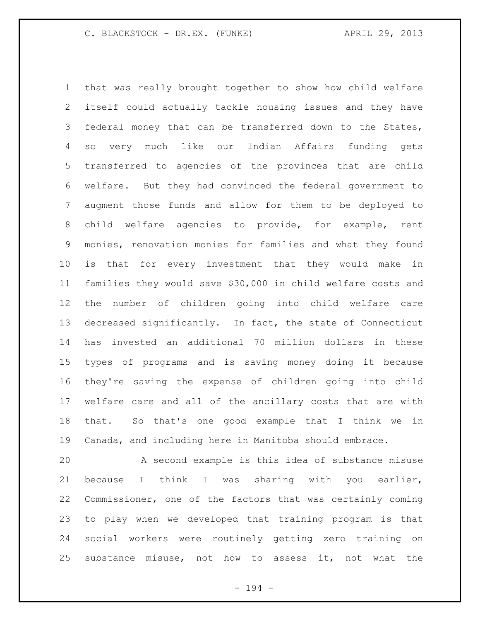that was really brought together to show how child welfare itself could actually tackle housing issues and they have federal money that can be transferred down to the States, so very much like our Indian Affairs funding gets transferred to agencies of the provinces that are child welfare. But they had convinced the federal government to augment those funds and allow for them to be deployed to child welfare agencies to provide, for example, rent monies, renovation monies for families and what they found is that for every investment that they would make in families they would save \$30,000 in child welfare costs and the number of children going into child welfare care decreased significantly. In fact, the state of Connecticut has invested an additional 70 million dollars in these types of programs and is saving money doing it because they're saving the expense of children going into child welfare care and all of the ancillary costs that are with that. So that's one good example that I think we in Canada, and including here in Manitoba should embrace.

 A second example is this idea of substance misuse because I think I was sharing with you earlier, Commissioner, one of the factors that was certainly coming to play when we developed that training program is that social workers were routinely getting zero training on substance misuse, not how to assess it, not what the

- 194 -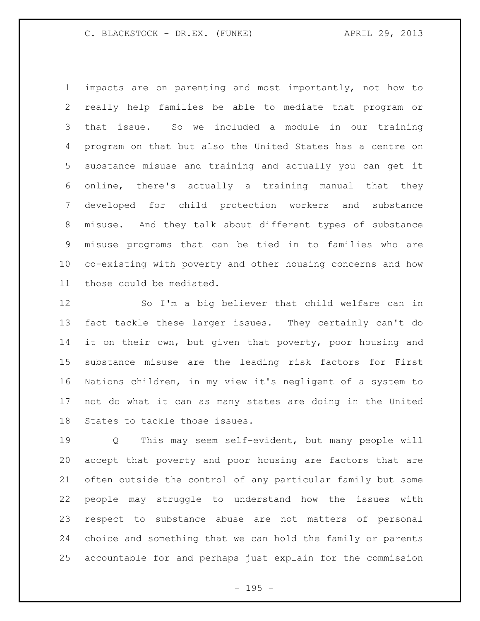impacts are on parenting and most importantly, not how to really help families be able to mediate that program or that issue. So we included a module in our training program on that but also the United States has a centre on substance misuse and training and actually you can get it online, there's actually a training manual that they developed for child protection workers and substance misuse. And they talk about different types of substance misuse programs that can be tied in to families who are co-existing with poverty and other housing concerns and how those could be mediated.

 So I'm a big believer that child welfare can in fact tackle these larger issues. They certainly can't do 14 it on their own, but given that poverty, poor housing and substance misuse are the leading risk factors for First Nations children, in my view it's negligent of a system to not do what it can as many states are doing in the United States to tackle those issues.

 Q This may seem self-evident, but many people will accept that poverty and poor housing are factors that are often outside the control of any particular family but some people may struggle to understand how the issues with respect to substance abuse are not matters of personal choice and something that we can hold the family or parents accountable for and perhaps just explain for the commission

- 195 -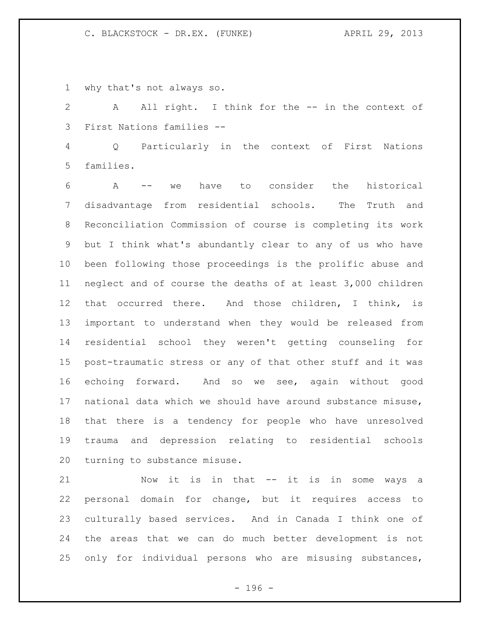why that's not always so.

2 A All right. I think for the -- in the context of First Nations families --

 Q Particularly in the context of First Nations families.

 A -- we have to consider the historical disadvantage from residential schools. The Truth and Reconciliation Commission of course is completing its work but I think what's abundantly clear to any of us who have been following those proceedings is the prolific abuse and neglect and of course the deaths of at least 3,000 children that occurred there. And those children, I think, is important to understand when they would be released from residential school they weren't getting counseling for post-traumatic stress or any of that other stuff and it was echoing forward. And so we see, again without good national data which we should have around substance misuse, that there is a tendency for people who have unresolved trauma and depression relating to residential schools turning to substance misuse.

 Now it is in that -- it is in some ways a personal domain for change, but it requires access to culturally based services. And in Canada I think one of the areas that we can do much better development is not only for individual persons who are misusing substances,

- 196 -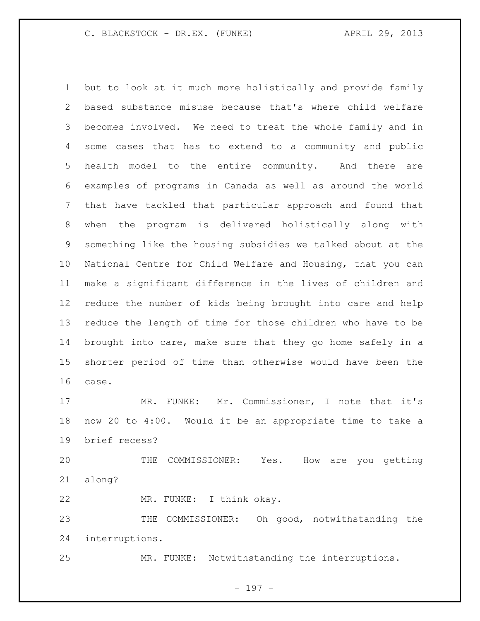but to look at it much more holistically and provide family based substance misuse because that's where child welfare becomes involved. We need to treat the whole family and in some cases that has to extend to a community and public health model to the entire community. And there are examples of programs in Canada as well as around the world that have tackled that particular approach and found that when the program is delivered holistically along with something like the housing subsidies we talked about at the National Centre for Child Welfare and Housing, that you can make a significant difference in the lives of children and reduce the number of kids being brought into care and help reduce the length of time for those children who have to be brought into care, make sure that they go home safely in a shorter period of time than otherwise would have been the case.

 MR. FUNKE: Mr. Commissioner, I note that it's now 20 to 4:00. Would it be an appropriate time to take a brief recess?

 THE COMMISSIONER: Yes. How are you getting along?

MR. FUNKE: I think okay.

 THE COMMISSIONER: Oh good, notwithstanding the interruptions.

MR. FUNKE: Notwithstanding the interruptions.

- 197 -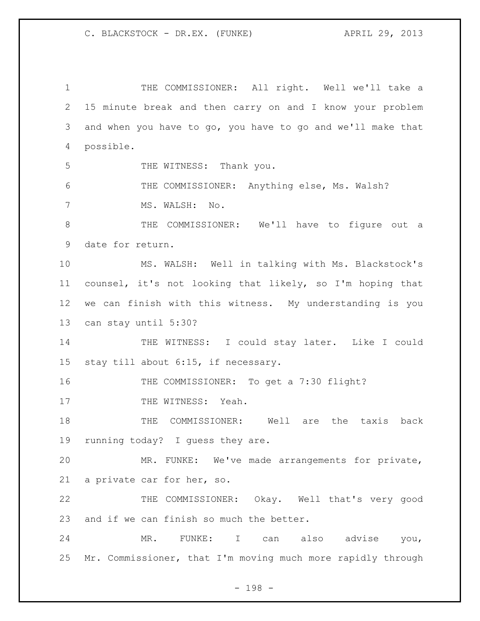THE COMMISSIONER: All right. Well we'll take a 15 minute break and then carry on and I know your problem and when you have to go, you have to go and we'll make that possible. 5 THE WITNESS: Thank you. 6 THE COMMISSIONER: Anything else, Ms. Walsh? MS. WALSH: No. THE COMMISSIONER: We'll have to figure out a date for return. MS. WALSH: Well in talking with Ms. Blackstock's counsel, it's not looking that likely, so I'm hoping that we can finish with this witness. My understanding is you can stay until 5:30? 14 THE WITNESS: I could stay later. Like I could stay till about 6:15, if necessary. 16 THE COMMISSIONER: To get a 7:30 flight? 17 THE WITNESS: Yeah. THE COMMISSIONER: Well are the taxis back running today? I guess they are. MR. FUNKE: We've made arrangements for private, a private car for her, so. THE COMMISSIONER: Okay. Well that's very good 23 and if we can finish so much the better. MR. FUNKE: I can also advise you, Mr. Commissioner, that I'm moving much more rapidly through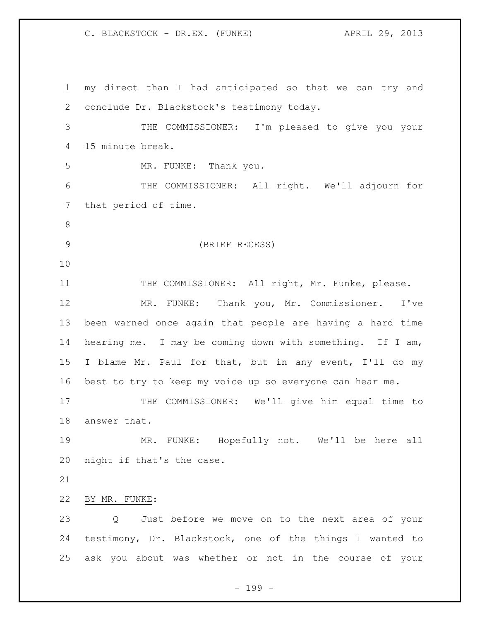my direct than I had anticipated so that we can try and conclude Dr. Blackstock's testimony today. THE COMMISSIONER: I'm pleased to give you your 15 minute break. MR. FUNKE: Thank you. THE COMMISSIONER: All right. We'll adjourn for that period of time. (BRIEF RECESS) 11 THE COMMISSIONER: All right, Mr. Funke, please. MR. FUNKE: Thank you, Mr. Commissioner. I've been warned once again that people are having a hard time hearing me. I may be coming down with something. If I am, I blame Mr. Paul for that, but in any event, I'll do my best to try to keep my voice up so everyone can hear me. 17 THE COMMISSIONER: We'll give him equal time to answer that. MR. FUNKE: Hopefully not. We'll be here all night if that's the case. BY MR. FUNKE: Q Just before we move on to the next area of your testimony, Dr. Blackstock, one of the things I wanted to ask you about was whether or not in the course of your

- 199 -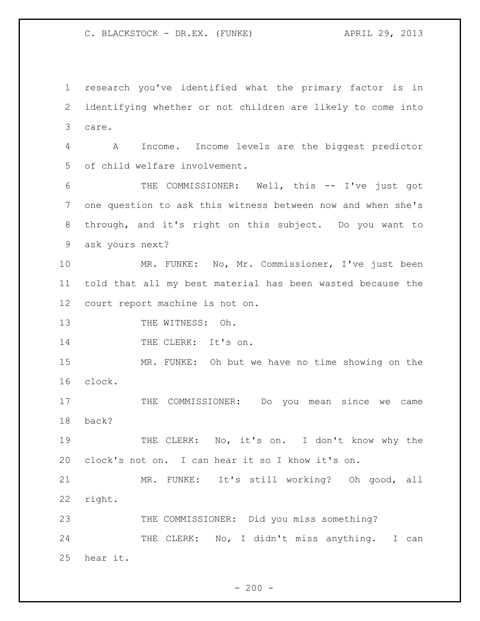research you've identified what the primary factor is in identifying whether or not children are likely to come into care.

 A Income. Income levels are the biggest predictor of child welfare involvement.

 THE COMMISSIONER: Well, this -- I've just got one question to ask this witness between now and when she's through, and it's right on this subject. Do you want to ask yours next?

 MR. FUNKE: No, Mr. Commissioner, I've just been told that all my best material has been wasted because the court report machine is not on.

13 THE WITNESS: Oh.

14 THE CLERK: It's on.

 MR. FUNKE: Oh but we have no time showing on the clock.

17 THE COMMISSIONER: Do you mean since we came back?

19 THE CLERK: No, it's on. I don't know why the clock's not on. I can hear it so I know it's on.

 MR. FUNKE: It's still working? Oh good, all right.

 THE COMMISSIONER: Did you miss something? 24 THE CLERK: No, I didn't miss anything. I can hear it.

 $-200 -$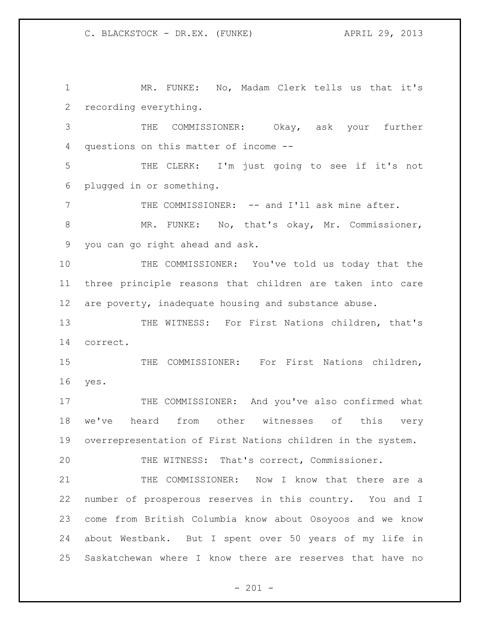MR. FUNKE: No, Madam Clerk tells us that it's recording everything.

 THE COMMISSIONER: Okay, ask your further questions on this matter of income --

 THE CLERK: I'm just going to see if it's not plugged in or something.

7 THE COMMISSIONER: -- and I'll ask mine after.

 MR. FUNKE: No, that's okay, Mr. Commissioner, you can go right ahead and ask.

 THE COMMISSIONER: You've told us today that the three principle reasons that children are taken into care are poverty, inadequate housing and substance abuse.

 THE WITNESS: For First Nations children, that's correct.

 THE COMMISSIONER: For First Nations children, yes.

17 THE COMMISSIONER: And you've also confirmed what we've heard from other witnesses of this very overrepresentation of First Nations children in the system.

THE WITNESS: That's correct, Commissioner.

 THE COMMISSIONER: Now I know that there are a number of prosperous reserves in this country. You and I come from British Columbia know about Osoyoos and we know about Westbank. But I spent over 50 years of my life in Saskatchewan where I know there are reserves that have no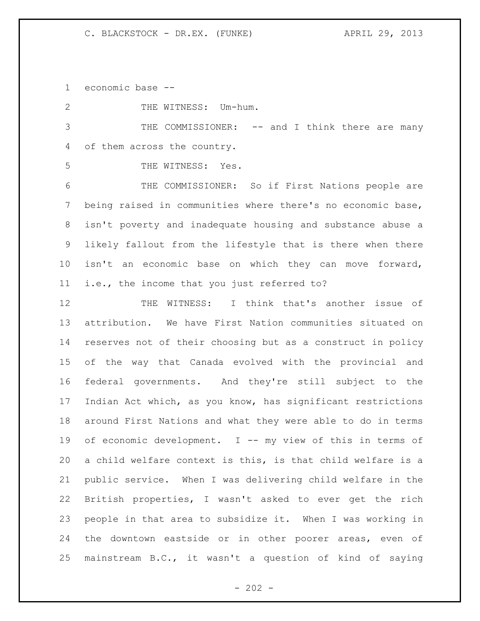economic base --

2 THE WITNESS: Um-hum. THE COMMISSIONER: -- and I think there are many of them across the country. THE WITNESS: Yes. THE COMMISSIONER: So if First Nations people are being raised in communities where there's no economic base, isn't poverty and inadequate housing and substance abuse a likely fallout from the lifestyle that is there when there isn't an economic base on which they can move forward, i.e., the income that you just referred to? THE WITNESS: I think that's another issue of attribution. We have First Nation communities situated on reserves not of their choosing but as a construct in policy of the way that Canada evolved with the provincial and federal governments. And they're still subject to the Indian Act which, as you know, has significant restrictions around First Nations and what they were able to do in terms 19 of economic development. I -- my view of this in terms of a child welfare context is this, is that child welfare is a public service. When I was delivering child welfare in the British properties, I wasn't asked to ever get the rich people in that area to subsidize it. When I was working in the downtown eastside or in other poorer areas, even of mainstream B.C., it wasn't a question of kind of saying

 $- 202 -$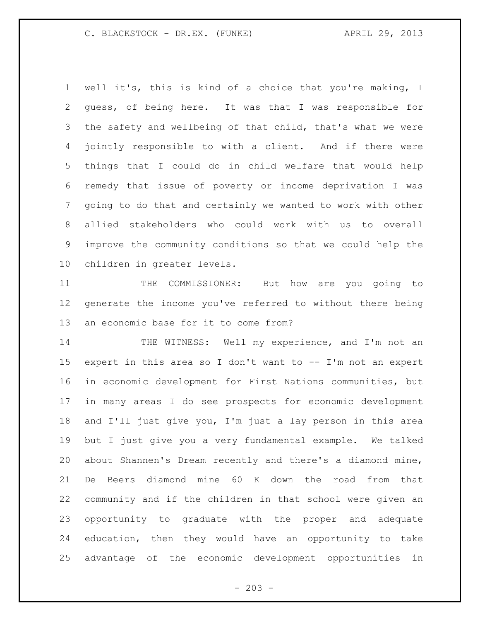well it's, this is kind of a choice that you're making, I guess, of being here. It was that I was responsible for the safety and wellbeing of that child, that's what we were jointly responsible to with a client. And if there were things that I could do in child welfare that would help remedy that issue of poverty or income deprivation I was going to do that and certainly we wanted to work with other allied stakeholders who could work with us to overall improve the community conditions so that we could help the children in greater levels.

11 THE COMMISSIONER: But how are you going to generate the income you've referred to without there being an economic base for it to come from?

14 THE WITNESS: Well my experience, and I'm not an expert in this area so I don't want to -- I'm not an expert in economic development for First Nations communities, but in many areas I do see prospects for economic development and I'll just give you, I'm just a lay person in this area but I just give you a very fundamental example. We talked about Shannen's Dream recently and there's a diamond mine, De Beers diamond mine 60 K down the road from that community and if the children in that school were given an opportunity to graduate with the proper and adequate education, then they would have an opportunity to take advantage of the economic development opportunities in

 $-203 -$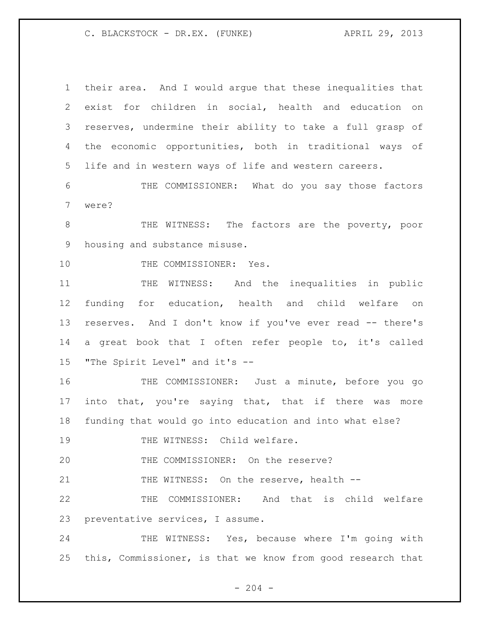their area. And I would argue that these inequalities that exist for children in social, health and education on reserves, undermine their ability to take a full grasp of the economic opportunities, both in traditional ways of life and in western ways of life and western careers. THE COMMISSIONER: What do you say those factors were? 8 THE WITNESS: The factors are the poverty, poor housing and substance misuse. 10 THE COMMISSIONER: Yes. 11 THE WITNESS: And the inequalities in public funding for education, health and child welfare on reserves. And I don't know if you've ever read -- there's a great book that I often refer people to, it's called "The Spirit Level" and it's -- THE COMMISSIONER: Just a minute, before you go into that, you're saying that, that if there was more funding that would go into education and into what else? 19 THE WITNESS: Child welfare. THE COMMISSIONER: On the reserve? 21 THE WITNESS: On the reserve, health -- THE COMMISSIONER: And that is child welfare preventative services, I assume. 24 THE WITNESS: Yes, because where I'm going with this, Commissioner, is that we know from good research that

 $-204 -$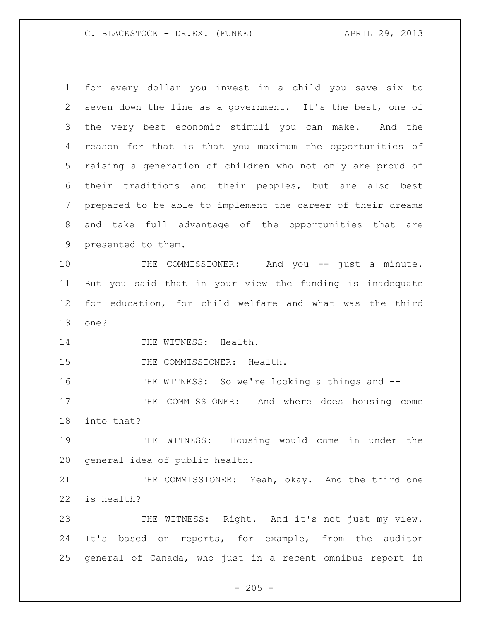for every dollar you invest in a child you save six to seven down the line as a government. It's the best, one of the very best economic stimuli you can make. And the reason for that is that you maximum the opportunities of raising a generation of children who not only are proud of their traditions and their peoples, but are also best prepared to be able to implement the career of their dreams and take full advantage of the opportunities that are presented to them. 10 THE COMMISSIONER: And you -- just a minute. But you said that in your view the funding is inadequate for education, for child welfare and what was the third one? 14 THE WITNESS: Health. 15 THE COMMISSIONER: Health. THE WITNESS: So we're looking a things and -- 17 THE COMMISSIONER: And where does housing come into that? THE WITNESS: Housing would come in under the general idea of public health. 21 THE COMMISSIONER: Yeah, okay. And the third one is health? 23 THE WITNESS: Right. And it's not just my view. It's based on reports, for example, from the auditor general of Canada, who just in a recent omnibus report in

 $- 205 -$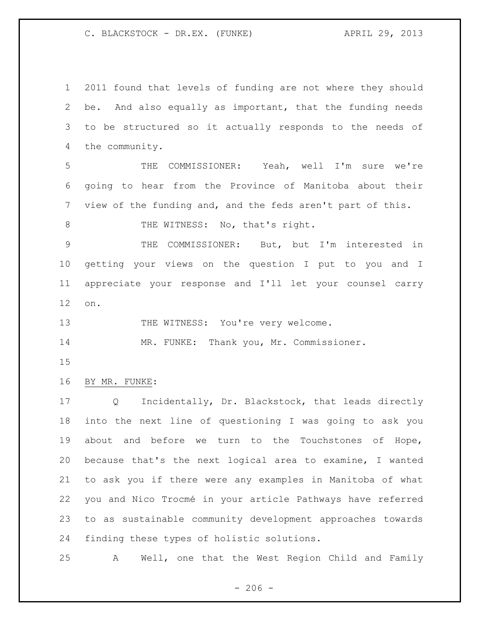2011 found that levels of funding are not where they should be. And also equally as important, that the funding needs to be structured so it actually responds to the needs of the community.

 THE COMMISSIONER: Yeah, well I'm sure we're going to hear from the Province of Manitoba about their view of the funding and, and the feds aren't part of this.

8 THE WITNESS: No, that's right.

 THE COMMISSIONER: But, but I'm interested in getting your views on the question I put to you and I appreciate your response and I'll let your counsel carry on.

13 THE WITNESS: You're very welcome.

MR. FUNKE: Thank you, Mr. Commissioner.

BY MR. FUNKE:

 Q Incidentally, Dr. Blackstock, that leads directly into the next line of questioning I was going to ask you about and before we turn to the Touchstones of Hope, because that's the next logical area to examine, I wanted to ask you if there were any examples in Manitoba of what you and Nico Trocmé in your article Pathways have referred to as sustainable community development approaches towards finding these types of holistic solutions.

A Well, one that the West Region Child and Family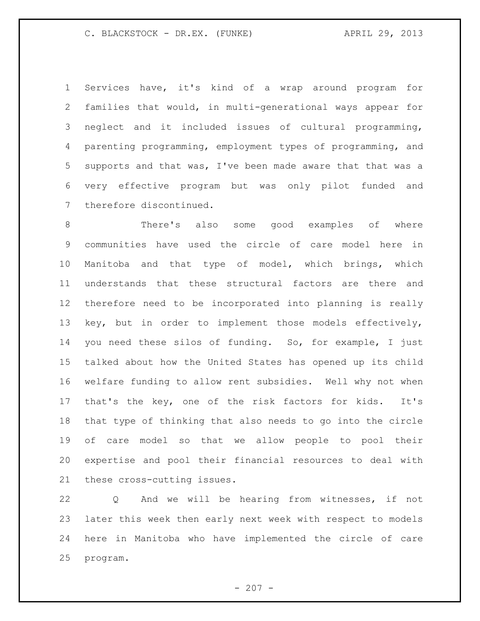Services have, it's kind of a wrap around program for families that would, in multi-generational ways appear for neglect and it included issues of cultural programming, parenting programming, employment types of programming, and supports and that was, I've been made aware that that was a very effective program but was only pilot funded and therefore discontinued.

 There's also some good examples of where communities have used the circle of care model here in Manitoba and that type of model, which brings, which understands that these structural factors are there and therefore need to be incorporated into planning is really key, but in order to implement those models effectively, you need these silos of funding. So, for example, I just talked about how the United States has opened up its child welfare funding to allow rent subsidies. Well why not when that's the key, one of the risk factors for kids. It's that type of thinking that also needs to go into the circle of care model so that we allow people to pool their expertise and pool their financial resources to deal with these cross-cutting issues.

 Q And we will be hearing from witnesses, if not later this week then early next week with respect to models here in Manitoba who have implemented the circle of care program.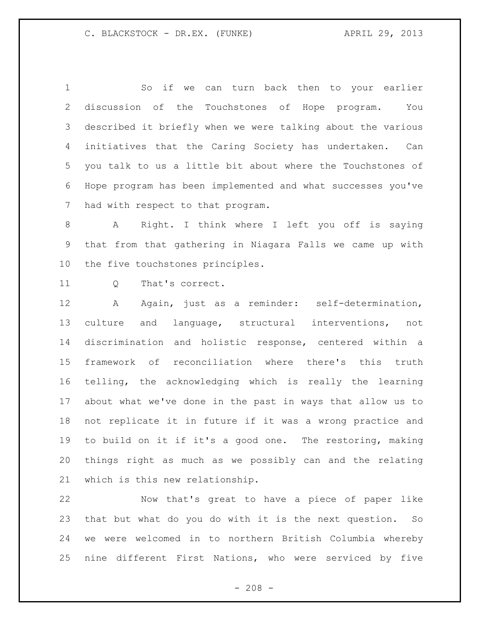So if we can turn back then to your earlier discussion of the Touchstones of Hope program. You described it briefly when we were talking about the various initiatives that the Caring Society has undertaken. Can you talk to us a little bit about where the Touchstones of Hope program has been implemented and what successes you've had with respect to that program.

 A Right. I think where I left you off is saying that from that gathering in Niagara Falls we came up with the five touchstones principles.

11 0 That's correct.

 A Again, just as a reminder: self-determination, culture and language, structural interventions, not discrimination and holistic response, centered within a framework of reconciliation where there's this truth telling, the acknowledging which is really the learning about what we've done in the past in ways that allow us to not replicate it in future if it was a wrong practice and to build on it if it's a good one. The restoring, making things right as much as we possibly can and the relating which is this new relationship.

 Now that's great to have a piece of paper like that but what do you do with it is the next question. So we were welcomed in to northern British Columbia whereby nine different First Nations, who were serviced by five

 $- 208 -$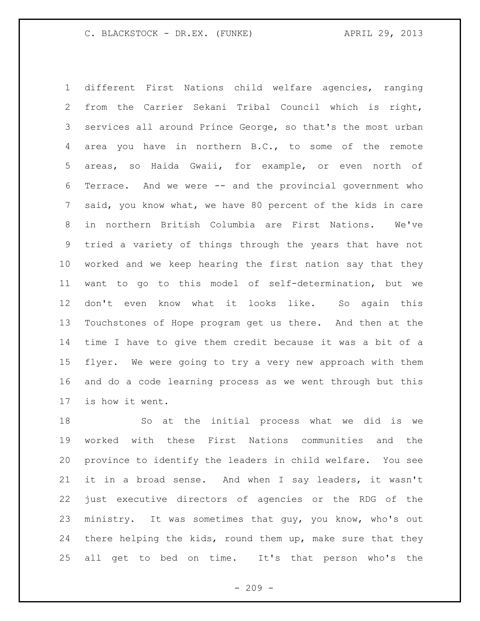different First Nations child welfare agencies, ranging from the Carrier Sekani Tribal Council which is right, services all around Prince George, so that's the most urban area you have in northern B.C., to some of the remote areas, so Haida Gwaii, for example, or even north of Terrace. And we were -- and the provincial government who said, you know what, we have 80 percent of the kids in care in northern British Columbia are First Nations. We've tried a variety of things through the years that have not worked and we keep hearing the first nation say that they want to go to this model of self-determination, but we don't even know what it looks like. So again this Touchstones of Hope program get us there. And then at the time I have to give them credit because it was a bit of a flyer. We were going to try a very new approach with them and do a code learning process as we went through but this is how it went.

 So at the initial process what we did is we worked with these First Nations communities and the province to identify the leaders in child welfare. You see it in a broad sense. And when I say leaders, it wasn't just executive directors of agencies or the RDG of the ministry. It was sometimes that guy, you know, who's out there helping the kids, round them up, make sure that they all get to bed on time. It's that person who's the

 $-209 -$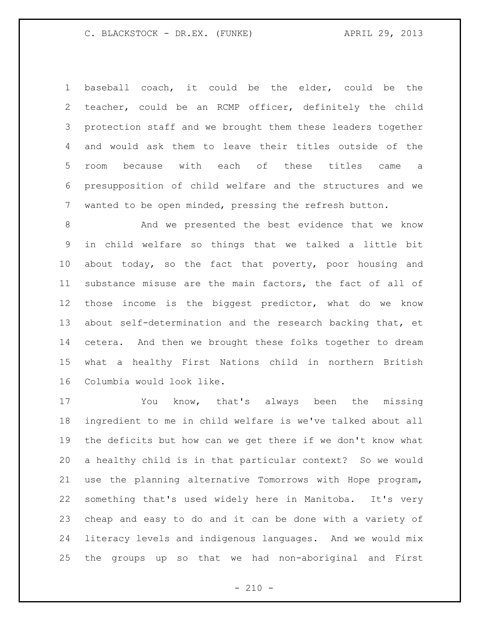baseball coach, it could be the elder, could be the teacher, could be an RCMP officer, definitely the child protection staff and we brought them these leaders together and would ask them to leave their titles outside of the room because with each of these titles came a presupposition of child welfare and the structures and we wanted to be open minded, pressing the refresh button.

 And we presented the best evidence that we know in child welfare so things that we talked a little bit about today, so the fact that poverty, poor housing and substance misuse are the main factors, the fact of all of those income is the biggest predictor, what do we know about self-determination and the research backing that, et cetera. And then we brought these folks together to dream what a healthy First Nations child in northern British Columbia would look like.

 You know, that's always been the missing ingredient to me in child welfare is we've talked about all the deficits but how can we get there if we don't know what a healthy child is in that particular context? So we would use the planning alternative Tomorrows with Hope program, something that's used widely here in Manitoba. It's very cheap and easy to do and it can be done with a variety of literacy levels and indigenous languages. And we would mix the groups up so that we had non-aboriginal and First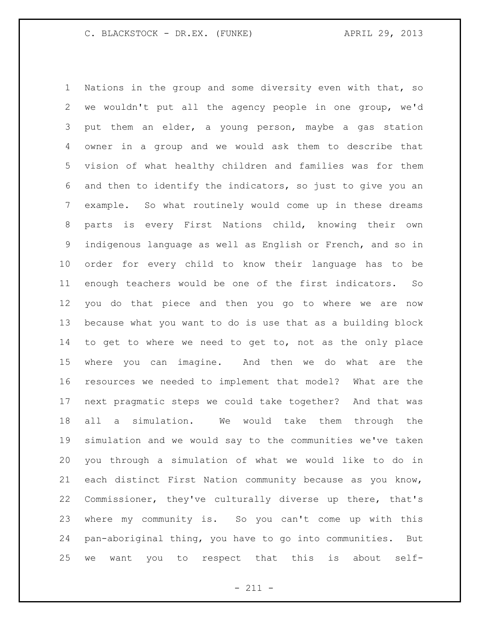Nations in the group and some diversity even with that, so we wouldn't put all the agency people in one group, we'd put them an elder, a young person, maybe a gas station owner in a group and we would ask them to describe that vision of what healthy children and families was for them and then to identify the indicators, so just to give you an example. So what routinely would come up in these dreams parts is every First Nations child, knowing their own indigenous language as well as English or French, and so in order for every child to know their language has to be enough teachers would be one of the first indicators. So you do that piece and then you go to where we are now because what you want to do is use that as a building block to get to where we need to get to, not as the only place where you can imagine. And then we do what are the resources we needed to implement that model? What are the next pragmatic steps we could take together? And that was all a simulation. We would take them through the simulation and we would say to the communities we've taken you through a simulation of what we would like to do in each distinct First Nation community because as you know, Commissioner, they've culturally diverse up there, that's where my community is. So you can't come up with this pan-aboriginal thing, you have to go into communities. But we want you to respect that this is about self-

- 211 -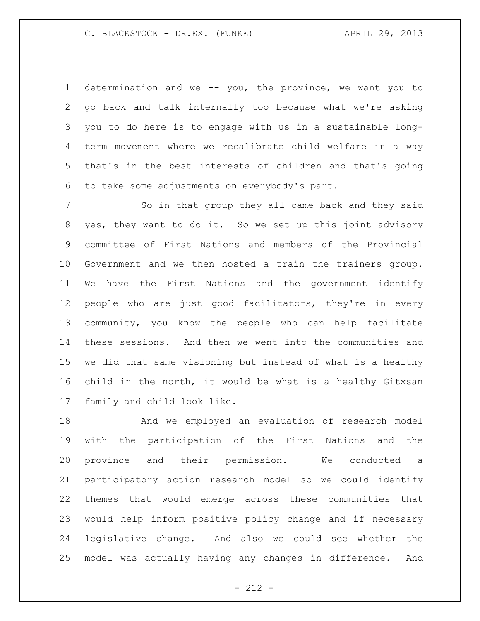determination and we -- you, the province, we want you to go back and talk internally too because what we're asking you to do here is to engage with us in a sustainable long- term movement where we recalibrate child welfare in a way that's in the best interests of children and that's going to take some adjustments on everybody's part.

 So in that group they all came back and they said yes, they want to do it. So we set up this joint advisory committee of First Nations and members of the Provincial Government and we then hosted a train the trainers group. We have the First Nations and the government identify people who are just good facilitators, they're in every community, you know the people who can help facilitate these sessions. And then we went into the communities and we did that same visioning but instead of what is a healthy child in the north, it would be what is a healthy Gitxsan family and child look like.

 And we employed an evaluation of research model with the participation of the First Nations and the province and their permission. We conducted a participatory action research model so we could identify themes that would emerge across these communities that would help inform positive policy change and if necessary legislative change. And also we could see whether the model was actually having any changes in difference. And

 $- 212 -$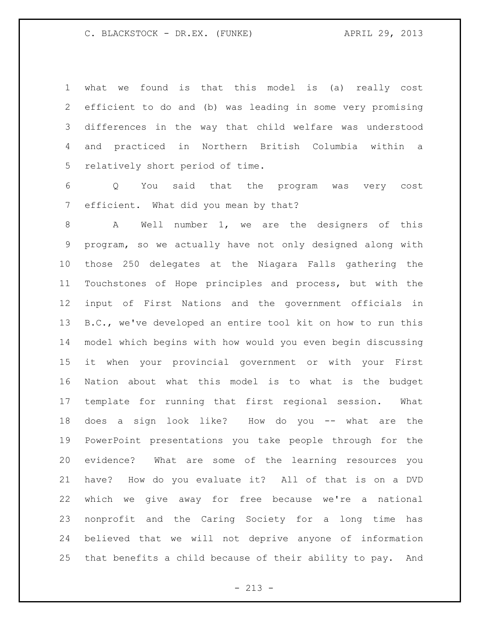what we found is that this model is (a) really cost efficient to do and (b) was leading in some very promising differences in the way that child welfare was understood and practiced in Northern British Columbia within a relatively short period of time.

 Q You said that the program was very cost efficient. What did you mean by that?

8 A Well number 1, we are the designers of this program, so we actually have not only designed along with those 250 delegates at the Niagara Falls gathering the Touchstones of Hope principles and process, but with the input of First Nations and the government officials in B.C., we've developed an entire tool kit on how to run this model which begins with how would you even begin discussing it when your provincial government or with your First Nation about what this model is to what is the budget template for running that first regional session. What does a sign look like? How do you -- what are the PowerPoint presentations you take people through for the evidence? What are some of the learning resources you have? How do you evaluate it? All of that is on a DVD which we give away for free because we're a national nonprofit and the Caring Society for a long time has believed that we will not deprive anyone of information that benefits a child because of their ability to pay. And

 $- 213 -$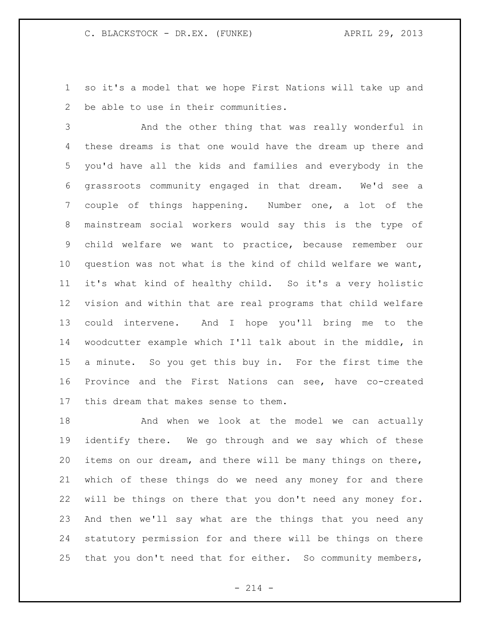so it's a model that we hope First Nations will take up and be able to use in their communities.

 And the other thing that was really wonderful in these dreams is that one would have the dream up there and you'd have all the kids and families and everybody in the grassroots community engaged in that dream. We'd see a couple of things happening. Number one, a lot of the mainstream social workers would say this is the type of child welfare we want to practice, because remember our question was not what is the kind of child welfare we want, it's what kind of healthy child. So it's a very holistic vision and within that are real programs that child welfare could intervene. And I hope you'll bring me to the woodcutter example which I'll talk about in the middle, in a minute. So you get this buy in. For the first time the Province and the First Nations can see, have co-created this dream that makes sense to them.

18 And when we look at the model we can actually identify there. We go through and we say which of these items on our dream, and there will be many things on there, which of these things do we need any money for and there will be things on there that you don't need any money for. And then we'll say what are the things that you need any statutory permission for and there will be things on there that you don't need that for either. So community members,

 $- 214 -$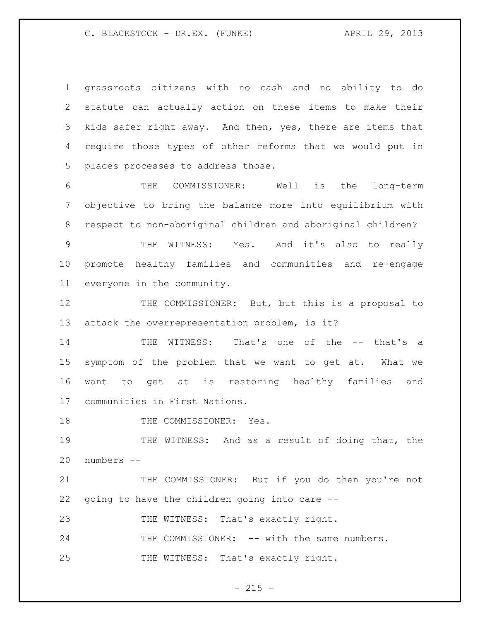grassroots citizens with no cash and no ability to do statute can actually action on these items to make their kids safer right away. And then, yes, there are items that require those types of other reforms that we would put in places processes to address those.

 THE COMMISSIONER: Well is the long-term objective to bring the balance more into equilibrium with respect to non-aboriginal children and aboriginal children?

 THE WITNESS: Yes. And it's also to really promote healthy families and communities and re-engage everyone in the community.

 THE COMMISSIONER: But, but this is a proposal to attack the overrepresentation problem, is it?

 THE WITNESS: That's one of the -- that's a symptom of the problem that we want to get at. What we want to get at is restoring healthy families and communities in First Nations.

18 THE COMMISSIONER: Yes.

19 THE WITNESS: And as a result of doing that, the numbers --

 THE COMMISSIONER: But if you do then you're not going to have the children going into care --

23 THE WITNESS: That's exactly right.

24 THE COMMISSIONER: -- with the same numbers. 25 THE WITNESS: That's exactly right.

 $- 215 -$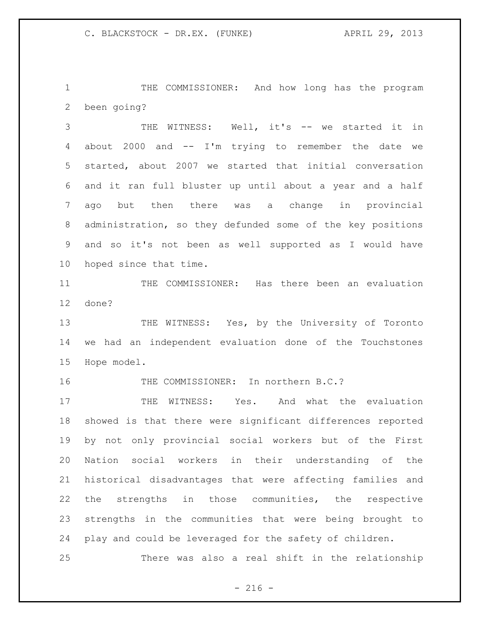THE COMMISSIONER: And how long has the program been going?

 THE WITNESS: Well, it's -- we started it in about 2000 and -- I'm trying to remember the date we started, about 2007 we started that initial conversation and it ran full bluster up until about a year and a half ago but then there was a change in provincial administration, so they defunded some of the key positions and so it's not been as well supported as I would have hoped since that time.

 THE COMMISSIONER: Has there been an evaluation done?

13 THE WITNESS: Yes, by the University of Toronto we had an independent evaluation done of the Touchstones Hope model.

THE COMMISSIONER: In northern B.C.?

17 THE WITNESS: Yes. And what the evaluation showed is that there were significant differences reported by not only provincial social workers but of the First Nation social workers in their understanding of the historical disadvantages that were affecting families and the strengths in those communities, the respective strengths in the communities that were being brought to play and could be leveraged for the safety of children.

There was also a real shift in the relationship

 $-216 -$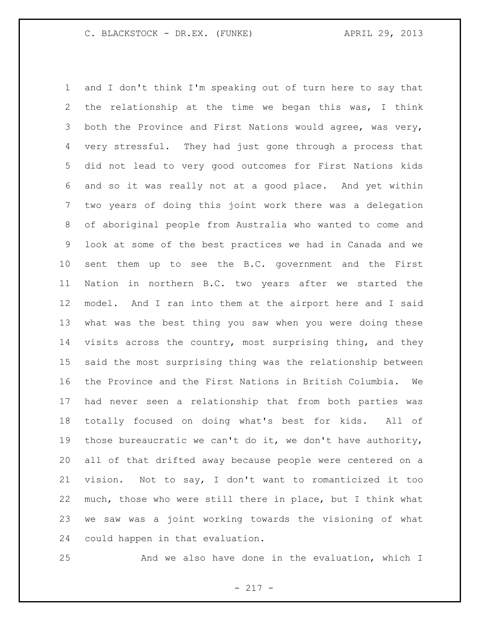and I don't think I'm speaking out of turn here to say that the relationship at the time we began this was, I think both the Province and First Nations would agree, was very, very stressful. They had just gone through a process that did not lead to very good outcomes for First Nations kids and so it was really not at a good place. And yet within two years of doing this joint work there was a delegation of aboriginal people from Australia who wanted to come and look at some of the best practices we had in Canada and we sent them up to see the B.C. government and the First Nation in northern B.C. two years after we started the model. And I ran into them at the airport here and I said what was the best thing you saw when you were doing these visits across the country, most surprising thing, and they said the most surprising thing was the relationship between the Province and the First Nations in British Columbia. We had never seen a relationship that from both parties was totally focused on doing what's best for kids. All of 19 those bureaucratic we can't do it, we don't have authority, all of that drifted away because people were centered on a vision. Not to say, I don't want to romanticized it too much, those who were still there in place, but I think what we saw was a joint working towards the visioning of what could happen in that evaluation.

And we also have done in the evaluation, which I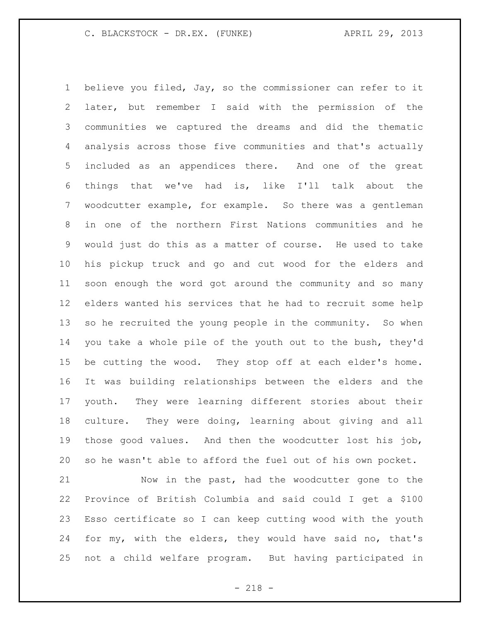believe you filed, Jay, so the commissioner can refer to it later, but remember I said with the permission of the communities we captured the dreams and did the thematic analysis across those five communities and that's actually included as an appendices there. And one of the great things that we've had is, like I'll talk about the woodcutter example, for example. So there was a gentleman in one of the northern First Nations communities and he would just do this as a matter of course. He used to take his pickup truck and go and cut wood for the elders and soon enough the word got around the community and so many elders wanted his services that he had to recruit some help 13 so he recruited the young people in the community. So when you take a whole pile of the youth out to the bush, they'd be cutting the wood. They stop off at each elder's home. It was building relationships between the elders and the youth. They were learning different stories about their culture. They were doing, learning about giving and all those good values. And then the woodcutter lost his job, so he wasn't able to afford the fuel out of his own pocket.

 Now in the past, had the woodcutter gone to the Province of British Columbia and said could I get a \$100 Esso certificate so I can keep cutting wood with the youth for my, with the elders, they would have said no, that's not a child welfare program. But having participated in

- 218 -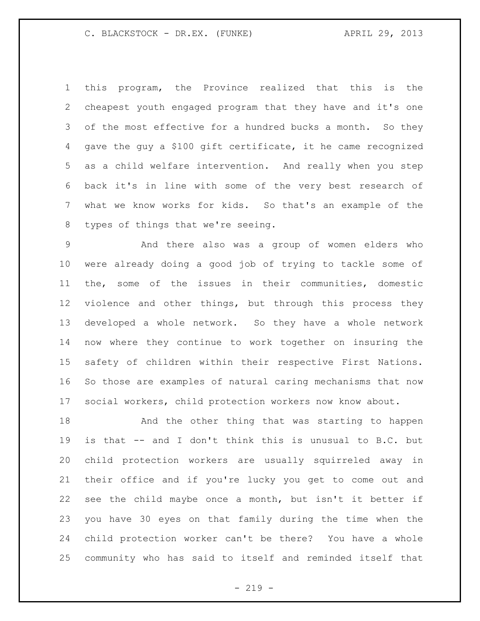this program, the Province realized that this is the cheapest youth engaged program that they have and it's one 3 of the most effective for a hundred bucks a month. So they gave the guy a \$100 gift certificate, it he came recognized as a child welfare intervention. And really when you step back it's in line with some of the very best research of what we know works for kids. So that's an example of the types of things that we're seeing.

 And there also was a group of women elders who were already doing a good job of trying to tackle some of the, some of the issues in their communities, domestic violence and other things, but through this process they developed a whole network. So they have a whole network now where they continue to work together on insuring the safety of children within their respective First Nations. So those are examples of natural caring mechanisms that now social workers, child protection workers now know about.

 And the other thing that was starting to happen is that -- and I don't think this is unusual to B.C. but child protection workers are usually squirreled away in their office and if you're lucky you get to come out and see the child maybe once a month, but isn't it better if you have 30 eyes on that family during the time when the child protection worker can't be there? You have a whole community who has said to itself and reminded itself that

 $- 219 -$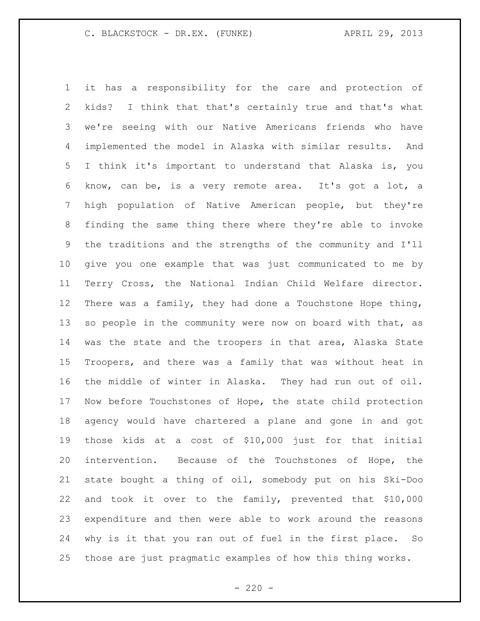it has a responsibility for the care and protection of kids? I think that that's certainly true and that's what we're seeing with our Native Americans friends who have implemented the model in Alaska with similar results. And I think it's important to understand that Alaska is, you know, can be, is a very remote area. It's got a lot, a high population of Native American people, but they're finding the same thing there where they're able to invoke the traditions and the strengths of the community and I'll give you one example that was just communicated to me by Terry Cross, the National Indian Child Welfare director. There was a family, they had done a Touchstone Hope thing, so people in the community were now on board with that, as was the state and the troopers in that area, Alaska State Troopers, and there was a family that was without heat in the middle of winter in Alaska. They had run out of oil. Now before Touchstones of Hope, the state child protection agency would have chartered a plane and gone in and got those kids at a cost of \$10,000 just for that initial intervention. Because of the Touchstones of Hope, the state bought a thing of oil, somebody put on his Ski-Doo and took it over to the family, prevented that \$10,000 expenditure and then were able to work around the reasons why is it that you ran out of fuel in the first place. So those are just pragmatic examples of how this thing works.

 $- 220 -$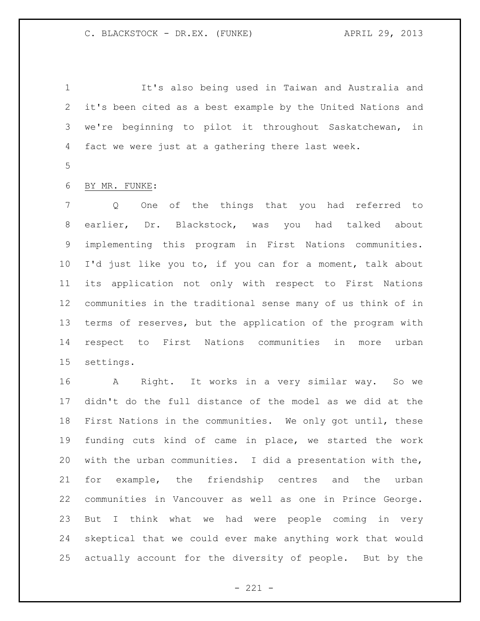It's also being used in Taiwan and Australia and it's been cited as a best example by the United Nations and we're beginning to pilot it throughout Saskatchewan, in fact we were just at a gathering there last week.

# BY MR. FUNKE:

 Q One of the things that you had referred to earlier, Dr. Blackstock, was you had talked about implementing this program in First Nations communities. I'd just like you to, if you can for a moment, talk about its application not only with respect to First Nations communities in the traditional sense many of us think of in terms of reserves, but the application of the program with respect to First Nations communities in more urban settings.

 A Right. It works in a very similar way. So we didn't do the full distance of the model as we did at the First Nations in the communities. We only got until, these funding cuts kind of came in place, we started the work with the urban communities. I did a presentation with the, for example, the friendship centres and the urban communities in Vancouver as well as one in Prince George. But I think what we had were people coming in very skeptical that we could ever make anything work that would actually account for the diversity of people. But by the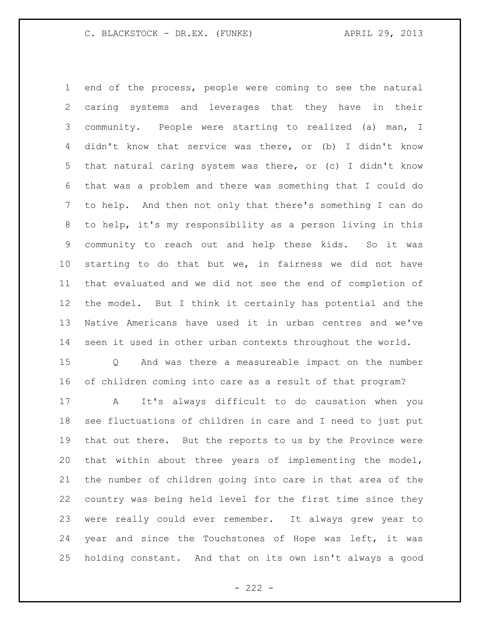end of the process, people were coming to see the natural caring systems and leverages that they have in their community. People were starting to realized (a) man, I didn't know that service was there, or (b) I didn't know that natural caring system was there, or (c) I didn't know that was a problem and there was something that I could do to help. And then not only that there's something I can do to help, it's my responsibility as a person living in this community to reach out and help these kids. So it was starting to do that but we, in fairness we did not have that evaluated and we did not see the end of completion of the model. But I think it certainly has potential and the Native Americans have used it in urban centres and we've seen it used in other urban contexts throughout the world. Q And was there a measureable impact on the number of children coming into care as a result of that program? A It's always difficult to do causation when you see fluctuations of children in care and I need to just put that out there. But the reports to us by the Province were that within about three years of implementing the model, the number of children going into care in that area of the country was being held level for the first time since they were really could ever remember. It always grew year to year and since the Touchstones of Hope was left, it was

holding constant. And that on its own isn't always a good

 $- 222 -$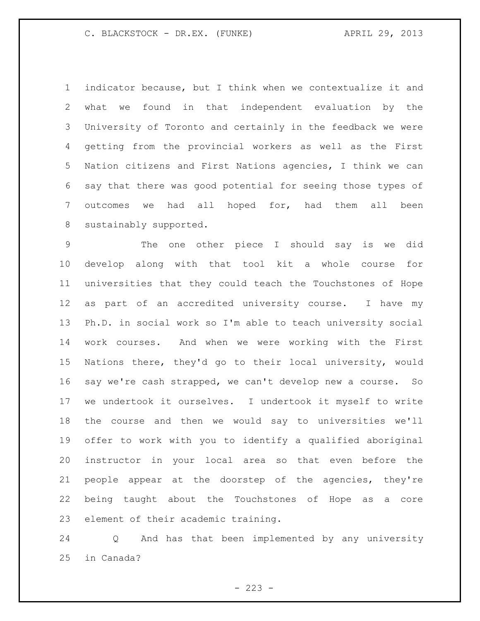indicator because, but I think when we contextualize it and what we found in that independent evaluation by the University of Toronto and certainly in the feedback we were getting from the provincial workers as well as the First Nation citizens and First Nations agencies, I think we can say that there was good potential for seeing those types of outcomes we had all hoped for, had them all been sustainably supported.

 The one other piece I should say is we did develop along with that tool kit a whole course for universities that they could teach the Touchstones of Hope as part of an accredited university course. I have my Ph.D. in social work so I'm able to teach university social work courses. And when we were working with the First Nations there, they'd go to their local university, would say we're cash strapped, we can't develop new a course. So we undertook it ourselves. I undertook it myself to write the course and then we would say to universities we'll offer to work with you to identify a qualified aboriginal instructor in your local area so that even before the people appear at the doorstep of the agencies, they're being taught about the Touchstones of Hope as a core element of their academic training.

 Q And has that been implemented by any university in Canada?

 $- 223 -$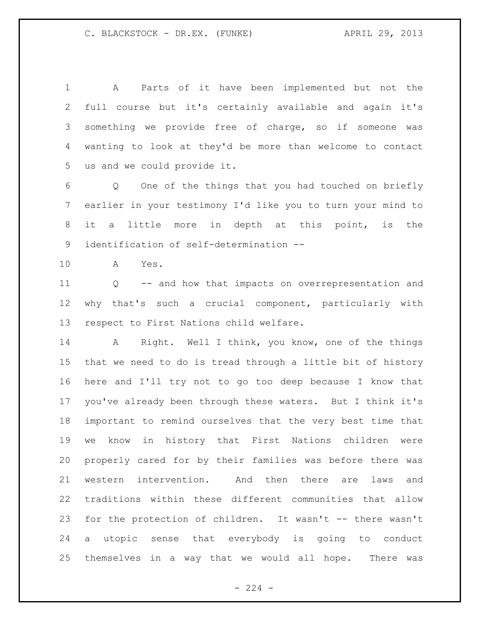A Parts of it have been implemented but not the full course but it's certainly available and again it's something we provide free of charge, so if someone was wanting to look at they'd be more than welcome to contact us and we could provide it.

 Q One of the things that you had touched on briefly earlier in your testimony I'd like you to turn your mind to it a little more in depth at this point, is the identification of self-determination --

A Yes.

 Q -- and how that impacts on overrepresentation and why that's such a crucial component, particularly with respect to First Nations child welfare.

 A Right. Well I think, you know, one of the things that we need to do is tread through a little bit of history here and I'll try not to go too deep because I know that you've already been through these waters. But I think it's important to remind ourselves that the very best time that we know in history that First Nations children were properly cared for by their families was before there was western intervention. And then there are laws and traditions within these different communities that allow for the protection of children. It wasn't -- there wasn't a utopic sense that everybody is going to conduct themselves in a way that we would all hope. There was

 $-224 -$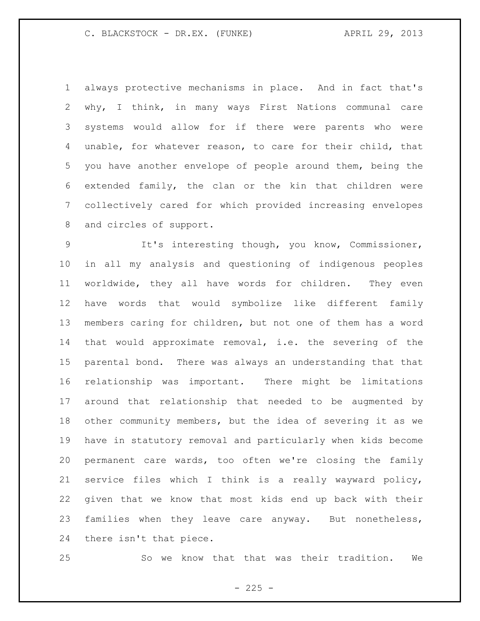always protective mechanisms in place. And in fact that's why, I think, in many ways First Nations communal care systems would allow for if there were parents who were unable, for whatever reason, to care for their child, that you have another envelope of people around them, being the extended family, the clan or the kin that children were collectively cared for which provided increasing envelopes and circles of support.

 It's interesting though, you know, Commissioner, in all my analysis and questioning of indigenous peoples worldwide, they all have words for children. They even have words that would symbolize like different family members caring for children, but not one of them has a word that would approximate removal, i.e. the severing of the parental bond. There was always an understanding that that relationship was important. There might be limitations around that relationship that needed to be augmented by other community members, but the idea of severing it as we have in statutory removal and particularly when kids become permanent care wards, too often we're closing the family service files which I think is a really wayward policy, given that we know that most kids end up back with their families when they leave care anyway. But nonetheless, there isn't that piece.

So we know that that was their tradition. We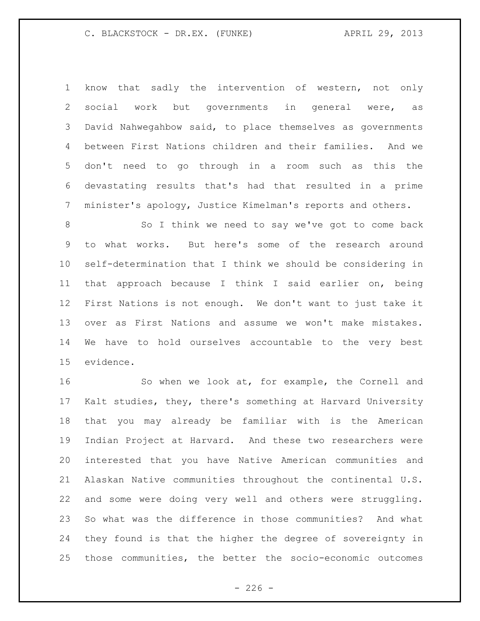know that sadly the intervention of western, not only social work but governments in general were, as David Nahwegahbow said, to place themselves as governments between First Nations children and their families. And we don't need to go through in a room such as this the devastating results that's had that resulted in a prime minister's apology, Justice Kimelman's reports and others.

8 So I think we need to say we've got to come back to what works. But here's some of the research around self-determination that I think we should be considering in that approach because I think I said earlier on, being First Nations is not enough. We don't want to just take it over as First Nations and assume we won't make mistakes. We have to hold ourselves accountable to the very best evidence.

 So when we look at, for example, the Cornell and Kalt studies, they, there's something at Harvard University that you may already be familiar with is the American Indian Project at Harvard. And these two researchers were interested that you have Native American communities and Alaskan Native communities throughout the continental U.S. and some were doing very well and others were struggling. So what was the difference in those communities? And what they found is that the higher the degree of sovereignty in those communities, the better the socio-economic outcomes

 $-226 -$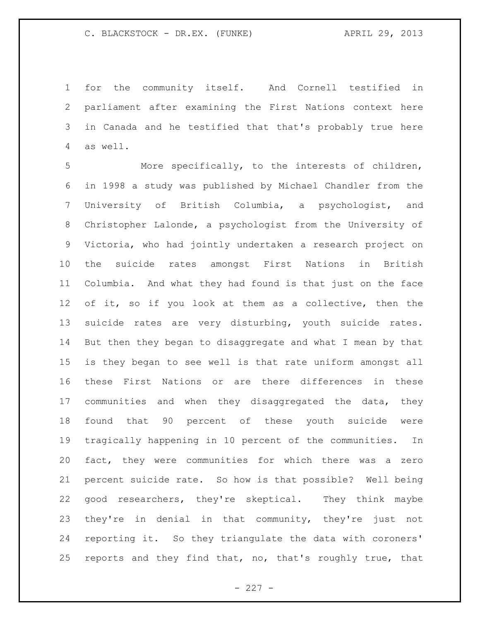for the community itself. And Cornell testified in parliament after examining the First Nations context here in Canada and he testified that that's probably true here as well.

 More specifically, to the interests of children, in 1998 a study was published by Michael Chandler from the University of British Columbia, a psychologist, and Christopher Lalonde, a psychologist from the University of Victoria, who had jointly undertaken a research project on the suicide rates amongst First Nations in British Columbia. And what they had found is that just on the face of it, so if you look at them as a collective, then the suicide rates are very disturbing, youth suicide rates. But then they began to disaggregate and what I mean by that is they began to see well is that rate uniform amongst all these First Nations or are there differences in these communities and when they disaggregated the data, they found that 90 percent of these youth suicide were tragically happening in 10 percent of the communities. In fact, they were communities for which there was a zero percent suicide rate. So how is that possible? Well being good researchers, they're skeptical. They think maybe they're in denial in that community, they're just not reporting it. So they triangulate the data with coroners' reports and they find that, no, that's roughly true, that

 $- 227 -$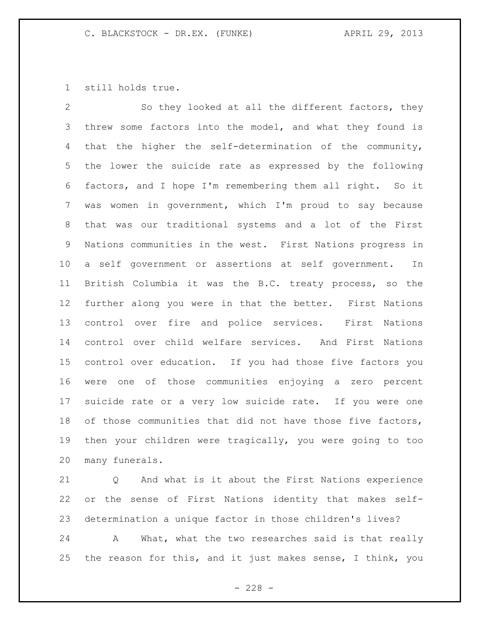still holds true.

 So they looked at all the different factors, they threw some factors into the model, and what they found is that the higher the self-determination of the community, the lower the suicide rate as expressed by the following factors, and I hope I'm remembering them all right. So it was women in government, which I'm proud to say because that was our traditional systems and a lot of the First Nations communities in the west. First Nations progress in a self government or assertions at self government. In British Columbia it was the B.C. treaty process, so the further along you were in that the better. First Nations control over fire and police services. First Nations control over child welfare services. And First Nations control over education. If you had those five factors you were one of those communities enjoying a zero percent suicide rate or a very low suicide rate. If you were one 18 of those communities that did not have those five factors, then your children were tragically, you were going to too many funerals.

 Q And what is it about the First Nations experience or the sense of First Nations identity that makes self-determination a unique factor in those children's lives?

 A What, what the two researches said is that really the reason for this, and it just makes sense, I think, you

 $- 228 -$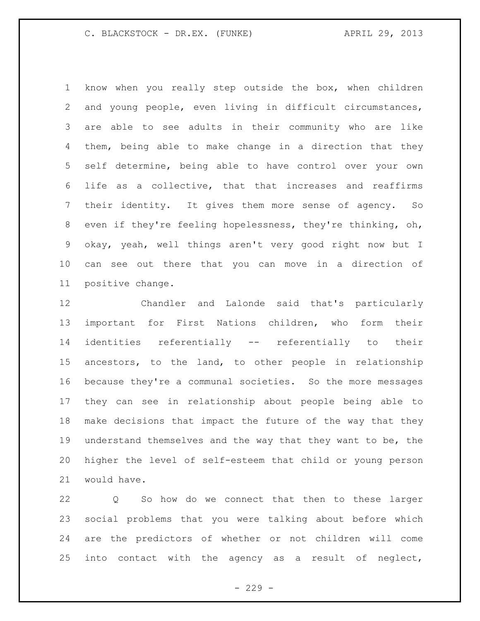know when you really step outside the box, when children and young people, even living in difficult circumstances, are able to see adults in their community who are like them, being able to make change in a direction that they self determine, being able to have control over your own life as a collective, that that increases and reaffirms their identity. It gives them more sense of agency. So even if they're feeling hopelessness, they're thinking, oh, okay, yeah, well things aren't very good right now but I can see out there that you can move in a direction of positive change.

 Chandler and Lalonde said that's particularly important for First Nations children, who form their identities referentially -- referentially to their ancestors, to the land, to other people in relationship because they're a communal societies. So the more messages they can see in relationship about people being able to make decisions that impact the future of the way that they understand themselves and the way that they want to be, the higher the level of self-esteem that child or young person would have.

 Q So how do we connect that then to these larger social problems that you were talking about before which are the predictors of whether or not children will come into contact with the agency as a result of neglect,

 $-229 -$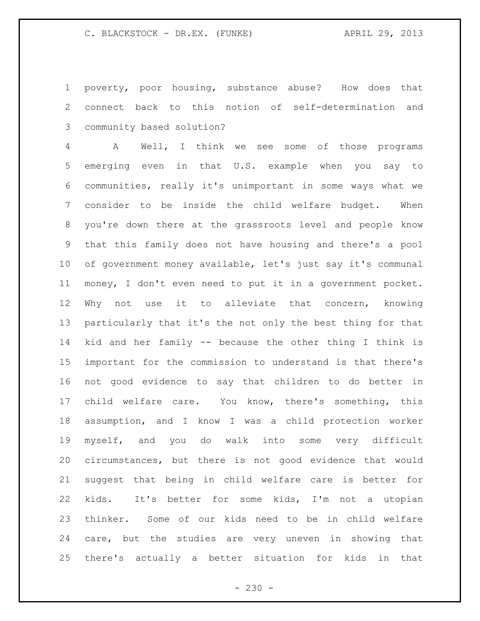poverty, poor housing, substance abuse? How does that connect back to this notion of self-determination and community based solution?

 A Well, I think we see some of those programs emerging even in that U.S. example when you say to communities, really it's unimportant in some ways what we consider to be inside the child welfare budget. When you're down there at the grassroots level and people know that this family does not have housing and there's a pool of government money available, let's just say it's communal money, I don't even need to put it in a government pocket. Why not use it to alleviate that concern, knowing particularly that it's the not only the best thing for that kid and her family -- because the other thing I think is important for the commission to understand is that there's not good evidence to say that children to do better in child welfare care. You know, there's something, this assumption, and I know I was a child protection worker myself, and you do walk into some very difficult circumstances, but there is not good evidence that would suggest that being in child welfare care is better for kids. It's better for some kids, I'm not a utopian thinker. Some of our kids need to be in child welfare care, but the studies are very uneven in showing that there's actually a better situation for kids in that

 $- 230 -$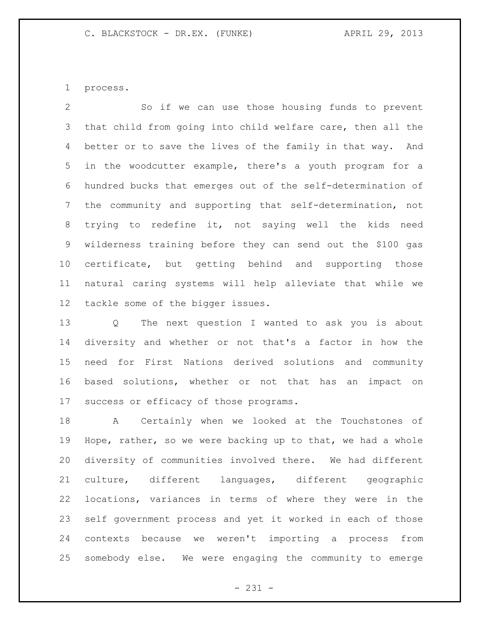process.

 So if we can use those housing funds to prevent that child from going into child welfare care, then all the better or to save the lives of the family in that way. And in the woodcutter example, there's a youth program for a hundred bucks that emerges out of the self-determination of the community and supporting that self-determination, not trying to redefine it, not saying well the kids need wilderness training before they can send out the \$100 gas certificate, but getting behind and supporting those natural caring systems will help alleviate that while we tackle some of the bigger issues.

 Q The next question I wanted to ask you is about diversity and whether or not that's a factor in how the need for First Nations derived solutions and community based solutions, whether or not that has an impact on success or efficacy of those programs.

 A Certainly when we looked at the Touchstones of Hope, rather, so we were backing up to that, we had a whole diversity of communities involved there. We had different culture, different languages, different geographic locations, variances in terms of where they were in the self government process and yet it worked in each of those contexts because we weren't importing a process from somebody else. We were engaging the community to emerge

- 231 -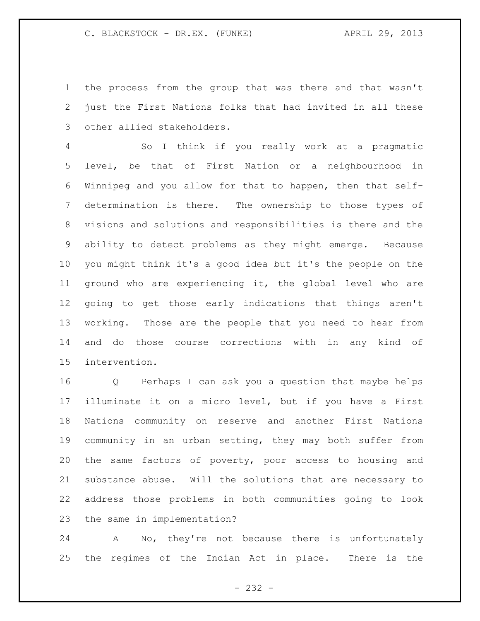the process from the group that was there and that wasn't just the First Nations folks that had invited in all these other allied stakeholders.

 So I think if you really work at a pragmatic level, be that of First Nation or a neighbourhood in Winnipeg and you allow for that to happen, then that self- determination is there. The ownership to those types of visions and solutions and responsibilities is there and the ability to detect problems as they might emerge. Because you might think it's a good idea but it's the people on the ground who are experiencing it, the global level who are going to get those early indications that things aren't working. Those are the people that you need to hear from and do those course corrections with in any kind of intervention.

 Q Perhaps I can ask you a question that maybe helps illuminate it on a micro level, but if you have a First Nations community on reserve and another First Nations community in an urban setting, they may both suffer from the same factors of poverty, poor access to housing and substance abuse. Will the solutions that are necessary to address those problems in both communities going to look the same in implementation?

 A No, they're not because there is unfortunately the regimes of the Indian Act in place. There is the

- 232 -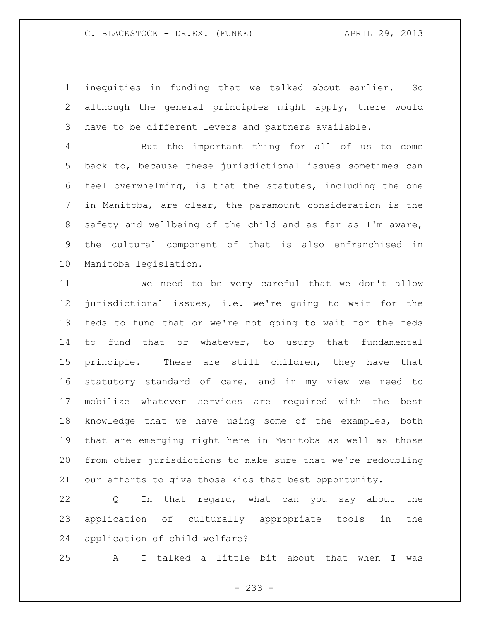inequities in funding that we talked about earlier. So although the general principles might apply, there would have to be different levers and partners available.

 But the important thing for all of us to come back to, because these jurisdictional issues sometimes can feel overwhelming, is that the statutes, including the one in Manitoba, are clear, the paramount consideration is the safety and wellbeing of the child and as far as I'm aware, the cultural component of that is also enfranchised in Manitoba legislation.

 We need to be very careful that we don't allow jurisdictional issues, i.e. we're going to wait for the feds to fund that or we're not going to wait for the feds to fund that or whatever, to usurp that fundamental principle. These are still children, they have that statutory standard of care, and in my view we need to mobilize whatever services are required with the best knowledge that we have using some of the examples, both that are emerging right here in Manitoba as well as those from other jurisdictions to make sure that we're redoubling our efforts to give those kids that best opportunity.

 Q In that regard, what can you say about the application of culturally appropriate tools in the application of child welfare?

A I talked a little bit about that when I was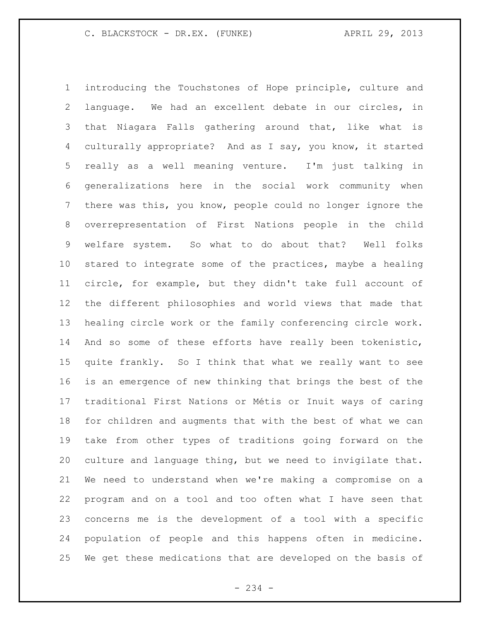introducing the Touchstones of Hope principle, culture and language. We had an excellent debate in our circles, in that Niagara Falls gathering around that, like what is culturally appropriate? And as I say, you know, it started really as a well meaning venture. I'm just talking in generalizations here in the social work community when there was this, you know, people could no longer ignore the overrepresentation of First Nations people in the child welfare system. So what to do about that? Well folks stared to integrate some of the practices, maybe a healing circle, for example, but they didn't take full account of the different philosophies and world views that made that healing circle work or the family conferencing circle work. And so some of these efforts have really been tokenistic, quite frankly. So I think that what we really want to see is an emergence of new thinking that brings the best of the traditional First Nations or Métis or Inuit ways of caring for children and augments that with the best of what we can take from other types of traditions going forward on the culture and language thing, but we need to invigilate that. We need to understand when we're making a compromise on a program and on a tool and too often what I have seen that concerns me is the development of a tool with a specific population of people and this happens often in medicine. We get these medications that are developed on the basis of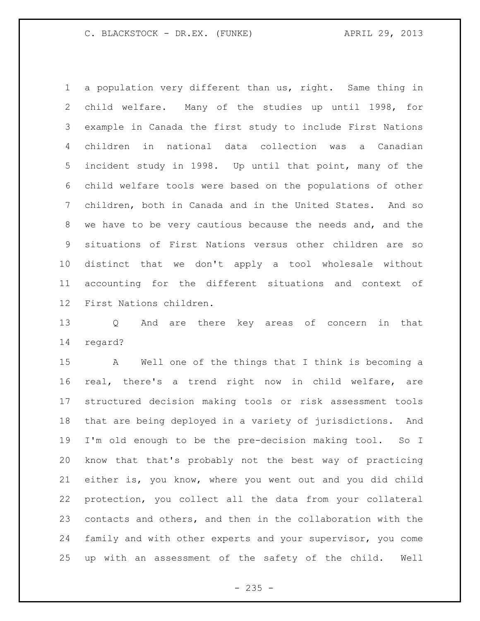a population very different than us, right. Same thing in child welfare. Many of the studies up until 1998, for example in Canada the first study to include First Nations children in national data collection was a Canadian incident study in 1998. Up until that point, many of the child welfare tools were based on the populations of other children, both in Canada and in the United States. And so we have to be very cautious because the needs and, and the situations of First Nations versus other children are so distinct that we don't apply a tool wholesale without accounting for the different situations and context of First Nations children.

 Q And are there key areas of concern in that regard?

 A Well one of the things that I think is becoming a real, there's a trend right now in child welfare, are structured decision making tools or risk assessment tools that are being deployed in a variety of jurisdictions. And I'm old enough to be the pre-decision making tool. So I know that that's probably not the best way of practicing either is, you know, where you went out and you did child protection, you collect all the data from your collateral contacts and others, and then in the collaboration with the family and with other experts and your supervisor, you come up with an assessment of the safety of the child. Well

 $- 235 -$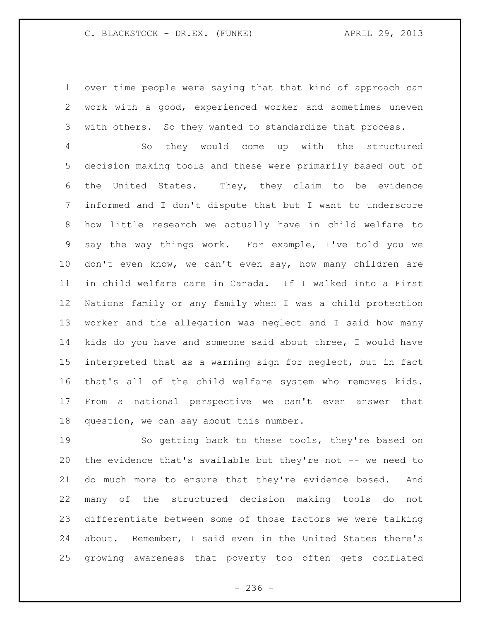over time people were saying that that kind of approach can work with a good, experienced worker and sometimes uneven with others. So they wanted to standardize that process.

 So they would come up with the structured decision making tools and these were primarily based out of the United States. They, they claim to be evidence informed and I don't dispute that but I want to underscore how little research we actually have in child welfare to say the way things work. For example, I've told you we don't even know, we can't even say, how many children are in child welfare care in Canada. If I walked into a First Nations family or any family when I was a child protection worker and the allegation was neglect and I said how many kids do you have and someone said about three, I would have interpreted that as a warning sign for neglect, but in fact that's all of the child welfare system who removes kids. From a national perspective we can't even answer that question, we can say about this number.

 So getting back to these tools, they're based on 20 the evidence that's available but they're not -- we need to do much more to ensure that they're evidence based. And many of the structured decision making tools do not differentiate between some of those factors we were talking about. Remember, I said even in the United States there's growing awareness that poverty too often gets conflated

 $-236 -$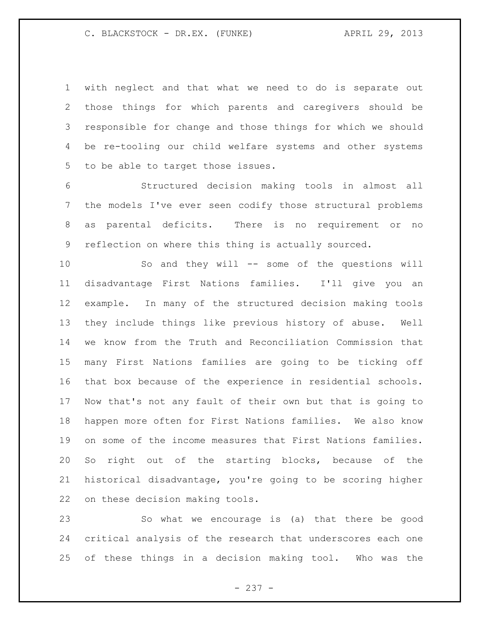with neglect and that what we need to do is separate out those things for which parents and caregivers should be responsible for change and those things for which we should be re-tooling our child welfare systems and other systems to be able to target those issues.

 Structured decision making tools in almost all the models I've ever seen codify those structural problems as parental deficits. There is no requirement or no reflection on where this thing is actually sourced.

 So and they will -- some of the questions will disadvantage First Nations families. I'll give you an example. In many of the structured decision making tools they include things like previous history of abuse. Well we know from the Truth and Reconciliation Commission that many First Nations families are going to be ticking off that box because of the experience in residential schools. Now that's not any fault of their own but that is going to happen more often for First Nations families. We also know on some of the income measures that First Nations families. So right out of the starting blocks, because of the historical disadvantage, you're going to be scoring higher on these decision making tools.

 So what we encourage is (a) that there be good critical analysis of the research that underscores each one of these things in a decision making tool. Who was the

- 237 -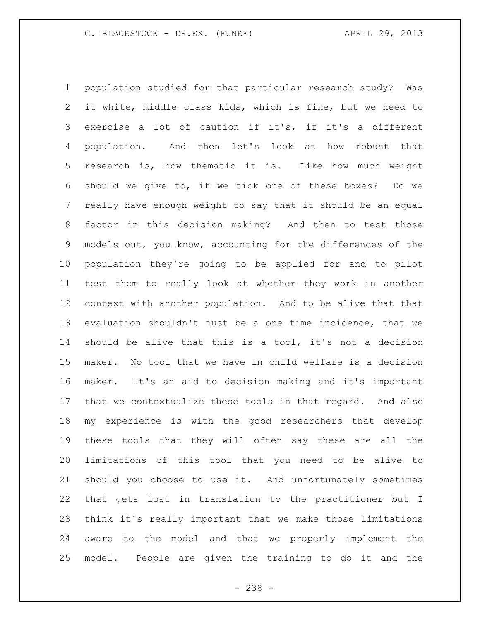population studied for that particular research study? Was it white, middle class kids, which is fine, but we need to exercise a lot of caution if it's, if it's a different population. And then let's look at how robust that research is, how thematic it is. Like how much weight should we give to, if we tick one of these boxes? Do we really have enough weight to say that it should be an equal factor in this decision making? And then to test those models out, you know, accounting for the differences of the population they're going to be applied for and to pilot test them to really look at whether they work in another context with another population. And to be alive that that evaluation shouldn't just be a one time incidence, that we should be alive that this is a tool, it's not a decision maker. No tool that we have in child welfare is a decision maker. It's an aid to decision making and it's important that we contextualize these tools in that regard. And also my experience is with the good researchers that develop these tools that they will often say these are all the limitations of this tool that you need to be alive to should you choose to use it. And unfortunately sometimes that gets lost in translation to the practitioner but I think it's really important that we make those limitations aware to the model and that we properly implement the model. People are given the training to do it and the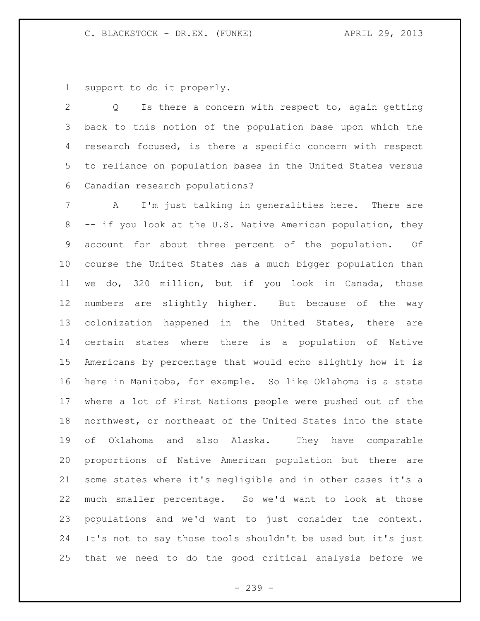support to do it properly.

 Q Is there a concern with respect to, again getting back to this notion of the population base upon which the research focused, is there a specific concern with respect to reliance on population bases in the United States versus Canadian research populations?

 A I'm just talking in generalities here. There are -- if you look at the U.S. Native American population, they account for about three percent of the population. Of course the United States has a much bigger population than we do, 320 million, but if you look in Canada, those numbers are slightly higher. But because of the way colonization happened in the United States, there are certain states where there is a population of Native Americans by percentage that would echo slightly how it is here in Manitoba, for example. So like Oklahoma is a state where a lot of First Nations people were pushed out of the northwest, or northeast of the United States into the state of Oklahoma and also Alaska. They have comparable proportions of Native American population but there are some states where it's negligible and in other cases it's a much smaller percentage. So we'd want to look at those populations and we'd want to just consider the context. It's not to say those tools shouldn't be used but it's just that we need to do the good critical analysis before we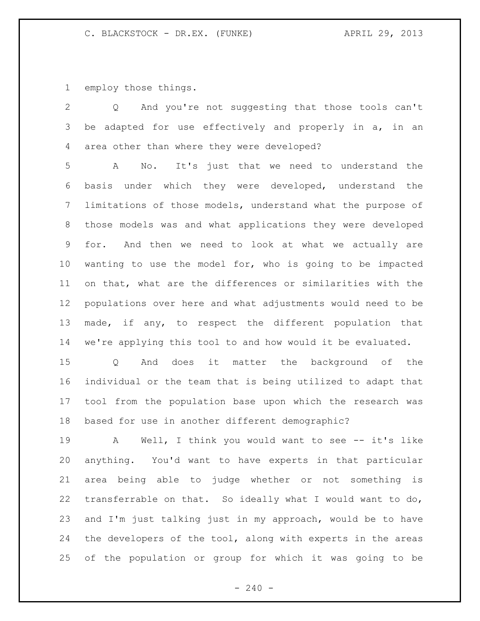employ those things.

 Q And you're not suggesting that those tools can't 3 be adapted for use effectively and properly in a, in an area other than where they were developed?

 A No. It's just that we need to understand the basis under which they were developed, understand the limitations of those models, understand what the purpose of those models was and what applications they were developed for. And then we need to look at what we actually are wanting to use the model for, who is going to be impacted on that, what are the differences or similarities with the populations over here and what adjustments would need to be made, if any, to respect the different population that we're applying this tool to and how would it be evaluated.

 Q And does it matter the background of the individual or the team that is being utilized to adapt that tool from the population base upon which the research was based for use in another different demographic?

 A Well, I think you would want to see -- it's like anything. You'd want to have experts in that particular area being able to judge whether or not something is transferrable on that. So ideally what I would want to do, and I'm just talking just in my approach, would be to have the developers of the tool, along with experts in the areas of the population or group for which it was going to be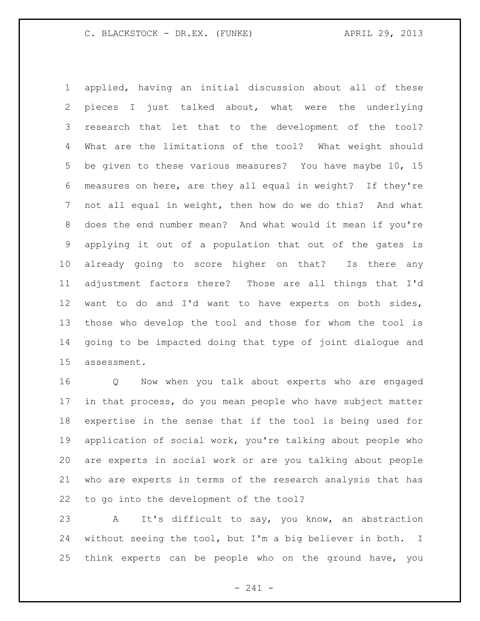applied, having an initial discussion about all of these pieces I just talked about, what were the underlying research that let that to the development of the tool? What are the limitations of the tool? What weight should be given to these various measures? You have maybe 10, 15 measures on here, are they all equal in weight? If they're not all equal in weight, then how do we do this? And what does the end number mean? And what would it mean if you're applying it out of a population that out of the gates is already going to score higher on that? Is there any adjustment factors there? Those are all things that I'd want to do and I'd want to have experts on both sides, those who develop the tool and those for whom the tool is going to be impacted doing that type of joint dialogue and assessment.

 Q Now when you talk about experts who are engaged in that process, do you mean people who have subject matter expertise in the sense that if the tool is being used for application of social work, you're talking about people who are experts in social work or are you talking about people who are experts in terms of the research analysis that has to go into the development of the tool?

 A It's difficult to say, you know, an abstraction without seeing the tool, but I'm a big believer in both. I think experts can be people who on the ground have, you

- 241 -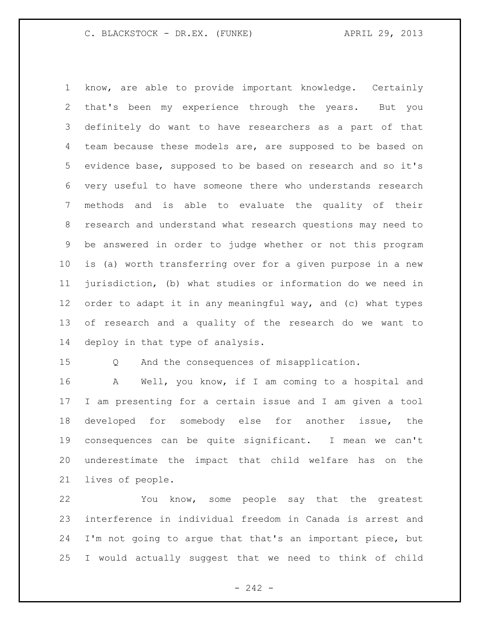know, are able to provide important knowledge. Certainly that's been my experience through the years. But you definitely do want to have researchers as a part of that team because these models are, are supposed to be based on evidence base, supposed to be based on research and so it's very useful to have someone there who understands research methods and is able to evaluate the quality of their research and understand what research questions may need to be answered in order to judge whether or not this program is (a) worth transferring over for a given purpose in a new jurisdiction, (b) what studies or information do we need in order to adapt it in any meaningful way, and (c) what types of research and a quality of the research do we want to deploy in that type of analysis.

Q And the consequences of misapplication.

 A Well, you know, if I am coming to a hospital and I am presenting for a certain issue and I am given a tool developed for somebody else for another issue, the consequences can be quite significant. I mean we can't underestimate the impact that child welfare has on the lives of people.

 You know, some people say that the greatest interference in individual freedom in Canada is arrest and I'm not going to argue that that's an important piece, but I would actually suggest that we need to think of child

 $- 242 -$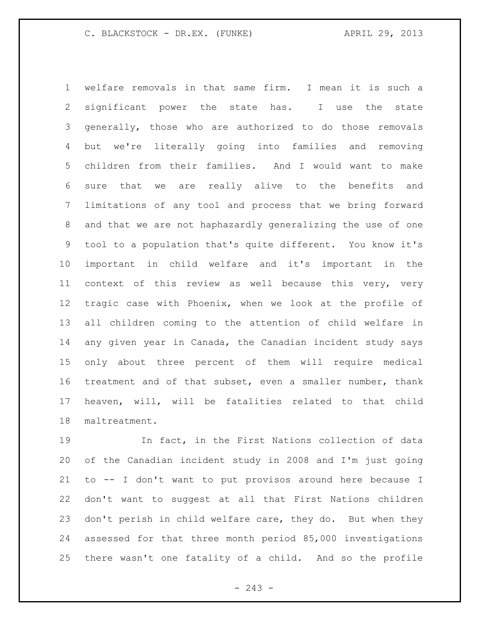welfare removals in that same firm. I mean it is such a significant power the state has. I use the state generally, those who are authorized to do those removals but we're literally going into families and removing children from their families. And I would want to make sure that we are really alive to the benefits and limitations of any tool and process that we bring forward and that we are not haphazardly generalizing the use of one tool to a population that's quite different. You know it's important in child welfare and it's important in the context of this review as well because this very, very tragic case with Phoenix, when we look at the profile of all children coming to the attention of child welfare in any given year in Canada, the Canadian incident study says only about three percent of them will require medical treatment and of that subset, even a smaller number, thank heaven, will, will be fatalities related to that child maltreatment.

 In fact, in the First Nations collection of data of the Canadian incident study in 2008 and I'm just going to -- I don't want to put provisos around here because I don't want to suggest at all that First Nations children don't perish in child welfare care, they do. But when they assessed for that three month period 85,000 investigations there wasn't one fatality of a child. And so the profile

 $-243 -$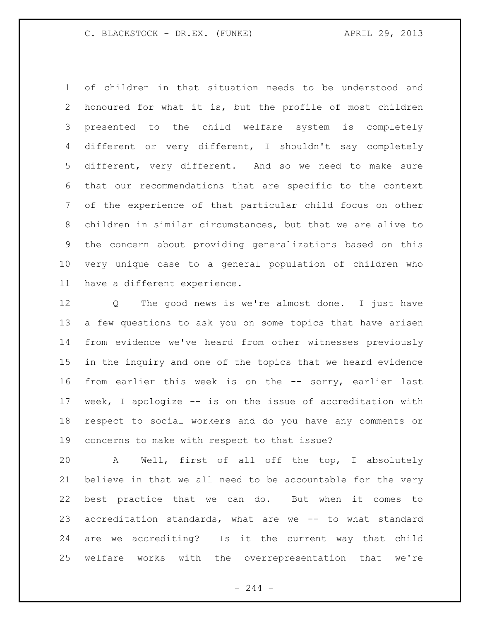of children in that situation needs to be understood and honoured for what it is, but the profile of most children presented to the child welfare system is completely different or very different, I shouldn't say completely different, very different. And so we need to make sure that our recommendations that are specific to the context of the experience of that particular child focus on other children in similar circumstances, but that we are alive to the concern about providing generalizations based on this very unique case to a general population of children who have a different experience.

 Q The good news is we're almost done. I just have a few questions to ask you on some topics that have arisen from evidence we've heard from other witnesses previously in the inquiry and one of the topics that we heard evidence from earlier this week is on the -- sorry, earlier last week, I apologize -- is on the issue of accreditation with respect to social workers and do you have any comments or concerns to make with respect to that issue?

 A Well, first of all off the top, I absolutely believe in that we all need to be accountable for the very best practice that we can do. But when it comes to accreditation standards, what are we -- to what standard are we accrediting? Is it the current way that child welfare works with the overrepresentation that we're

 $-244 -$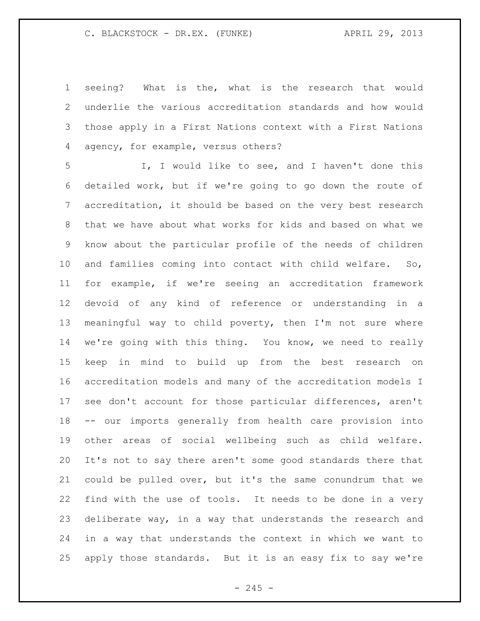seeing? What is the, what is the research that would underlie the various accreditation standards and how would those apply in a First Nations context with a First Nations agency, for example, versus others?

 I, I would like to see, and I haven't done this detailed work, but if we're going to go down the route of accreditation, it should be based on the very best research that we have about what works for kids and based on what we know about the particular profile of the needs of children and families coming into contact with child welfare. So, for example, if we're seeing an accreditation framework devoid of any kind of reference or understanding in a meaningful way to child poverty, then I'm not sure where we're going with this thing. You know, we need to really keep in mind to build up from the best research on accreditation models and many of the accreditation models I see don't account for those particular differences, aren't -- our imports generally from health care provision into other areas of social wellbeing such as child welfare. It's not to say there aren't some good standards there that could be pulled over, but it's the same conundrum that we find with the use of tools. It needs to be done in a very deliberate way, in a way that understands the research and in a way that understands the context in which we want to apply those standards. But it is an easy fix to say we're

 $-245 -$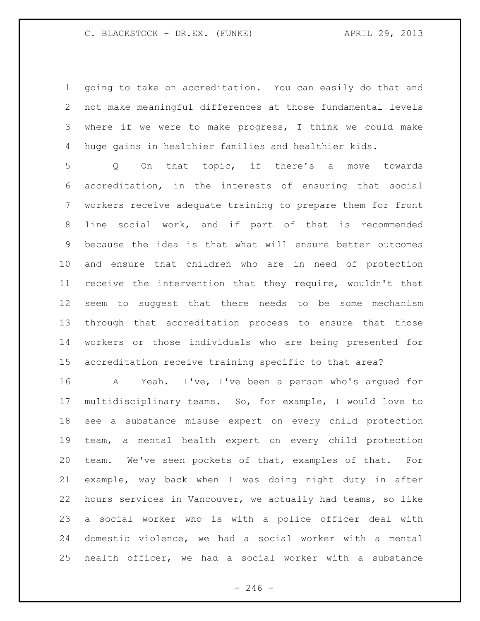going to take on accreditation. You can easily do that and not make meaningful differences at those fundamental levels where if we were to make progress, I think we could make huge gains in healthier families and healthier kids.

 Q On that topic, if there's a move towards accreditation, in the interests of ensuring that social workers receive adequate training to prepare them for front line social work, and if part of that is recommended because the idea is that what will ensure better outcomes and ensure that children who are in need of protection receive the intervention that they require, wouldn't that seem to suggest that there needs to be some mechanism through that accreditation process to ensure that those workers or those individuals who are being presented for accreditation receive training specific to that area?

 A Yeah. I've, I've been a person who's argued for multidisciplinary teams. So, for example, I would love to see a substance misuse expert on every child protection team, a mental health expert on every child protection team. We've seen pockets of that, examples of that. For example, way back when I was doing night duty in after hours services in Vancouver, we actually had teams, so like a social worker who is with a police officer deal with domestic violence, we had a social worker with a mental health officer, we had a social worker with a substance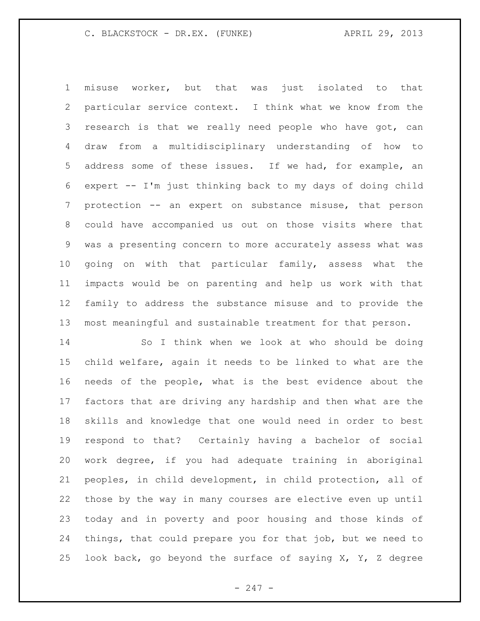misuse worker, but that was just isolated to that particular service context. I think what we know from the 3 research is that we really need people who have got, can draw from a multidisciplinary understanding of how to address some of these issues. If we had, for example, an expert -- I'm just thinking back to my days of doing child protection -- an expert on substance misuse, that person could have accompanied us out on those visits where that was a presenting concern to more accurately assess what was going on with that particular family, assess what the impacts would be on parenting and help us work with that family to address the substance misuse and to provide the most meaningful and sustainable treatment for that person.

 So I think when we look at who should be doing child welfare, again it needs to be linked to what are the needs of the people, what is the best evidence about the factors that are driving any hardship and then what are the skills and knowledge that one would need in order to best respond to that? Certainly having a bachelor of social work degree, if you had adequate training in aboriginal peoples, in child development, in child protection, all of those by the way in many courses are elective even up until today and in poverty and poor housing and those kinds of things, that could prepare you for that job, but we need to 25 look back, go beyond the surface of saying  $X$ ,  $Y$ ,  $Z$  degree

- 247 -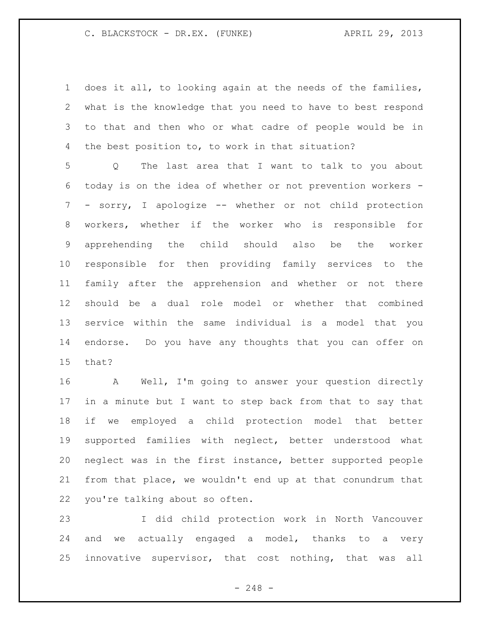does it all, to looking again at the needs of the families, what is the knowledge that you need to have to best respond to that and then who or what cadre of people would be in the best position to, to work in that situation?

 Q The last area that I want to talk to you about today is on the idea of whether or not prevention workers - - sorry, I apologize -- whether or not child protection workers, whether if the worker who is responsible for apprehending the child should also be the worker responsible for then providing family services to the family after the apprehension and whether or not there should be a dual role model or whether that combined service within the same individual is a model that you endorse. Do you have any thoughts that you can offer on that?

 A Well, I'm going to answer your question directly in a minute but I want to step back from that to say that if we employed a child protection model that better supported families with neglect, better understood what neglect was in the first instance, better supported people from that place, we wouldn't end up at that conundrum that you're talking about so often.

 I did child protection work in North Vancouver and we actually engaged a model, thanks to a very innovative supervisor, that cost nothing, that was all

- 248 -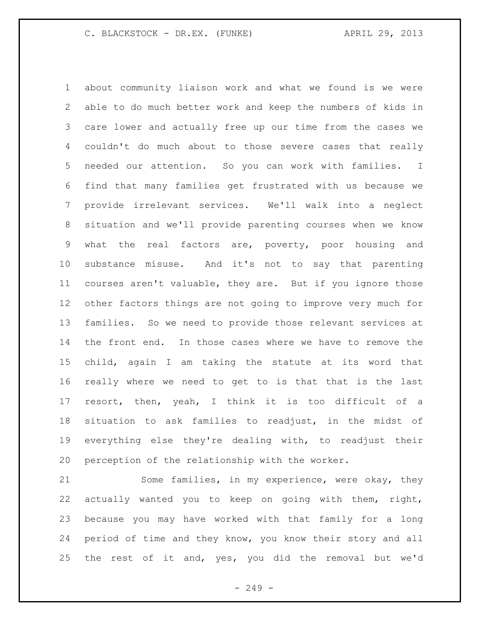about community liaison work and what we found is we were able to do much better work and keep the numbers of kids in care lower and actually free up our time from the cases we couldn't do much about to those severe cases that really needed our attention. So you can work with families. I find that many families get frustrated with us because we provide irrelevant services. We'll walk into a neglect situation and we'll provide parenting courses when we know what the real factors are, poverty, poor housing and substance misuse. And it's not to say that parenting courses aren't valuable, they are. But if you ignore those other factors things are not going to improve very much for families. So we need to provide those relevant services at the front end. In those cases where we have to remove the child, again I am taking the statute at its word that really where we need to get to is that that is the last resort, then, yeah, I think it is too difficult of a situation to ask families to readjust, in the midst of everything else they're dealing with, to readjust their perception of the relationship with the worker.

 Some families, in my experience, were okay, they actually wanted you to keep on going with them, right, because you may have worked with that family for a long period of time and they know, you know their story and all the rest of it and, yes, you did the removal but we'd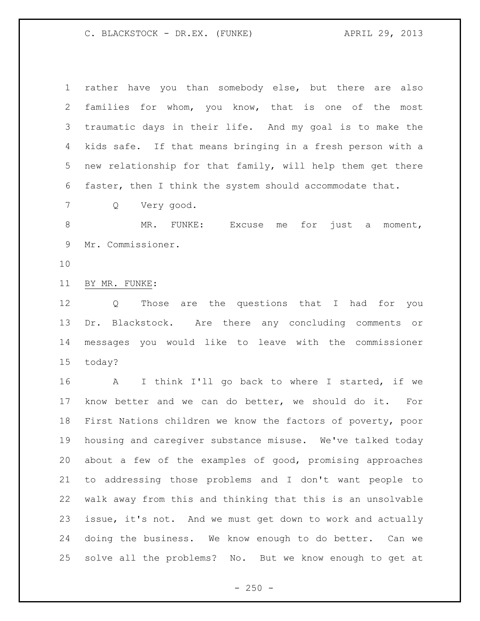C. BLACKSTOCK - DR.EX. (FUNKE) APRIL 29, 2013

| $\mathbf 1$ | rather have you than somebody else, but there are also          |
|-------------|-----------------------------------------------------------------|
| 2           | families for whom, you know, that is one of the most            |
| 3           | traumatic days in their life. And my goal is to make the        |
| 4           | kids safe. If that means bringing in a fresh person with a      |
| 5           | new relationship for that family, will help them get there      |
| 6           | faster, then I think the system should accommodate that.        |
| 7           | Very good.<br>Q                                                 |
| 8           | MR. FUNKE: Excuse<br>me for just a<br>moment,                   |
| 9           | Mr. Commissioner.                                               |
| 10          |                                                                 |
| 11          | BY MR. FUNKE:                                                   |
| 12          | Those are the questions that I had for you<br>$Q \qquad \qquad$ |
| 13          | Dr. Blackstock. Are there any concluding comments or            |
| 14          | messages you would like to leave with the commissioner          |
| 15          | today?                                                          |
| 16          | A<br>I think I'll go back to where I started, if we             |
| 17          | know better and we can do better, we should do it. For          |
| 18          | First Nations children we know the factors of poverty, poor     |
| 19          | housing and caregiver substance misuse. We've talked today      |
| 20          | about a few of the examples of good, promising approaches       |
| 21          | to addressing those problems and I don't want people to         |
| 22          | walk away from this and thinking that this is an unsolvable     |
| 23          | issue, it's not. And we must get down to work and actually      |
| 24          | doing the business. We know enough to do better. Can we         |
| 25          | solve all the problems? No. But we know enough to get at        |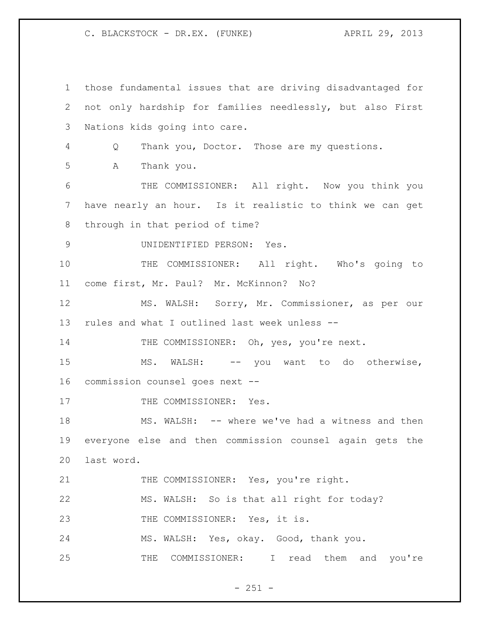C. BLACKSTOCK - DR.EX. (FUNKE) APRIL 29, 2013

 those fundamental issues that are driving disadvantaged for not only hardship for families needlessly, but also First Nations kids going into care. Q Thank you, Doctor. Those are my questions. A Thank you. THE COMMISSIONER: All right. Now you think you have nearly an hour. Is it realistic to think we can get through in that period of time? UNIDENTIFIED PERSON: Yes. THE COMMISSIONER: All right. Who's going to come first, Mr. Paul? Mr. McKinnon? No? MS. WALSH: Sorry, Mr. Commissioner, as per our rules and what I outlined last week unless -- 14 THE COMMISSIONER: Oh, yes, you're next. 15 MS. WALSH: -- you want to do otherwise, commission counsel goes next -- 17 THE COMMISSIONER: Yes. MS. WALSH: -- where we've had a witness and then everyone else and then commission counsel again gets the last word. 21 THE COMMISSIONER: Yes, you're right. MS. WALSH: So is that all right for today? 23 THE COMMISSIONER: Yes, it is. MS. WALSH: Yes, okay. Good, thank you. THE COMMISSIONER: I read them and you're

 $- 251 -$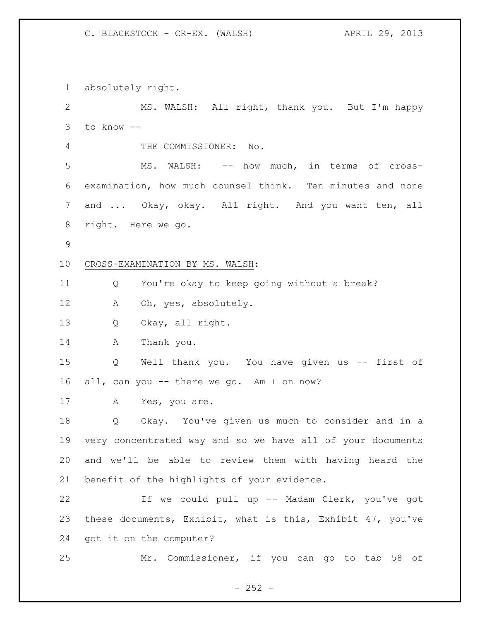absolutely right. MS. WALSH: All right, thank you. But I'm happy to know -- THE COMMISSIONER: No. MS. WALSH: -- how much, in terms of cross- examination, how much counsel think. Ten minutes and none and ... Okay, okay. All right. And you want ten, all right. Here we go. CROSS-EXAMINATION BY MS. WALSH: Q You're okay to keep going without a break? A Oh, yes, absolutely. Q Okay, all right. A Thank you. Q Well thank you. You have given us -- first of all, can you -- there we go. Am I on now? 17 A Yes, you are. Q Okay. You've given us much to consider and in a very concentrated way and so we have all of your documents and we'll be able to review them with having heard the benefit of the highlights of your evidence. If we could pull up -- Madam Clerk, you've got these documents, Exhibit, what is this, Exhibit 47, you've got it on the computer? Mr. Commissioner, if you can go to tab 58 of

 $- 252 -$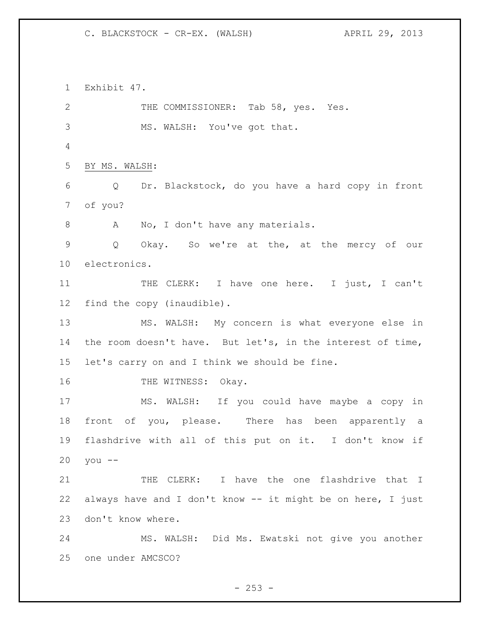Exhibit 47. 2 THE COMMISSIONER: Tab 58, yes. Yes. MS. WALSH: You've got that. BY MS. WALSH: Q Dr. Blackstock, do you have a hard copy in front of you? 8 A No, I don't have any materials. Q Okay. So we're at the, at the mercy of our electronics. 11 THE CLERK: I have one here. I just, I can't find the copy (inaudible). MS. WALSH: My concern is what everyone else in 14 the room doesn't have. But let's, in the interest of time, let's carry on and I think we should be fine. 16 THE WITNESS: Okay. MS. WALSH: If you could have maybe a copy in front of you, please. There has been apparently a flashdrive with all of this put on it. I don't know if you -- 21 THE CLERK: I have the one flashdrive that I always have and I don't know -- it might be on here, I just don't know where. MS. WALSH: Did Ms. Ewatski not give you another one under AMCSCO?

 $- 253 -$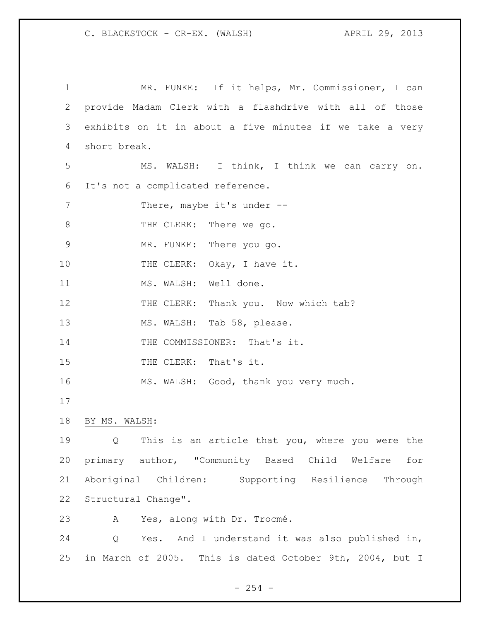| $\mathbf 1$   | MR. FUNKE: If it helps, Mr. Commissioner, I can          |
|---------------|----------------------------------------------------------|
| 2             | provide Madam Clerk with a flashdrive with all of those  |
| 3             | exhibits on it in about a five minutes if we take a very |
| 4             | short break.                                             |
| 5             | MS. WALSH: I think, I think we can carry on.             |
| 6             | It's not a complicated reference.                        |
| 7             | There, maybe it's under --                               |
| 8             | THE CLERK: There we go.                                  |
| $\mathcal{G}$ | MR. FUNKE: There you go.                                 |
| 10            | THE CLERK: Okay, I have it.                              |
| 11            | MS. WALSH: Well done.                                    |
| 12            | THE CLERK: Thank you. Now which tab?                     |
| 13            | MS. WALSH: Tab 58, please.                               |
| 14            | THE COMMISSIONER: That's it.                             |
| 15            | THE CLERK: That's it.                                    |
| 16            | MS. WALSH: Good, thank you very much.                    |
| 17            |                                                          |
| 18            | BY MS. WALSH:                                            |
| 19            | Q This is an article that you, where you were the        |
| 20            | primary author, "Community Based Child Welfare<br>for    |
| 21            | Aboriginal Children: Supporting Resilience<br>Through    |
| 22            | Structural Change".                                      |
| 23            | Yes, along with Dr. Trocmé.<br>A                         |
| 24            | Yes. And I understand it was also published in,<br>Q     |
| 25            | in March of 2005. This is dated October 9th, 2004, but I |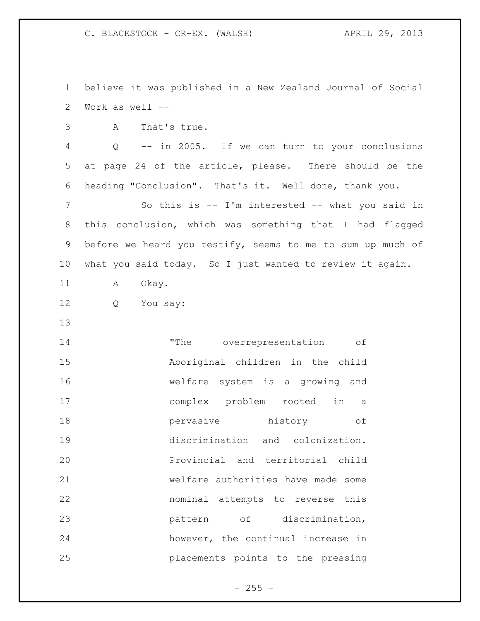believe it was published in a New Zealand Journal of Social Work as well --

A That's true.

 Q -- in 2005. If we can turn to your conclusions at page 24 of the article, please. There should be the heading "Conclusion". That's it. Well done, thank you. So this is -- I'm interested -- what you said in this conclusion, which was something that I had flagged before we heard you testify, seems to me to sum up much of what you said today. So I just wanted to review it again.

11 A Okay.

- Q You say:
- 

14 The overrepresentation of Aboriginal children in the child welfare system is a growing and complex problem rooted in a pervasive history of discrimination and colonization. Provincial and territorial child welfare authorities have made some nominal attempts to reverse this pattern of discrimination, however, the continual increase in placements points to the pressing

 $- 255 -$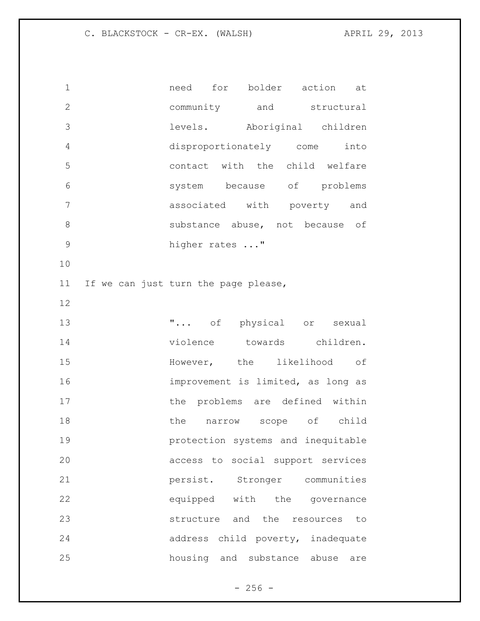need for bolder action at community and structural levels. Aboriginal children disproportionately come into contact with the child welfare system because of problems associated with poverty and substance abuse, not because of 9 higher rates ..." If we can just turn the page please,  $\ldots$  of physical or sexual violence towards children. However, the likelihood of improvement is limited, as long as 17 the problems are defined within 18 the narrow scope of child protection systems and inequitable access to social support services persist. Stronger communities equipped with the governance structure and the resources to address child poverty, inadequate housing and substance abuse are

 $- 256 -$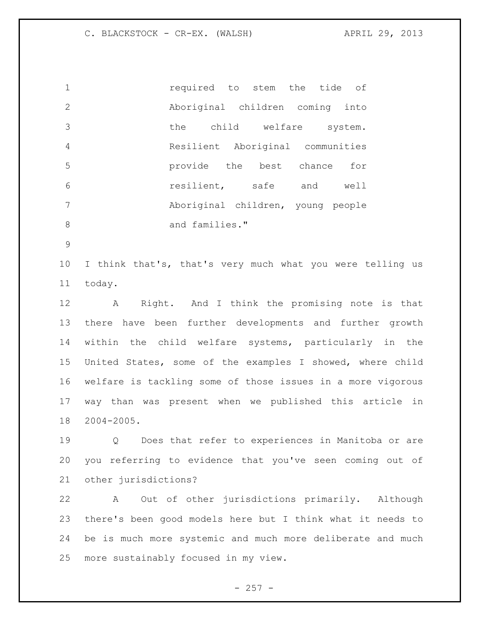required to stem the tide of Aboriginal children coming into the child welfare system. Resilient Aboriginal communities provide the best chance for resilient, safe and well Aboriginal children, young people 8 and families."

 I think that's, that's very much what you were telling us today.

 A Right. And I think the promising note is that there have been further developments and further growth within the child welfare systems, particularly in the United States, some of the examples I showed, where child welfare is tackling some of those issues in a more vigorous way than was present when we published this article in 2004-2005.

 Q Does that refer to experiences in Manitoba or are you referring to evidence that you've seen coming out of other jurisdictions?

 A Out of other jurisdictions primarily. Although there's been good models here but I think what it needs to be is much more systemic and much more deliberate and much more sustainably focused in my view.

 $- 257 -$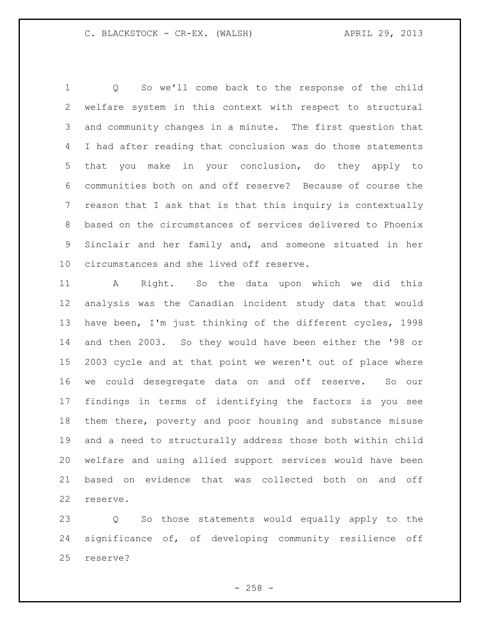Q So we'll come back to the response of the child welfare system in this context with respect to structural and community changes in a minute. The first question that I had after reading that conclusion was do those statements that you make in your conclusion, do they apply to communities both on and off reserve? Because of course the reason that I ask that is that this inquiry is contextually based on the circumstances of services delivered to Phoenix Sinclair and her family and, and someone situated in her circumstances and she lived off reserve.

 A Right. So the data upon which we did this analysis was the Canadian incident study data that would have been, I'm just thinking of the different cycles, 1998 and then 2003. So they would have been either the '98 or 2003 cycle and at that point we weren't out of place where we could desegregate data on and off reserve. So our findings in terms of identifying the factors is you see them there, poverty and poor housing and substance misuse and a need to structurally address those both within child welfare and using allied support services would have been based on evidence that was collected both on and off reserve.

 Q So those statements would equally apply to the significance of, of developing community resilience off reserve?

 $- 258 -$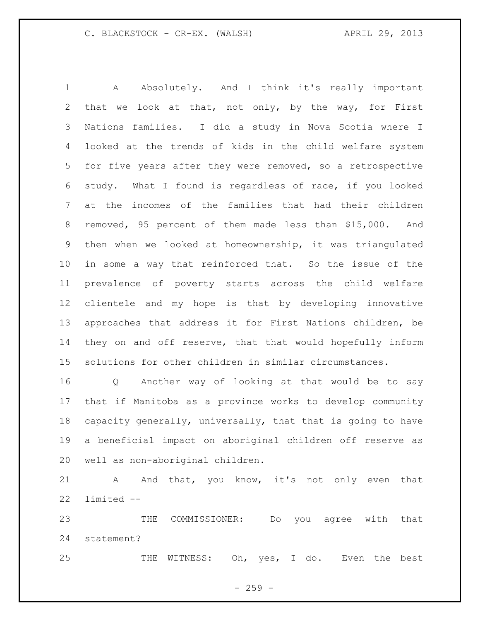A Absolutely. And I think it's really important that we look at that, not only, by the way, for First Nations families. I did a study in Nova Scotia where I looked at the trends of kids in the child welfare system for five years after they were removed, so a retrospective study. What I found is regardless of race, if you looked at the incomes of the families that had their children removed, 95 percent of them made less than \$15,000. And then when we looked at homeownership, it was triangulated in some a way that reinforced that. So the issue of the prevalence of poverty starts across the child welfare clientele and my hope is that by developing innovative approaches that address it for First Nations children, be they on and off reserve, that that would hopefully inform solutions for other children in similar circumstances.

 Q Another way of looking at that would be to say that if Manitoba as a province works to develop community capacity generally, universally, that that is going to have a beneficial impact on aboriginal children off reserve as well as non-aboriginal children.

21 A And that, you know, it's not only even that limited --

 THE COMMISSIONER: Do you agree with that statement?

25 THE WITNESS: Oh, yes, I do. Even the best

 $- 259 -$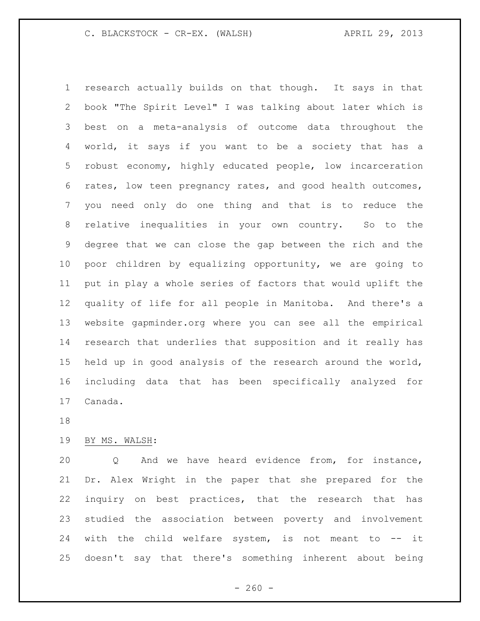research actually builds on that though. It says in that book "The Spirit Level" I was talking about later which is best on a meta-analysis of outcome data throughout the world, it says if you want to be a society that has a robust economy, highly educated people, low incarceration rates, low teen pregnancy rates, and good health outcomes, you need only do one thing and that is to reduce the relative inequalities in your own country. So to the degree that we can close the gap between the rich and the poor children by equalizing opportunity, we are going to put in play a whole series of factors that would uplift the quality of life for all people in Manitoba. And there's a website gapminder.org where you can see all the empirical research that underlies that supposition and it really has held up in good analysis of the research around the world, including data that has been specifically analyzed for Canada.

### BY MS. WALSH:

 Q And we have heard evidence from, for instance, Dr. Alex Wright in the paper that she prepared for the inquiry on best practices, that the research that has studied the association between poverty and involvement 24 with the child welfare system, is not meant to -- it doesn't say that there's something inherent about being

 $- 260 -$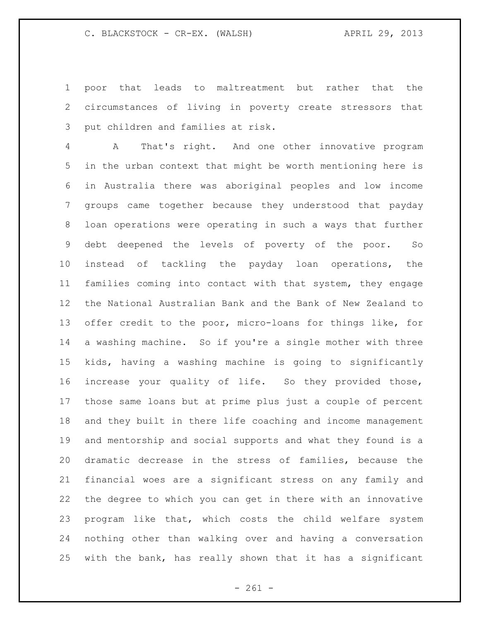poor that leads to maltreatment but rather that the circumstances of living in poverty create stressors that put children and families at risk.

 A That's right. And one other innovative program in the urban context that might be worth mentioning here is in Australia there was aboriginal peoples and low income groups came together because they understood that payday loan operations were operating in such a ways that further debt deepened the levels of poverty of the poor. So instead of tackling the payday loan operations, the families coming into contact with that system, they engage the National Australian Bank and the Bank of New Zealand to offer credit to the poor, micro-loans for things like, for a washing machine. So if you're a single mother with three kids, having a washing machine is going to significantly increase your quality of life. So they provided those, those same loans but at prime plus just a couple of percent and they built in there life coaching and income management and mentorship and social supports and what they found is a dramatic decrease in the stress of families, because the financial woes are a significant stress on any family and the degree to which you can get in there with an innovative program like that, which costs the child welfare system nothing other than walking over and having a conversation with the bank, has really shown that it has a significant

- 261 -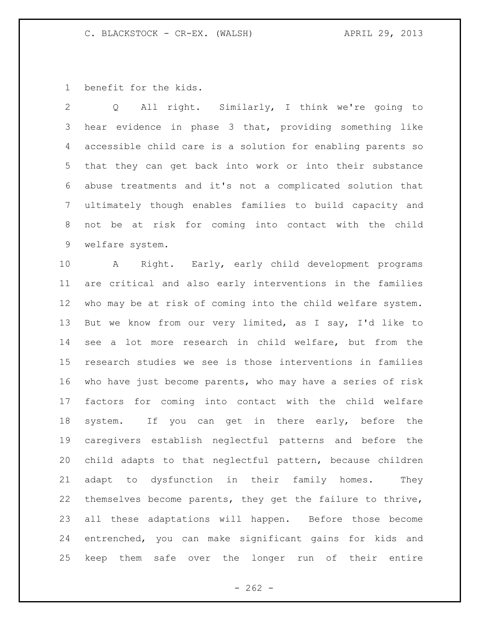benefit for the kids.

 Q All right. Similarly, I think we're going to hear evidence in phase 3 that, providing something like accessible child care is a solution for enabling parents so that they can get back into work or into their substance abuse treatments and it's not a complicated solution that ultimately though enables families to build capacity and not be at risk for coming into contact with the child welfare system.

 A Right. Early, early child development programs are critical and also early interventions in the families who may be at risk of coming into the child welfare system. But we know from our very limited, as I say, I'd like to see a lot more research in child welfare, but from the research studies we see is those interventions in families who have just become parents, who may have a series of risk factors for coming into contact with the child welfare system. If you can get in there early, before the caregivers establish neglectful patterns and before the child adapts to that neglectful pattern, because children adapt to dysfunction in their family homes. They themselves become parents, they get the failure to thrive, all these adaptations will happen. Before those become entrenched, you can make significant gains for kids and keep them safe over the longer run of their entire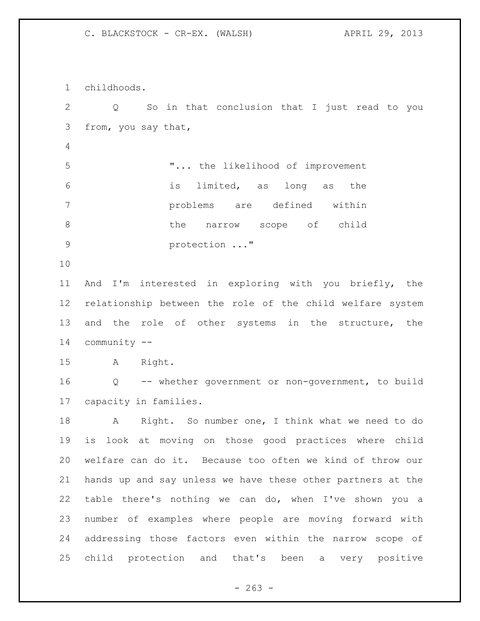childhoods. Q So in that conclusion that I just read to you from, you say that, "... the likelihood of improvement is limited, as long as the problems are defined within 8 b the narrow scope of child **protection** ..." And I'm interested in exploring with you briefly, the relationship between the role of the child welfare system 13 and the role of other systems in the structure, the community -- A Right. Q -- whether government or non-government, to build capacity in families. A Right. So number one, I think what we need to do is look at moving on those good practices where child welfare can do it. Because too often we kind of throw our hands up and say unless we have these other partners at the table there's nothing we can do, when I've shown you a number of examples where people are moving forward with addressing those factors even within the narrow scope of child protection and that's been a very positive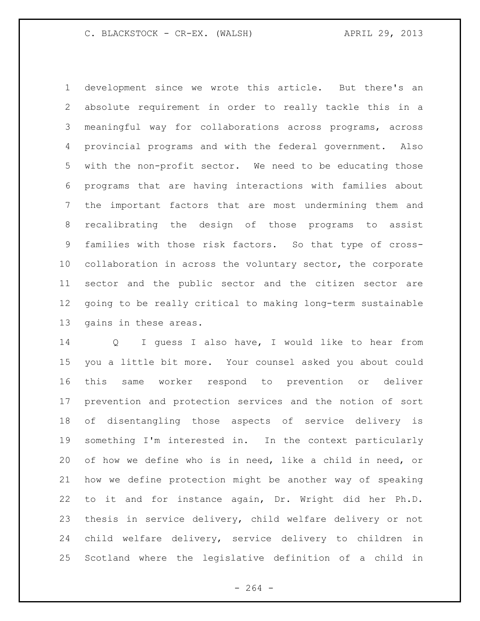development since we wrote this article. But there's an absolute requirement in order to really tackle this in a meaningful way for collaborations across programs, across provincial programs and with the federal government. Also with the non-profit sector. We need to be educating those programs that are having interactions with families about the important factors that are most undermining them and recalibrating the design of those programs to assist families with those risk factors. So that type of cross- collaboration in across the voluntary sector, the corporate sector and the public sector and the citizen sector are going to be really critical to making long-term sustainable gains in these areas.

 Q I guess I also have, I would like to hear from you a little bit more. Your counsel asked you about could this same worker respond to prevention or deliver prevention and protection services and the notion of sort of disentangling those aspects of service delivery is something I'm interested in. In the context particularly of how we define who is in need, like a child in need, or how we define protection might be another way of speaking to it and for instance again, Dr. Wright did her Ph.D. thesis in service delivery, child welfare delivery or not child welfare delivery, service delivery to children in Scotland where the legislative definition of a child in

 $- 264 -$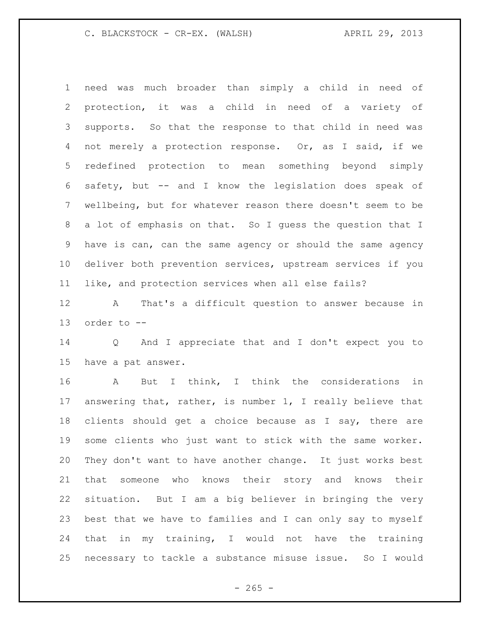need was much broader than simply a child in need of protection, it was a child in need of a variety of supports. So that the response to that child in need was not merely a protection response. Or, as I said, if we redefined protection to mean something beyond simply safety, but -- and I know the legislation does speak of wellbeing, but for whatever reason there doesn't seem to be a lot of emphasis on that. So I guess the question that I have is can, can the same agency or should the same agency deliver both prevention services, upstream services if you like, and protection services when all else fails?

 A That's a difficult question to answer because in order to --

 Q And I appreciate that and I don't expect you to have a pat answer.

 A But I think, I think the considerations in answering that, rather, is number 1, I really believe that clients should get a choice because as I say, there are some clients who just want to stick with the same worker. They don't want to have another change. It just works best that someone who knows their story and knows their situation. But I am a big believer in bringing the very best that we have to families and I can only say to myself that in my training, I would not have the training necessary to tackle a substance misuse issue. So I would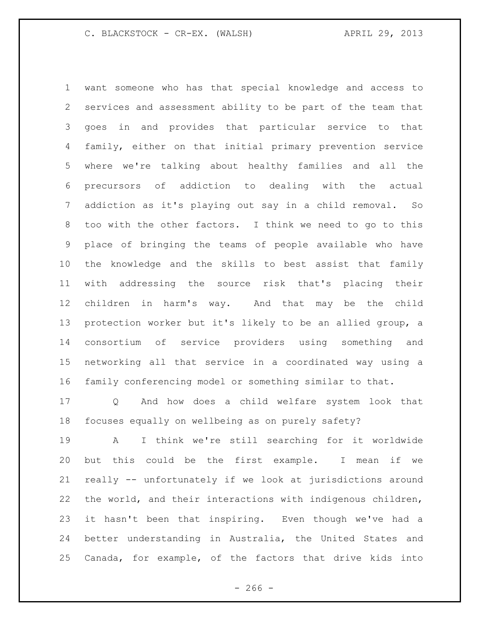want someone who has that special knowledge and access to services and assessment ability to be part of the team that goes in and provides that particular service to that family, either on that initial primary prevention service where we're talking about healthy families and all the precursors of addiction to dealing with the actual addiction as it's playing out say in a child removal. So too with the other factors. I think we need to go to this place of bringing the teams of people available who have the knowledge and the skills to best assist that family with addressing the source risk that's placing their children in harm's way. And that may be the child protection worker but it's likely to be an allied group, a consortium of service providers using something and networking all that service in a coordinated way using a family conferencing model or something similar to that.

 Q And how does a child welfare system look that focuses equally on wellbeing as on purely safety?

 A I think we're still searching for it worldwide but this could be the first example. I mean if we really -- unfortunately if we look at jurisdictions around the world, and their interactions with indigenous children, it hasn't been that inspiring. Even though we've had a better understanding in Australia, the United States and Canada, for example, of the factors that drive kids into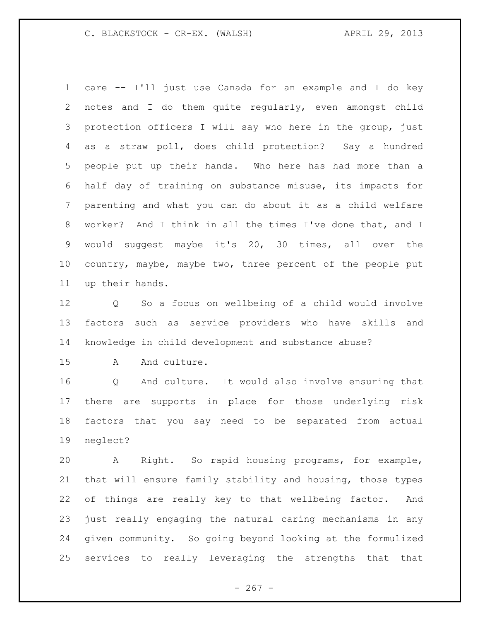care -- I'll just use Canada for an example and I do key notes and I do them quite regularly, even amongst child protection officers I will say who here in the group, just as a straw poll, does child protection? Say a hundred people put up their hands. Who here has had more than a half day of training on substance misuse, its impacts for parenting and what you can do about it as a child welfare worker? And I think in all the times I've done that, and I would suggest maybe it's 20, 30 times, all over the country, maybe, maybe two, three percent of the people put up their hands.

 Q So a focus on wellbeing of a child would involve factors such as service providers who have skills and knowledge in child development and substance abuse?

15 A And culture.

 Q And culture. It would also involve ensuring that there are supports in place for those underlying risk factors that you say need to be separated from actual neglect?

 A Right. So rapid housing programs, for example, that will ensure family stability and housing, those types of things are really key to that wellbeing factor. And just really engaging the natural caring mechanisms in any given community. So going beyond looking at the formulized services to really leveraging the strengths that that

 $- 267 -$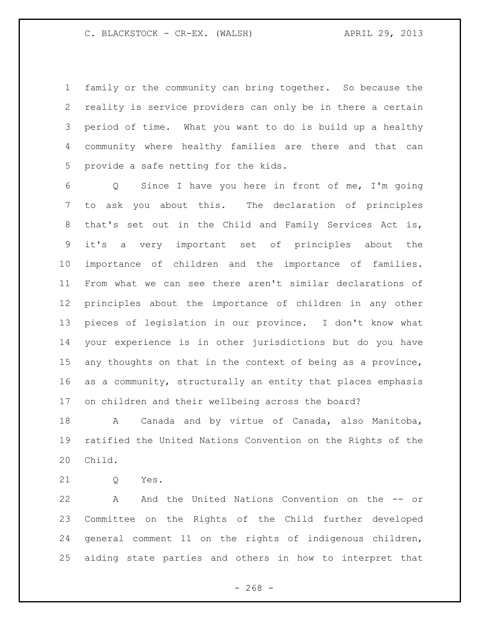family or the community can bring together. So because the reality is service providers can only be in there a certain period of time. What you want to do is build up a healthy community where healthy families are there and that can provide a safe netting for the kids.

 Q Since I have you here in front of me, I'm going to ask you about this. The declaration of principles that's set out in the Child and Family Services Act is, it's a very important set of principles about the importance of children and the importance of families. From what we can see there aren't similar declarations of principles about the importance of children in any other pieces of legislation in our province. I don't know what your experience is in other jurisdictions but do you have 15 any thoughts on that in the context of being as a province, as a community, structurally an entity that places emphasis on children and their wellbeing across the board?

 A Canada and by virtue of Canada, also Manitoba, ratified the United Nations Convention on the Rights of the Child.

Q Yes.

 A And the United Nations Convention on the -- or Committee on the Rights of the Child further developed general comment 11 on the rights of indigenous children, aiding state parties and others in how to interpret that

 $- 268 -$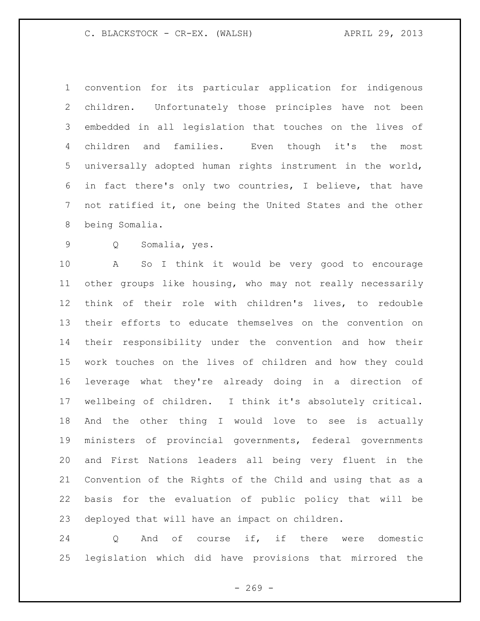convention for its particular application for indigenous children. Unfortunately those principles have not been embedded in all legislation that touches on the lives of children and families. Even though it's the most universally adopted human rights instrument in the world, in fact there's only two countries, I believe, that have not ratified it, one being the United States and the other being Somalia.

Q Somalia, yes.

 A So I think it would be very good to encourage other groups like housing, who may not really necessarily think of their role with children's lives, to redouble their efforts to educate themselves on the convention on their responsibility under the convention and how their work touches on the lives of children and how they could leverage what they're already doing in a direction of wellbeing of children. I think it's absolutely critical. And the other thing I would love to see is actually ministers of provincial governments, federal governments and First Nations leaders all being very fluent in the Convention of the Rights of the Child and using that as a basis for the evaluation of public policy that will be deployed that will have an impact on children.

 Q And of course if, if there were domestic legislation which did have provisions that mirrored the

 $- 269 -$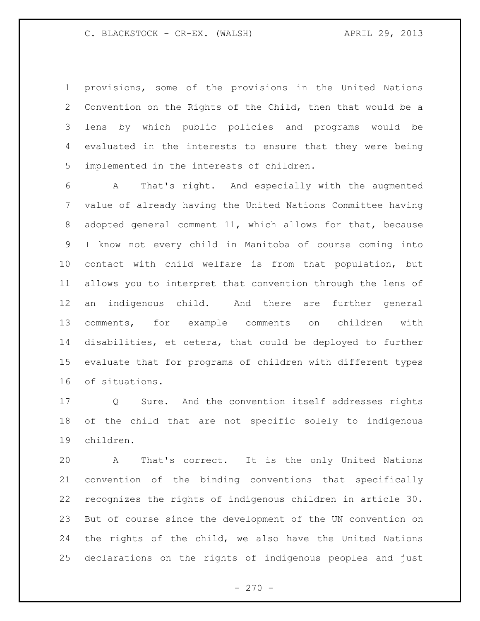provisions, some of the provisions in the United Nations Convention on the Rights of the Child, then that would be a lens by which public policies and programs would be evaluated in the interests to ensure that they were being implemented in the interests of children.

 A That's right. And especially with the augmented value of already having the United Nations Committee having adopted general comment 11, which allows for that, because I know not every child in Manitoba of course coming into contact with child welfare is from that population, but allows you to interpret that convention through the lens of an indigenous child. And there are further general comments, for example comments on children with disabilities, et cetera, that could be deployed to further evaluate that for programs of children with different types of situations.

 Q Sure. And the convention itself addresses rights of the child that are not specific solely to indigenous children.

 A That's correct. It is the only United Nations convention of the binding conventions that specifically recognizes the rights of indigenous children in article 30. But of course since the development of the UN convention on the rights of the child, we also have the United Nations declarations on the rights of indigenous peoples and just

 $- 270 -$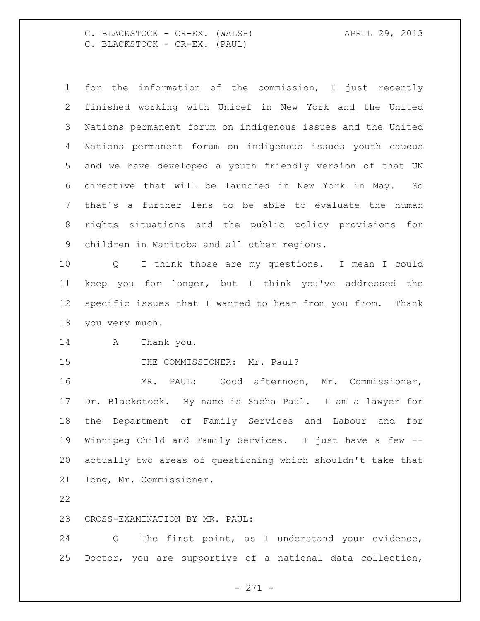C. BLACKSTOCK - CR-EX. (WALSH) APRIL 29, 2013 C. BLACKSTOCK - CR-EX. (PAUL)

 for the information of the commission, I just recently finished working with Unicef in New York and the United Nations permanent forum on indigenous issues and the United Nations permanent forum on indigenous issues youth caucus and we have developed a youth friendly version of that UN directive that will be launched in New York in May. So that's a further lens to be able to evaluate the human rights situations and the public policy provisions for children in Manitoba and all other regions. Q I think those are my questions. I mean I could

 keep you for longer, but I think you've addressed the specific issues that I wanted to hear from you from. Thank you very much.

A Thank you.

15 THE COMMISSIONER: Mr. Paul?

 MR. PAUL: Good afternoon, Mr. Commissioner, Dr. Blackstock. My name is Sacha Paul. I am a lawyer for the Department of Family Services and Labour and for Winnipeg Child and Family Services. I just have a few -- actually two areas of questioning which shouldn't take that long, Mr. Commissioner.

### CROSS-EXAMINATION BY MR. PAUL:

 Q The first point, as I understand your evidence, Doctor, you are supportive of a national data collection,

- 271 -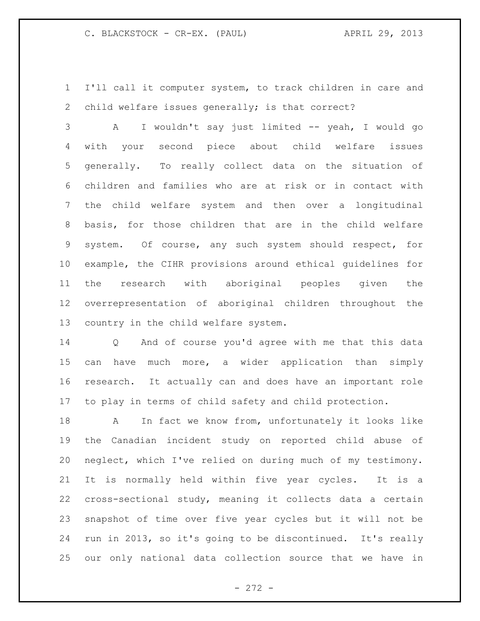I'll call it computer system, to track children in care and child welfare issues generally; is that correct?

 A I wouldn't say just limited -- yeah, I would go with your second piece about child welfare issues generally. To really collect data on the situation of children and families who are at risk or in contact with the child welfare system and then over a longitudinal basis, for those children that are in the child welfare system. Of course, any such system should respect, for example, the CIHR provisions around ethical guidelines for the research with aboriginal peoples given the overrepresentation of aboriginal children throughout the country in the child welfare system.

 Q And of course you'd agree with me that this data 15 can have much more, a wider application than simply research. It actually can and does have an important role to play in terms of child safety and child protection.

 A In fact we know from, unfortunately it looks like the Canadian incident study on reported child abuse of neglect, which I've relied on during much of my testimony. It is normally held within five year cycles. It is a cross-sectional study, meaning it collects data a certain snapshot of time over five year cycles but it will not be run in 2013, so it's going to be discontinued. It's really our only national data collection source that we have in

- 272 -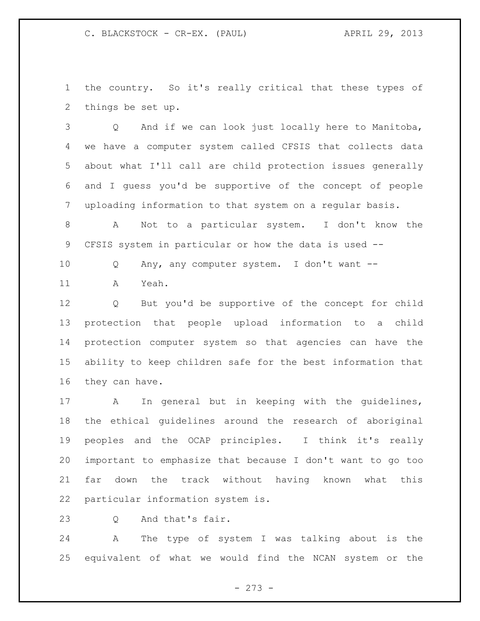the country. So it's really critical that these types of things be set up.

 Q And if we can look just locally here to Manitoba, we have a computer system called CFSIS that collects data about what I'll call are child protection issues generally and I guess you'd be supportive of the concept of people uploading information to that system on a regular basis.

 A Not to a particular system. I don't know the CFSIS system in particular or how the data is used --

Q Any, any computer system. I don't want --

A Yeah.

 Q But you'd be supportive of the concept for child protection that people upload information to a child protection computer system so that agencies can have the ability to keep children safe for the best information that they can have.

 A In general but in keeping with the guidelines, the ethical guidelines around the research of aboriginal peoples and the OCAP principles. I think it's really important to emphasize that because I don't want to go too far down the track without having known what this particular information system is.

23 0 And that's fair.

 A The type of system I was talking about is the equivalent of what we would find the NCAN system or the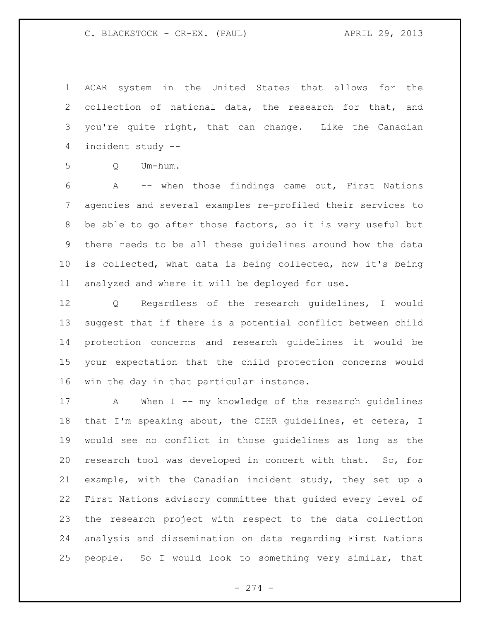ACAR system in the United States that allows for the collection of national data, the research for that, and you're quite right, that can change. Like the Canadian incident study --

Q Um-hum.

 A -- when those findings came out, First Nations agencies and several examples re-profiled their services to be able to go after those factors, so it is very useful but there needs to be all these guidelines around how the data is collected, what data is being collected, how it's being analyzed and where it will be deployed for use.

 Q Regardless of the research guidelines, I would suggest that if there is a potential conflict between child protection concerns and research guidelines it would be your expectation that the child protection concerns would win the day in that particular instance.

17 A When I -- my knowledge of the research guidelines that I'm speaking about, the CIHR guidelines, et cetera, I would see no conflict in those guidelines as long as the research tool was developed in concert with that. So, for example, with the Canadian incident study, they set up a First Nations advisory committee that guided every level of the research project with respect to the data collection analysis and dissemination on data regarding First Nations people. So I would look to something very similar, that

- 274 -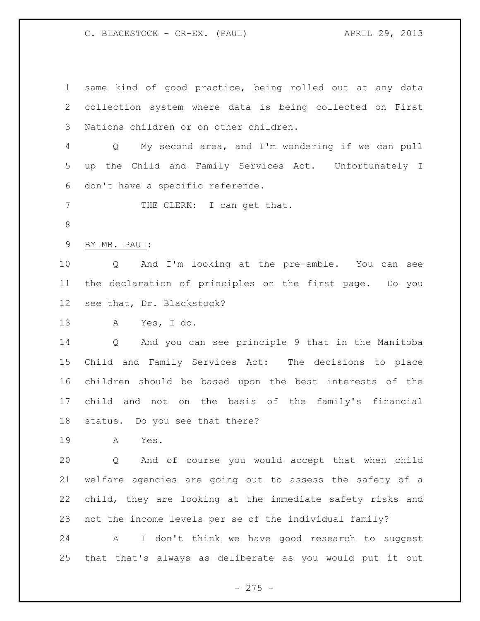same kind of good practice, being rolled out at any data collection system where data is being collected on First Nations children or on other children. Q My second area, and I'm wondering if we can pull up the Child and Family Services Act. Unfortunately I don't have a specific reference. 7 THE CLERK: I can get that. BY MR. PAUL: Q And I'm looking at the pre-amble. You can see the declaration of principles on the first page. Do you see that, Dr. Blackstock? A Yes, I do. Q And you can see principle 9 that in the Manitoba Child and Family Services Act: The decisions to place children should be based upon the best interests of the child and not on the basis of the family's financial status. Do you see that there? A Yes. Q And of course you would accept that when child welfare agencies are going out to assess the safety of a child, they are looking at the immediate safety risks and not the income levels per se of the individual family? A I don't think we have good research to suggest that that's always as deliberate as you would put it out

 $-275 -$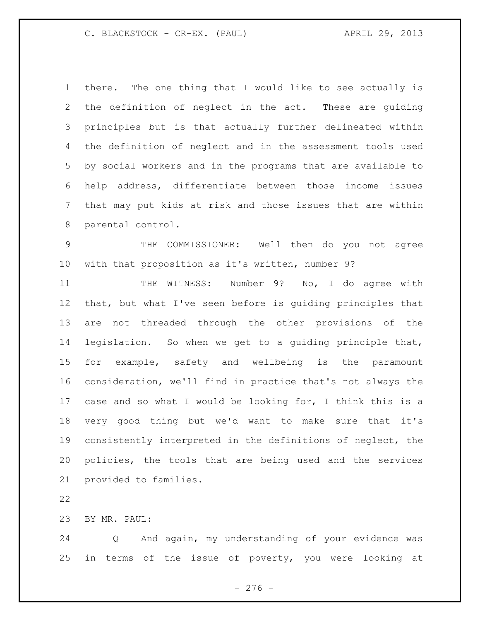there. The one thing that I would like to see actually is the definition of neglect in the act. These are guiding principles but is that actually further delineated within the definition of neglect and in the assessment tools used by social workers and in the programs that are available to help address, differentiate between those income issues that may put kids at risk and those issues that are within parental control.

 THE COMMISSIONER: Well then do you not agree with that proposition as it's written, number 9?

11 THE WITNESS: Number 9? No, I do agree with that, but what I've seen before is guiding principles that are not threaded through the other provisions of the legislation. So when we get to a guiding principle that, for example, safety and wellbeing is the paramount consideration, we'll find in practice that's not always the case and so what I would be looking for, I think this is a very good thing but we'd want to make sure that it's consistently interpreted in the definitions of neglect, the policies, the tools that are being used and the services provided to families.

BY MR. PAUL:

 Q And again, my understanding of your evidence was in terms of the issue of poverty, you were looking at

- 276 -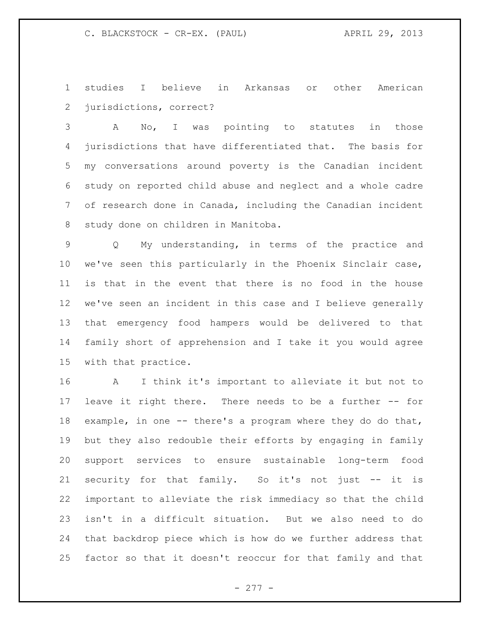studies I believe in Arkansas or other American jurisdictions, correct?

 A No, I was pointing to statutes in those jurisdictions that have differentiated that. The basis for my conversations around poverty is the Canadian incident study on reported child abuse and neglect and a whole cadre of research done in Canada, including the Canadian incident study done on children in Manitoba.

 Q My understanding, in terms of the practice and we've seen this particularly in the Phoenix Sinclair case, is that in the event that there is no food in the house we've seen an incident in this case and I believe generally that emergency food hampers would be delivered to that family short of apprehension and I take it you would agree with that practice.

 A I think it's important to alleviate it but not to leave it right there. There needs to be a further -- for example, in one -- there's a program where they do do that, but they also redouble their efforts by engaging in family support services to ensure sustainable long-term food security for that family. So it's not just -- it is important to alleviate the risk immediacy so that the child isn't in a difficult situation. But we also need to do that backdrop piece which is how do we further address that factor so that it doesn't reoccur for that family and that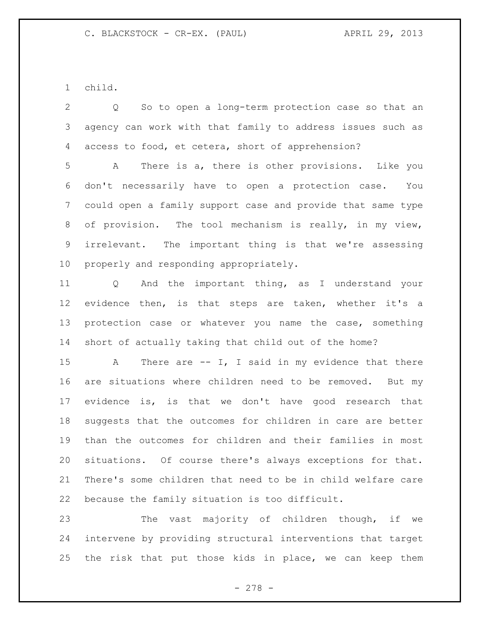child.

 Q So to open a long-term protection case so that an agency can work with that family to address issues such as access to food, et cetera, short of apprehension?

 A There is a, there is other provisions. Like you don't necessarily have to open a protection case. You could open a family support case and provide that same type of provision. The tool mechanism is really, in my view, irrelevant. The important thing is that we're assessing properly and responding appropriately.

 Q And the important thing, as I understand your evidence then, is that steps are taken, whether it's a 13 protection case or whatever you name the case, something short of actually taking that child out of the home?

15 A There are -- I, I said in my evidence that there are situations where children need to be removed. But my evidence is, is that we don't have good research that suggests that the outcomes for children in care are better than the outcomes for children and their families in most situations. Of course there's always exceptions for that. There's some children that need to be in child welfare care because the family situation is too difficult.

23 The vast majority of children though, if we intervene by providing structural interventions that target the risk that put those kids in place, we can keep them

- 278 -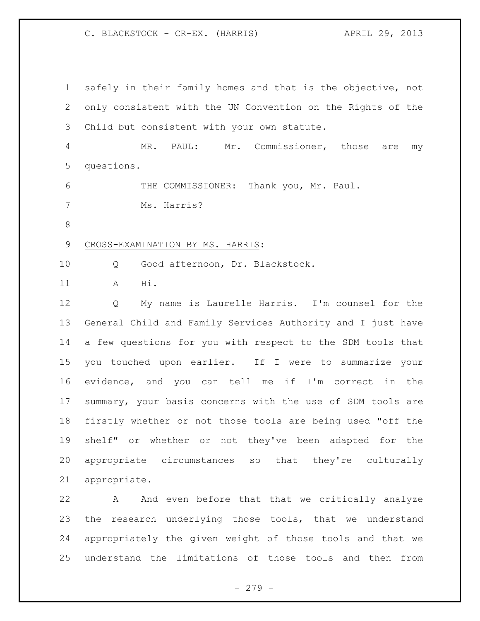safely in their family homes and that is the objective, not only consistent with the UN Convention on the Rights of the Child but consistent with your own statute. MR. PAUL: Mr. Commissioner, those are my questions. THE COMMISSIONER: Thank you, Mr. Paul. Ms. Harris? CROSS-EXAMINATION BY MS. HARRIS: Q Good afternoon, Dr. Blackstock. A Hi. Q My name is Laurelle Harris. I'm counsel for the General Child and Family Services Authority and I just have a few questions for you with respect to the SDM tools that you touched upon earlier. If I were to summarize your evidence, and you can tell me if I'm correct in the summary, your basis concerns with the use of SDM tools are firstly whether or not those tools are being used "off the shelf" or whether or not they've been adapted for the appropriate circumstances so that they're culturally appropriate. A And even before that that we critically analyze the research underlying those tools, that we understand

 appropriately the given weight of those tools and that we understand the limitations of those tools and then from

- 279 -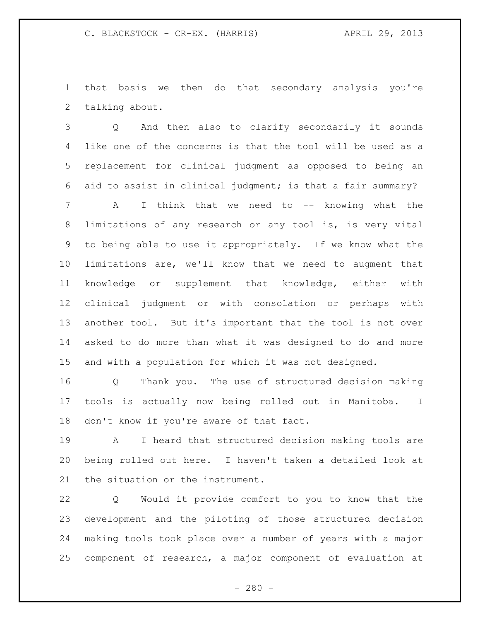that basis we then do that secondary analysis you're talking about.

 Q And then also to clarify secondarily it sounds like one of the concerns is that the tool will be used as a replacement for clinical judgment as opposed to being an aid to assist in clinical judgment; is that a fair summary?

 A I think that we need to -- knowing what the limitations of any research or any tool is, is very vital to being able to use it appropriately. If we know what the limitations are, we'll know that we need to augment that knowledge or supplement that knowledge, either with clinical judgment or with consolation or perhaps with another tool. But it's important that the tool is not over asked to do more than what it was designed to do and more and with a population for which it was not designed.

 Q Thank you. The use of structured decision making tools is actually now being rolled out in Manitoba. I don't know if you're aware of that fact.

 A I heard that structured decision making tools are being rolled out here. I haven't taken a detailed look at the situation or the instrument.

 Q Would it provide comfort to you to know that the development and the piloting of those structured decision making tools took place over a number of years with a major component of research, a major component of evaluation at

 $- 280 -$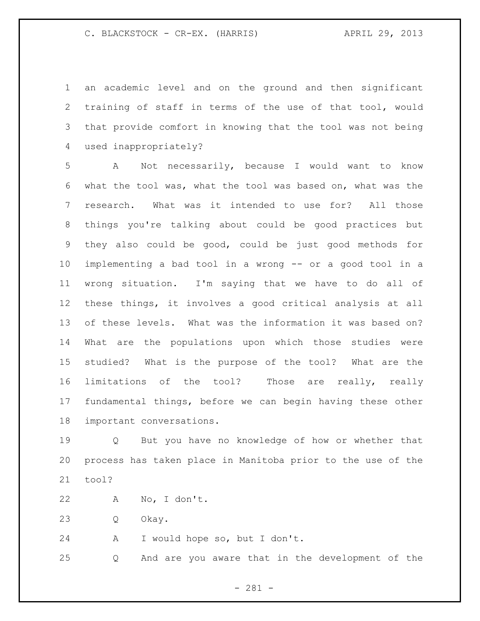an academic level and on the ground and then significant training of staff in terms of the use of that tool, would that provide comfort in knowing that the tool was not being used inappropriately?

 A Not necessarily, because I would want to know what the tool was, what the tool was based on, what was the research. What was it intended to use for? All those things you're talking about could be good practices but they also could be good, could be just good methods for implementing a bad tool in a wrong -- or a good tool in a wrong situation. I'm saying that we have to do all of these things, it involves a good critical analysis at all of these levels. What was the information it was based on? What are the populations upon which those studies were studied? What is the purpose of the tool? What are the limitations of the tool? Those are really, really fundamental things, before we can begin having these other important conversations.

 Q But you have no knowledge of how or whether that process has taken place in Manitoba prior to the use of the tool?

A No, I don't.

Q Okay.

A I would hope so, but I don't.

Q And are you aware that in the development of the

- 281 -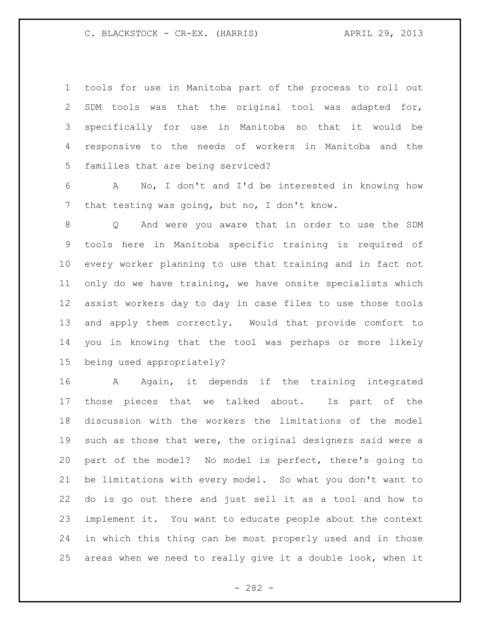| $\mathbf{1}$    | tools for use in Manitoba part of the process to roll out            |
|-----------------|----------------------------------------------------------------------|
| 2               | SDM tools was that the original tool was adapted for,                |
| 3               | specifically for use in Manitoba so that it would be                 |
| 4               | responsive to the needs of workers in Manitoba and the               |
| 5               | families that are being serviced?                                    |
| 6               | A No, I don't and I'd be interested in knowing how                   |
| 7               | that testing was going, but no, I don't know.                        |
| 8               | And were you aware that in order to use the SDM<br>$Q \qquad \qquad$ |
| 9               | tools here in Manitoba specific training is required of              |
| 10              | every worker planning to use that training and in fact not           |
| 11              | only do we have training, we have onsite specialists which           |
| 12 <sup>°</sup> | assist workers day to day in case files to use those tools           |
| 13              | and apply them correctly. Would that provide comfort to              |
| 14              | you in knowing that the tool was perhaps or more likely              |
| 15              | being used appropriately?                                            |
| 16              | A Again, it depends if the training integrated                       |
| 17              | those pieces that we talked about. Is part of the                    |
| 18              | discussion with the workers the limitations of the model             |
| 19              | such as those that were, the original designers said were a          |
| 20              | part of the model? No model is perfect, there's going to             |
| 21              | be limitations with every model. So what you don't want to           |
| 22              | do is go out there and just sell it as a tool and how to             |
| 23              | implement it. You want to educate people about the context           |
| 24              | in which this thing can be most properly used and in those           |
| 25              | areas when we need to really give it a double look, when it          |

- 282 -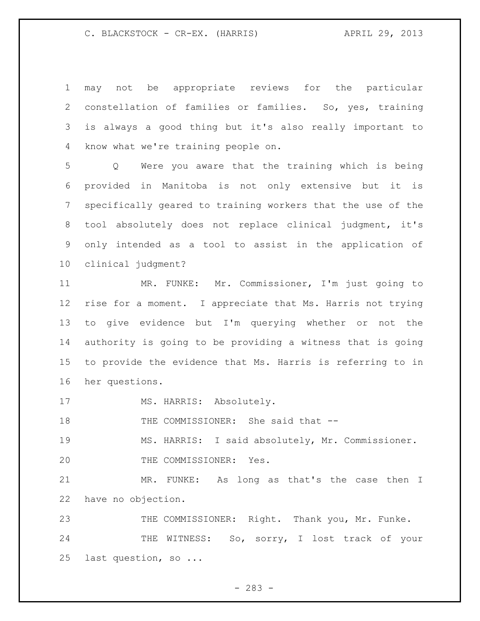may not be appropriate reviews for the particular constellation of families or families. So, yes, training is always a good thing but it's also really important to know what we're training people on.

 Q Were you aware that the training which is being provided in Manitoba is not only extensive but it is specifically geared to training workers that the use of the tool absolutely does not replace clinical judgment, it's only intended as a tool to assist in the application of clinical judgment?

 MR. FUNKE: Mr. Commissioner, I'm just going to rise for a moment. I appreciate that Ms. Harris not trying to give evidence but I'm querying whether or not the authority is going to be providing a witness that is going to provide the evidence that Ms. Harris is referring to in her questions.

17 MS. HARRIS: Absolutely.

18 THE COMMISSIONER: She said that --

 MS. HARRIS: I said absolutely, Mr. Commissioner. 20 THE COMMISSIONER: Yes.

 MR. FUNKE: As long as that's the case then I have no objection.

 THE COMMISSIONER: Right. Thank you, Mr. Funke. 24 THE WITNESS: So, sorry, I lost track of your last question, so ...

- 283 -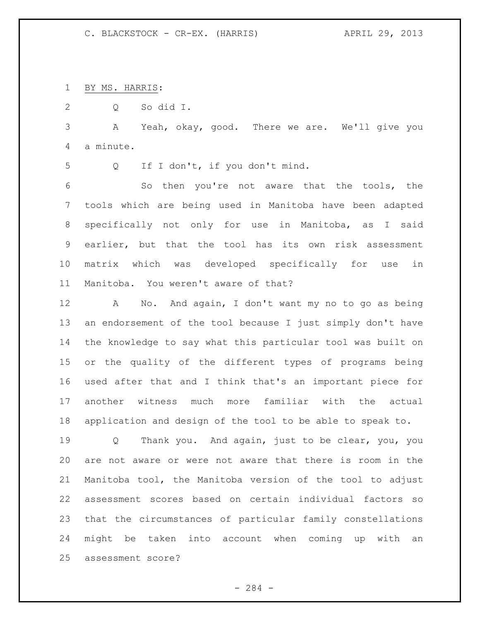BY MS. HARRIS:

Q So did I.

 A Yeah, okay, good. There we are. We'll give you a minute.

Q If I don't, if you don't mind.

 So then you're not aware that the tools, the tools which are being used in Manitoba have been adapted specifically not only for use in Manitoba, as I said earlier, but that the tool has its own risk assessment matrix which was developed specifically for use in Manitoba. You weren't aware of that?

 A No. And again, I don't want my no to go as being an endorsement of the tool because I just simply don't have the knowledge to say what this particular tool was built on or the quality of the different types of programs being used after that and I think that's an important piece for another witness much more familiar with the actual application and design of the tool to be able to speak to.

 Q Thank you. And again, just to be clear, you, you are not aware or were not aware that there is room in the Manitoba tool, the Manitoba version of the tool to adjust assessment scores based on certain individual factors so that the circumstances of particular family constellations might be taken into account when coming up with an assessment score?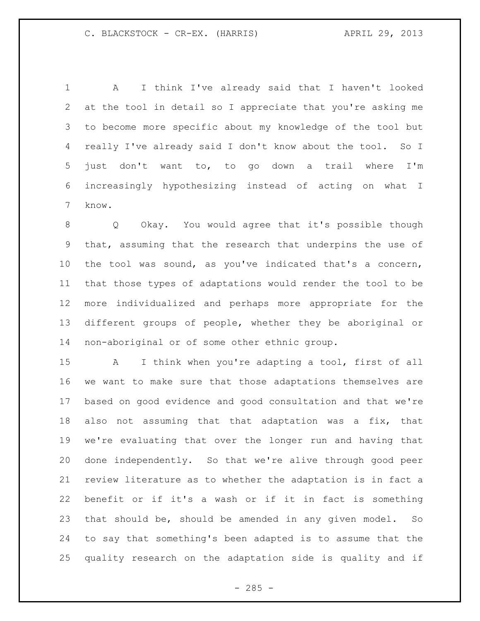A I think I've already said that I haven't looked at the tool in detail so I appreciate that you're asking me to become more specific about my knowledge of the tool but really I've already said I don't know about the tool. So I just don't want to, to go down a trail where I'm increasingly hypothesizing instead of acting on what I know.

 Q Okay. You would agree that it's possible though that, assuming that the research that underpins the use of the tool was sound, as you've indicated that's a concern, that those types of adaptations would render the tool to be more individualized and perhaps more appropriate for the different groups of people, whether they be aboriginal or non-aboriginal or of some other ethnic group.

 A I think when you're adapting a tool, first of all we want to make sure that those adaptations themselves are based on good evidence and good consultation and that we're also not assuming that that adaptation was a fix, that we're evaluating that over the longer run and having that done independently. So that we're alive through good peer review literature as to whether the adaptation is in fact a benefit or if it's a wash or if it in fact is something that should be, should be amended in any given model. So to say that something's been adapted is to assume that the quality research on the adaptation side is quality and if

 $- 285 -$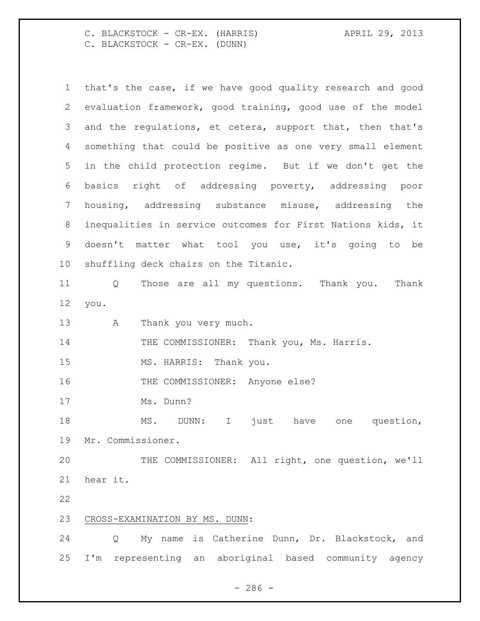C. BLACKSTOCK - CR-EX. (HARRIS) APRIL 29, 2013 C. BLACKSTOCK - CR-EX. (DUNN)

|    | that's the case, if we have good quality research and good  |  |  |
|----|-------------------------------------------------------------|--|--|
| 2  | evaluation framework, good training, good use of the model  |  |  |
| 3  | and the regulations, et cetera, support that, then that's   |  |  |
| 4  | something that could be positive as one very small element  |  |  |
| 5  | in the child protection regime. But if we don't get the     |  |  |
| 6  | basics right of addressing poverty, addressing poor         |  |  |
| 7  | housing, addressing substance misuse, addressing the        |  |  |
| 8  | inequalities in service outcomes for First Nations kids, it |  |  |
| 9  | doesn't matter what tool you use, it's going to be          |  |  |
| 10 | shuffling deck chairs on the Titanic.                       |  |  |
| 11 | Those are all my questions. Thank you.<br>Thank<br>Q        |  |  |
| 12 | you.                                                        |  |  |
| 13 | Thank you very much.<br>A                                   |  |  |
| 14 | THE COMMISSIONER: Thank you, Ms. Harris.                    |  |  |
| 15 | MS. HARRIS: Thank you.                                      |  |  |
| 16 | THE COMMISSIONER: Anyone else?                              |  |  |
| 17 | Ms. Dunn?                                                   |  |  |
| 18 | MS.<br>DUNN: I<br>just have<br>question,<br>one             |  |  |
| 19 | Mr. Commissioner.                                           |  |  |
|    |                                                             |  |  |
| 20 | THE COMMISSIONER: All right, one question, we'll            |  |  |
| 21 | hear it.                                                    |  |  |
| 22 |                                                             |  |  |
| 23 | CROSS-EXAMINATION BY MS. DUNN:                              |  |  |
| 24 | My name is Catherine Dunn, Dr. Blackstock, and<br>Q         |  |  |

- 286 -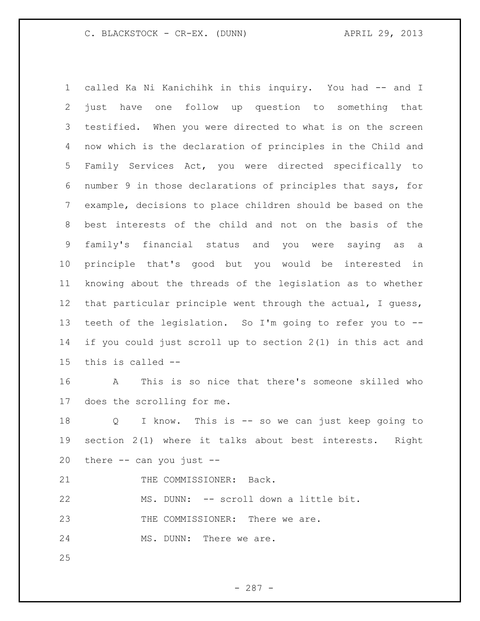C. BLACKSTOCK - CR-EX. (DUNN) APRIL 29, 2013

 called Ka Ni Kanichihk in this inquiry. You had -- and I just have one follow up question to something that testified. When you were directed to what is on the screen now which is the declaration of principles in the Child and Family Services Act, you were directed specifically to number 9 in those declarations of principles that says, for example, decisions to place children should be based on the best interests of the child and not on the basis of the family's financial status and you were saying as a principle that's good but you would be interested in knowing about the threads of the legislation as to whether that particular principle went through the actual, I guess, teeth of the legislation. So I'm going to refer you to -- if you could just scroll up to section 2(1) in this act and this is called --

 A This is so nice that there's someone skilled who does the scrolling for me.

 Q I know. This is -- so we can just keep going to section 2(1) where it talks about best interests. Right there -- can you just --

21 THE COMMISSIONER: Back.

MS. DUNN: -- scroll down a little bit.

23 THE COMMISSIONER: There we are.

24 MS. DUNN: There we are.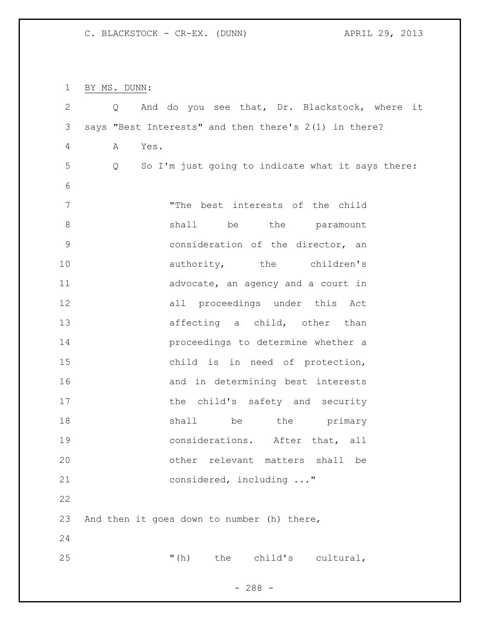C. BLACKSTOCK - CR-EX. (DUNN) APRIL 29, 2013

BY MS. DUNN:

| $\mathbf{2}$   | Q         | And do you see that, Dr. Blackstock, where it         |
|----------------|-----------|-------------------------------------------------------|
| $\mathfrak{Z}$ |           | says "Best Interests" and then there's 2(1) in there? |
| 4              | Yes.<br>A |                                                       |
| 5              | Q         | So I'm just going to indicate what it says there:     |
| 6              |           |                                                       |
| 7              |           | "The best interests of the child                      |
| 8              |           | shall be the paramount                                |
| $\mathsf 9$    |           | consideration of the director, an                     |
| 10             |           | authority, the children's                             |
| 11             |           | advocate, an agency and a court in                    |
| 12             |           | all proceedings under this Act                        |
| 13             |           | affecting a child, other than                         |
| 14             |           | proceedings to determine whether a                    |
| 15             |           | child is in need of protection,                       |
| 16             |           | and in determining best interests                     |
| 17             |           | the child's safety and security                       |
| 18             |           | shall be the primary                                  |
| 19             |           | considerations. After that, all                       |
| 20             |           | other relevant matters shall<br>be                    |
| 21             |           | considered, including "                               |
| 22             |           |                                                       |
| 23             |           | And then it goes down to number (h) there,            |
| 24             |           |                                                       |
| 25             |           | " $(h)$<br>the child's cultural,                      |
|                |           |                                                       |

- 288 -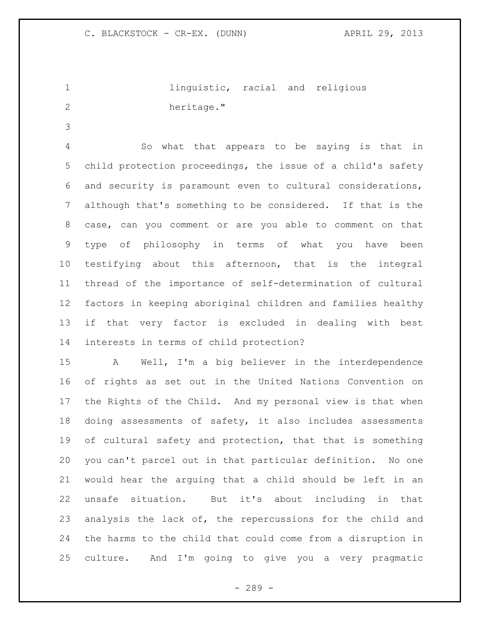1 linguistic, racial and religious 2 heritage."

 So what that appears to be saying is that in child protection proceedings, the issue of a child's safety and security is paramount even to cultural considerations, although that's something to be considered. If that is the case, can you comment or are you able to comment on that type of philosophy in terms of what you have been testifying about this afternoon, that is the integral thread of the importance of self-determination of cultural factors in keeping aboriginal children and families healthy if that very factor is excluded in dealing with best interests in terms of child protection?

 A Well, I'm a big believer in the interdependence of rights as set out in the United Nations Convention on the Rights of the Child. And my personal view is that when doing assessments of safety, it also includes assessments of cultural safety and protection, that that is something you can't parcel out in that particular definition. No one would hear the arguing that a child should be left in an unsafe situation. But it's about including in that analysis the lack of, the repercussions for the child and the harms to the child that could come from a disruption in culture. And I'm going to give you a very pragmatic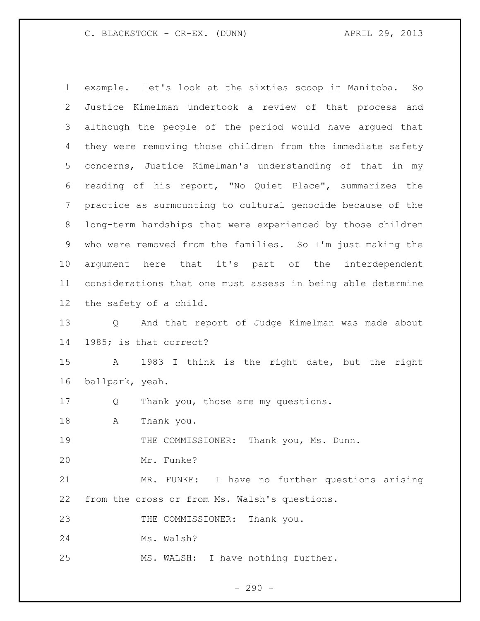## C. BLACKSTOCK - CR-EX. (DUNN) APRIL 29, 2013

 example. Let's look at the sixties scoop in Manitoba. So Justice Kimelman undertook a review of that process and although the people of the period would have argued that they were removing those children from the immediate safety concerns, Justice Kimelman's understanding of that in my reading of his report, "No Quiet Place", summarizes the practice as surmounting to cultural genocide because of the long-term hardships that were experienced by those children who were removed from the families. So I'm just making the argument here that it's part of the interdependent considerations that one must assess in being able determine the safety of a child. Q And that report of Judge Kimelman was made about 1985; is that correct? A 1983 I think is the right date, but the right ballpark, yeah. Q Thank you, those are my questions. A Thank you. 19 THE COMMISSIONER: Thank you, Ms. Dunn. Mr. Funke? MR. FUNKE: I have no further questions arising from the cross or from Ms. Walsh's questions. 23 THE COMMISSIONER: Thank you. Ms. Walsh? MS. WALSH: I have nothing further.

 $-290 -$